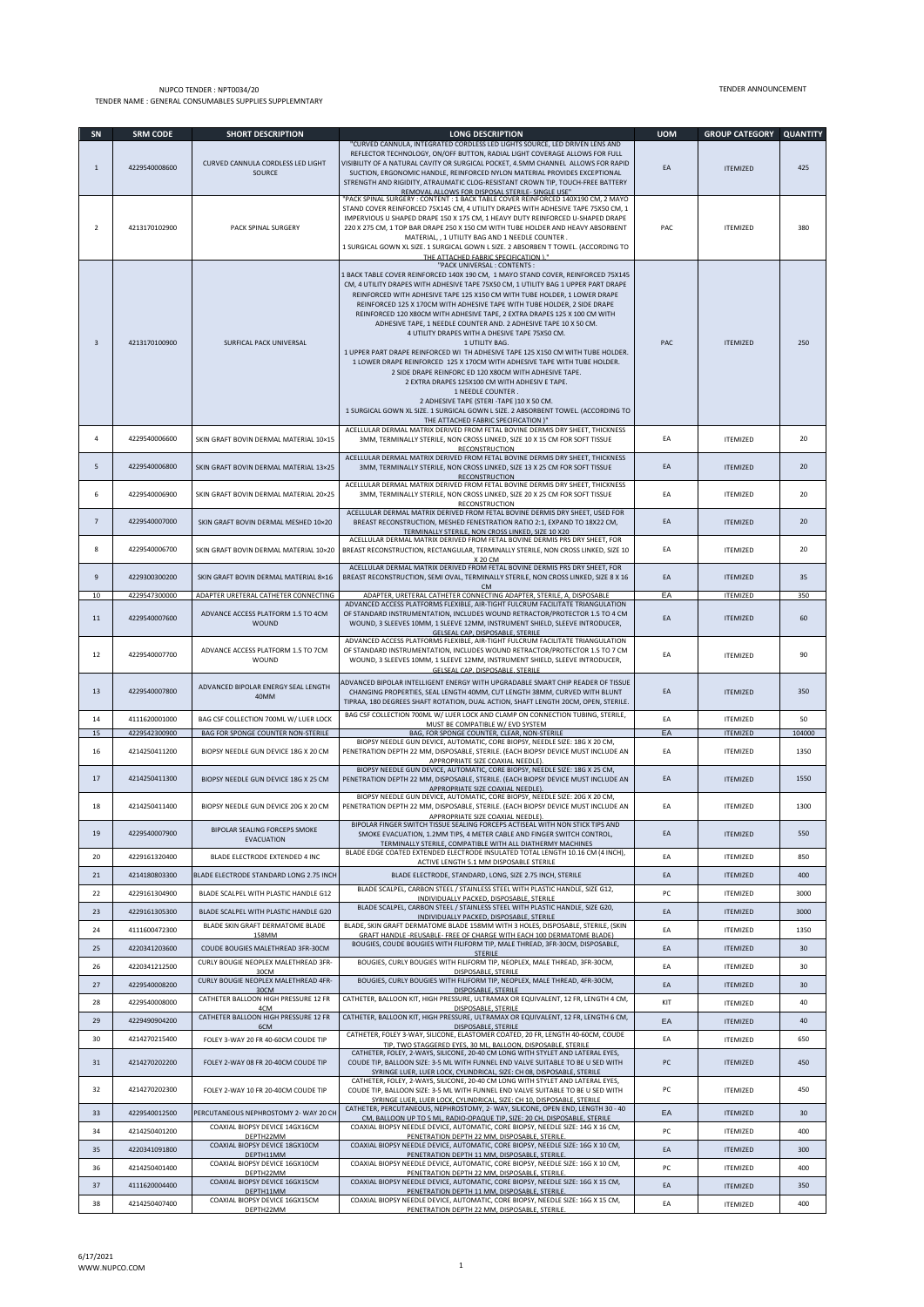## NUPCO TENDER : NPT0034/20 TENDER NAME : GENERAL CONSUMABLES SUPPLIES SUPPLEMNTARY

| SN                      | <b>SRM CODE</b>                | <b>SHORT DESCRIPTION</b>                                                                   | <b>LONG DESCRIPTION</b>                                                                                                                                                                                                                                                                                                                                                                                                                                                                                                                                                                                                                                                                                                                                                                                                                                                                                                                                                                                                                                                                                 | <b>UOM</b> | <b>GROUP CATEGORY</b>              | <b>QUANTITY</b> |
|-------------------------|--------------------------------|--------------------------------------------------------------------------------------------|---------------------------------------------------------------------------------------------------------------------------------------------------------------------------------------------------------------------------------------------------------------------------------------------------------------------------------------------------------------------------------------------------------------------------------------------------------------------------------------------------------------------------------------------------------------------------------------------------------------------------------------------------------------------------------------------------------------------------------------------------------------------------------------------------------------------------------------------------------------------------------------------------------------------------------------------------------------------------------------------------------------------------------------------------------------------------------------------------------|------------|------------------------------------|-----------------|
| $\mathbf{1}$            | 4229540008600                  | CURVED CANNULA CORDLESS LED LIGHT<br>SOURCE                                                | "CURVED CANNULA, INTEGRATED CORDLESS LED LIGHTS SOURCE, LED DRIVEN LENS AND<br>REFLECTOR TECHNOLOGY, ON/OFF BUTTON, RADIAL LIGHT COVERAGE ALLOWS FOR FULL<br>VISIBILITY OF A NATURAL CAVITY OR SURGICAL POCKET, 4.5MM CHANNEL ALLOWS FOR RAPID<br>SUCTION, ERGONOMIC HANDLE, REINFORCED NYLON MATERIAL PROVIDES EXCEPTIONAL<br>STRENGTH AND RIGIDITY, ATRAUMATIC CLOG-RESISTANT CROWN TIP, TOUCH-FREE BATTERY<br>REMOVAL ALLOWS FOR DISPOSAL STERILE- SINGLE USE'                                                                                                                                                                                                                                                                                                                                                                                                                                                                                                                                                                                                                                       | EA         | <b>ITEMIZED</b>                    | 425             |
| $\overline{2}$          | 4213170102900                  | PACK SPINAL SURGERY                                                                        | "PACK SPINAL SURGERY : CONTENT : 1 BACK TABLE COVER REINFORCED 140X190 CM, 2 MAYO<br>STAND COVER REINFORCED 75X145 CM, 4 UTILITY DRAPES WITH ADHESIVE TAPE 75X50 CM, 1<br>IMPERVIOUS U SHAPED DRAPE 150 X 175 CM, 1 HEAVY DUTY REINFORCED U-SHAPED DRAPE<br>220 X 275 CM, 1 TOP BAR DRAPE 250 X 150 CM WITH TUBE HOLDER AND HEAVY ABSORBENT<br>MATERIAL, , 1 UTILITY BAG AND 1 NEEDLE COUNTER.<br>1 SURGICAL GOWN XL SIZE. 1 SURGICAL GOWN L SIZE. 2 ABSORBEN T TOWEL. (ACCORDING TO                                                                                                                                                                                                                                                                                                                                                                                                                                                                                                                                                                                                                    | PAC        | <b>ITEMIZED</b>                    | 380             |
| $\overline{\mathbf{3}}$ | 4213170100900                  | SURFICAL PACK UNIVERSAL                                                                    | THE ATTACHED FABRIC SPECIFICATION )."<br>"PACK UNIVERSAL : CONTENTS :<br>1 BACK TABLE COVER REINFORCED 140X 190 CM, 1 MAYO STAND COVER, REINFORCED 75X145<br>CM, 4 UTILITY DRAPES WITH ADHESIVE TAPE 75X50 CM, 1 UTILITY BAG 1 UPPER PART DRAPE<br>REINFORCED WITH ADHESIVE TAPE 125 X150 CM WITH TUBE HOLDER, 1 LOWER DRAPE<br>REINFORCED 125 X 170CM WITH ADHESIVE TAPE WITH TUBE HOLDER, 2 SIDE DRAPE<br>REINFORCED 120 X80CM WITH ADHESIVE TAPE, 2 EXTRA DRAPES 125 X 100 CM WITH<br>ADHESIVE TAPE, 1 NEEDLE COUNTER AND. 2 ADHESIVE TAPE 10 X 50 CM.<br>4 UTILITY DRAPES WITH A DHESIVE TAPE 75X50 CM.<br>1 UTILITY BAG.<br>1 UPPER PART DRAPE REINFORCED WI TH ADHESIVE TAPE 125 X150 CM WITH TUBE HOLDER.<br>1 LOWER DRAPE REINFORCED 125 X 170CM WITH ADHESIVE TAPE WITH TUBE HOLDER.<br>2 SIDE DRAPE REINFORC ED 120 X80CM WITH ADHESIVE TAPE.<br>2 EXTRA DRAPES 125X100 CM WITH ADHESIV E TAPE.<br>1 NEEDLE COUNTER<br>2 ADHESIVE TAPE (STERI-TAPE ) 10 X 50 CM.<br>1 SURGICAL GOWN XL SIZE. 1 SURGICAL GOWN L SIZE. 2 ABSORBENT TOWEL. (ACCORDING TO<br>THE ATTACHED FABRIC SPECIFICATION )" | PAC        | <b>ITEMIZED</b>                    | 250             |
| 4                       | 4229540006600                  | SKIN GRAFT BOVIN DERMAL MATERIAL 10×15                                                     | ACELLULAR DERMAL MATRIX DERIVED FROM FETAL BOVINE DERMIS DRY SHEET, THICKNESS<br>3MM, TERMINALLY STERILE, NON CROSS LINKED, SIZE 10 X 15 CM FOR SOFT TISSUE<br>RECONSTRUCTION                                                                                                                                                                                                                                                                                                                                                                                                                                                                                                                                                                                                                                                                                                                                                                                                                                                                                                                           | EA         | <b>ITEMIZED</b>                    | 20              |
| 5                       | 4229540006800                  | SKIN GRAFT BOVIN DERMAL MATERIAL 13×25                                                     | ACELLULAR DERMAL MATRIX DERIVED FROM FETAL BOVINE DERMIS DRY SHEET, THICKNESS<br>3MM, TERMINALLY STERILE, NON CROSS LINKED, SIZE 13 X 25 CM FOR SOFT TISSUE<br>RECONSTRUCTION                                                                                                                                                                                                                                                                                                                                                                                                                                                                                                                                                                                                                                                                                                                                                                                                                                                                                                                           | EA         | <b>ITEMIZED</b>                    | 20              |
| 6                       | 4229540006900                  | SKIN GRAFT BOVIN DERMAL MATERIAL 20×25                                                     | ACELLULAR DERMAL MATRIX DERIVED FROM FETAL BOVINE DERMIS DRY SHEET, THICKNESS<br>3MM, TERMINALLY STERILE, NON CROSS LINKED, SIZE 20 X 25 CM FOR SOFT TISSUE                                                                                                                                                                                                                                                                                                                                                                                                                                                                                                                                                                                                                                                                                                                                                                                                                                                                                                                                             | EA         | <b>ITEMIZED</b>                    | 20              |
| $\overline{7}$          | 4229540007000                  | SKIN GRAFT BOVIN DERMAL MESHED 10×20                                                       | RECONSTRUCTION<br>ACELLULAR DERMAL MATRIX DERIVED FROM FETAL BOVINE DERMIS DRY SHEET, USED FOR<br>BREAST RECONSTRUCTION, MESHED FENESTRATION RATIO 2:1, EXPAND TO 18X22 CM,<br>TERMINALLY STERILE, NON CROSS LINKED, SIZE 10 X20                                                                                                                                                                                                                                                                                                                                                                                                                                                                                                                                                                                                                                                                                                                                                                                                                                                                        | EA         | <b>ITEMIZED</b>                    | 20              |
| 8                       | 4229540006700                  | SKIN GRAFT BOVIN DERMAL MATERIAL 10×20                                                     | ACELLULAR DERMAL MATRIX DERIVED FROM FETAL BOVINE DERMIS PRS DRY SHEET, FOR<br>BREAST RECONSTRUCTION, RECTANGULAR, TERMINALLY STERILE, NON CROSS LINKED, SIZE 10<br>X 20 CM                                                                                                                                                                                                                                                                                                                                                                                                                                                                                                                                                                                                                                                                                                                                                                                                                                                                                                                             | EA         | <b>ITEMIZED</b>                    | 20              |
| 9                       | 4229300300200                  | SKIN GRAFT BOVIN DERMAL MATERIAL 8×16                                                      | ACELLULAR DERMAL MATRIX DERIVED FROM FETAL BOVINE DERMIS PRS DRY SHEET, FOR<br>BREAST RECONSTRUCTION, SEMI OVAL, TERMINALLY STERILE, NON CROSS LINKED, SIZE 8 X 16<br><b>CM</b>                                                                                                                                                                                                                                                                                                                                                                                                                                                                                                                                                                                                                                                                                                                                                                                                                                                                                                                         | EA         | <b>ITEMIZED</b>                    | 35              |
| 10<br>11                | 4229547300000<br>4229540007600 | ADAPTER URETERAL CATHETER CONNECTING<br>ADVANCE ACCESS PLATFORM 1.5 TO 4CM<br><b>WOUND</b> | ADAPTER, URETERAL CATHETER CONNECTING ADAPTER, STERILE, A, DISPOSABLE<br>ADVANCED ACCESS PLATFORMS FLEXIBLE, AIR-TIGHT FULCRUM FACILITATE TRIANGULATION<br>OF STANDARD INSTRUMENTATION, INCLUDES WOUND RETRACTOR/PROTECTOR 1.5 TO 4 CM<br>WOUND, 3 SLEEVES 10MM, 1 SLEEVE 12MM, INSTRUMENT SHIELD, SLEEVE INTRODUCER,<br>GELSEAL CAP, DISPOSABLE, STERILE                                                                                                                                                                                                                                                                                                                                                                                                                                                                                                                                                                                                                                                                                                                                               | EA<br>EA   | <b>ITEMIZED</b><br><b>ITEMIZED</b> | 350<br>60       |
| 12                      | 4229540007700                  | ADVANCE ACCESS PLATFORM 1.5 TO 7CM<br>WOUND                                                | ADVANCED ACCESS PLATFORMS FLEXIBLE, AIR-TIGHT FULCRUM FACILITATE TRIANGULATION<br>OF STANDARD INSTRUMENTATION, INCLUDES WOUND RETRACTOR/PROTECTOR 1.5 TO 7 CM<br>WOUND, 3 SLEEVES 10MM, 1 SLEEVE 12MM, INSTRUMENT SHIELD, SLEEVE INTRODUCER,<br>GELSEAL CAP, DISPOSABLE, STERILE                                                                                                                                                                                                                                                                                                                                                                                                                                                                                                                                                                                                                                                                                                                                                                                                                        | EA         | <b>ITEMIZED</b>                    | 90              |
| 13                      | 4229540007800                  | ADVANCED BIPOLAR ENERGY SEAL LENGTH<br>40MM                                                | ADVANCED BIPOLAR INTELLIGENT ENERGY WITH UPGRADABLE SMART CHIP READER OF TISSUE<br>CHANGING PROPERTIES, SEAL LENGTH 40MM, CUT LENGTH 38MM, CURVED WITH BLUNT<br>TIPRAA, 180 DEGREES SHAFT ROTATION, DUAL ACTION, SHAFT LENGTH 20CM, OPEN, STERILE.                                                                                                                                                                                                                                                                                                                                                                                                                                                                                                                                                                                                                                                                                                                                                                                                                                                      | EA         | <b>ITEMIZED</b>                    | 350             |
| 14                      | 4111620001000                  | BAG CSF COLLECTION 700ML W/ LUER LOCK                                                      | BAG CSF COLLECTION 700ML W/ LUER LOCK AND CLAMP ON CONNECTION TUBING, STERILE,<br>MUST BE COMPATIBLE W/ EVD SYSTEM                                                                                                                                                                                                                                                                                                                                                                                                                                                                                                                                                                                                                                                                                                                                                                                                                                                                                                                                                                                      | EA         | <b>ITEMIZED</b>                    | 50              |
| 15<br>16                | 4229542300900<br>4214250411200 | BAG FOR SPONGE COUNTER NON-STERILE<br>BIOPSY NEEDLE GUN DEVICE 18G X 20 CM                 | BAG, FOR SPONGE COUNTER, CLEAR, NON-STERILE<br>BIOPSY NEEDLE GUN DEVICE, AUTOMATIC, CORE BIOPSY, NEEDLE SIZE: 18G X 20 CM,<br>PENETRATION DEPTH 22 MM, DISPOSABLE, STERILE. (EACH BIOPSY DEVICE MUST INCLUDE AN<br>APPROPRIATE SIZE COAXIAL NEEDLE).                                                                                                                                                                                                                                                                                                                                                                                                                                                                                                                                                                                                                                                                                                                                                                                                                                                    | EA<br>EA   | <b>ITEMIZED</b><br><b>ITEMIZED</b> | 104000<br>1350  |
| 17                      | 4214250411300                  | BIOPSY NEEDLE GUN DEVICE 18G X 25 CM                                                       | BIOPSY NEEDLE GUN DEVICE, AUTOMATIC, CORE BIOPSY, NEEDLE SIZE: 18G X 25 CM,<br>PENETRATION DEPTH 22 MM, DISPOSABLE, STERILE. (EACH BIOPSY DEVICE MUST INCLUDE AN<br>APPROPRIATE SIZE COAXIAL NEEDLE).                                                                                                                                                                                                                                                                                                                                                                                                                                                                                                                                                                                                                                                                                                                                                                                                                                                                                                   | EA         | <b>ITEMIZED</b>                    | 1550            |
| 18                      | 4214250411400                  | BIOPSY NEEDLE GUN DEVICE 20G X 20 CM                                                       | BIOPSY NEEDLE GUN DEVICE, AUTOMATIC, CORE BIOPSY, NEEDLE SIZE: 20G X 20 CM,<br>PENETRATION DEPTH 22 MM, DISPOSABLE, STERILE. (EACH BIOPSY DEVICE MUST INCLUDE AN<br>APPROPRIATE SIZE COAXIAL NEEDLE).                                                                                                                                                                                                                                                                                                                                                                                                                                                                                                                                                                                                                                                                                                                                                                                                                                                                                                   | EA         | <b>ITEMIZED</b>                    | 1300            |
| 19                      | 4229540007900                  | BIPOLAR SEALING FORCEPS SMOKE<br><b>EVACUATION</b>                                         | BIPOLAR FINGER SWITCH TISSUE SEALING FORCEPS ACTISEAL WITH NON STICK TIPS AND<br>SMOKE EVACUATION, 1.2MM TIPS, 4 METER CABLE AND FINGER SWITCH CONTROL,<br>TERMINALLY STERILE, COMPATIBLE WITH ALL DIATHERMY MACHINES                                                                                                                                                                                                                                                                                                                                                                                                                                                                                                                                                                                                                                                                                                                                                                                                                                                                                   | EA         | <b>ITEMIZED</b>                    | 550             |
| 20                      | 4229161320400                  | BLADE ELECTRODE EXTENDED 4 INC                                                             | BLADE EDGE COATED EXTENDED ELECTRODE INSULATED TOTAL LENGTH 10.16 CM (4 INCH),<br>ACTIVE LENGTH 5.1 MM DISPOSABLE STERILE                                                                                                                                                                                                                                                                                                                                                                                                                                                                                                                                                                                                                                                                                                                                                                                                                                                                                                                                                                               | EA         | ITEMIZED                           | 850             |
| 21                      | 4214180803300                  | BLADE ELECTRODE STANDARD LONG 2.75 INCH                                                    | BLADE ELECTRODE, STANDARD, LONG, SIZE 2.75 INCH, STERILE                                                                                                                                                                                                                                                                                                                                                                                                                                                                                                                                                                                                                                                                                                                                                                                                                                                                                                                                                                                                                                                | EA         | <b>ITEMIZED</b>                    | 400             |
| 22                      | 4229161304900                  | BLADE SCALPEL WITH PLASTIC HANDLE G12                                                      | BLADE SCALPEL, CARBON STEEL / STAINLESS STEEL WITH PLASTIC HANDLE, SIZE G12,<br>INDIVIDUALLY PACKED, DISPOSABLE, STERILE                                                                                                                                                                                                                                                                                                                                                                                                                                                                                                                                                                                                                                                                                                                                                                                                                                                                                                                                                                                | PC         | <b>ITEMIZED</b>                    | 3000            |
| 23                      | 4229161305300                  | BLADE SCALPEL WITH PLASTIC HANDLE G20                                                      | BLADE SCALPEL, CARBON STEEL / STAINLESS STEEL WITH PLASTIC HANDLE, SIZE G20,<br>INDIVIDUALLY PACKED, DISPOSABLE, STERILE                                                                                                                                                                                                                                                                                                                                                                                                                                                                                                                                                                                                                                                                                                                                                                                                                                                                                                                                                                                | EA         | <b>ITEMIZED</b>                    | 3000            |
| 24                      | 4111600472300                  | BLADE SKIN GRAFT DERMATOME BLADE<br>158MM                                                  | BLADE, SKIN GRAFT DERMATOME BLADE 158MM WITH 3 HOLES, DISPOSABLE, STERILE, (SKIN<br>GRAFT HANDLE -REUSABLE- FREE OF CHARGE WITH EACH 100 DERMATOME BLADE)                                                                                                                                                                                                                                                                                                                                                                                                                                                                                                                                                                                                                                                                                                                                                                                                                                                                                                                                               | EA         | <b>ITEMIZED</b>                    | 1350            |
| 25                      | 4220341203600                  | COUDE BOUGIES MALETHREAD 3FR-30CM                                                          | BOUGIES, COUDE BOUGIES WITH FILIFORM TIP, MALE THREAD, 3FR-30CM, DISPOSABLE,<br><b>STERILE</b>                                                                                                                                                                                                                                                                                                                                                                                                                                                                                                                                                                                                                                                                                                                                                                                                                                                                                                                                                                                                          | EA         | <b>ITEMIZED</b>                    | 30              |
| 26                      | 4220341212500                  | CURLY BOUGIE NEOPLEX MALETHREAD 3FR-<br>30CM                                               | BOUGIES, CURLY BOUGIES WITH FILIFORM TIP, NEOPLEX, MALE THREAD, 3FR-30CM,<br>DISPOSABLE, STERILE                                                                                                                                                                                                                                                                                                                                                                                                                                                                                                                                                                                                                                                                                                                                                                                                                                                                                                                                                                                                        | EA         | <b>ITEMIZED</b>                    | 30              |
| 27                      | 4229540008200                  | CURLY BOUGIE NEOPLEX MALETHREAD 4FR-<br>30CM                                               | BOUGIES, CURLY BOUGIES WITH FILIFORM TIP, NEOPLEX, MALE THREAD, 4FR-30CM,<br>DISPOSABLE, STERILE                                                                                                                                                                                                                                                                                                                                                                                                                                                                                                                                                                                                                                                                                                                                                                                                                                                                                                                                                                                                        | EA         | <b>ITEMIZED</b>                    | 30              |
| 28                      | 4229540008000                  | CATHETER BALLOON HIGH PRESSURE 12 FR<br>4CM                                                | CATHETER, BALLOON KIT, HIGH PRESSURE, ULTRAMAX OR EQUIVALENT, 12 FR, LENGTH 4 CM,<br>DISPOSABLE, STERILE                                                                                                                                                                                                                                                                                                                                                                                                                                                                                                                                                                                                                                                                                                                                                                                                                                                                                                                                                                                                | KIT        | <b>ITEMIZED</b>                    | 40              |
| 29                      | 4229490904200                  | CATHETER BALLOON HIGH PRESSURE 12 FR<br>6CM                                                | CATHETER, BALLOON KIT, HIGH PRESSURE, ULTRAMAX OR EQUIVALENT, 12 FR, LENGTH 6 CM,<br>DISPOSABLE, STERILE                                                                                                                                                                                                                                                                                                                                                                                                                                                                                                                                                                                                                                                                                                                                                                                                                                                                                                                                                                                                | EA         | <b>ITEMIZED</b>                    | 40              |
| 30                      | 4214270215400                  | FOLEY 3-WAY 20 FR 40-60CM COUDE TIP                                                        | CATHETER, FOLEY 3-WAY, SILICONE, ELASTOMER COATED, 20 FR, LENGTH 40-60CM, COUDE<br>TIP, TWO STAGGERED EYES, 30 ML, BALLOON, DISPOSABLE, STERILE                                                                                                                                                                                                                                                                                                                                                                                                                                                                                                                                                                                                                                                                                                                                                                                                                                                                                                                                                         | EA         | <b>ITEMIZED</b>                    | 650             |
| 31                      | 4214270202200                  | FOLEY 2-WAY 08 FR 20-40CM COUDE TIP                                                        | CATHETER, FOLEY, 2-WAYS, SILICONE, 20-40 CM LONG WITH STYLET AND LATERAL EYES,<br>COUDE TIP, BALLOON SIZE: 3-5 ML WITH FUNNEL END VALVE SUITABLE TO BE U SED WITH<br>SYRINGE LUER, LUER LOCK, CYLINDRICAL, SIZE: CH 08, DISPOSABLE, STERILE                                                                                                                                                                                                                                                                                                                                                                                                                                                                                                                                                                                                                                                                                                                                                                                                                                                             | PC         | <b>ITEMIZED</b>                    | 450             |
| 32                      | 4214270202300                  | FOLEY 2-WAY 10 FR 20-40CM COUDE TIP                                                        | CATHETER, FOLEY, 2-WAYS, SILICONE, 20-40 CM LONG WITH STYLET AND LATERAL EYES,<br>COUDE TIP, BALLOON SIZE: 3-5 ML WITH FUNNEL END VALVE SUITABLE TO BE U SED WITH<br>SYRINGE LUER, LUER LOCK, CYLINDRICAL, SIZE: CH 10, DISPOSABLE, STERILE                                                                                                                                                                                                                                                                                                                                                                                                                                                                                                                                                                                                                                                                                                                                                                                                                                                             | PC         | <b>ITEMIZED</b>                    | 450             |
| 33                      | 4229540012500                  | PERCUTANEOUS NEPHROSTOMY 2- WAY 20 CH                                                      | CATHETER, PERCUTANEOUS, NEPHROSTOMY, 2- WAY, SILICONE, OPEN END, LENGTH 30 - 40<br>CM, BALLOON UP TO 5 ML, RADIO-OPAQUE TIP, SIZE: 20 CH, DISPOSABLE, STERILE                                                                                                                                                                                                                                                                                                                                                                                                                                                                                                                                                                                                                                                                                                                                                                                                                                                                                                                                           | EA         | <b>ITEMIZED</b>                    | 30              |
| 34                      | 4214250401200                  | COAXIAL BIOPSY DEVICE 14GX16CM<br>DEPTH22MM                                                | COAXIAL BIOPSY NEEDLE DEVICE, AUTOMATIC, CORE BIOPSY, NEEDLE SIZE: 14G X 16 CM,<br>PENETRATION DEPTH 22 MM, DISPOSABLE, STERILE.                                                                                                                                                                                                                                                                                                                                                                                                                                                                                                                                                                                                                                                                                                                                                                                                                                                                                                                                                                        | PC         | <b>ITEMIZED</b>                    | 400             |
| 35                      | 4220341091800                  | COAXIAL BIOPSY DEVICE 18GX10CM<br>DEPTH11MM                                                | COAXIAL BIOPSY NEEDLE DEVICE, AUTOMATIC, CORE BIOPSY, NEEDLE SIZE: 16G X 10 CM,<br>PENETRATION DEPTH 11 MM, DISPOSABLE, STERILE.                                                                                                                                                                                                                                                                                                                                                                                                                                                                                                                                                                                                                                                                                                                                                                                                                                                                                                                                                                        | EA         | <b>ITEMIZED</b>                    | 300             |
| 36                      | 4214250401400                  | COAXIAL BIOPSY DEVICE 16GX10CM<br>DEPTH22MM                                                | COAXIAL BIOPSY NEEDLE DEVICE, AUTOMATIC, CORE BIOPSY, NEEDLE SIZE: 16G X 10 CM,<br>PENETRATION DEPTH 22 MM, DISPOSABLE, STERILE.                                                                                                                                                                                                                                                                                                                                                                                                                                                                                                                                                                                                                                                                                                                                                                                                                                                                                                                                                                        | PC         | <b>ITEMIZED</b>                    | 400             |
| 37                      | 4111620004400                  | COAXIAL BIOPSY DEVICE 16GX15CM<br>DEPTH11MM                                                | COAXIAL BIOPSY NEEDLE DEVICE, AUTOMATIC, CORE BIOPSY, NEEDLE SIZE: 16G X 15 CM,<br>PENETRATION DEPTH 11 MM, DISPOSABLE, STERILE.                                                                                                                                                                                                                                                                                                                                                                                                                                                                                                                                                                                                                                                                                                                                                                                                                                                                                                                                                                        | EA         | <b>ITEMIZED</b>                    | 350             |
| 38                      | 4214250407400                  | COAXIAL BIOPSY DEVICE 16GX15CM<br>DEPTH22MM                                                | COAXIAL BIOPSY NEEDLE DEVICE, AUTOMATIC, CORE BIOPSY, NEEDLE SIZE: 16G X 15 CM,<br>PENETRATION DEPTH 22 MM, DISPOSABLE, STERILE                                                                                                                                                                                                                                                                                                                                                                                                                                                                                                                                                                                                                                                                                                                                                                                                                                                                                                                                                                         | EA         | <b>ITEMIZED</b>                    | 400             |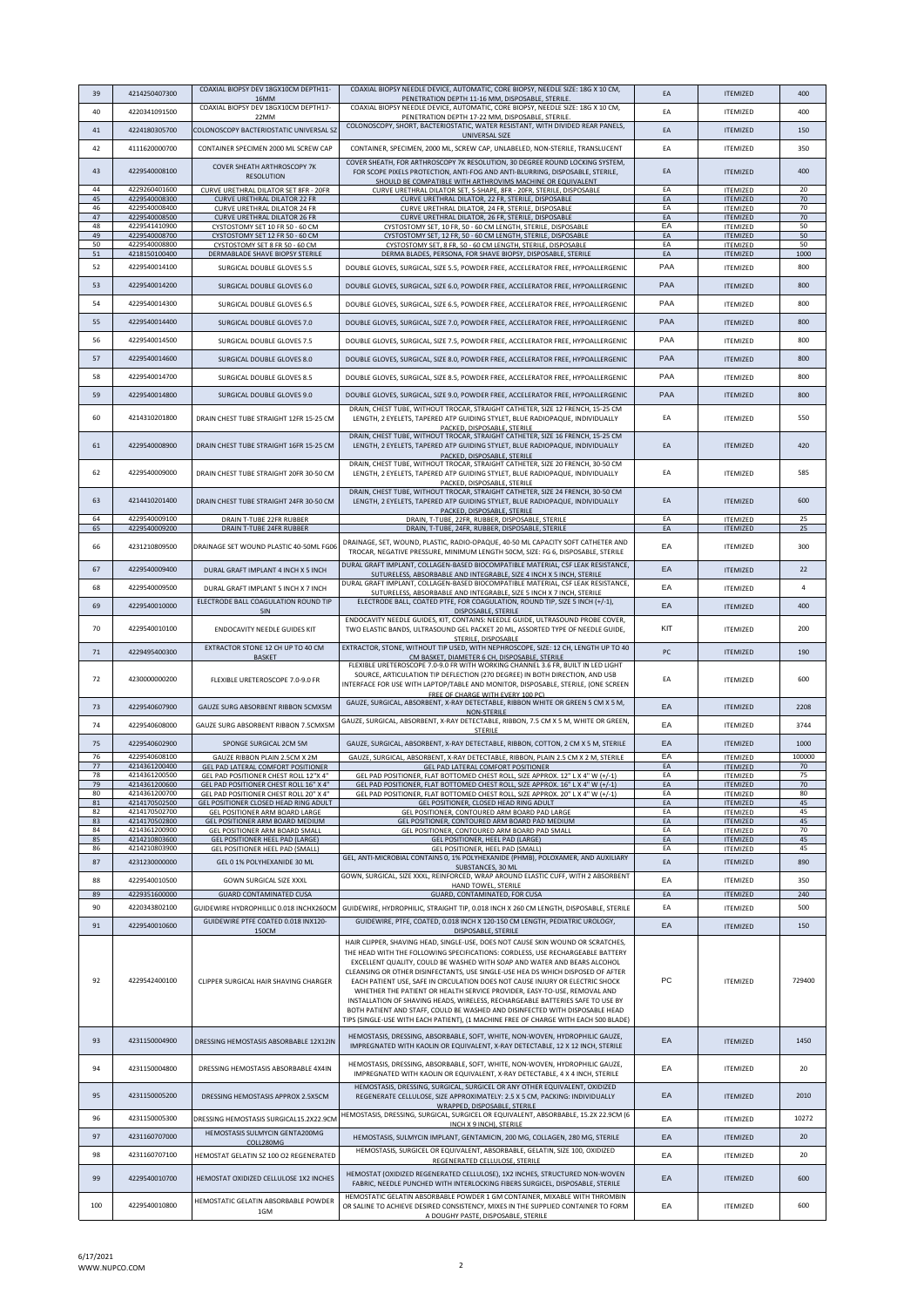| 39       | 4214250407300                  | COAXIAL BIOPSY DEV 18GX10CM DEPTH11-<br>16MM                                     | COAXIAL BIOPSY NEEDLE DEVICE, AUTOMATIC, CORE BIOPSY, NEEDLE SIZE: 18G X 10 CM,<br>PENETRATION DEPTH 11-16 MM, DISPOSABLE, STERILE.                                 | EA       | <b>ITFMIZED</b>                    | 400            |
|----------|--------------------------------|----------------------------------------------------------------------------------|---------------------------------------------------------------------------------------------------------------------------------------------------------------------|----------|------------------------------------|----------------|
| 40       | 4220341091500                  | COAXIAL BIOPSY DEV 18GX10CM DEPTH17-<br>22MM                                     | COAXIAL BIOPSY NEEDLE DEVICE, AUTOMATIC, CORE BIOPSY, NEEDLE SIZE: 18G X 10 CM,<br>PENETRATION DEPTH 17-22 MM, DISPOSABLE, STERILE.                                 | EA       | <b>ITEMIZED</b>                    | 400            |
| 41       | 4224180305700                  | COLONOSCOPY BACTERIOSTATIC UNIVERSAL SZ                                          | COLONOSCOPY, SHORT, BACTERIOSTATIC, WATER RESISTANT, WITH DIVIDED REAR PANELS,<br>UNIVERSAL SIZE                                                                    | EA       | <b>ITEMIZED</b>                    | 150            |
| 42       | 4111620000700                  | CONTAINER SPECIMEN 2000 ML SCREW CAP                                             | CONTAINER, SPECIMEN, 2000 ML, SCREW CAP, UNLABELED, NON-STERILE, TRANSLUCENT                                                                                        | EA       | <b>ITEMIZED</b>                    | 350            |
| 43       | 4229540008100                  | COVER SHEATH ARTHROSCOPY 7K                                                      | COVER SHEATH, FOR ARTHROSCOPY 7K RESOLUTION, 30 DEGREE ROUND LOCKING SYSTEM,<br>FOR SCOPE PIXELS PROTECTION, ANTI-FOG AND ANTI-BLURRING, DISPOSABLE, STERILE,       | EA       | <b>ITEMIZED</b>                    | 400            |
| 44       | 4229260401600                  | <b>RESOLUTION</b><br>CURVE URETHRAL DILATOR SET 8FR - 20FR                       | SHOULD BE COMPATIBLE WITH ARTHROVIMS MACHINE OR EQUIVALENT<br>CURVE URETHRAL DILATOR SET, S-SHAPE, 8FR - 20FR, STERILE, DISPOSABLE                                  | EA       | <b>ITEMIZED</b>                    | 20             |
| 45<br>46 | 4229540008300<br>4229540008400 | CURVE URETHRAL DILATOR 22 FR                                                     | CURVE URETHRAL DILATOR, 22 FR, STERILE, DISPOSABLE                                                                                                                  | EA<br>EA | <b>ITEMIZED</b>                    | 70<br>70       |
| 47       | 4229540008500                  | <b>CURVE URETHRAL DILATOR 24 FR</b><br><b>CURVE URETHRAL DILATOR 26 FR</b>       | CURVE URETHRAL DILATOR, 24 FR, STERILE, DISPOSABLE<br>CURVE URETHRAL DILATOR, 26 FR, STERILE, DISPOSABLE                                                            | EA       | <b>ITEMIZED</b><br><b>ITEMIZED</b> | 70             |
| 48<br>49 | 4229541410900<br>4229540008700 | CYSTOSTOMY SET 10 FR 50 - 60 CM<br>CYSTOSTOMY SET 12 FR 50 - 60 CM               | CYSTOSTOMY SET, 10 FR, 50 - 60 CM LENGTH, STERILE, DISPOSABLE<br>CYSTOSTOMY SET, 12 FR, 50 - 60 CM LENGTH, STERILE, DISPOSABLE                                      | EA<br>EA | <b>ITEMIZED</b><br><b>ITEMIZED</b> | 50<br>50       |
| 50<br>51 | 4229540008800<br>4218150100400 | CYSTOSTOMY SET 8 FR 50 - 60 CM<br>DERMABLADE SHAVE BIOPSY STERILE                | CYSTOSTOMY SET, 8 FR, 50 - 60 CM LENGTH, STERILE, DISPOSABLE<br>DERMA BLADES, PERSONA, FOR SHAVE BIOPSY, DISPOSABLE, STERILE                                        | EA<br>EA | <b>ITEMIZED</b><br><b>ITEMIZED</b> | 50<br>1000     |
| 52       | 4229540014100                  | SURGICAL DOUBLE GLOVES 5.5                                                       | DOUBLE GLOVES, SURGICAL, SIZE 5.5, POWDER FREE, ACCELERATOR FREE, HYPOALLERGENIC                                                                                    | PAA      | <b>ITEMIZED</b>                    | 800            |
| 53       | 4229540014200                  | SURGICAL DOUBLE GLOVES 6.0                                                       | DOUBLE GLOVES, SURGICAL, SIZE 6.0, POWDER FREE, ACCELERATOR FREE, HYPOALLERGENIC                                                                                    | PAA      | <b>ITEMIZED</b>                    | 800            |
| 54       | 4229540014300                  | SURGICAL DOUBLE GLOVES 6.5                                                       | DOUBLE GLOVES, SURGICAL, SIZE 6.5, POWDER FREE, ACCELERATOR FREE, HYPOALLERGENIC                                                                                    | PAA      | <b>ITEMIZED</b>                    | 800            |
| 55       | 4229540014400                  | SURGICAL DOUBLE GLOVES 7.0                                                       | DOUBLE GLOVES, SURGICAL, SIZE 7.0, POWDER FREE, ACCELERATOR FREE, HYPOALLERGENIC                                                                                    | PAA      | <b>ITEMIZED</b>                    | 800            |
| 56       | 4229540014500                  | SURGICAL DOUBLE GLOVES 7.5                                                       | DOUBLE GLOVES, SURGICAL, SIZE 7.5, POWDER FREE, ACCELERATOR FREE, HYPOALLERGENIC                                                                                    | PAA      | <b>ITEMIZED</b>                    | 800            |
| 57       | 4229540014600                  | SURGICAL DOUBLE GLOVES 8.0                                                       | DOUBLE GLOVES, SURGICAL, SIZE 8.0, POWDER FREE, ACCELERATOR FREE, HYPOALLERGENIC                                                                                    | PAA      | <b>ITEMIZED</b>                    | 800            |
| 58       | 4229540014700                  | SURGICAL DOUBLE GLOVES 8.5                                                       | DOUBLE GLOVES, SURGICAL, SIZE 8.5, POWDER FREE, ACCELERATOR FREE, HYPOALLERGENIC                                                                                    | PAA      | <b>ITEMIZED</b>                    | 800            |
| 59       | 4229540014800                  | SURGICAL DOUBLE GLOVES 9.0                                                       | DOUBLE GLOVES, SURGICAL, SIZE 9.0, POWDER FREE, ACCELERATOR FREE, HYPOALLERGENIC                                                                                    | PAA      | <b>ITFMIZED</b>                    | 800            |
|          | 4214310201800                  |                                                                                  | DRAIN, CHEST TUBE, WITHOUT TROCAR, STRAIGHT CATHETER, SIZE 12 FRENCH, 15-25 CM                                                                                      |          |                                    |                |
| 60       |                                | DRAIN CHEST TUBE STRAIGHT 12FR 15-25 CM                                          | LENGTH, 2 EYELETS, TAPERED ATP GUIDING STYLET, BLUE RADIOPAQUE, INDIVIDUALLY<br>PACKED, DISPOSABLE, STERILE                                                         | EA       | <b>ITEMIZED</b>                    | 550            |
| 61       | 4229540008900                  | DRAIN CHEST TUBE STRAIGHT 16FR 15-25 CM                                          | DRAIN, CHEST TUBE, WITHOUT TROCAR, STRAIGHT CATHETER, SIZE 16 FRENCH, 15-25 CM<br>LENGTH, 2 EYELETS, TAPERED ATP GUIDING STYLET, BLUE RADIOPAQUE, INDIVIDUALLY      | EA       | <b>ITEMIZED</b>                    | 420            |
|          |                                |                                                                                  | PACKED, DISPOSABLE, STERILE<br>DRAIN, CHEST TUBE, WITHOUT TROCAR, STRAIGHT CATHETER, SIZE 20 FRENCH, 30-50 CM                                                       |          |                                    |                |
| 62       | 4229540009000                  | DRAIN CHEST TUBE STRAIGHT 20FR 30-50 CM                                          | LENGTH, 2 EYELETS, TAPERED ATP GUIDING STYLET, BLUE RADIOPAQUE, INDIVIDUALLY<br>PACKED, DISPOSABLE, STERILE                                                         | EA       | <b>ITEMIZED</b>                    | 585            |
| 63       | 4214410201400                  | DRAIN CHEST TUBE STRAIGHT 24FR 30-50 CM                                          | DRAIN, CHEST TUBE, WITHOUT TROCAR, STRAIGHT CATHETER, SIZE 24 FRENCH, 30-50 CM<br>LENGTH, 2 EYELETS, TAPERED ATP GUIDING STYLET, BLUE RADIOPAQUE, INDIVIDUALLY      | EA       | <b>ITEMIZED</b>                    | 600            |
| 64       | 4229540009100                  | DRAIN T-TUBE 22FR RUBBER                                                         | PACKED, DISPOSABLE, STERILE<br>DRAIN, T-TUBE, 22FR, RUBBER, DISPOSABLE, STERILE                                                                                     | EA       | <b>ITEMIZED</b>                    | 25             |
| 65       | 4229540009200                  | <b>DRAIN T-TUBE 24FR RUBBER</b>                                                  | DRAIN, T-TUBE, 24FR, RUBBER, DISPOSABLE, STERILE                                                                                                                    | EA       | <b>ITEMIZED</b>                    | 25             |
| 66       | 4231210809500                  | DRAINAGE SET WOUND PLASTIC 40-50ML FG06                                          | DRAINAGE, SET, WOUND, PLASTIC, RADIO-OPAQUE, 40-50 ML CAPACITY SOFT CATHETER AND<br>TROCAR, NEGATIVE PRESSURE, MINIMUM LENGTH 50CM, SIZE: FG 6, DISPOSABLE, STERILE | EA       | <b>ITEMIZED</b>                    | 300            |
| 67       | 4229540009400                  | DURAL GRAFT IMPLANT 4 INCH X 5 INCH                                              | DURAL GRAFT IMPLANT, COLLAGEN-BASED BIOCOMPATIBLE MATERIAL, CSF LEAK RESISTANCE,                                                                                    | EA       | <b>ITEMIZED</b>                    | 22             |
| 68       | 4229540009500                  | DURAL GRAFT IMPLANT 5 INCH X 7 INCH                                              | SUTURELESS, ABSORBABLE AND INTEGRABLE, SIZE 4 INCH X 5 INCH, STERILE<br>DURAL GRAFT IMPLANT, COLLAGEN-BASED BIOCOMPATIBLE MATERIAL, CSF LEAK RESISTANCE,            | EA       | <b>ITEMIZED</b>                    | $\overline{a}$ |
| 69       | 4229540010000                  | ELECTRODE BALL COAGULATION ROUND TIP                                             | SUTURELESS, ABSORBABLE AND INTEGRABLE, SIZE 5 INCH X 7 INCH, STERILE<br>ELECTRODE BALL, COATED PTFE, FOR COAGULATION, ROUND TIP, SIZE 5 INCH (+/-1),                | EA       | <b>ITEMIZED</b>                    | 400            |
|          |                                | <b>5IN</b>                                                                       | DISPOSABLE, STERILE<br>ENDOCAVITY NEEDLE GUIDES, KIT, CONTAINS: NEEDLE GUIDE, ULTRASOUND PROBE COVER,                                                               |          |                                    |                |
| 70       | 4229540010100                  | ENDOCAVITY NEEDLE GUIDES KIT                                                     | TWO ELASTIC BANDS, ULTRASOUND GEL PACKET 20 ML, ASSORTED TYPE OF NEEDLE GUIDE,<br>STERILE, DISPOSABLE                                                               | KIT      | <b>ITEMIZED</b>                    | 200            |
| 71       | 4229495400300                  | EXTRACTOR STONE 12 CH UP TO 40 CM<br><b>BASKET</b>                               | EXTRACTOR, STONE, WITHOUT TIP USED, WITH NEPHROSCOPE, SIZE: 12 CH, LENGTH UP TO 40<br>CM BASKET, DIAMETER 6 CH, DISPOSABLE, STERILE                                 | PC       | <b>ITEMIZED</b>                    | 190            |
|          |                                |                                                                                  | FLEXIBLE URETEROSCOPE 7.0-9.0 FR WITH WORKING CHANNEL 3.6 FR, BUILT IN LED LIGHT<br>SOURCE, ARTICULATION TIP DEFLECTION (270 DEGREE) IN BOTH DIRECTION, AND USB     | EA       |                                    |                |
| 72       | 4230000000200                  | FLEXIBLE URETEROSCOPE 7.0-9.0 FR                                                 | INTERFACE FOR USE WITH LAPTOP/TABLE AND MONITOR, DISPOSABLE, STERILE, (ONE SCREEN<br>FREE OF CHARGE WITH EVERY 100 PC)                                              |          | <b>ITEMIZED</b>                    | 600            |
| 73       | 4229540607900                  | GAUZE SURG ABSORBENT RIBBON 5CMX5M                                               | GAUZE, SURGICAL, ABSORBENT, X-RAY DETECTABLE, RIBBON WHITE OR GREEN 5 CM X 5 M,<br>NON-STERILE                                                                      | EA       | <b>ITEMIZED</b>                    | 2208           |
| 74       | 4229540608000                  | GAUZE SURG ABSORBENT RIBBON 7.5CMX5M                                             | GAUZE, SURGICAL, ABSORBENT, X-RAY DETECTABLE, RIBBON, 7.5 CM X 5 M, WHITE OR GREEN,<br><b>STERILE</b>                                                               | EA       | <b>ITEMIZED</b>                    | 3744           |
| 75       | 4229540602900                  | SPONGE SURGICAL 2CM 5M                                                           | GAUZE, SURGICAL, ABSORBENT, X-RAY DETECTABLE, RIBBON, COTTON, 2 CM X 5 M, STERILE                                                                                   | EA       | <b>ITEMIZED</b>                    | 1000           |
| 76       | 4229540608100                  | GAUZE RIBBON PLAIN 2.5CM X 2M                                                    | GAUZE, SURGICAL, ABSORBENT, X-RAY DETECTABLE, RIBBON, PLAIN 2.5 CM X 2 M, STERILE                                                                                   | EA       | <b>ITEMIZED</b>                    | 100000         |
| 77<br>78 | 4214361200400<br>4214361200500 | GEL PAD LATERAL COMFORT POSITIONER<br>GEL PAD POSITIONER CHEST ROLL 12"X 4"      | GEL PAD LATERAL COMFORT POSITIONER<br>GEL PAD POSITIONER, FLAT BOTTOMED CHEST ROLL, SIZE APPROX. 12" L X 4" W (+/-1)                                                | EA<br>EA | <b>ITEMIZED</b><br><b>ITEMIZED</b> | 70<br>75       |
| 79<br>80 | 4214361200600<br>4214361200700 | GEL PAD POSITIONER CHEST ROLL 16" X 4"<br>GEL PAD POSITIONER CHEST ROLL 20" X 4" | GEL PAD POSITIONER, FLAT BOTTOMED CHEST ROLL, SIZE APPROX. 16" L X 4" W (+/-1)<br>GEL PAD POSITIONER, FLAT BOTTOMED CHEST ROLL, SIZE APPROX. 20" L X 4" W (+/-1)    | EA<br>EA | <b>ITEMIZED</b><br><b>ITEMIZED</b> | 70<br>80       |
| 81       | 4214170502500                  | GEL POSITIONER CLOSED HEAD RING ADULT                                            | GEL POSITIONER, CLOSED HEAD RING ADULT                                                                                                                              | EA       | <b>ITEMIZED</b>                    | 45             |
| 82<br>83 | 4214170502700<br>4214170502800 | GEL POSITIONER ARM BOARD LARGE<br>GEL POSITIONER ARM BOARD MEDIUM                | GEL POSITIONER, CONTOURED ARM BOARD PAD LARGE<br>GEL POSITIONER, CONTOURED ARM BOARD PAD MEDIUM                                                                     | EA<br>EA | <b>ITEMIZED</b><br><b>ITEMIZED</b> | 45<br>45       |
| 84<br>85 | 4214361200900<br>4214210803600 | GEL POSITIONER ARM BOARD SMALL<br><b>GEL POSITIONER HEEL PAD (LARGE)</b>         | GEL POSITIONER, CONTOURED ARM BOARD PAD SMALL<br>GEL POSITIONER, HEEL PAD (LARGE)                                                                                   | EA<br>EA | <b>ITEMIZED</b><br><b>ITEMIZED</b> | 70<br>45       |
| 86       | 4214210803900                  | GEL POSITIONER HEEL PAD (SMALL)                                                  | GEL POSITIONER, HEEL PAD (SMALL)<br>GEL, ANTI-MICROBIAL CONTAINS 0, 1% POLYHEXANIDE (PHMB), POLOXAMER, AND AUXILIARY                                                | EA       | <b>ITEMIZED</b>                    | 45             |
| 87       | 4231230000000                  | GEL 0 1% POLYHEXANIDE 30 ML                                                      | SUBSTANCES, 30 ML<br>GOWN, SURGICAL, SIZE XXXL, REINFORCED, WRAP AROUND ELASTIC CUFF, WITH 2 ABSORBENT                                                              | EA       | <b>ITFMIZED</b>                    | 890            |
| 88<br>89 | 4229540010500<br>4229351600000 | <b>GOWN SURGICAL SIZE XXXL</b><br><b>GUARD CONTAMINATED CUSA</b>                 | HAND TOWEL, STERILE                                                                                                                                                 | EA<br>EA | <b>ITEMIZED</b>                    | 350<br>240     |
| 90       | 4220343802100                  | GUIDEWIRE HYDROPHILLIC 0.018 INCHX260CM                                          | GUARD, CONTAMINATED, FOR CUSA<br>GUIDEWIRE, HYDROPHILIC, STRAIGHT TIP, 0.018 INCH X 260 CM LENGTH, DISPOSABLE, STERILE                                              | EA       | <b>ITEMIZED</b><br><b>ITEMIZED</b> | 500            |
| 91       | 4229540010600                  | GUIDEWIRE PTFE COATED 0.018 INX120-                                              | GUIDEWIRE, PTFE, COATED, 0.018 INCH X 120-150 CM LENGTH, PEDIATRIC UROLOGY,                                                                                         | EA       | <b>ITEMIZED</b>                    | 150            |
|          |                                | 150CM                                                                            | DISPOSABLE, STERILE<br>HAIR CLIPPER, SHAVING HEAD, SINGLE-USE, DOES NOT CAUSE SKIN WOUND OR SCRATCHES,                                                              |          |                                    |                |
|          |                                |                                                                                  | THE HEAD WITH THE FOLLOWING SPECIFICATIONS: CORDLESS, USE RECHARGEABLE BATTERY                                                                                      |          |                                    |                |
|          |                                |                                                                                  | EXCELLENT QUALITY, COULD BE WASHED WITH SOAP AND WATER AND BEARS ALCOHOL<br>CLEANSING OR OTHER DISINFECTANTS, USE SINGLE-USE HEA DS WHICH DISPOSED OF AFTER         |          |                                    |                |
| 92       | 4229542400100                  | CLIPPER SURGICAL HAIR SHAVING CHARGER                                            | EACH PATIENT USE, SAFE IN CIRCULATION DOES NOT CAUSE INJURY OR ELECTRIC SHOCK                                                                                       | PC       | <b>ITEMIZED</b>                    | 729400         |
|          |                                |                                                                                  | WHETHER THE PATIENT OR HEALTH SERVICE PROVIDER, EASY-TO-USE, REMOVAL AND<br>INSTALLATION OF SHAVING HEADS, WIRELESS, RECHARGEABLE BATTERIES SAFE TO USE BY          |          |                                    |                |
|          |                                |                                                                                  | BOTH PATIENT AND STAFF, COULD BE WASHED AND DISINFECTED WITH DISPOSABLE HEAD<br>TIPS (SINGLE-USE WITH EACH PATIENT), (1 MACHINE FREE OF CHARGE WITH EACH 500 BLADE) |          |                                    |                |
| 93       | 4231150004900                  |                                                                                  | HEMOSTASIS, DRESSING, ABSORBABLE, SOFT, WHITE, NON-WOVEN, HYDROPHILIC GAUZE,                                                                                        | EA       |                                    | 1450           |
|          |                                | DRESSING HEMOSTASIS ABSORBABLE 12X12IN                                           | IMPREGNATED WITH KAOLIN OR EQUIVALENT, X-RAY DETECTABLE, 12 X 12 INCH, STERILE                                                                                      |          | <b>ITEMIZED</b>                    |                |
| 94       | 4231150004800                  | DRESSING HEMOSTASIS ABSORBABLE 4X4IN                                             | HEMOSTASIS, DRESSING, ABSORBABLE, SOFT, WHITE, NON-WOVEN, HYDROPHILIC GAUZE,<br>IMPREGNATED WITH KAOLIN OR EQUIVALENT, X-RAY DETECTABLE, 4 X 4 INCH, STERILE        | EA       | <b>ITEMIZED</b>                    | 20             |
|          |                                |                                                                                  | HEMOSTASIS, DRESSING, SURGICAL, SURGICEL OR ANY OTHER EQUIVALENT, OXIDIZED                                                                                          |          |                                    |                |
| 95       | 4231150005200                  | DRESSING HEMOSTASIS APPROX 2.5X5CM                                               | REGENERATE CELLULOSE, SIZE APPROXIMATELY: 2.5 X 5 CM, PACKING: INDIVIDUALLY<br>WRAPPED, DISPOSABLE, STERILE                                                         | EA       | <b>ITEMIZED</b>                    | 2010           |
| 96       | 4231150005300                  | DRESSING HEMOSTASIS SURGICAL15.2X22.9CM                                          | HEMOSTASIS, DRESSING, SURGICAL, SURGICEL OR EQUIVALENT, ABSORBABLE, 15.2X 22.9CM (6<br>INCH X 9 INCH), STERILE                                                      | EA       | <b>ITEMIZED</b>                    | 10272          |
| 97       | 4231160707000                  | HEMOSTASIS SULMYCIN GENTA200MG<br>COLL280MG                                      | HEMOSTASIS, SULMYCIN IMPLANT, GENTAMICIN, 200 MG, COLLAGEN, 280 MG, STERILE                                                                                         | EA       | <b>ITEMIZED</b>                    | 20             |
| 98       | 4231160707100                  | HEMOSTAT GELATIN SZ 100 O2 REGENERATED                                           | HEMOSTASIS, SURGICEL OR EQUIVALENT, ABSORBABLE, GELATIN, SIZE 100, OXIDIZED<br>REGENERATED CELLULOSE, STERILE                                                       | EA       | <b>ITFMIZED</b>                    | 20             |
| 99       | 4229540010700                  | HEMOSTAT OXIDIZED CELLULOSE 1X2 INCHES                                           | HEMOSTAT (OXIDIZED REGENERATED CELLULOSE), 1X2 INCHES, STRUCTURED NON-WOVEN                                                                                         | EA       | <b>ITEMIZED</b>                    | 600            |
|          |                                |                                                                                  | FABRIC, NEEDLE PUNCHED WITH INTERLOCKING FIBERS SURGICEL, DISPOSABLE, STERILE<br>HEMOSTATIC GELATIN ABSORBABLE POWDER 1 GM CONTAINER, MIXABLE WITH THROMBIN         |          |                                    |                |
| 100      | 4229540010800                  | HEMOSTATIC GELATIN ABSORBABLE POWDER<br>1GM                                      | OR SALINE TO ACHIEVE DESIRED CONSISTENCY, MIXES IN THE SUPPLIED CONTAINER TO FORM<br>A DOUGHY PASTE, DISPOSABLE, STERILE                                            | EA       | <b>ITEMIZED</b>                    | 600            |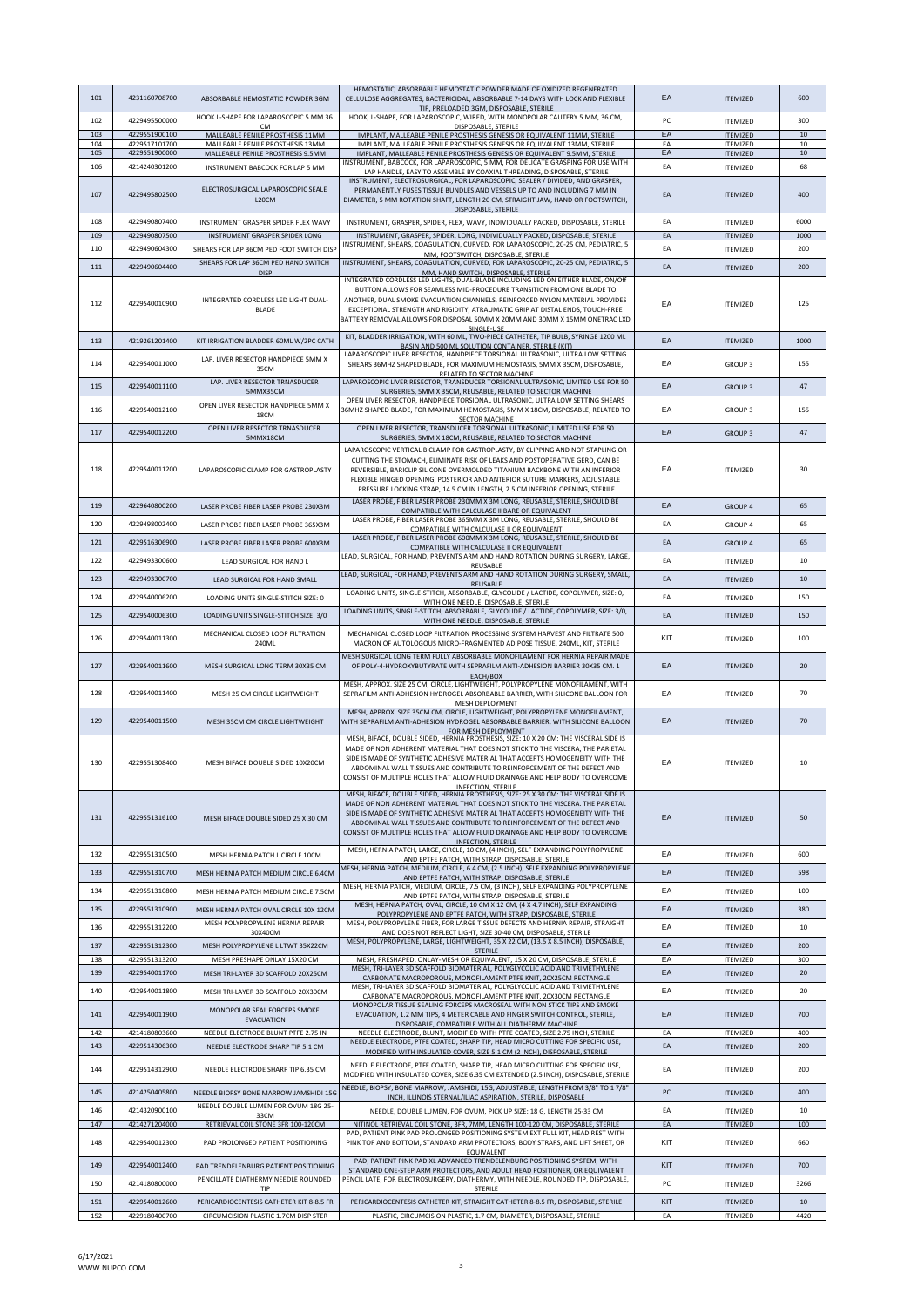| 101        | 4231160708700                  | ABSORBABLE HEMOSTATIC POWDER 3GM                                      | HEMOSTATIC, ABSORBABLE HEMOSTATIC POWDER MADE OF OXIDIZED REGENERATED<br>CELLULOSE AGGREGATES, BACTERICIDAL, ABSORBABLE 7-14 DAYS WITH LOCK AND FLEXIBLE<br>TIP, PRELOADED 3GM, DISPOSABLE, STERILE                                                                                                                                                                                                                                         | EA       | <b>ITEMIZED</b>                    | 600          |
|------------|--------------------------------|-----------------------------------------------------------------------|---------------------------------------------------------------------------------------------------------------------------------------------------------------------------------------------------------------------------------------------------------------------------------------------------------------------------------------------------------------------------------------------------------------------------------------------|----------|------------------------------------|--------------|
| 102        | 4229495500000                  | HOOK L-SHAPE FOR LAPAROSCOPIC 5 MM 36<br><b>CM</b>                    | HOOK, L-SHAPE, FOR LAPAROSCOPIC, WIRED, WITH MONOPOLAR CAUTERY 5 MM, 36 CM,<br>DISPOSABLE, STERILE                                                                                                                                                                                                                                                                                                                                          | PC.      | <b>ITEMIZED</b>                    | 300          |
| 103        | 4229551900100                  | MALLEABLE PENILE PROSTHESIS 11MM                                      | IMPLANT, MALLEABLE PENILE PROSTHESIS GENESIS OR EQUIVALENT 11MM, STERILE                                                                                                                                                                                                                                                                                                                                                                    | EA       | <b>ITEMIZED</b>                    | $10\,$       |
| 104<br>105 | 4229517101700<br>4229551900000 | MALLEABLE PENILE PROSTHESIS 13MM<br>MALLEABLE PENILE PROSTHESIS 9.5MM | IMPLANT, MALLEABLE PENILE PROSTHESIS GENESIS OR EQUIVALENT 13MM, STERILE<br>IMPLANT, MALLEABLE PENILE PROSTHESIS GENESIS OR EQUIVALENT 9.5MM, STERILE                                                                                                                                                                                                                                                                                       | EA<br>EA | <b>ITEMIZED</b><br><b>ITEMIZED</b> | 10<br>$10\,$ |
| 106        | 4214240301200                  | INSTRUMENT BABCOCK FOR LAP 5 MM                                       | INSTRUMENT, BABCOCK, FOR LAPAROSCOPIC, 5 MM, FOR DELICATE GRASPING FOR USE WITH<br>LAP HANDLE, EASY TO ASSEMBLE BY COAXIAL THREADING, DISPOSABLE, STERILE                                                                                                                                                                                                                                                                                   | EA       | <b>ITEMIZED</b>                    | 68           |
| 107        | 4229495802500                  | ELECTROSURGICAL LAPAROSCOPIC SEALE<br>L20CM                           | INSTRUMENT, ELECTROSURGICAL, FOR LAPAROSCOPIC, SEALER / DIVIDED, AND GRASPER,<br>PERMANENTLY FUSES TISSUE BUNDLES AND VESSELS UP TO AND INCLUDING 7 MM IN<br>DIAMETER, 5 MM ROTATION SHAFT, LENGTH 20 CM, STRAIGHT JAW, HAND OR FOOTSWITCH,                                                                                                                                                                                                 | EA       | <b>ITEMIZED</b>                    | 400          |
| 108        | 4229490807400                  | INSTRUMENT GRASPER SPIDER FLEX WAVY                                   | DISPOSABLE, STERILE<br>INSTRUMENT, GRASPER, SPIDER, FLEX, WAVY, INDIVIDUALLY PACKED, DISPOSABLE, STERILE                                                                                                                                                                                                                                                                                                                                    | EA       | <b>ITEMIZED</b>                    | 6000         |
| 109        | 4229490807500                  | INSTRUMENT GRASPER SPIDER LONG                                        | INSTRUMENT, GRASPER, SPIDER, LONG, INDIVIDUALLY PACKED, DISPOSABLE, STERILE                                                                                                                                                                                                                                                                                                                                                                 | EA       | <b>ITEMIZED</b>                    | 1000         |
| 110        | 4229490604300                  | SHEARS FOR LAP 36CM PED FOOT SWITCH DISP                              | INSTRUMENT, SHEARS, COAGULATION, CURVED, FOR LAPAROSCOPIC, 20-25 CM, PEDIATRIC, 5<br>MM, FOOTSWITCH, DISPOSABLE, STERILE                                                                                                                                                                                                                                                                                                                    | EA       | <b>ITEMIZED</b>                    | 200          |
| 111        | 4229490604400                  | SHEARS FOR LAP 36CM PED HAND SWITCH<br><b>DISP</b>                    | INSTRUMENT, SHEARS, COAGULATION, CURVED, FOR LAPAROSCOPIC, 20-25 CM, PEDIATRIC, 5<br>MM, HAND SWITCH, DISPOSABLE, STERILE                                                                                                                                                                                                                                                                                                                   | EA       | <b>ITEMIZED</b>                    | 200          |
| 112        | 4229540010900                  | INTEGRATED CORDLESS LED LIGHT DUAL-<br><b>BLADE</b>                   | INTEGRATED CORDLESS LED LIGHTS, DUAL-BLADE INCLUDING LED ON EITHER BLADE, ON/Off<br>BUTTON ALLOWS FOR SEAMLESS MID-PROCEDURE TRANSITION FROM ONE BLADE TO<br>ANOTHER, DUAL SMOKE EVACUATION CHANNELS, REINFORCED NYLON MATERIAL PROVIDES<br>EXCEPTIONAL STRENGTH AND RIGIDITY, ATRAUMATIC GRIP AT DISTAL ENDS, TOUCH-FREE<br>BATTERY REMOVAL ALLOWS FOR DISPOSAL 50MM X 20MM AND 30MM X 15MM ONETRAC LXD<br>SINGLE-USE                      | EA       | <b>ITEMIZED</b>                    | 125          |
| 113        | 4219261201400                  | KIT IRRIGATION BLADDER 60ML W/2PC CATH                                | KIT, BLADDER IRRIGATION, WITH 60 ML, TWO-PIECE CATHETER, TIP BULB, SYRINGE 1200 ML<br>BASIN AND 500 ML SOLUTION CONTAINER, STERILE (KIT)                                                                                                                                                                                                                                                                                                    | EA       | <b>ITEMIZED</b>                    | 1000         |
| 114        | 4229540011000                  | LAP. LIVER RESECTOR HANDPIECE 5MM X<br>35CM                           | LAPAROSCOPIC LIVER RESECTOR, HANDPIECE TORSIONAL ULTRASONIC, ULTRA LOW SETTING<br>SHEARS 36MHZ SHAPED BLADE, FOR MAXIMUM HEMOSTASIS, 5MM X 35CM, DISPOSABLE,                                                                                                                                                                                                                                                                                | EA       | GROUP <sub>3</sub>                 | 155          |
| 115        | 4229540011100                  | LAP. LIVER RESECTOR TRNASDUCER<br>5MMX35CM                            | RELATED TO SECTOR MACHINE<br>LAPAROSCOPIC LIVER RESECTOR, TRANSDUCER TORSIONAL ULTRASONIC, LIMITED USE FOR 50<br>SURGERIES, 5MM X 35CM, REUSABLE, RELATED TO SECTOR MACHINE                                                                                                                                                                                                                                                                 | EA       | <b>GROUP 3</b>                     | 47           |
| 116        | 4229540012100                  | OPEN LIVER RESECTOR HANDPIECE 5MM X                                   | OPEN LIVER RESECTOR, HANDPIECE TORSIONAL ULTRASONIC, ULTRA LOW SETTING SHEARS<br>36MHZ SHAPED BLADE, FOR MAXIMUM HEMOSTASIS, 5MM X 18CM, DISPOSABLE, RELATED TO                                                                                                                                                                                                                                                                             | EA       | GROUP <sub>3</sub>                 | 155          |
| 117        | 4229540012200                  | 18CM<br>OPEN LIVER RESECTOR TRNASDUCER                                | SECTOR MACHINE<br>OPEN LIVER RESECTOR, TRANSDUCER TORSIONAL ULTRASONIC, LIMITED USE FOR 50                                                                                                                                                                                                                                                                                                                                                  |          |                                    | 47           |
|            |                                | 5MMX18CM                                                              | SURGERIES, 5MM X 18CM, REUSABLE, RELATED TO SECTOR MACHINE                                                                                                                                                                                                                                                                                                                                                                                  | EA       | GROUP <sub>3</sub>                 |              |
| 118        | 4229540011200                  | LAPAROSCOPIC CLAMP FOR GASTROPLASTY                                   | LAPAROSCOPIC VERTICAL B CLAMP FOR GASTROPLASTY, BY CLIPPING AND NOT STAPLING OR<br>CUTTING THE STOMACH, ELIMINATE RISK OF LEAKS AND POSTOPERATIVE GERD, CAN BE<br>REVERSIBLE, BARICLIP SILICONE OVERMOLDED TITANIUM BACKBONE WITH AN INFERIOR<br>FLEXIBLE HINGED OPENING, POSTERIOR AND ANTERIOR SUTURE MARKERS, ADJUSTABLE<br>PRESSURE LOCKING STRAP, 14.5 CM IN LENGTH, 2.5 CM INFERIOR OPENING, STERILE                                  | EA       | <b>ITEMIZED</b>                    | 30           |
| 119        | 4229640800200                  | LASER PROBE FIBER LASER PROBE 230X3M                                  | LASER PROBE, FIBER LASER PROBE 230MM X 3M LONG, REUSABLE, STERILE, SHOULD BE<br>COMPATIBLE WITH CALCULASE II BARE OR EQUIVALENT                                                                                                                                                                                                                                                                                                             | EA       | GROUP 4                            | 65           |
| 120        | 4229498002400                  | LASER PROBE FIBER LASER PROBE 365X3M                                  | LASER PROBE, FIBER LASER PROBE 365MM X 3M LONG, REUSABLE, STERILE, SHOULD BE<br>COMPATIBLE WITH CALCULASE II OR EQUIVALENT                                                                                                                                                                                                                                                                                                                  | EA       | <b>GROUP 4</b>                     | 65           |
| 121        | 4229516306900                  | LASER PROBE FIBER LASER PROBE 600X3M                                  | LASER PROBE, FIBER LASER PROBE 600MM X 3M LONG, REUSABLE, STERILE, SHOULD BE                                                                                                                                                                                                                                                                                                                                                                | EA       | GROUP 4                            | 65           |
| 122        | 4229493300600                  | LEAD SURGICAL FOR HAND L                                              | COMPATIBLE WITH CALCULASE II OR EQUIVALENT<br>LEAD, SURGICAL, FOR HAND, PREVENTS ARM AND HAND ROTATION DURING SURGERY, LARGE,                                                                                                                                                                                                                                                                                                               | EA       | <b>ITEMIZED</b>                    | 10           |
| 123        | 4229493300700                  | LEAD SURGICAL FOR HAND SMALL                                          | <b>REUSABLE</b><br>LEAD, SURGICAL, FOR HAND, PREVENTS ARM AND HAND ROTATION DURING SURGERY, SMALL                                                                                                                                                                                                                                                                                                                                           | EA       | <b>ITEMIZED</b>                    | 10           |
|            |                                |                                                                       | <b>REUSABLE</b><br>LOADING UNITS, SINGLE-STITCH, ABSORBABLE, GLYCOLIDE / LACTIDE, COPOLYMER, SIZE: 0,                                                                                                                                                                                                                                                                                                                                       |          |                                    |              |
| 124        | 4229540006200                  | LOADING UNITS SINGLE-STITCH SIZE: 0                                   | WITH ONE NEEDLE, DISPOSABLE, STERILE<br>LOADING UNITS, SINGLE-STITCH, ABSORBABLE, GLYCOLIDE / LACTIDE, COPOLYMER, SIZE: 3/0,                                                                                                                                                                                                                                                                                                                | EA       | <b>ITEMIZED</b>                    | 150          |
| 125        | 4229540006300                  | LOADING UNITS SINGLE-STITCH SIZE: 3/0                                 | WITH ONE NEEDLE, DISPOSABLE, STERILE                                                                                                                                                                                                                                                                                                                                                                                                        | EA       | <b>ITEMIZED</b>                    | 150          |
| 126        | 4229540011300                  | MECHANICAL CLOSED LOOP FILTRATION<br>240ML                            | MECHANICAL CLOSED LOOP FILTRATION PROCESSING SYSTEM HARVEST AND FILTRATE 500<br>MACRON OF AUTOLOGOUS MICRO-FRAGMENTED ADIPOSE TISSUE, 240ML, KIT, STERILE                                                                                                                                                                                                                                                                                   | KIT      | <b>ITEMIZED</b>                    | 100          |
| 127        | 4229540011600                  | MESH SURGICAL LONG TERM 30X35 CM                                      | MESH SURGICAL LONG TERM FULLY ABSORBABLE MONOFILAMENT FOR HERNIA REPAIR MADE<br>OF POLY-4-HYDROXYBUTYRATE WITH SEPRAFILM ANTI-ADHESION BARRIER 30X35 CM. 1<br>EACH/BOX                                                                                                                                                                                                                                                                      | EA       | <b>ITEMIZED</b>                    | 20           |
| 128        | 4229540011400                  | MESH 25 CM CIRCLE LIGHTWEIGHT                                         | MESH, APPROX. SIZE 25 CM, CIRCLE, LIGHTWEIGHT, POLYPROPYLENE MONOFILAMENT, WITH<br>SEPRAFILM ANTI-ADHESION HYDROGEL ABSORBABLE BARRIER, WITH SILICONE BALLOON FOR<br>MESH DEPLOYMENT                                                                                                                                                                                                                                                        | EA       | <b>ITEMIZED</b>                    | 70           |
| 129        | 4229540011500                  | MESH 35CM CM CIRCLE LIGHTWEIGHT                                       | MESH, APPROX. SIZE 35CM CM, CIRCLE, LIGHTWEIGHT, POLYPROPYLENE MONOFILAMENT,<br>WITH SEPRAFILM ANTI-ADHESION HYDROGEL ABSORBABLE BARRIER, WITH SILICONE BALLOON<br>FOR MESH DEPLOYMENT                                                                                                                                                                                                                                                      | EA       | <b>ITEMIZED</b>                    | 70           |
| 130        | 4229551308400                  | MESH BIFACE DOUBLE SIDED 10X20CM                                      | MESH, BIFACE, DOUBLE SIDED, HERNIA PROSTHESIS, SIZE: 10 X 20 CM: THE VISCERAL SIDE IS<br>MADE OF NON ADHERENT MATERIAL THAT DOES NOT STICK TO THE VISCERA, THE PARIETAL<br>SIDE IS MADE OF SYNTHETIC ADHESIVE MATERIAL THAT ACCEPTS HOMOGENEITY WITH THE<br>ABDOMINAL WALL TISSUES AND CONTRIBUTE TO REINFORCEMENT OF THE DEFECT AND<br>CONSIST OF MULTIPLE HOLES THAT ALLOW FLUID DRAINAGE AND HELP BODY TO OVERCOME<br>INFECTION, STERILE | EA       | <b>ITEMIZED</b>                    | 10           |
| 131        | 4229551316100                  | MESH BIFACE DOUBLE SIDED 25 X 30 CM                                   | MESH, BIFACE, DOUBLE SIDED, HERNIA PROSTHESIS, SIZE: 25 X 30 CM: THE VISCERAL SIDE IS<br>MADE OF NON ADHERENT MATERIAL THAT DOES NOT STICK TO THE VISCERA. THE PARIETAL<br>SIDE IS MADE OF SYNTHETIC ADHESIVE MATERIAL THAT ACCEPTS HOMOGENEITY WITH THE<br>ABDOMINAL WALL TISSUES AND CONTRIBUTE TO REINFORCEMENT OF THE DEFECT AND<br>CONSIST OF MULTIPLE HOLES THAT ALLOW FLUID DRAINAGE AND HELP BODY TO OVERCOME<br>INFECTION, STERILE | EA       | <b>ITFMIZED</b>                    | 50           |
| 132        | 4229551310500                  | MESH HERNIA PATCH L CIRCLE 10CM                                       | MESH, HERNIA PATCH, LARGE, CIRCLE, 10 CM, (4 INCH), SELF EXPANDING POLYPROPYLENE<br>AND EPTFE PATCH, WITH STRAP, DISPOSABLE, STERILE                                                                                                                                                                                                                                                                                                        | EA       | <b>ITEMIZED</b>                    | 600          |
| 133        | 4229551310700                  | MESH HERNIA PATCH MEDIUM CIRCLE 6.4CM                                 | MESH, HERNIA PATCH, MEDIUM, CIRCLE, 6.4 CM, (2.5 INCH), SELF EXPANDING POLYPROPYLENE<br>AND EPTFE PATCH, WITH STRAP, DISPOSABLE, STERILE                                                                                                                                                                                                                                                                                                    | EA       | <b>ITEMIZED</b>                    | 598          |
| 134        | 4229551310800                  | MESH HERNIA PATCH MEDIUM CIRCLE 7.5CM                                 | MESH, HERNIA PATCH, MEDIUM, CIRCLE, 7.5 CM, (3 INCH), SELF EXPANDING POLYPROPYLENE<br>AND EPTFE PATCH, WITH STRAP, DISPOSABLE, STERILE                                                                                                                                                                                                                                                                                                      | EA       | <b>ITEMIZED</b>                    | 100          |
| 135        | 4229551310900                  | MESH HERNIA PATCH OVAL CIRCLE 10X 12CM                                | MESH, HERNIA PATCH, OVAL, CIRCLE, 10 CM X 12 CM, (4 X 4.7 INCH), SELF EXPANDING                                                                                                                                                                                                                                                                                                                                                             | EA       | <b>ITEMIZED</b>                    | 380          |
| 136        | 4229551312200                  | MESH POLYPROPYLENE HERNIA REPAIR                                      | POLYPROPYLENE AND EPTFE PATCH, WITH STRAP, DISPOSABLE, STERILE<br>MESH, POLYPROPYLENE FIBER, FOR LARGE TISSUE DEFECTS AND HERNIA REPAIR, STRAIGHT                                                                                                                                                                                                                                                                                           | EA       | <b>ITEMIZED</b>                    | 10           |
| 137        | 4229551312300                  | 30X40CM                                                               | AND DOES NOT REFLECT LIGHT, SIZE 30-40 CM, DISPOSABLE, STERILE<br>MESH, POLYPROPYLENE, LARGE, LIGHTWEIGHT, 35 X 22 CM, (13.5 X 8.5 INCH), DISPOSABLE,                                                                                                                                                                                                                                                                                       | EA       |                                    | 200          |
| 138        | 4229551313200                  | MESH POLYPROPYLENE L LTWT 35X22CM<br>MESH PRESHAPE ONLAY 15X20 CM     | STERILE<br>MESH, PRESHAPED, ONLAY-MESH OR EQUIVALENT, 15 X 20 CM, DISPOSABLE, STERILE                                                                                                                                                                                                                                                                                                                                                       | EA       | <b>ITEMIZED</b><br><b>ITEMIZED</b> | 300          |
| 139        | 4229540011700                  | MESH TRI-LAYER 3D SCAFFOLD 20X25CM                                    | MESH, TRI-LAYER 3D SCAFFOLD BIOMATERIAL, POLYGLYCOLIC ACID AND TRIMETHYLENE                                                                                                                                                                                                                                                                                                                                                                 | EA       | <b>ITEMIZED</b>                    | 20           |
| 140        | 4229540011800                  | MESH TRI-LAYER 3D SCAFFOLD 20X30CM                                    | CARBONATE MACROPOROUS, MONOFILAMENT PTFE KNIT, 20X25CM RECTANGLE<br>MESH, TRI-LAYER 3D SCAFFOLD BIOMATERIAL, POLYGLYCOLIC ACID AND TRIMETHYLENE                                                                                                                                                                                                                                                                                             | EA       | <b>ITEMIZED</b>                    | 20           |
| 141        | 4229540011900                  | MONOPOLAR SEAL FORCEPS SMOKE                                          | CARBONATE MACROPOROUS, MONOFILAMENT PTFE KNIT, 20X30CM RECTANGLE<br>MONOPOLAR TISSUE SEALING FORCEPS MACROSEAL WITH NON STICK TIPS AND SMOKE<br>EVACUATION, 1.2 MM TIPS, 4 METER CABLE AND FINGER SWITCH CONTROL, STERILE,                                                                                                                                                                                                                  | EA       | <b>ITEMIZED</b>                    | 700          |
| 142        | 4214180803600                  | <b>EVACUATION</b><br>NEEDLE ELECTRODE BLUNT PTFE 2.75 IN              | DISPOSABLE, COMPATIBLE WITH ALL DIATHERMY MACHINE<br>NEEDLE ELECTRODE, BLUNT, MODIFIED WITH PTFE COATED, SIZE 2.75 INCH, STERILE                                                                                                                                                                                                                                                                                                            | EA       | <b>ITEMIZED</b>                    | 400          |
| 143        | 4229514306300                  | NEEDLE ELECTRODE SHARP TIP 5.1 CM                                     | NEEDLE ELECTRODE, PTFE COATED, SHARP TIP, HEAD MICRO CUTTING FOR SPECIFIC USE,<br>MODIFIED WITH INSULATED COVER, SIZE 5.1 CM (2 INCH), DISPOSABLE, STERILE                                                                                                                                                                                                                                                                                  | EA       | <b>ITEMIZED</b>                    | 200          |
| 144        | 4229514312900                  | NEEDLE ELECTRODE SHARP TIP 6.35 CM                                    | NEEDLE ELECTRODE, PTFE COATED, SHARP TIP, HEAD MICRO CUTTING FOR SPECIFIC USE,<br>MODIFIED WITH INSULATED COVER, SIZE 6.35 CM EXTENDED (2.5 INCH), DISPOSABLE, STERILE                                                                                                                                                                                                                                                                      | EA       | <b>ITEMIZED</b>                    | 200          |
| 145        | 4214250405800                  | NEEDLE BIOPSY BONE MARROW JAMSHIDI 15G                                | NEEDLE, BIOPSY, BONE MARROW, JAMSHIDI, 15G, ADJUSTABLE, LENGTH FROM 3/8" TO 1 7/8"<br>INCH, ILLINOIS STERNAL/ILIAC ASPIRATION, STERILE, DISPOSABLE                                                                                                                                                                                                                                                                                          | PC       | <b>ITEMIZED</b>                    | 400          |
| 146        | 4214320900100                  | NEEDLE DOUBLE LUMEN FOR OVUM 18G 25-<br>33CM                          | NEEDLE, DOUBLE LUMEN, FOR OVUM, PICK UP SIZE: 18 G, LENGTH 25-33 CM                                                                                                                                                                                                                                                                                                                                                                         | EA       | <b>ITEMIZED</b>                    | 10           |
| 147        | 4214271204000                  | RETRIEVAL COIL STONE 3FR 100-120CM                                    | NITINOL RETRIEVAL COIL STONE, 3FR, 7MM, LENGTH 100-120 CM, DISPOSABLE, STERILE                                                                                                                                                                                                                                                                                                                                                              | EA       | <b>ITEMIZED</b>                    | 100          |
| 148        | 4229540012300                  | PAD PROLONGED PATIENT POSITIONING                                     | PAD, PATIENT PINK PAD PROLONGED POSITIONING SYSTEM EXT FULL KIT, HEAD REST WITH<br>PINK TOP AND BOTTOM, STANDARD ARM PROTECTORS, BODY STRAPS, AND LIFT SHEET, OR<br>EQUIVALENT                                                                                                                                                                                                                                                              | KIT      | <b>ITEMIZED</b>                    | 660          |
| 149        | 4229540012400                  | PAD TRENDELENBURG PATIENT POSITIONING                                 | PAD, PATIENT PINK PAD XL ADVANCED TRENDELENBURG POSITIONING SYSTEM, WITH<br>STANDARD ONE-STEP ARM PROTECTORS, AND ADULT HEAD POSITIONER, OR EQUIVALENT                                                                                                                                                                                                                                                                                      | KIT      | <b>ITEMIZED</b>                    | 700          |
| 150        | 4214180800000                  | PENCILLATE DIATHERMY NEEDLE ROUNDED<br>TIP                            | PENCIL LATE, FOR ELECTROSURGERY, DIATHERMY, WITH NEEDLE, ROUNDED TIP, DISPOSABLE,<br><b>STERILE</b>                                                                                                                                                                                                                                                                                                                                         | PC       | <b>ITEMIZED</b>                    | 3266         |
| 151        | 4229540012600                  | PERICARDIOCENTESIS CATHETER KIT 8-8.5 FR                              | PERICARDIOCENTESIS CATHETER KIT, STRAIGHT CATHETER 8-8.5 FR, DISPOSABLE, STERILE                                                                                                                                                                                                                                                                                                                                                            | KIT      | <b>ITEMIZED</b>                    | 10           |
| 152        | 4229180400700                  | CIRCUMCISION PLASTIC 1.7CM DISP STER                                  | PLASTIC, CIRCUMCISION PLASTIC, 1.7 CM, DIAMETER, DISPOSABLE, STERILE                                                                                                                                                                                                                                                                                                                                                                        | EA       | <b>ITEMIZED</b>                    | 4420         |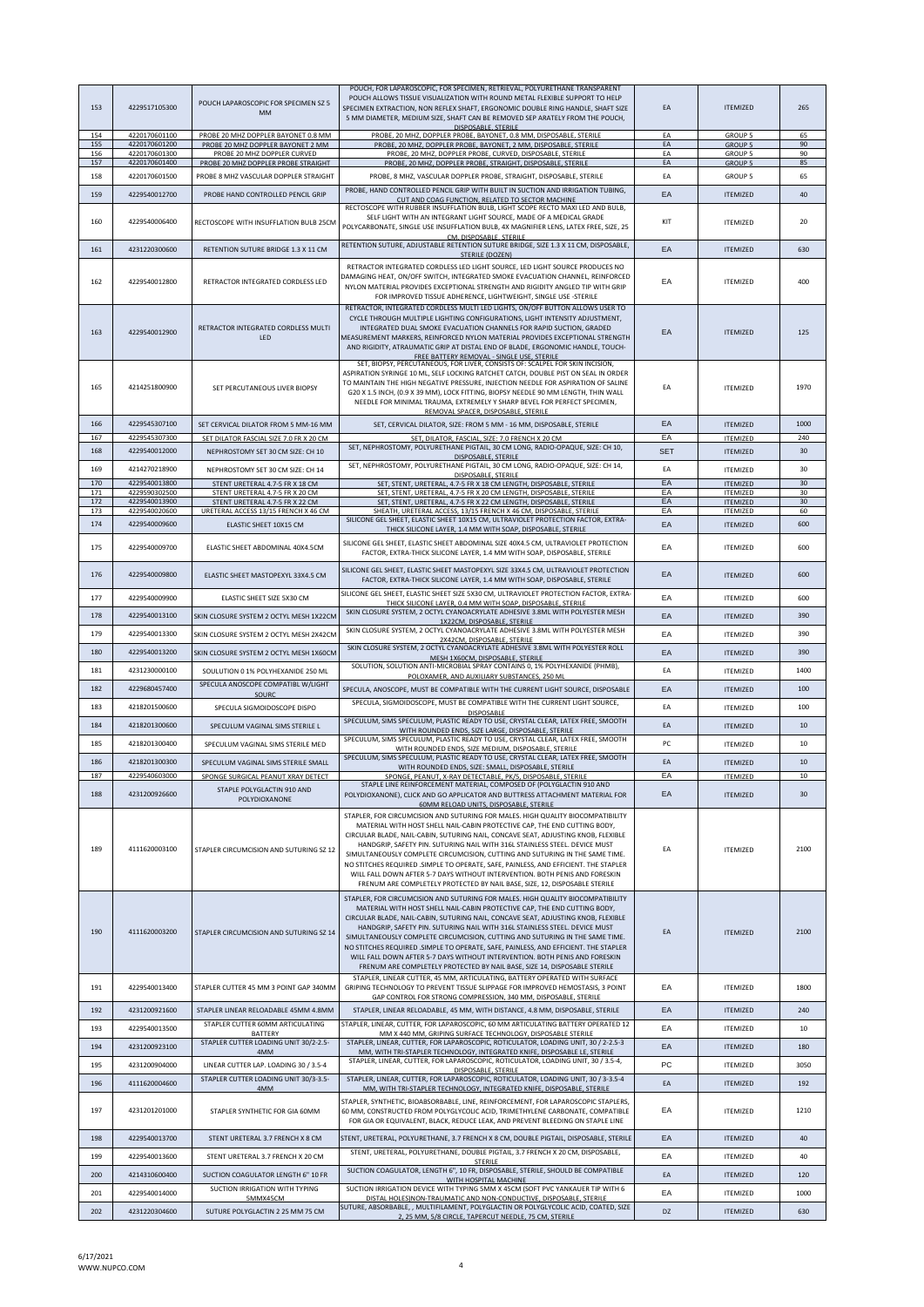| 153        | 4229517105300                  | POUCH LAPAROSCOPIC FOR SPECIMEN SZ 5<br><b>MM</b>                        | POUCH, FOR LAPAROSCOPIC, FOR SPECIMEN, RETRIEVAL, POLYURETHANE TRANSPARENT<br>POUCH ALLOWS TISSUE VISUALIZATION WITH ROUND METAL FLEXIBLE SUPPORT TO HELP<br>SPECIMEN EXTRACTION, NON REFLEX SHAFT, ERGONOMIC DOUBLE RING HANDLE, SHAFT SIZE<br>5 MM DIAMETER, MEDIUM SIZE, SHAFT CAN BE REMOVED SEP ARATELY FROM THE POUCH,<br>DISPOSABLE, STERILE                                                                                                                                                                                                                                                                                                                 | EA         | <b>ITEMIZED</b>                    | 265      |
|------------|--------------------------------|--------------------------------------------------------------------------|---------------------------------------------------------------------------------------------------------------------------------------------------------------------------------------------------------------------------------------------------------------------------------------------------------------------------------------------------------------------------------------------------------------------------------------------------------------------------------------------------------------------------------------------------------------------------------------------------------------------------------------------------------------------|------------|------------------------------------|----------|
| 154<br>155 | 4220170601100<br>4220170601200 | PROBE 20 MHZ DOPPLER BAYONET 0.8 MM<br>PROBE 20 MHZ DOPPLER BAYONET 2 MM | PROBE, 20 MHZ, DOPPLER PROBE, BAYONET, 0.8 MM, DISPOSABLE, STERILE<br>PROBE, 20 MHZ, DOPPLER PROBE, BAYONET, 2 MM, DISPOSABLE, STERILE                                                                                                                                                                                                                                                                                                                                                                                                                                                                                                                              | EA<br>EA   | <b>GROUP 5</b><br><b>GROUP 5</b>   | 65<br>90 |
| 156        | 4220170601300                  | PROBE 20 MHZ DOPPLER CURVED                                              | PROBE, 20 MHZ, DOPPLER PROBE, CURVED, DISPOSABLE, STERILE                                                                                                                                                                                                                                                                                                                                                                                                                                                                                                                                                                                                           | EA         | <b>GROUP 5</b>                     | 90       |
| 157        | 4220170601400                  | PROBE 20 MHZ DOPPLER PROBE STRAIGHT                                      | PROBE, 20 MHZ, DOPPLER PROBE, STRAIGHT, DISPOSABLE, STERILE                                                                                                                                                                                                                                                                                                                                                                                                                                                                                                                                                                                                         | EA         | <b>GROUP 5</b>                     | 85       |
| 158        | 4220170601500                  | PROBE 8 MHZ VASCULAR DOPPLER STRAIGHT                                    | PROBE, 8 MHZ, VASCULAR DOPPLER PROBE, STRAIGHT, DISPOSABLE, STERILE                                                                                                                                                                                                                                                                                                                                                                                                                                                                                                                                                                                                 | EA         | <b>GROUP 5</b>                     | 65       |
| 159        | 4229540012700                  | PROBE HAND CONTROLLED PENCIL GRIP                                        | PROBE, HAND CONTROLLED PENCIL GRIP WITH BUILT IN SUCTION AND IRRIGATION TUBING,<br>CUT AND COAG FUNCTION, RELATED TO SECTOR MACHINE                                                                                                                                                                                                                                                                                                                                                                                                                                                                                                                                 | EA         | <b>ITEMIZED</b>                    | 40       |
| 160        | 4229540006400                  | RECTOSCOPE WITH INSUFFLATION BULB 25CM                                   | RECTOSCOPE WITH RUBBER INSUFFLATION BULB, LIGHT SCOPE RECTO MAXI LED AND BULB,<br>SELF LIGHT WITH AN INTEGRANT LIGHT SOURCE, MADE OF A MEDICAL GRADE<br>POLYCARBONATE, SINGLE USE INSUFFLATION BULB, 4X MAGNIFIER LENS, LATEX FREE, SIZE, 25<br>CM. DISPOSABLE. STERILE                                                                                                                                                                                                                                                                                                                                                                                             | KIT        | <b>ITEMIZED</b>                    | 20       |
| 161        | 4231220300600                  | RETENTION SUTURE BRIDGE 1.3 X 11 CM                                      | RETENTION SUTURE, ADJUSTABLE RETENTION SUTURE BRIDGE, SIZE 1.3 X 11 CM, DISPOSABLE,<br>STERILE (DOZEN)                                                                                                                                                                                                                                                                                                                                                                                                                                                                                                                                                              | EA         | <b>ITEMIZED</b>                    | 630      |
|            |                                |                                                                          | RETRACTOR INTEGRATED CORDLESS LED LIGHT SOURCE, LED LIGHT SOURCE PRODUCES NC                                                                                                                                                                                                                                                                                                                                                                                                                                                                                                                                                                                        |            |                                    |          |
| 162        | 4229540012800                  | RETRACTOR INTEGRATED CORDLESS LED                                        | DAMAGING HEAT, ON/OFF SWITCH, INTEGRATED SMOKE EVACUATION CHANNEL, REINFORCED<br>NYLON MATERIAL PROVIDES EXCEPTIONAL STRENGTH AND RIGIDITY ANGLED TIP WITH GRIP<br>FOR IMPROVED TISSUE ADHERENCE, LIGHTWEIGHT, SINGLE USE -STERILE                                                                                                                                                                                                                                                                                                                                                                                                                                  | EA         | <b>ITEMIZED</b>                    | 400      |
| 163        | 4229540012900                  | RETRACTOR INTEGRATED CORDLESS MULTI<br>LED                               | RETRACTOR, INTEGRATED CORDLESS MULTI LED LIGHTS, ON/OFF BUTTON ALLOWS USER TO<br>CYCLE THROUGH MULTIPLE LIGHTING CONFIGURATIONS, LIGHT INTENSITY ADJUSTMENT,<br>INTEGRATED DUAL SMOKE EVACUATION CHANNELS FOR RAPID SUCTION, GRADED<br>MEASUREMENT MARKERS, REINFORCED NYLON MATERIAL PROVIDES EXCEPTIONAL STRENGTH<br>AND RIGIDITY, ATRAUMATIC GRIP AT DISTAL END OF BLADE, ERGONOMIC HANDLE, TOUCH-<br>FREE BATTERY REMOVAL - SINGLE USE, STERILE                                                                                                                                                                                                                 | EA         | <b>ITEMIZED</b>                    | 125      |
| 165        | 4214251800900                  | SET PERCUTANEOUS LIVER BIOPSY                                            | SET, BIOPSY, PERCUTANEOUS, FOR LIVER, CONSISTS OF: SCALPEL FOR SKIN INCISION,<br>ASPIRATION SYRINGE 10 ML, SELF LOCKING RATCHET CATCH, DOUBLE PIST ON SEAL IN ORDER<br>TO MAINTAIN THE HIGH NEGATIVE PRESSURE, INJECTION NEEDLE FOR ASPIRATION OF SALINE<br>G20 X 1.5 INCH, (0.9 X 39 MM), LOCK FITTING, BIOPSY NEEDLE 90 MM LENGTH, THIN WALL<br>NEEDLE FOR MINIMAL TRAUMA, EXTREMELY Y SHARP BEVEL FOR PERFECT SPECIMEN,<br>REMOVAL SPACER. DISPOSABLE. STERILE                                                                                                                                                                                                   | EA         | <b>ITEMIZED</b>                    | 1970     |
| 166        | 4229545307100                  | SET CERVICAL DILATOR FROM 5 MM-16 MM                                     | SET, CERVICAL DILATOR, SIZE: FROM 5 MM - 16 MM, DISPOSABLE, STERILE                                                                                                                                                                                                                                                                                                                                                                                                                                                                                                                                                                                                 | EA         | <b>ITFMIZED</b>                    | 1000     |
| 167        | 4229545307300                  | SET DILATOR FASCIAL SIZE 7.0 FR X 20 CM                                  | SET, DILATOR, FASCIAL, SIZE: 7.0 FRENCH X 20 CM<br>SET, NEPHROSTOMY, POLYURETHANE PIGTAIL, 30 CM LONG, RADIO-OPAQUE, SIZE: CH 10,                                                                                                                                                                                                                                                                                                                                                                                                                                                                                                                                   | EA         | <b>ITEMIZED</b>                    | 240      |
| 168        | 4229540012000                  | NEPHROSTOMY SET 30 CM SIZE: CH 10                                        | DISPOSABLE, STERILE                                                                                                                                                                                                                                                                                                                                                                                                                                                                                                                                                                                                                                                 | <b>SET</b> | <b>ITEMIZED</b>                    | 30       |
| 169        | 4214270218900                  | NEPHROSTOMY SET 30 CM SIZE: CH 14                                        | SET, NEPHROSTOMY, POLYURETHANE PIGTAIL, 30 CM LONG, RADIO-OPAQUE, SIZE: CH 14,<br>DISPOSABLE, STERILE                                                                                                                                                                                                                                                                                                                                                                                                                                                                                                                                                               | EA         | <b>ITEMIZED</b>                    | 30       |
| 170<br>171 | 4229540013800<br>4229590302500 | STENT URETERAL 4.7-5 FR X 18 CM<br>STENT URETERAL 4.7-5 FR X 20 CM       | SET, STENT, URETERAL, 4.7-5 FR X 18 CM LENGTH, DISPOSABLE, STERILE<br>SET, STENT, URETERAL, 4.7-5 FR X 20 CM LENGTH, DISPOSABLE, STERILE                                                                                                                                                                                                                                                                                                                                                                                                                                                                                                                            | EA<br>EA   | <b>ITEMIZED</b><br><b>ITEMIZED</b> | 30<br>30 |
| 172        | 4229540013900                  | STENT URETERAL 4.7-5 FR X 22 CM                                          | SET, STENT, URETERAL, 4.7-5 FR X 22 CM LENGTH, DISPOSABLE, STERILE                                                                                                                                                                                                                                                                                                                                                                                                                                                                                                                                                                                                  | EA         | <b>ITEMIZED</b>                    | 30       |
| 173        | 4229540020600                  | URETERAL ACCESS 13/15 FRENCH X 46 CM                                     | SHEATH, URETERAL ACCESS, 13/15 FRENCH X 46 CM, DISPOSABLE, STERILE<br>SILICONE GEL SHEET, ELASTIC SHEET 10X15 CM, ULTRAVIOLET PROTECTION FACTOR, EXTRA-                                                                                                                                                                                                                                                                                                                                                                                                                                                                                                             | EA         | <b>ITEMIZED</b>                    | 60       |
| 174        | 4229540009600                  | ELASTIC SHEET 10X15 CM                                                   | THICK SILICONE LAYER, 1.4 MM WITH SOAP, DISPOSABLE, STERILE                                                                                                                                                                                                                                                                                                                                                                                                                                                                                                                                                                                                         | EA         | <b>ITEMIZED</b>                    | 600      |
| 175        | 4229540009700                  | ELASTIC SHEET ABDOMINAL 40X4.5CM                                         | SILICONE GEL SHEET, ELASTIC SHEET ABDOMINAL SIZE 40X4.5 CM, ULTRAVIOLET PROTECTION<br>FACTOR, EXTRA-THICK SILICONE LAYER, 1.4 MM WITH SOAP, DISPOSABLE, STERILE                                                                                                                                                                                                                                                                                                                                                                                                                                                                                                     | EA         | <b>ITEMIZED</b>                    | 600      |
| 176        | 4229540009800                  | ELASTIC SHEET MASTOPEXYL 33X4.5 CM                                       | SILICONE GEL SHEET, ELASTIC SHEET MASTOPEXYL SIZE 33X4.5 CM, ULTRAVIOLET PROTECTION<br>FACTOR, EXTRA-THICK SILICONE LAYER, 1.4 MM WITH SOAP, DISPOSABLE, STERILE<br>SILICONE GEL SHEET, ELASTIC SHEET SIZE 5X30 CM, ULTRAVIOLET PROTECTION FACTOR, EXTRA                                                                                                                                                                                                                                                                                                                                                                                                            | EA         | <b>ITEMIZED</b>                    | 600      |
| 177        | 4229540009900                  | ELASTIC SHEET SIZE 5X30 CM                                               | THICK SILICONE LAYER, 0.4 MM WITH SOAP, DISPOSABLE, STERILE                                                                                                                                                                                                                                                                                                                                                                                                                                                                                                                                                                                                         | EA         | <b>ITEMIZED</b>                    | 600      |
| 178        | 4229540013100                  | SKIN CLOSURE SYSTEM 2 OCTYL MESH 1X22CN                                  | SKIN CLOSURE SYSTEM, 2 OCTYL CYANOACRYLATE ADHESIVE 3.8ML WITH POLYESTER MESH<br>1X22CM, DISPOSABLE, STERILE                                                                                                                                                                                                                                                                                                                                                                                                                                                                                                                                                        | EA         | <b>ITEMIZED</b>                    | 390      |
| 179        | 4229540013300                  | SKIN CLOSURE SYSTEM 2 OCTYL MESH 2X42CN                                  | SKIN CLOSURE SYSTEM, 2 OCTYL CYANOACRYLATE ADHESIVE 3.8ML WITH POLYESTER MESH<br>2X42CM, DISPOSABLE, STERILE                                                                                                                                                                                                                                                                                                                                                                                                                                                                                                                                                        | EA         | <b>ITEMIZED</b>                    | 390      |
| 180        | 4229540013200                  | SKIN CLOSURE SYSTEM 2 OCTYL MESH 1X60CM                                  | SKIN CLOSURE SYSTEM, 2 OCTYL CYANOACRYLATE ADHESIVE 3.8ML WITH POLYESTER ROLL                                                                                                                                                                                                                                                                                                                                                                                                                                                                                                                                                                                       | EA         | <b>ITEMIZED</b>                    | 390      |
| 181        | 4231230000100                  |                                                                          | MESH 1X60CM, DISPOSABLE, STERILE<br>SOLUTION, SOLUTION ANTI-MICROBIAL SPRAY CONTAINS 0, 1% POLYHEXANIDE (PHMB),                                                                                                                                                                                                                                                                                                                                                                                                                                                                                                                                                     | EA         |                                    | 1400     |
|            |                                | SOULUTION 0 1% POLYHEXANIDE 250 ML<br>SPECULA ANOSCOPE COMPATIBL W/LIGHT | POLOXAMER, AND AUXILIARY SUBSTANCES, 250 ML                                                                                                                                                                                                                                                                                                                                                                                                                                                                                                                                                                                                                         |            | <b>ITEMIZED</b>                    |          |
| 182        | 4229680457400                  | SOURC                                                                    | SPECULA, ANOSCOPE, MUST BE COMPATIBLE WITH THE CURRENT LIGHT SOURCE, DISPOSABLE                                                                                                                                                                                                                                                                                                                                                                                                                                                                                                                                                                                     | EA         | <b>ITEMIZED</b>                    | 100      |
| 183        | 4218201500600                  | SPECULA SIGMOIDOSCOPE DISPO                                              | SPECULA, SIGMOIDOSCOPE, MUST BE COMPATIBLE WITH THE CURRENT LIGHT SOURCE,<br><b>DISPOSABLE</b>                                                                                                                                                                                                                                                                                                                                                                                                                                                                                                                                                                      | EA         | <b>ITEMIZED</b>                    | 100      |
| 184        | 4218201300600                  | SPECULUM VAGINAL SIMS STERILE L                                          | SPECULUM, SIMS SPECULUM, PLASTIC READY TO USE, CRYSTAL CLEAR, LATEX FREE, SMOOTH<br>WITH ROUNDED ENDS, SIZE LARGE, DISPOSABLE, STERILE                                                                                                                                                                                                                                                                                                                                                                                                                                                                                                                              | EA         | <b>ITEMIZED</b>                    | 10       |
| 185        | 4218201300400                  | SPECULUM VAGINAL SIMS STERILE MED                                        | SPECULUM, SIMS SPECULUM, PLASTIC READY TO USE, CRYSTAL CLEAR, LATEX FREE, SMOOTH                                                                                                                                                                                                                                                                                                                                                                                                                                                                                                                                                                                    | PC         | <b>ITEMIZED</b>                    | 10       |
| 186        | 4218201300300                  | SPECULUM VAGINAL SIMS STERILE SMALL                                      | WITH ROUNDED ENDS, SIZE MEDIUM, DISPOSABLE, STERILE<br>SPECULUM, SIMS SPECULUM, PLASTIC READY TO USE, CRYSTAL CLEAR, LATEX FREE, SMOOTH                                                                                                                                                                                                                                                                                                                                                                                                                                                                                                                             | EA         | <b>ITEMIZED</b>                    | 10       |
| 187        | 4229540603000                  | SPONGE SURGICAL PEANUT XRAY DETECT                                       | WITH ROUNDED ENDS, SIZE: SMALL, DISPOSABLE, STERILE<br>SPONGE, PEANUT, X-RAY DETECTABLE, PK/5, DISPOSABLE, STERILE                                                                                                                                                                                                                                                                                                                                                                                                                                                                                                                                                  | EA         | <b>ITEMIZED</b>                    | 10       |
|            |                                | STAPLE POLYGLACTIN 910 AND                                               | STAPLE LINE REINFORCEMENT MATERIAL, COMPOSED OF (POLYGLACTIN 910 AND                                                                                                                                                                                                                                                                                                                                                                                                                                                                                                                                                                                                |            |                                    |          |
| 188        | 4231200926600                  | POLYDIOXANONE                                                            | POLYDIOXANONE), CLICK AND GO APPLICATOR AND BUTTRESS ATTACHMENT MATERIAL FOR<br>60MM RELOAD UNITS, DISPOSABLE, STERILE                                                                                                                                                                                                                                                                                                                                                                                                                                                                                                                                              | EA         | <b>ITFMIZED</b>                    | 30       |
| 189        | 4111620003100                  | STAPLER CIRCUMCISION AND SUTURING SZ 12                                  | STAPLER, FOR CIRCUMCISION AND SUTURING FOR MALES. HIGH QUALITY BIOCOMPATIBILITY<br>MATERIAL WITH HOST SHELL NAIL-CABIN PROTECTIVE CAP, THE END CUTTING BODY,<br>CIRCULAR BLADE, NAIL-CABIN, SUTURING NAIL, CONCAVE SEAT, ADJUSTING KNOB, FLEXIBLE<br>HANDGRIP, SAFETY PIN. SUTURING NAIL WITH 316L STAINLESS STEEL. DEVICE MUST<br>SIMULTANEOUSLY COMPLETE CIRCUMCISION, CUTTING AND SUTURING IN THE SAME TIME.<br>NO STITCHES REQUIRED .SIMPLE TO OPERATE, SAFE, PAINLESS, AND EFFICIENT. THE STAPLER<br>WILL FALL DOWN AFTER 5-7 DAYS WITHOUT INTERVENTION. BOTH PENIS AND FORESKIN<br>FRENUM ARE COMPLETELY PROTECTED BY NAIL BASE, SIZE, 12, DISPOSABLE STERILE | EA         | <b>ITEMIZED</b>                    | 2100     |
| 190        | 4111620003200                  | STAPLER CIRCUMCISION AND SUTURING SZ 14                                  | STAPLER, FOR CIRCUMCISION AND SUTURING FOR MALES. HIGH QUALITY BIOCOMPATIBILITY<br>MATERIAL WITH HOST SHELL NAIL-CABIN PROTECTIVE CAP. THE END CUTTING BODY.<br>CIRCULAR BLADE, NAIL-CABIN, SUTURING NAIL, CONCAVE SEAT, ADJUSTING KNOB, FLEXIBLE<br>HANDGRIP, SAFETY PIN. SUTURING NAIL WITH 316L STAINLESS STEEL. DEVICE MUST<br>SIMULTANEOUSLY COMPLETE CIRCUMCISION, CUTTING AND SUTURING IN THE SAME TIME.<br>NO STITCHES REQUIRED . SIMPLE TO OPERATE, SAFE, PAINLESS, AND EFFICIENT. THE STAPLER<br>WILL FALL DOWN AFTER 5-7 DAYS WITHOUT INTERVENTION. BOTH PENIS AND FORESKIN<br>FRENUM ARE COMPLETELY PROTECTED BY NAIL BASE, SIZE 14, DISPOSABLE STERILE | EA         | <b>ITEMIZED</b>                    | 2100     |
| 191        | 4229540013400                  | STAPLER CUTTER 45 MM 3 POINT GAP 340MM                                   | STAPLER, LINEAR CUTTER, 45 MM, ARTICULATING, BATTERY OPERATED WITH SURFACE<br>GRIPING TECHNOLOGY TO PREVENT TISSUE SLIPPAGE FOR IMPROVED HEMOSTASIS, 3 POINT<br>GAP CONTROL FOR STRONG COMPRESSION, 340 MM, DISPOSABLE, STERILE                                                                                                                                                                                                                                                                                                                                                                                                                                     | EA         | <b>ITEMIZED</b>                    | 1800     |
| 192        | 4231200921600                  | STAPLER LINEAR RELOADABLE 45MM 4.8MM                                     | STAPLER, LINEAR RELOADABLE, 45 MM, WITH DISTANCE, 4.8 MM, DISPOSABLE, STERILE                                                                                                                                                                                                                                                                                                                                                                                                                                                                                                                                                                                       | EA         | <b>ITEMIZED</b>                    | 240      |
| 193        | 4229540013500                  | STAPLER CUTTER 60MM ARTICULATING                                         | STAPLER, LINEAR, CUTTER, FOR LAPAROSCOPIC, 60 MM ARTICULATING BATTERY OPERATED 12                                                                                                                                                                                                                                                                                                                                                                                                                                                                                                                                                                                   | EA         | <b>ITEMIZED</b>                    | 10       |
| 194        | 4231200923100                  | <b>BATTERY</b><br>STAPLER CUTTER LOADING UNIT 30/2-2.5-                  | MM X 440 MM, GRIPING SURFACE TECHNOLOGY, DISPOSABLE STERILE<br>STAPLER, LINEAR, CUTTER, FOR LAPAROSCOPIC, ROTICULATOR, LOADING UNIT, 30 / 2-2.5-3                                                                                                                                                                                                                                                                                                                                                                                                                                                                                                                   |            |                                    | 180      |
|            |                                | 4MM                                                                      | MM, WITH TRI-STAPLER TECHNOLOGY, INTEGRATED KNIFE, DISPOSABLE LE, STERILE<br>STAPLER, LINEAR, CUTTER, FOR LAPAROSCOPIC, ROTICULATOR, LOADING UNIT, 30 / 3.5-4,                                                                                                                                                                                                                                                                                                                                                                                                                                                                                                      | EA         | <b>ITEMIZED</b>                    |          |
| 195        | 4231200904000                  | LINEAR CUTTER LAP. LOADING 30 / 3.5-4                                    | DISPOSABLE, STERILE                                                                                                                                                                                                                                                                                                                                                                                                                                                                                                                                                                                                                                                 | PC         | <b>ITEMIZED</b>                    | 3050     |
| 196        | 4111620004600                  | STAPLER CUTTER LOADING UNIT 30/3-3.5-<br>4MM                             | STAPLER, LINEAR, CUTTER, FOR LAPAROSCOPIC, ROTICULATOR, LOADING UNIT, 30 / 3-3.5-4<br>MM, WITH TRI-STAPLER TECHNOLOGY, INTEGRATED KNIFE, DISPOSABLE, STERILE                                                                                                                                                                                                                                                                                                                                                                                                                                                                                                        | EA         | <b>ITEMIZED</b>                    | 192      |
| 197        | 4231201201000                  | STAPLER SYNTHETIC FOR GIA 60MM                                           | STAPLER, SYNTHETIC, BIOABSORBABLE, LINE, REINFORCEMENT, FOR LAPAROSCOPIC STAPLERS<br>60 MM, CONSTRUCTED FROM POLYGLYCOLIC ACID, TRIMETHYLENE CARBONATE, COMPATIBLE<br>FOR GIA OR EQUIVALENT, BLACK, REDUCE LEAK, AND PREVENT BLEEDING ON STAPLE LINE                                                                                                                                                                                                                                                                                                                                                                                                                | EA         | <b>ITEMIZED</b>                    | 1210     |
| 198        | 4229540013700                  | STENT URETERAL 3.7 FRENCH X 8 CM                                         | STENT, URETERAL, POLYURETHANE, 3.7 FRENCH X 8 CM, DOUBLE PIGTAIL, DISPOSABLE, STERILE                                                                                                                                                                                                                                                                                                                                                                                                                                                                                                                                                                               | EA         | <b>ITEMIZED</b>                    | 40       |
| 199        | 4229540013600                  | STENT URETERAL 3.7 FRENCH X 20 CM                                        | STENT, URETERAL, POLYURETHANE, DOUBLE PIGTAIL, 3.7 FRENCH X 20 CM, DISPOSABLE,                                                                                                                                                                                                                                                                                                                                                                                                                                                                                                                                                                                      | EA         | ITEMIZED                           | 40       |
|            |                                |                                                                          | <b>STERILE</b><br>SUCTION COAGULATOR, LENGTH 6", 10 FR, DISPOSABLE, STERILE, SHOULD BE COMPATIBLE                                                                                                                                                                                                                                                                                                                                                                                                                                                                                                                                                                   |            |                                    |          |
| 200        | 4214310600400                  | SUCTION COAGULATOR LENGTH 6" 10 FR                                       | WITH HOSPITAL MACHINE<br>SUCTION IRRIGATION DEVICE WITH TYPING 5MM X 45CM (SOFT PVC YANKAUER TIP WITH 6                                                                                                                                                                                                                                                                                                                                                                                                                                                                                                                                                             | EA         | <b>ITEMIZED</b>                    | 120      |
| 201        | 4229540014000                  | SUCTION IRRIGATION WITH TYPING<br>5MMX45CM                               | DISTAL HOLES)NON-TRAUMATIC AND NON-CONDUCTIVE, DISPOSABLE, STERILE                                                                                                                                                                                                                                                                                                                                                                                                                                                                                                                                                                                                  | EA         | <b>ITEMIZED</b>                    | 1000     |
| 202        | 4231220304600                  | SUTURE POLYGLACTIN 2 25 MM 75 CM                                         | SUTURE, ABSORBABLE, , MULTIFILAMENT, POLYGLACTIN OR POLYGLYCOLIC ACID, COATED, SIZE<br>2, 25 MM, 5/8 CIRCLE, TAPERCUT NEEDLE, 75 CM, STERILE                                                                                                                                                                                                                                                                                                                                                                                                                                                                                                                        | DZ         | <b>ITEMIZED</b>                    | 630      |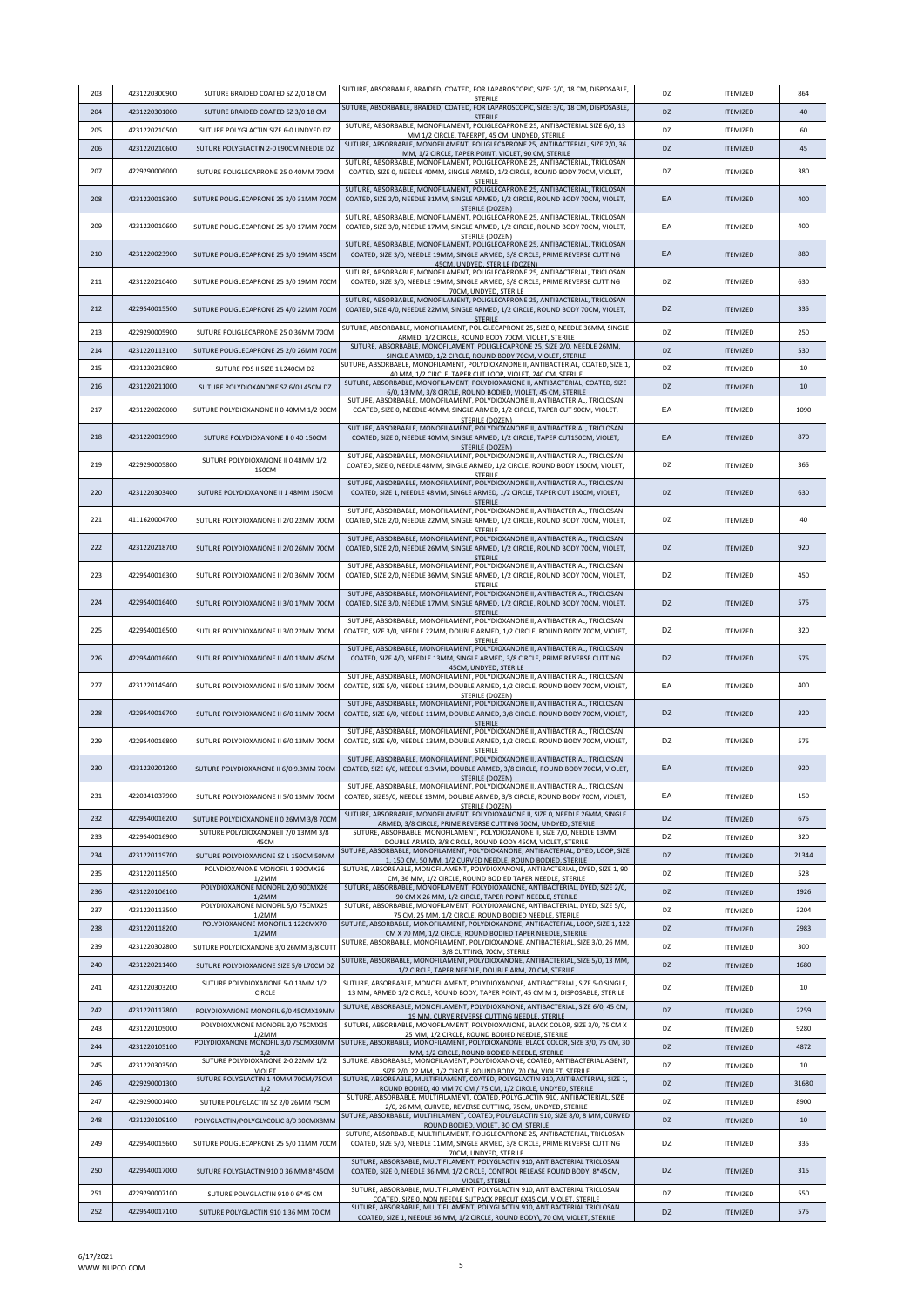| 203 | 4231220300900 | SUTURE BRAIDED COATED SZ 2/0 18 CM                   | SUTURE, ABSORBABLE, BRAIDED, COATED, FOR LAPAROSCOPIC, SIZE: 2/0, 18 CM, DISPOSABLE,                                                                                                                                               | DZ        | <b>ITEMIZED</b> | 864   |
|-----|---------------|------------------------------------------------------|------------------------------------------------------------------------------------------------------------------------------------------------------------------------------------------------------------------------------------|-----------|-----------------|-------|
| 204 | 4231220301000 | SUTURE BRAIDED COATED SZ 3/0 18 CM                   | STERILE<br>SUTURE, ABSORBABLE, BRAIDED, COATED, FOR LAPAROSCOPIC, SIZE: 3/0, 18 CM, DISPOSABLE,                                                                                                                                    | DZ        | <b>ITEMIZED</b> | 40    |
| 205 | 4231220210500 | SUTURE POLYGLACTIN SIZE 6-0 UNDYED DZ                | <b>STERILE</b><br>SUTURE, ABSORBABLE, MONOFILAMENT, POLIGLECAPRONE 25, ANTIBACTERIAL SIZE 6/0, 13                                                                                                                                  | DZ        | <b>ITEMIZED</b> | 60    |
| 206 | 4231220210600 | SUTURE POLYGLACTIN 2-0 L90CM NEEDLE DZ               | MM 1/2 CIRCLE, TAPERPT, 45 CM, UNDYED, STERILE<br>SUTURE, ABSORBABLE, MONOFILAMENT, POLIGLECAPRONE 25, ANTIBACTERIAL, SIZE 2/0, 36                                                                                                 | DZ        | <b>ITEMIZED</b> | 45    |
|     |               |                                                      | MM, 1/2 CIRCLE, TAPER POINT, VIOLET, 90 CM, STERILE<br>SUTURE, ABSORBABLE, MONOFILAMENT, POLIGLECAPRONE 25, ANTIBACTERIAL, TRICLOSAN                                                                                               |           |                 |       |
| 207 | 4229290006000 | SUTURE POLIGLECAPRONE 25 0 40MM 70CM                 | COATED, SIZE 0, NEEDLE 40MM, SINGLE ARMED, 1/2 CIRCLE, ROUND BODY 70CM, VIOLET,<br>STERILE                                                                                                                                         | DZ        | <b>ITEMIZED</b> | 380   |
| 208 | 4231220019300 | SUTURE POLIGLECAPRONE 25 2/0 31MM 70CM               | SUTURE, ABSORBABLE, MONOFILAMENT, POLIGLECAPRONE 25, ANTIBACTERIAL, TRICLOSAN<br>COATED, SIZE 2/0, NEEDLE 31MM, SINGLE ARMED, 1/2 CIRCLE, ROUND BODY 70CM, VIOLET,<br>STERILE (DOZEN)                                              | EA        | <b>ITEMIZED</b> | 400   |
| 209 | 4231220010600 | SUTURE POLIGLECAPRONE 25 3/0 17MM 70CM               | SUTURE, ABSORBABLE, MONOFILAMENT, POLIGLECAPRONE 25, ANTIBACTERIAL, TRICLOSAN<br>COATED, SIZE 3/0, NEEDLE 17MM, SINGLE ARMED, 1/2 CIRCLE, ROUND BODY 70CM, VIOLET,<br>STERILE (DOZEN)                                              | EA        | <b>ITEMIZED</b> | 400   |
| 210 | 4231220023900 | SUTURE POLIGLECAPRONE 25 3/0 19MM 45CM               | SUTURE, ABSORBABLE, MONOFILAMENT, POLIGLECAPRONE 25, ANTIBACTERIAL, TRICLOSAN<br>COATED, SIZE 3/0, NEEDLE 19MM, SINGLE ARMED, 3/8 CIRCLE, PRIME REVERSE CUTTING<br>45CM, UNDYED, STERILE (DOZEN)                                   | EA        | <b>ITEMIZED</b> | 880   |
| 211 | 4231220210400 | SUTURE POLIGLECAPRONE 25 3/0 19MM 70CM               | SUTURE, ABSORBABLE, MONOFILAMENT, POLIGLECAPRONE 25, ANTIBACTERIAL, TRICLOSAN<br>COATED, SIZE 3/0, NEEDLE 19MM, SINGLE ARMED, 3/8 CIRCLE, PRIME REVERSE CUTTING<br>70CM, UNDYED, STERILE                                           | DZ        | <b>ITEMIZED</b> | 630   |
| 212 | 4229540015500 | SUTURE POLIGLECAPRONE 25 4/0 22MM 70CM               | SUTURE, ABSORBABLE, MONOFILAMENT, POLIGLECAPRONE 25, ANTIBACTERIAL, TRICLOSAN<br>COATED, SIZE 4/0, NEEDLE 22MM, SINGLE ARMED, 1/2 CIRCLE, ROUND BODY 70CM, VIOLET,<br><b>STERILE</b>                                               | DZ        | <b>ITEMIZED</b> | 335   |
| 213 | 4229290005900 | SUTURE POLIGLECAPRONE 25 0 36MM 70CM                 | SUTURE, ABSORBABLE, MONOFILAMENT, POLIGLECAPRONE 25, SIZE 0, NEEDLE 36MM, SINGLE                                                                                                                                                   | DZ        | <b>ITEMIZED</b> | 250   |
| 214 | 4231220113100 | SUTURE POLIGLECAPRONE 25 2/0 26MM 70CM               | ARMED, 1/2 CIRCLE, ROUND BODY 70CM, VIOLET, STERILE<br>SUTURE, ABSORBABLE, MONOFILAMENT, POLIGLECAPRONE 25, SIZE 2/0, NEEDLE 26MM,                                                                                                 | DZ        | <b>ITEMIZED</b> | 530   |
| 215 | 4231220210800 | SUTURE PDS II SIZE 1 L240CM DZ                       | SINGLE ARMED, 1/2 CIRCLE, ROUND BODY 70CM, VIOLET, STERILE<br>SUTURE, ABSORBABLE, MONOFILAMENT, POLYDIOXANONE II, ANTIBACTERIAL, COATED, SIZE 1,                                                                                   | DZ        | <b>ITEMIZED</b> | 10    |
| 216 | 4231220211000 | SUTURE POLYDIOXANONE SZ 6/0 L45CM DZ                 | 40 MM, 1/2 CIRCLE, TAPER CUT LOOP, VIOLET, 240 CM, STERILE<br>SUTURE, ABSORBABLE, MONOFILAMENT, POLYDIOXANONE II, ANTIBACTERIAL, COATED, SIZE                                                                                      | DZ        | <b>ITEMIZED</b> | 10    |
|     |               |                                                      | 6/0, 13 MM, 3/8 CIRCLE, ROUND BODIED, VIOLET, 45 CM, STERILE<br>SUTURE, ABSORBABLE, MONOFILAMENT, POLYDIOXANONE II, ANTIBACTERIAL, TRICLOSAN                                                                                       |           |                 |       |
| 217 | 4231220020000 | SUTURE POLYDIOXANONE II 0 40MM 1/2 90CM              | COATED, SIZE 0, NEEDLE 40MM, SINGLE ARMED, 1/2 CIRCLE, TAPER CUT 90CM, VIOLET,<br>STERILE (DOZEN)<br>SUTURE, ABSORBABLE, MONOFILAMENT, POLYDIOXANONE II, ANTIBACTERIAL, TRICLOSAN                                                  | EA        | <b>ITEMIZED</b> | 1090  |
| 218 | 4231220019900 | SUTURE POLYDIOXANONE II 0 40 150CM                   | COATED, SIZE 0, NEEDLE 40MM, SINGLE ARMED, 1/2 CIRCLE, TAPER CUT150CM, VIOLET,<br>STERILE (DOZEN)<br>SUTURE, ABSORBABLE, MONOFILAMENT, POLYDIOXANONE II, ANTIBACTERIAL, TRICLOSAN                                                  | EA        | <b>ITEMIZED</b> | 870   |
| 219 | 4229290005800 | SUTURE POLYDIOXANONE II 0 48MM 1/2<br>150CM          | COATED, SIZE 0, NEEDLE 48MM, SINGLE ARMED, 1/2 CIRCLE, ROUND BODY 150CM, VIOLET,<br><b>STERILE</b><br>SUTURE, ABSORBABLE, MONOFILAMENT, POLYDIOXANONE II, ANTIBACTERIAL, TRICLOSAN                                                 | DZ        | <b>ITEMIZED</b> | 365   |
| 220 | 4231220303400 | SUTURE POLYDIOXANONE II 1 48MM 150CM                 | COATED, SIZE 1, NEEDLE 48MM, SINGLE ARMED, 1/2 CIRCLE, TAPER CUT 150CM, VIOLET,<br><b>STERILE</b>                                                                                                                                  | DZ        | <b>ITEMIZED</b> | 630   |
| 221 | 4111620004700 | SUTURE POLYDIOXANONE II 2/0 22MM 70CM                | SUTURE, ABSORBABLE, MONOFILAMENT, POLYDIOXANONE II, ANTIBACTERIAL, TRICLOSAN<br>COATED, SIZE 2/0, NEEDLE 22MM, SINGLE ARMED, 1/2 CIRCLE, ROUND BODY 70CM, VIOLET,<br><b>STERILE</b>                                                | DZ        | <b>ITEMIZED</b> | 40    |
| 222 | 4231220218700 | SUTURE POLYDIOXANONE II 2/0 26MM 70CM                | SUTURE, ABSORBABLE, MONOFILAMENT, POLYDIOXANONE II, ANTIBACTERIAL, TRICLOSAN<br>COATED, SIZE 2/0, NEEDLE 26MM, SINGLE ARMED, 1/2 CIRCLE, ROUND BODY 70CM, VIOLET,<br><b>STERILE</b>                                                | DZ        | <b>ITEMIZED</b> | 920   |
| 223 | 4229540016300 | SUTURE POLYDIOXANONE II 2/0 36MM 70CM                | SUTURE, ABSORBABLE, MONOFILAMENT, POLYDIOXANONE II, ANTIBACTERIAL, TRICLOSAN<br>COATED, SIZE 2/0, NEEDLE 36MM, SINGLE ARMED, 1/2 CIRCLE, ROUND BODY 70CM, VIOLET,<br><b>STERILE</b>                                                | DZ        | <b>ITEMIZED</b> | 450   |
| 224 | 4229540016400 | SUTURE POLYDIOXANONE II 3/0 17MM 70CM                | SUTURE, ABSORBABLE, MONOFILAMENT, POLYDIOXANONE II, ANTIBACTERIAL, TRICLOSAN<br>COATED, SIZE 3/0, NEEDLE 17MM, SINGLE ARMED, 1/2 CIRCLE, ROUND BODY 70CM, VIOLET,<br>STERILE                                                       | DZ        | <b>ITEMIZED</b> | 575   |
| 225 | 4229540016500 | SUTURE POLYDIOXANONE II 3/0 22MM 70CM                | SUTURE, ABSORBABLE, MONOFILAMENT, POLYDIOXANONE II, ANTIBACTERIAL, TRICLOSAN<br>COATED, SIZE 3/0, NEEDLE 22MM, DOUBLE ARMED, 1/2 CIRCLE, ROUND BODY 70CM, VIOLET,<br><b>STERILE</b>                                                | DZ        | <b>ITEMIZED</b> | 320   |
| 226 | 4229540016600 | SUTURE POLYDIOXANONE II 4/0 13MM 45CM                | SUTURE, ABSORBABLE, MONOFILAMENT, POLYDIOXANONE II, ANTIBACTERIAL, TRICLOSAN<br>COATED, SIZE 4/0, NEEDLE 13MM, SINGLE ARMED, 3/8 CIRCLE, PRIME REVERSE CUTTING<br>45CM, UNDYED, STERILE                                            | DZ        | <b>ITEMIZED</b> | 575   |
| 227 | 4231220149400 | SUTURE POLYDIOXANONE II 5/0 13MM 70CM                | SUTURE, ABSORBABLE, MONOFILAMENT, POLYDIOXANONE II, ANTIBACTERIAL, TRICLOSAN<br>COATED, SIZE 5/0, NEEDLE 13MM, DOUBLE ARMED, 1/2 CIRCLE, ROUND BODY 70CM, VIOLET,<br>STERILE (DOZEN)                                               | EA        | <b>ITEMIZED</b> | 400   |
| 228 | 4229540016700 | SUTURE POLYDIOXANONE II 6/0 11MM 70CM                | SUTURE, ABSORBABLE, MONOFILAMENT, POLYDIOXANONE II, ANTIBACTERIAL, TRICLOSAN<br>COATED, SIZE 6/0, NEEDLE 11MM, DOUBLE ARMED, 3/8 CIRCLE, ROUND BODY 70CM, VIOLET,<br><b>STERILE</b>                                                | DZ        | <b>ITEMIZED</b> | 320   |
| 229 | 4229540016800 | SUTURE POLYDIOXANONE II 6/0 13MM 70CM                | SUTURE, ABSORBABLE, MONOFILAMENT, POLYDIOXANONE II, ANTIBACTERIAL, TRICLOSAN<br>COATED, SIZE 6/0, NEEDLE 13MM, DOUBLE ARMED, 1/2 CIRCLE, ROUND BODY 70CM, VIOLET,<br><b>STERILE</b>                                                | DZ        | <b>ITEMIZED</b> | 575   |
| 230 | 4231220201200 |                                                      | SUTURE, ABSORBABLE, MONOFILAMENT, POLYDIOXANONE II, ANTIBACTERIAL, TRICLOSAN<br>SUTURE POLYDIOXANONE II 6/0 9.3MM 70CM COATED, SIZE 6/0, NEEDLE 9.3MM, DOUBLE ARMED, 3/8 CIRCLE, ROUND BODY 70CM, VIOLET,<br><b>CTEDHE (DOZEM)</b> | EA        | <b>ITEMIZED</b> | 920   |
| 231 | 4220341037900 | SUTURE POLYDIOXANONE II 5/0 13MM 70CM                | SUTURE, ABSORBABLE, MONOFILAMENT, POLYDIOXANONE II, ANTIBACTERIAL, TRICLOSAN<br>COATED, SIZE5/0, NEEDLE 13MM, DOUBLE ARMED, 3/8 CIRCLE, ROUND BODY 70CM, VIOLET,<br>STERILE (DOZEN)                                                | EA        | <b>ITEMIZED</b> | 150   |
| 232 | 4229540016200 | SUTURE POLYDIOXANONE II 0 26MM 3/8 70CM              | SUTURE, ABSORBABLE, MONOFILAMENT, POLYDIOXANONE II, SIZE 0, NEEDLE 26MM, SINGLE<br>ARMED, 3/8 CIRCLE, PRIME REVERSE CUTTING 70CM, UNDYED, STERILE                                                                                  | DZ        | <b>ITEMIZED</b> | 675   |
| 233 | 4229540016900 | SUTURE POLYDIOXANONEII 7/0 13MM 3/8<br>45CM          | SUTURE, ABSORBABLE, MONOFILAMENT, POLYDIOXANONE II, SIZE 7/0, NEEDLE 13MM,<br>DOUBLE ARMED, 3/8 CIRCLE, ROUND BODY 45CM, VIOLET, STERILE                                                                                           | DZ        | <b>ITEMIZED</b> | 320   |
| 234 | 4231220119700 | SUTURE POLYDIOXANONE SZ 1 150CM 50MM                 | SUTURE, ABSORBABLE, MONOFILAMENT, POLYDIOXANONE, ANTIBACTERIAL, DYED, LOOP, SIZE<br>1, 150 CM, 50 MM, 1/2 CURVED NEEDLE, ROUND BODIED, STERILE                                                                                     | <b>DZ</b> | <b>ITEMIZED</b> | 21344 |
| 235 | 4231220118500 | POLYDIOXANONE MONOFIL 1 90CMX36                      | SUTURE, ABSORBABLE, MONOFILAMENT, POLYDIOXANONE, ANTIBACTERIAL, DYED, SIZE 1, 90                                                                                                                                                   | DZ        | <b>ITEMIZED</b> | 528   |
| 236 | 4231220106100 | 1/2MM<br>POLYDIOXANONE MONOFIL 2/0 90CMX26           | CM, 36 MM, 1/2 CIRCLE, ROUND BODIED TAPER NEEDLE, STERILE<br>SUTURE, ABSORBABLE, MONOFILAMENT, POLYDIOXANONE, ANTIBACTERIAL, DYED, SIZE 2/0,                                                                                       | DZ        | <b>ITEMIZED</b> | 1926  |
| 237 | 4231220113500 | $1/2$ MM<br>POLYDIOXANONE MONOFIL 5/0 75CMX25        | 90 CM X 26 MM, 1/2 CIRCLE, TAPER POINT NEEDLE, STERILE<br>SUTURE, ABSORBABLE, MONOFILAMENT, POLYDIOXANONE, ANTIBACTERIAL, DYED, SIZE 5/0,                                                                                          | DZ        | <b>ITEMIZED</b> | 3204  |
| 238 | 4231220118200 | $1/2$ MM<br>POLYDIOXANONE MONOFIL 1 122CMX70         | 75 CM, 25 MM, 1/2 CIRCLE, ROUND BODIED NEEDLE, STERILE<br>SUTURE, ABSORBABLE, MONOFILAMENT, POLYDIOXANONE, ANTIBACTERIAL, LOOP, SIZE 1, 122                                                                                        | DZ        | <b>ITEMIZED</b> | 2983  |
| 239 | 4231220302800 | $1/2$ MM<br>SUTURE POLYDIOXANONE 3/0 26MM 3/8 CUT    | CM X 70 MM, 1/2 CIRCLE, ROUND BODIED TAPER NEEDLE, STERILE<br>SUTURE, ABSORBABLE, MONOFILAMENT, POLYDIOXANONE, ANTIBACTERIAL, SIZE 3/0, 26 MM,                                                                                     | DZ        | <b>ITEMIZED</b> | 300   |
| 240 | 4231220211400 | SUTURE POLYDIOXANONE SIZE 5/0 L70CM DZ               | 3/8 CUTTING, 70CM, STERILE<br>SUTURE, ABSORBABLE, MONOFILAMENT, POLYDIOXANONE, ANTIBACTERIAL, SIZE 5/0, 13 MM,                                                                                                                     | DZ        | <b>ITEMIZED</b> | 1680  |
| 241 | 4231220303200 | SUTURE POLYDIOXANONE 5-0 13MM 1/2<br><b>CIRCLE</b>   | 1/2 CIRCLE, TAPER NEEDLE, DOUBLE ARM, 70 CM, STERILE<br>SUTURE, ABSORBABLE, MONOFILAMENT, POLYDIOXANONE, ANTIBACTERIAL, SIZE 5-0 SINGLE,<br>13 MM, ARMED 1/2 CIRCLE, ROUND BODY, TAPER POINT, 45 CM M 1, DISPOSABLE, STERILE       | DZ        | <b>ITEMIZED</b> | 10    |
| 242 | 4231220117800 | POLYDIOXANONE MONOFIL 6/0 45CMX19MM                  | SUTURE, ABSORBABLE, MONOFILAMENT, POLYDIOXANONE, ANTIBACTERIAL, SIZE 6/0, 45 CM,                                                                                                                                                   | DZ        | <b>ITEMIZED</b> | 2259  |
| 243 | 4231220105000 | POLYDIOXANONE MONOFIL 3/0 75CMX25                    | 19 MM, CURVE REVERSE CUTTING NEEDLE, STERILE<br>SUTURE, ABSORBABLE, MONOFILAMENT, POLYDIOXANONE, BLACK COLOR, SIZE 3/0, 75 CM X                                                                                                    | DZ        | <b>ITEMIZED</b> | 9280  |
| 244 | 4231220105100 | 1/2MM<br>POLYDIOXANONE MONOFIL 3/0 75CMX30MM         | 25 MM, 1/2 CIRCLE, ROUND BODIED NEEDLE, STERILE<br>SUTURE, ABSORBABLE, MONOFILAMENT, POLYDIOXANONE, BLACK COLOR, SIZE 3/0, 75 CM, 30                                                                                               | DZ        |                 | 4872  |
|     |               | 1/2<br>SUTURE POLYDIOXANONE 2-0 22MM 1/2             | MM, 1/2 CIRCLE, ROUND BODIED NEEDLE, STERILE<br>SUTURE, ABSORBABLE, MONOFILAMENT, POLYDIOXANONE, COATED, ANTIBACTERIAL AGENT,                                                                                                      |           | <b>ITEMIZED</b> |       |
| 245 | 4231220303500 | <b>VIOLET</b><br>SUTURE POLYGLACTIN 1 40MM 70CM/75CM | SIZE 2/0, 22 MM, 1/2 CIRCLE, ROUND BODY, 70 CM, VIOLET, STERILE<br>SUTURE, ABSORBABLE, MULTIFILAMENT, COATED, POLYGLACTIN 910, ANTIBACTERIAL, SIZE 1,                                                                              | DZ        | <b>ITEMIZED</b> | 10    |
| 246 | 4229290001300 | 1/2                                                  | ROUND BODIED, 40 MM 70 CM / 75 CM, 1/2 CIRCLE, UNDYED, STERILE<br>SUTURE, ABSORBABLE, MULTIFILAMENT, COATED, POLYGLACTIN 910, ANTIBACTERIAL, SIZE                                                                                  | DZ        | <b>ITEMIZED</b> | 31680 |
| 247 | 4229290001400 | SUTURE POLYGLACTIN SZ 2/0 26MM 75CM                  | 2/0, 26 MM, CURVED, REVERSE CUTTING, 75CM, UNDYED, STERILE<br>SUTURE, ABSORBABLE, MULTIFILAMENT, COATED, POLYGLACTIN 910, SIZE 8/0, 8 MM, CURVED                                                                                   | DZ        | <b>ITEMIZED</b> | 8900  |
| 248 | 4231220109100 | POLYGLACTIN/POLYGLYCOLIC 8/0 30CMX8MM                | ROUND BODIED, VIOLET, 30 CM, STERILE<br>SUTURE, ABSORBABLE, MULTIFILAMENT, POLIGLECAPRONE 25, ANTIBACTERIAL, TRICLOSAN                                                                                                             | DZ        | <b>ITEMIZED</b> | 10    |
| 249 | 4229540015600 | SUTURE POLIGLECAPRONE 25 5/0 11MM 70CM               | COATED, SIZE 5/0, NEEDLE 11MM, SINGLE ARMED, 3/8 CIRCLE, PRIME REVERSE CUTTING<br>70CM, UNDYED, STERILE<br>SUTURE, ABSORBABLE, MULTIFILAMENT, POLYGLACTIN 910, ANTIBACTERIAL TRICLOSAN                                             | DZ        | <b>ITEMIZED</b> | 335   |
| 250 | 4229540017000 | SUTURE POLYGLACTIN 910 0 36 MM 8*45CM                | COATED, SIZE 0, NEEDLE 36 MM, 1/2 CIRCLE, CONTROL RELEASE ROUND BODY, 8*45CM,<br>VIOLET, STERILE<br>SUTURE, ABSORBABLE, MULTIFILAMENT, POLYGLACTIN 910, ANTIBACTERIAL TRICLOSAN                                                    | DZ        | <b>ITEMIZED</b> | 315   |
| 251 | 4229290007100 | SUTURE POLYGLACTIN 910 0 6*45 CM                     | COATED, SIZE 0, NON NEEDLE SUTPACK PRECUT 6X45 CM, VIOLET, STERILE                                                                                                                                                                 | DZ        | <b>ITEMIZED</b> | 550   |
| 252 | 4229540017100 | SUTURE POLYGLACTIN 910 1 36 MM 70 CM                 | SUTURE, ABSORBABLE, MULTIFILAMENT, POLYGLACTIN 910, ANTIBACTERIAL TRICLOSAN<br>COATED, SIZE 1, NEEDLE 36 MM, 1/2 CIRCLE, ROUND BODY\, 70 CM, VIOLET, STERILE                                                                       | DZ        | <b>ITEMIZED</b> | 575   |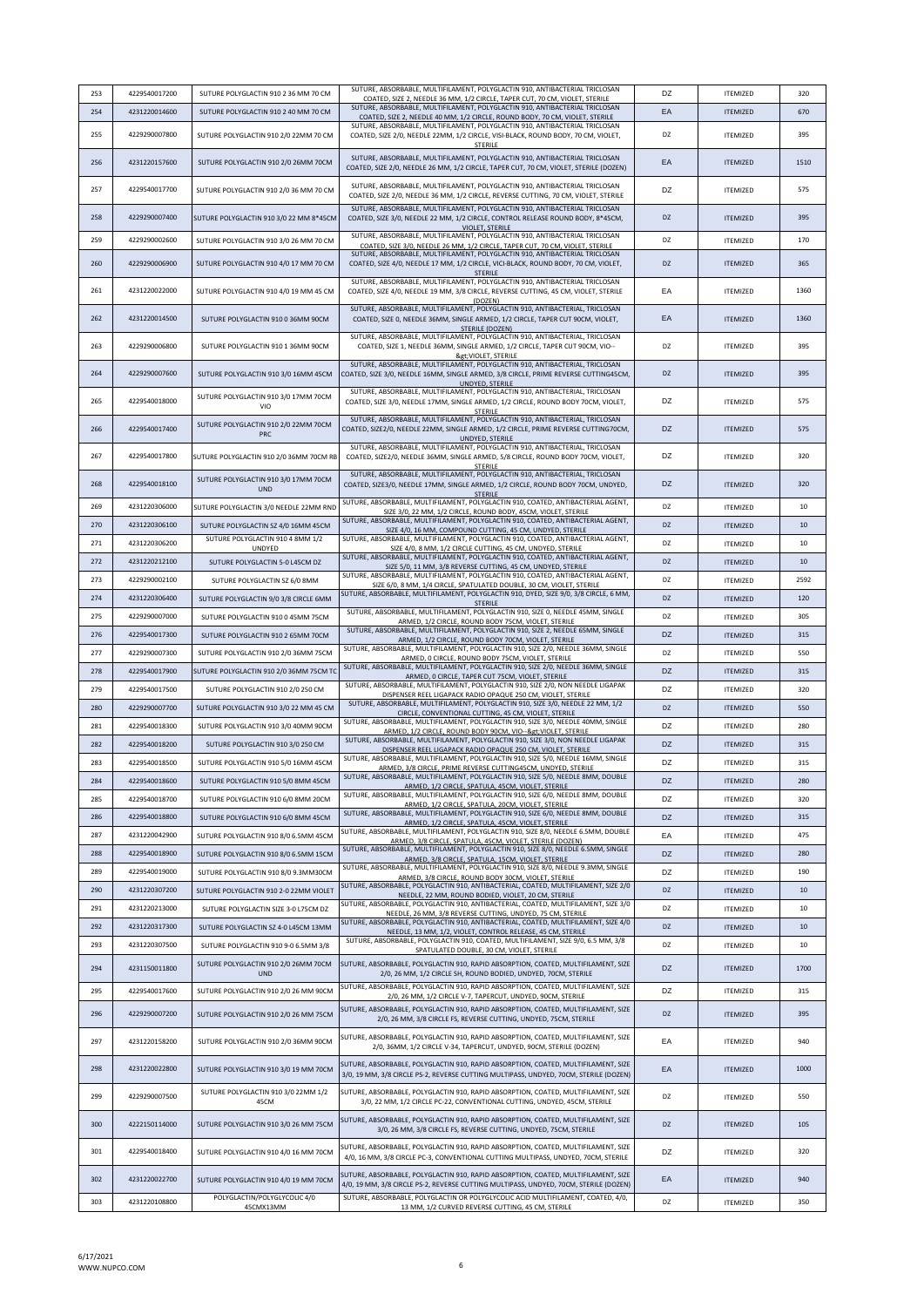| 253 | 4229540017200 | SUTURE POLYGLACTIN 910 2 36 MM 70 CM               | SUTURE, ABSORBABLE, MULTIFILAMENT, POLYGLACTIN 910, ANTIBACTERIAL TRICLOSAN                                                                                                                                                                                       | DZ | <b>ITEMIZED</b> | 320  |
|-----|---------------|----------------------------------------------------|-------------------------------------------------------------------------------------------------------------------------------------------------------------------------------------------------------------------------------------------------------------------|----|-----------------|------|
| 254 | 4231220014600 | SUTURE POLYGLACTIN 910 2 40 MM 70 CM               | COATED, SIZE 2, NEEDLE 36 MM, 1/2 CIRCLE, TAPER CUT, 70 CM, VIOLET, STERILE<br>SUTURE, ABSORBABLE, MULTIFILAMENT, POLYGLACTIN 910, ANTIBACTERIAL TRICLOSAN                                                                                                        | EA | <b>ITEMIZED</b> | 670  |
|     |               |                                                    | COATED, SIZE 2, NEEDLE 40 MM, 1/2 CIRCLE, ROUND BODY, 70 CM, VIOLET, STERILE<br>SUTURE, ABSORBABLE, MULTIFILAMENT, POLYGLACTIN 910, ANTIBACTERIAL TRICLOSAN                                                                                                       |    |                 |      |
| 255 | 4229290007800 | SUTURE POLYGLACTIN 910 2/0 22MM 70 CM              | COATED, SIZE 2/0, NEEDLE 22MM, 1/2 CIRCLE, VISI-BLACK, ROUND BODY, 70 CM, VIOLET,<br><b>STERILE</b>                                                                                                                                                               | DZ | <b>ITEMIZED</b> | 395  |
| 256 | 4231220157600 | SUTURE POLYGLACTIN 910 2/0 26MM 70CM               | SUTURE, ABSORBABLE, MULTIFILAMENT, POLYGLACTIN 910, ANTIBACTERIAL TRICLOSAN<br>COATED, SIZE 2/0, NEEDLE 26 MM, 1/2 CIRCLE, TAPER CUT, 70 CM, VIOLET, STERILE (DOZEN)                                                                                              | EA | <b>ITEMIZED</b> | 1510 |
| 257 | 4229540017700 | SUTURE POLYGLACTIN 910 2/0 36 MM 70 CM             | SUTURE, ABSORBABLE, MULTIFILAMENT, POLYGLACTIN 910, ANTIBACTERIAL TRICLOSAN<br>COATED, SIZE 2/0, NEEDLE 36 MM, 1/2 CIRCLE, REVERSE CUTTING, 70 CM, VIOLET, STERILE                                                                                                | DZ | <b>ITEMIZED</b> | 575  |
| 258 | 4229290007400 | SUTURE POLYGLACTIN 910 3/0 22 MM 8*45CM            | SUTURE, ABSORBABLE, MULTIFILAMENT, POLYGLACTIN 910, ANTIBACTERIAL TRICLOSAN<br>COATED, SIZE 3/0, NEEDLE 22 MM, 1/2 CIRCLE, CONTROL RELEASE ROUND BODY, 8*45CM,                                                                                                    | DZ | <b>ITEMIZED</b> | 395  |
| 259 | 4229290002600 | SUTURE POLYGLACTIN 910 3/0 26 MM 70 CM             | VIOLET, STERILE<br>SUTURE, ABSORBABLE, MULTIFILAMENT, POLYGLACTIN 910, ANTIBACTERIAL TRICLOSAN                                                                                                                                                                    | DZ | <b>ITEMIZED</b> | 170  |
| 260 | 4229290006900 | SUTURE POLYGLACTIN 910 4/0 17 MM 70 CM             | COATED, SIZE 3/0, NEEDLE 26 MM, 1/2 CIRCLE, TAPER CUT, 70 CM, VIOLET, STERILE<br>SUTURE, ABSORBABLE, MULTIFILAMENT, POLYGLACTIN 910, ANTIBACTERIAL TRICLOSAN<br>COATED, SIZE 4/0, NEEDLE 17 MM, 1/2 CIRCLE, VICI-BLACK, ROUND BODY, 70 CM, VIOLET,                | DZ | <b>ITEMIZED</b> | 365  |
| 261 | 4231220022000 | SUTURE POLYGLACTIN 910 4/0 19 MM 45 CM             | <b>STERILE</b><br>SUTURE, ABSORBABLE, MULTIFILAMENT, POLYGLACTIN 910, ANTIBACTERIAL TRICLOSAN<br>COATED, SIZE 4/0, NEEDLE 19 MM, 3/8 CIRCLE, REVERSE CUTTING, 45 CM, VIOLET, STERILE                                                                              | EA | <b>ITEMIZED</b> | 1360 |
| 262 |               |                                                    | (DOZEN)<br>SUTURE, ABSORBABLE, MULTIFILAMENT, POLYGLACTIN 910, ANTIBACTERIAL, TRICLOSAN                                                                                                                                                                           |    |                 | 1360 |
|     | 4231220014500 | SUTURE POLYGLACTIN 910 0 36MM 90CM                 | COATED, SIZE 0, NEEDLE 36MM, SINGLE ARMED, 1/2 CIRCLE, TAPER CUT 90CM, VIOLET,<br>STERILE (DOZEN)<br>SUTURE, ABSORBABLE, MULTIFILAMENT, POLYGLACTIN 910, ANTIBACTERIAL, TRICLOSAN                                                                                 | EA | <b>ITEMIZED</b> |      |
| 263 | 4229290006800 | SUTURE POLYGLACTIN 910 1 36MM 90CM                 | COATED, SIZE 1, NEEDLE 36MM, SINGLE ARMED, 1/2 CIRCLE, TAPER CUT 90CM, VIO--<br>>VIOLET, STERILE<br>SUTURE, ABSORBABLE, MULTIFILAMENT, POLYGLACTIN 910, ANTIBACTERIAL, TRICLOSAN                                                                                  | DZ | <b>ITEMIZED</b> | 395  |
| 264 | 4229290007600 | SUTURE POLYGLACTIN 910 3/0 16MM 45CM               | COATED, SIZE 3/0, NEEDLE 16MM, SINGLE ARMED, 3/8 CIRCLE, PRIME REVERSE CUTTING45CM,<br>UNDYED, STERILE                                                                                                                                                            | DZ | <b>ITEMIZED</b> | 395  |
| 265 | 4229540018000 | SUTURE POLYGLACTIN 910 3/0 17MM 70CM<br>VIO        | SUTURE, ABSORBABLE, MULTIFILAMENT, POLYGLACTIN 910, ANTIBACTERIAL, TRICLOSAN<br>COATED, SIZE 3/0, NEEDLE 17MM, SINGLE ARMED, 1/2 CIRCLE, ROUND BODY 70CM, VIOLET,<br><b>STERILE</b>                                                                               | DZ | <b>ITEMIZED</b> | 575  |
| 266 | 4229540017400 | SUTURE POLYGLACTIN 910 2/0 22MM 70CM<br><b>PRC</b> | SUTURE, ABSORBABLE, MULTIFILAMENT, POLYGLACTIN 910, ANTIBACTERIAL, TRICLOSAN<br>COATED, SIZE2/0, NEEDLE 22MM, SINGLE ARMED, 1/2 CIRCLE, PRIME REVERSE CUTTING70CM,<br>UNDYED, STERILE                                                                             | DZ | <b>ITFMIZED</b> | 575  |
| 267 | 4229540017800 | SUTURE POLYGLACTIN 910 2/0 36MM 70CM RB            | SUTURE, ABSORBABLE, MULTIFILAMENT, POLYGLACTIN 910, ANTIBACTERIAL, TRICLOSAN<br>COATED, SIZE2/0, NEEDLE 36MM, SINGLE ARMED, 5/8 CIRCLE, ROUND BODY 70CM, VIOLET,<br><b>STERILE</b>                                                                                | DZ | <b>ITEMIZED</b> | 320  |
| 268 | 4229540018100 | SUTURE POLYGLACTIN 910 3/0 17MM 70CM<br><b>UND</b> | SUTURE, ABSORBABLE, MULTIFILAMENT, POLYGLACTIN 910, ANTIBACTERIAL, TRICLOSAN<br>COATED, SIZE3/0, NEEDLE 17MM, SINGLE ARMED, 1/2 CIRCLE, ROUND BODY 70CM, UNDYED,<br><b>STERILE</b>                                                                                | DZ | <b>ITEMIZED</b> | 320  |
| 269 | 4231220306000 | SUTURE POLYGLACTIN 3/0 NEEDLE 22MM RND             | SUTURE, ABSORBABLE, MULTIFILAMENT, POLYGLACTIN 910, COATED, ANTIBACTERIAL AGENT,<br>SIZE 3/0, 22 MM, 1/2 CIRCLE, ROUND BODY, 45CM, VIOLET, STERILE                                                                                                                | DZ | <b>ITEMIZED</b> | 10   |
| 270 | 4231220306100 | SUTURE POLYGLACTIN SZ 4/0 16MM 45CM                | SUTURE, ABSORBABLE, MULTIFILAMENT, POLYGLACTIN 910, COATED, ANTIBACTERIAL AGENT,                                                                                                                                                                                  | DZ | <b>ITEMIZED</b> | 10   |
| 271 | 4231220306200 | SUTURE POLYGLACTIN 910 4 8MM 1/2                   | SIZE 4/0, 16 MM, COMPOUND CUTTING, 45 CM, UNDYED, STERILE<br>SUTURE, ABSORBABLE, MULTIFILAMENT, POLYGLACTIN 910, COATED, ANTIBACTERIAL AGENT,                                                                                                                     | DZ | <b>ITEMIZED</b> | 10   |
| 272 | 4231220212100 | <b>UNDYED</b><br>SUTURE POLYGLACTIN 5-0 L45CM DZ   | SIZE 4/0, 8 MM, 1/2 CIRCLE CUTTING, 45 CM, UNDYED, STERILE<br>SUTURE, ABSORBABLE, MULTIFILAMENT, POLYGLACTIN 910, COATED, ANTIBACTERIAL AGENT,                                                                                                                    | DZ | <b>ITEMIZED</b> | 10   |
|     |               |                                                    | SIZE 5/0, 11 MM, 3/8 REVERSE CUTTING, 45 CM, UNDYED, STERILE<br>SUTURE, ABSORBABLE, MULTIFILAMENT, POLYGLACTIN 910, COATED, ANTIBACTERIAL AGENT,                                                                                                                  |    |                 |      |
| 273 | 4229290002100 | SUTURE POLYGLACTIN SZ 6/0 8MM                      | SIZE 6/0, 8 MM, 1/4 CIRCLE, SPATULATED DOUBLE, 30 CM, VIOLET, STERILE<br>SUTURE, ABSORBABLE, MULTIFILAMENT, POLYGLACTIN 910, DYED, SIZE 9/0, 3/8 CIRCLE, 6 MM,                                                                                                    | DZ | <b>ITEMIZED</b> | 2592 |
| 274 | 4231220306400 | SUTURE POLYGLACTIN 9/0 3/8 CIRCLE 6MM              | <b>STERILE</b>                                                                                                                                                                                                                                                    | DZ | <b>ITEMIZED</b> | 120  |
| 275 | 4229290007000 | SUTURE POLYGLACTIN 910 0 45MM 75CM                 | SUTURE, ABSORBABLE, MULTIFILAMENT, POLYGLACTIN 910, SIZE 0, NEEDLE 45MM, SINGLE<br>ARMED, 1/2 CIRCLE, ROUND BODY 75CM, VIOLET, STERILE                                                                                                                            | DZ | <b>ITEMIZED</b> | 305  |
| 276 | 4229540017300 | SUTURE POLYGLACTIN 910 2 65MM 70CM                 | SUTURE, ABSORBABLE, MULTIFILAMENT, POLYGLACTIN 910, SIZE 2, NEEDLE 65MM, SINGLE<br>ARMED, 1/2 CIRCLE, ROUND BODY 70CM, VIOLET, STERILE                                                                                                                            | DZ | <b>ITEMIZED</b> | 315  |
| 277 | 4229290007300 | SUTURE POLYGLACTIN 910 2/0 36MM 75CM               | SUTURE, ABSORBABLE, MULTIFILAMENT, POLYGLACTIN 910, SIZE 2/0, NEEDLE 36MM, SINGLE<br>ARMED, O CIRCLE, ROUND BODY 75CM, VIOLET, STERILE                                                                                                                            | DZ | <b>ITEMIZED</b> | 550  |
| 278 | 4229540017900 | SUTURE POLYGLACTIN 910 2/0 36MM 75CM TO            | SUTURE, ABSORBABLE, MULTIFILAMENT, POLYGLACTIN 910, SIZE 2/0, NEEDLE 36MM, SINGLE<br>ARMED, O CIRCLE, TAPER CUT 75CM, VIOLET, STERILE                                                                                                                             | DZ | <b>ITEMIZED</b> | 315  |
| 279 | 4229540017500 | SUTURE POLYGLACTIN 910 2/0 250 CM                  | SUTURE, ABSORBABLE, MULTIFILAMENT, POLYGLACTIN 910, SIZE 2/0, NON NEEDLE LIGAPAK<br>DISPENSER REEL LIGAPACK RADIO OPAQUE 250 CM, VIOLET, STERILE                                                                                                                  | DZ | <b>ITEMIZED</b> | 320  |
| 280 | 4229290007700 | SUTURE POLYGLACTIN 910 3/0 22 MM 45 CM             | SUTURE, ABSORBABLE, MULTIFILAMENT, POLYGLACTIN 910, SIZE 3/0, NEEDLE 22 MM, 1/2<br>CIRCLE, CONVENTIONAL CUTTING, 45 CM, VIOLET, STERILE                                                                                                                           | DZ | <b>ITEMIZED</b> | 550  |
| 281 | 4229540018300 | SUTURE POLYGLACTIN 910 3/0 40MM 90CM               | SUTURE, ABSORBABLE, MULTIFILAMENT, POLYGLACTIN 910, SIZE 3/0, NEEDLE 40MM, SINGLE                                                                                                                                                                                 | DZ | <b>ITEMIZED</b> | 280  |
| 282 | 4229540018200 | SUTURE POLYGLACTIN 910 3/0 250 CM                  | ARMED, 1/2 CIRCLE, ROUND BODY 90CM, VIO--> VIOLET, STERILE<br>SUTURE, ABSORBABLE, MULTIFILAMENT, POLYGLACTIN 910, SIZE 3/0, NON NEEDLE LIGAPAK                                                                                                                    | DZ | <b>ITEMIZED</b> | 315  |
| 283 | 4229540018500 | SUTURE POLYGLACTIN 910 5/0 16MM 45CM               | DISPENSER REEL LIGAPACK RADIO OPAQUE 250 CM, VIOLET, STERILE<br>SUTURE, ABSORBABLE, MULTIFILAMENT, POLYGLACTIN 910, SIZE 5/0, NEEDLE 16MM, SINGLE                                                                                                                 | DZ | <b>ITEMIZED</b> | 315  |
|     |               |                                                    | ARMED, 3/8 CIRCLE, PRIME REVERSE CUTTING45CM, UNDYED, STERILE<br>SUTURE, ABSORBABLE, MULTIFILAMENT, POLYGLACTIN 910, SIZE 5/0, NEEDLE 8MM, DOUBLE                                                                                                                 |    |                 |      |
| 284 | 4229540018600 | SUTURE POLYGLACTIN 910 5/0 8MM 45CM                | ARMED, 1/2 CIRCLE, SPATULA, 45CM, VIOLET, STERILE<br>SUTURE, ABSORBABLE, MULTIFILAMENT, POLYGLACTIN 910, SIZE 6/0, NEEDLE 8MM, DOUBLE                                                                                                                             | DZ | <b>ITEMIZED</b> | 280  |
| 285 | 4229540018700 | SUTURE POLYGLACTIN 910 6/0 8MM 20CM                | ARMED, 1/2 CIRCLE, SPATULA, 20CM, VIOLET, STERILE<br>SUTURE, ABSORBABLE, MULTIFILAMENT, POLYGLACTIN 910, SIZE 6/0, NEEDLE 8MM, DOUBLE                                                                                                                             | DZ | <b>ITEMIZED</b> | 320  |
| 286 | 4229540018800 | SUTURE POLYGLACTIN 910 6/0 8MM 45CM                | ARMED, 1/2 CIRCLE, SPATULA, 45CM, VIOLET, STERILE                                                                                                                                                                                                                 | DZ | <b>ITEMIZED</b> | 315  |
| 287 | 4231220042900 | SUTURE POLYGLACTIN 910 8/0 6.5MM 45CM              | SUTURE, ABSORBABLE, MULTIFILAMENT, POLYGLACTIN 910, SIZE 8/0, NEEDLE 6.5MM, DOUBLE<br>ARMED, 3/8 CIRCLE, SPATULA, 45CM, VIOLET, STERILE (DOZEN)                                                                                                                   | EA | <b>ITEMIZED</b> | 475  |
| 288 | 4229540018900 | SUTURE POLYGLACTIN 910 8/0 6.5MM 15CM              | SUTURE, ABSORBABLE, MULTIFILAMENT, POLYGLACTIN 910, SIZE 8/0, NEEDLE 6.5MM, SINGLE<br>ARMED, 3/8 CIRCLE, SPATULA, 15CM, VIOLET, STERILE                                                                                                                           | DZ | <b>ITEMIZED</b> | 280  |
| 289 | 4229540019000 | SUTURE POLYGLACTIN 910 8/0 9.3MM30CM               | SUTURE, ABSORBABLE, MULTIFILAMENT, POLYGLACTIN 910, SIZE 8/0, NEEDLE 9.3MM, SINGLE<br>ARMED, 3/8 CIRCLE, ROUND BODY 30CM, VIOLET, STERILE                                                                                                                         | DZ | <b>ITEMIZED</b> | 190  |
| 290 | 4231220307200 | SUTURE POLYGLACTIN 910 2-0 22MM VIOLET             | SUTURE, ABSORBABLE, POLYGLACTIN 910, ANTIBACTERIAL, COATED, MULTIFILAMENT, SIZE 2/0<br>NEEDLE, 22 MM, ROUND BODIED, VIOLET, 20 CM, STERILE                                                                                                                        | DZ | <b>ITEMIZED</b> | 10   |
| 291 | 4231220213000 | SUTURE POLYGLACTIN SIZE 3-0 L75CM DZ               | SUTURE, ABSORBABLE, POLYGLACTIN 910, ANTIBACTERIAL, COATED, MULTIFILAMENT, SIZE 3/0<br>NEEDLE, 26 MM, 3/8 REVERSE CUTTING, UNDYED, 75 CM, STERILE                                                                                                                 | DZ | <b>ITEMIZED</b> | 10   |
| 292 | 4231220317300 | SUTURE POLYGLACTIN SZ 4-0 L45CM 13MM               | SUTURE, ABSORBABLE, POLYGLACTIN 910, ANTIBACTERIAL, COATED, MULTIFILAMENT, SIZE 4/0<br>NEEDLE, 13 MM, 1/2, VIOLET, CONTROL RELEASE, 45 CM, STERILE                                                                                                                | DZ | <b>ITEMIZED</b> | 10   |
| 293 | 4231220307500 | SUTURE POLYGLACTIN 910 9-0 6.5MM 3/8               | SUTURE, ABSORBABLE, POLYGLACTIN 910, COATED, MULTIFILAMENT, SIZE 9/0, 6.5 MM, 3/8<br>SPATULATED DOUBLE, 30 CM, VIOLET, STERILE                                                                                                                                    | DZ | <b>ITEMIZED</b> | 10   |
| 294 | 4231150011800 | SUTURE POLYGLACTIN 910 2/0 26MM 70CM<br><b>UND</b> | SUTURE, ABSORBABLE, POLYGLACTIN 910, RAPID ABSORPTION, COATED, MULTIFILAMENT, SIZE<br>2/0, 26 MM, 1/2 CIRCLE SH, ROUND BODIED, UNDYED, 70CM, STERILE                                                                                                              | DZ | <b>ITEMIZED</b> | 1700 |
| 295 | 4229540017600 | SUTURE POLYGLACTIN 910 2/0 26 MM 90CM              | SUTURE, ABSORBABLE, POLYGLACTIN 910, RAPID ABSORPTION, COATED, MULTIFILAMENT, SIZE                                                                                                                                                                                | DZ | ITEMIZED        | 315  |
| 296 | 4229290007200 | SUTURE POLYGLACTIN 910 2/0 26 MM 75CM              | 2/0, 26 MM, 1/2 CIRCLE V-7, TAPERCUT, UNDYED, 90CM, STERILE<br>SUTURE, ABSORBABLE, POLYGLACTIN 910, RAPID ABSORPTION, COATED, MULTIFILAMENT, SIZE<br>2/0, 26 MM, 3/8 CIRCLE FS, REVERSE CUTTING, UNDYED, 75CM, STERILE                                            | DZ | <b>ITEMIZED</b> | 395  |
| 297 | 4231220158200 | SUTURE POLYGLACTIN 910 2/0 36MM 90CM               | SUTURE, ABSORBABLE, POLYGLACTIN 910, RAPID ABSORPTION, COATED, MULTIFILAMENT, SIZE<br>2/0, 36MM, 1/2 CIRCLE V-34, TAPERCUT, UNDYED, 90CM, STERILE (DOZEN)                                                                                                         | EA | <b>ITEMIZED</b> | 940  |
| 298 | 4231220022800 | SUTURE POLYGLACTIN 910 3/0 19 MM 70CM              | SUTURE, ABSORBABLE, POLYGLACTIN 910, RAPID ABSORPTION, COATED, MULTIFILAMENT, SIZE<br>3/0, 19 MM, 3/8 CIRCLE PS-2, REVERSE CUTTING MULTIPASS, UNDYED, 70CM, STERILE (DOZEN)                                                                                       | EA | <b>ITEMIZED</b> | 1000 |
| 299 | 4229290007500 | SUTURE POLYGLACTIN 910 3/0 22MM 1/2<br>45CM        | SUTURE, ABSORBABLE, POLYGLACTIN 910, RAPID ABSORPTION, COATED, MULTIFILAMENT, SIZE<br>3/0, 22 MM, 1/2 CIRCLE PC-22, CONVENTIONAL CUTTING, UNDYED, 45CM, STERILE                                                                                                   | DZ | <b>ITEMIZED</b> | 550  |
| 300 | 4222150114000 | SUTURE POLYGLACTIN 910 3/0 26 MM 75CM              | SUTURE, ABSORBABLE, POLYGLACTIN 910, RAPID ABSORPTION, COATED, MULTIFILAMENT, SIZE                                                                                                                                                                                | DZ | <b>ITEMIZED</b> | 105  |
| 301 | 4229540018400 | SUTURE POLYGLACTIN 910 4/0 16 MM 70CM              | 3/0, 26 MM, 3/8 CIRCLE FS, REVERSE CUTTING, UNDYED, 75CM, STERILE<br>SUTURE, ABSORBABLE, POLYGLACTIN 910, RAPID ABSORPTION, COATED, MULTIFILAMENT, SIZE                                                                                                           | DZ | <b>ITEMIZED</b> | 320  |
| 302 | 4231220022700 | SUTURE POLYGLACTIN 910 4/0 19 MM 70CM              | 4/0, 16 MM, 3/8 CIRCLE PC-3, CONVENTIONAL CUTTING MULTIPASS, UNDYED, 70CM, STERILE<br>SUTURE, ABSORBABLE, POLYGLACTIN 910, RAPID ABSORPTION, COATED, MULTIFILAMENT, SIZE<br>4/0, 19 MM, 3/8 CIRCLE PS-2, REVERSE CUTTING MULTIPASS, UNDYED, 70CM, STERILE (DOZEN) | EA | <b>ITEMIZED</b> | 940  |
| 303 | 4231220108800 | POLYGLACTIN/POLYGLYCOLIC 4/0                       | SUTURE, ABSORBABLE, POLYGLACTIN OR POLYGLYCOLIC ACID MULTIFILAMENT, COATED, 4/0,                                                                                                                                                                                  | DZ | <b>ITEMIZED</b> | 350  |
|     |               | 45CMX13MM                                          | 13 MM, 1/2 CURVED REVERSE CUTTING, 45 CM, STERILE                                                                                                                                                                                                                 |    |                 |      |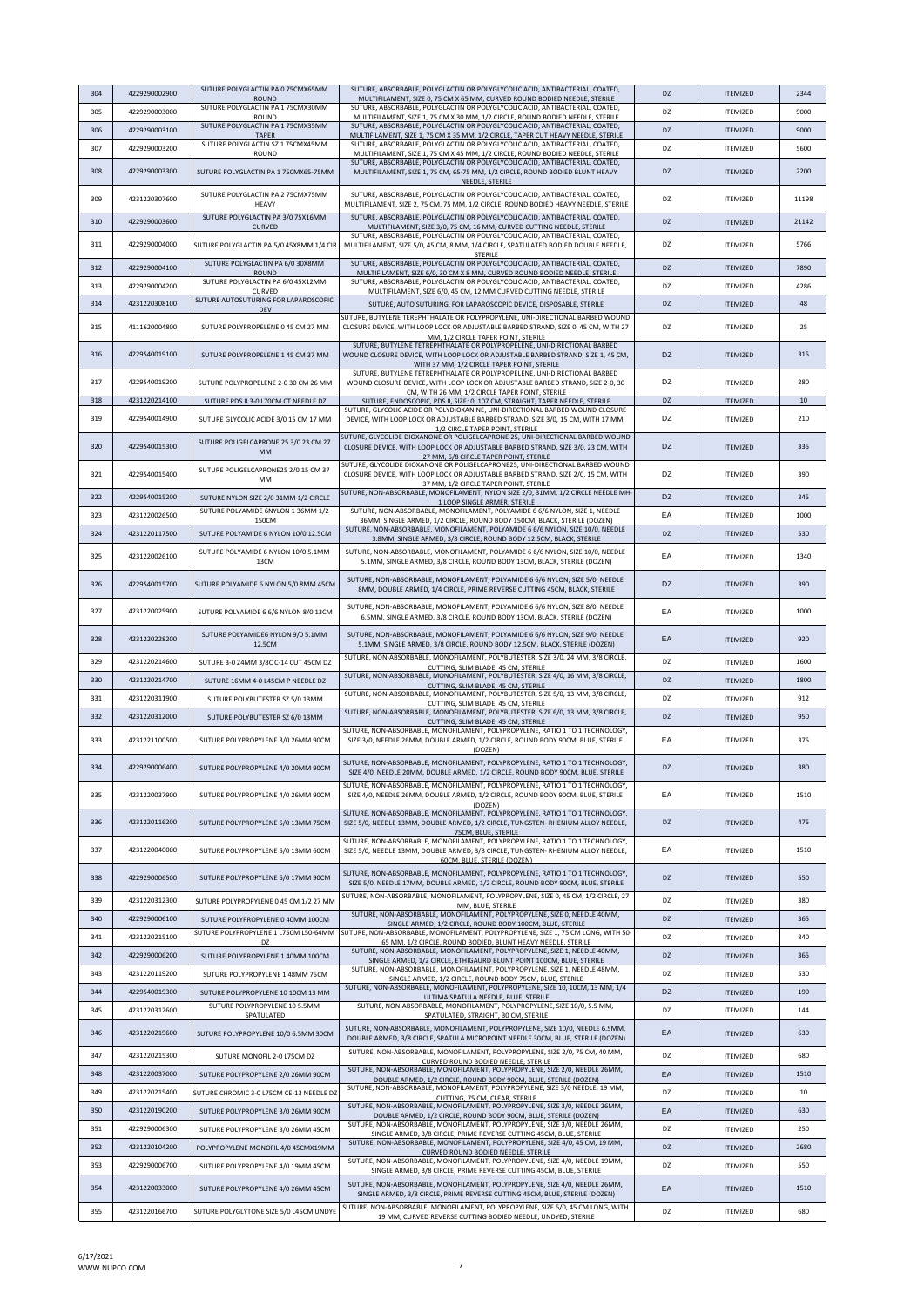| 304 | 4229290002900 | SUTURE POLYGLACTIN PA 0 75CMX65MM                  | SUTURE, ABSORBABLE, POLYGLACTIN OR POLYGLYCOLIC ACID, ANTIBACTERIAL, COATED.                                                                                                                                                                    | DZ        | <b>ITEMIZED</b> | 2344  |
|-----|---------------|----------------------------------------------------|-------------------------------------------------------------------------------------------------------------------------------------------------------------------------------------------------------------------------------------------------|-----------|-----------------|-------|
| 305 | 4229290003000 | <b>ROUND</b><br>SUTURE POLYGLACTIN PA 1 75CMX30MM  | MULTIFILAMENT, SIZE 0, 75 CM X 65 MM, CURVED ROUND BODIED NEEDLE, STERILE<br>SUTURE, ABSORBABLE, POLYGLACTIN OR POLYGLYCOLIC ACID, ANTIBACTERIAL, COATED,                                                                                       | DZ        | <b>ITEMIZED</b> | 9000  |
|     |               | ROUND<br>SUTURE POLYGLACTIN PA 1 75CMX35MM         | MULTIFILAMENT, SIZE 1, 75 CM X 30 MM, 1/2 CIRCLE, ROUND BODIED NEEDLE, STERILE<br>SUTURE, ABSORBABLE, POLYGLACTIN OR POLYGLYCOLIC ACID, ANTIBACTERIAL, COATED,                                                                                  |           |                 |       |
| 306 | 4229290003100 | <b>TAPER</b><br>SUTURE POLYGLACTIN SZ 1 75CMX45MM  | MULTIFILAMENT, SIZE 1, 75 CM X 35 MM, 1/2 CIRCLE, TAPER CUT HEAVY NEEDLE, STERILE<br>SUTURE, ABSORBABLE, POLYGLACTIN OR POLYGLYCOLIC ACID, ANTIBACTERIAL, COATED,                                                                               | <b>DZ</b> | <b>ITFMIZED</b> | 9000  |
| 307 | 4229290003200 | ROUND                                              | MULTIFILAMENT, SIZE 1, 75 CM X 45 MM, 1/2 CIRCLE, ROUND BODIED NEEDLE, STERILE                                                                                                                                                                  | DZ        | <b>ITEMIZED</b> | 5600  |
| 308 | 4229290003300 | SUTURE POLYGLACTIN PA 1 75CMX65-75MM               | SUTURE, ABSORBABLE, POLYGLACTIN OR POLYGLYCOLIC ACID, ANTIBACTERIAL, COATED,<br>MULTIFILAMENT, SIZE 1, 75 CM, 65-75 MM, 1/2 CIRCLE, ROUND BODIED BLUNT HEAVY<br>NEEDLE, STERILE                                                                 | DZ        | <b>ITEMIZED</b> | 2200  |
| 309 | 4231220307600 | SUTURE POLYGLACTIN PA 2 75CMX75MM<br>HEAVY         | SUTURE, ABSORBABLE, POLYGLACTIN OR POLYGLYCOLIC ACID, ANTIBACTERIAL, COATED,<br>MULTIFILAMENT, SIZE 2, 75 CM, 75 MM, 1/2 CIRCLE, ROUND BODIED HEAVY NEEDLE, STERILE                                                                             | DZ        | <b>ITEMIZED</b> | 11198 |
| 310 | 4229290003600 | SUTURE POLYGLACTIN PA 3/0 75X16MM<br><b>CURVED</b> | SUTURE, ABSORBABLE, POLYGLACTIN OR POLYGLYCOLIC ACID, ANTIBACTERIAL, COATED,<br>MULTIFILAMENT, SIZE 3/0, 75 CM, 16 MM, CURVED CUTTING NEEDLE, STERILE                                                                                           | <b>DZ</b> | <b>ITEMIZED</b> | 21142 |
| 311 | 4229290004000 | SUTURE POLYGLACTIN PA 5/0 45X8MM 1/4 CIR           | SUTURE, ABSORBABLE, POLYGLACTIN OR POLYGLYCOLIC ACID, ANTIBACTERIAL, COATED,<br>MULTIFILAMENT, SIZE 5/0, 45 CM, 8 MM, 1/4 CIRCLE, SPATULATED BODIED DOUBLE NEEDLE,                                                                              | DZ        | <b>ITEMIZED</b> | 5766  |
| 312 | 4229290004100 | SUTURE POLYGLACTIN PA 6/0 30X8MM                   | STERILE<br>SUTURE, ABSORBABLE, POLYGLACTIN OR POLYGLYCOLIC ACID, ANTIBACTERIAL, COATED,                                                                                                                                                         | <b>DZ</b> | <b>ITEMIZED</b> | 7890  |
| 313 | 4229290004200 | <b>ROUND</b><br>SUTURE POLYGLACTIN PA 6/0 45X12MM  | MULTIFILAMENT, SIZE 6/0, 30 CM X 8 MM, CURVED ROUND BODIED NEEDLE, STERILE<br>SUTURE, ABSORBABLE, POLYGLACTIN OR POLYGLYCOLIC ACID, ANTIBACTERIAL, COATED,                                                                                      | DZ        | <b>ITEMIZED</b> | 4286  |
|     |               | CURVED<br>SUTURE AUTOSUTURING FOR LAPAROSCOPIC     | MULTIFILAMENT, SIZE 6/0, 45 CM, 12 MM CURVED CUTTING NEEDLE, STERILE                                                                                                                                                                            |           |                 |       |
| 314 | 4231220308100 | DEV                                                | SUTURE, AUTO SUTURING, FOR LAPAROSCOPIC DEVICE, DISPOSABLE, STERILE                                                                                                                                                                             | DZ        | <b>ITEMIZED</b> | 48    |
| 315 | 4111620004800 | SUTURE POLYPROPELENE 0 45 CM 27 MM                 | SUTURE, BUTYLENE TEREPHTHALATE OR POLYPROPYLENE, UNI-DIRECTIONAL BARBED WOUND<br>CLOSURE DEVICE, WITH LOOP LOCK OR ADJUSTABLE BARBED STRAND, SIZE 0, 45 CM, WITH 27<br>MM, 1/2 CIRCLE TAPER POINT, STERILE                                      | DZ        | <b>ITEMIZED</b> | 25    |
| 316 | 4229540019100 | SUTURE POLYPROPELENE 1 45 CM 37 MM                 | SUTURE, BUTYLENE TETREPHTHALATE OR POLYPROPELENE, UNI-DIRECTIONAL BARBED<br>WOUND CLOSURE DEVICE, WITH LOOP LOCK OR ADJUSTABLE BARBED STRAND, SIZE 1, 45 CM,<br>WITH 37 MM, 1/2 CIRCLE TAPER POINT, STERILE                                     | DZ        | <b>ITEMIZED</b> | 315   |
| 317 | 4229540019200 | SUTURE POLYPROPELENE 2-0 30 CM 26 MM               | SUTURE, BUTYLENE TETREPHTHALATE OR POLYPROPELENE, UNI-DIRECTIONAL BARBED<br>WOUND CLOSURE DEVICE, WITH LOOP LOCK OR ADJUSTABLE BARBED STRAND, SIZE 2-0, 30<br>CM. WITH 26 MM, 1/2 CIRCLE TAPER POINT, STERILE                                   | DZ        | <b>ITEMIZED</b> | 280   |
| 318 | 4231220214100 | SUTURE PDS II 3-0 L70CM CT NEEDLE DZ               | SUTURE, ENDOSCOPIC, PDS II, SIZE: 0, 107 CM, STRAIGHT, TAPER NEEDLE, STERILE<br>SUTURE, GLYCOLIC ACIDE OR POLYDIOXANINE, UNI-DIRECTIONAL BARBED WOUND CLOSURE                                                                                   | DZ        | <b>ITEMIZED</b> | 10    |
| 319 | 4229540014900 | SUTURE GLYCOLIC ACIDE 3/0 15 CM 17 MM              | DEVICE, WITH LOOP LOCK OR ADJUSTABLE BARBED STRAND, SIZE 3/0, 15 CM, WITH 17 MM,<br>1/2 CIRCLE TAPER POINT, STERILE                                                                                                                             | DZ        | <b>ITEMIZED</b> | 210   |
| 320 | 4229540015300 | SUTURE POLIGELCAPRONE 25 3/0 23 CM 27<br><b>MM</b> | SUTURE, GLYCOLIDE DIOXANONE OR POLIGELCAPRONE 25, UNI-DIRECTIONAL BARBED WOUND<br>CLOSURE DEVICE, WITH LOOP LOCK OR ADJUSTABLE BARBED STRAND, SIZE 3/0, 23 CM, WITH<br>27 MM, 5/8 CIRCLE TAPER POINT, STERILE                                   | DZ        | <b>ITEMIZED</b> | 335   |
| 321 | 4229540015400 | SUTURE POLIGELCAPRONE25 2/0 15 CM 37<br>MM         | SUTURE, GLYCOLIDE DIOXANONE OR POLIGELCAPRONE25, UNI-DIRECTIONAL BARBED WOUND<br>CLOSURE DEVICE, WITH LOOP LOCK OR ADJUSTABLE BARBED STRAND, SIZE 2/0, 15 CM, WITH<br>37 MM, 1/2 CIRCLE TAPER POINT, STERILE                                    | DZ        | <b>ITEMIZED</b> | 390   |
| 322 | 4229540015200 | SUTURE NYLON SIZE 2/0 31MM 1/2 CIRCLE              | SUTURE, NON-ABSORBABLE, MONOFILAMENT, NYLON SIZE 2/0, 31MM, 1/2 CIRCLE NEEDLE MH-<br>1 LOOP SINGLE ARMER, STERILE                                                                                                                               | DZ        | <b>ITEMIZED</b> | 345   |
| 323 | 4231220026500 | SUTURE POLYAMIDE 6NYLON 1 36MM 1/2                 | SUTURE, NON-ABSORBABLE, MONOFILAMENT, POLYAMIDE 6 6/6 NYLON, SIZE 1, NEEDLE                                                                                                                                                                     | EA        | <b>ITEMIZED</b> | 1000  |
| 324 | 4231220117500 | 150CM<br>SUTURE POLYAMIDE 6 NYLON 10/0 12.5CM      | 36MM, SINGLE ARMED, 1/2 CIRCLE, ROUND BODY 150CM, BLACK, STERILE (DOZEN)<br>SUTURE, NON-ABSORBABLE, MONOFILAMENT, POLYAMIDE 6 6/6 NYLON, SIZE 10/0, NEEDLE                                                                                      | <b>DZ</b> | <b>ITEMIZED</b> | 530   |
| 325 | 4231220026100 | SUTURE POLYAMIDE 6 NYLON 10/0 5.1MM<br>13CM        | 3.8MM, SINGLE ARMED, 3/8 CIRCLE, ROUND BODY 12.5CM, BLACK, STERILE<br>SUTURE, NON-ABSORBABLE, MONOFILAMENT, POLYAMIDE 6 6/6 NYLON, SIZE 10/0, NEEDLE<br>5.1MM, SINGLE ARMED, 3/8 CIRCLE, ROUND BODY 13CM, BLACK, STERILE (DOZEN)                | EA        | <b>ITEMIZED</b> | 1340  |
| 326 | 4229540015700 | SUTURE POLYAMIDE 6 NYLON 5/0 8MM 45CM              | SUTURE, NON-ABSORBABLE, MONOFILAMENT, POLYAMIDE 6 6/6 NYLON, SIZE 5/0, NEEDLE                                                                                                                                                                   | DZ        | <b>ITEMIZED</b> | 390   |
| 327 | 4231220025900 | SUTURE POLYAMIDE 6 6/6 NYLON 8/0 13CM              | 8MM, DOUBLE ARMED, 1/4 CIRCLE, PRIME REVERSE CUTTING 45CM, BLACK, STERILE<br>SUTURE, NON-ABSORBABLE, MONOFILAMENT, POLYAMIDE 6 6/6 NYLON, SIZE 8/0, NEEDLE                                                                                      | EA        | <b>ITEMIZED</b> | 1000  |
|     |               |                                                    | 6.5MM, SINGLE ARMED, 3/8 CIRCLE, ROUND BODY 13CM, BLACK, STERILE (DOZEN)                                                                                                                                                                        |           |                 |       |
| 328 | 4231220228200 | SUTURE POLYAMIDE6 NYLON 9/0 5.1MM<br>12.5CM        | SUTURE, NON-ABSORBABLE, MONOFILAMENT, POLYAMIDE 6 6/6 NYLON, SIZE 9/0, NEEDLE<br>5.1MM, SINGLE ARMED, 3/8 CIRCLE, ROUND BODY 12.5CM, BLACK, STERILE (DOZEN)<br>SUTURE, NON-ABSORBABLE, MONOFILAMENT, POLYBUTESTER, SIZE 3/0, 24 MM, 3/8 CIRCLE, | EA        | <b>ITEMIZED</b> | 920   |
| 329 | 4231220214600 | SUTURE 3-0 24MM 3/8C C-14 CUT 45CM DZ              | CUTTING, SLIM BLADE, 45 CM, STERILE                                                                                                                                                                                                             | DZ        | <b>ITEMIZED</b> | 1600  |
| 330 | 4231220214700 | SUTURE 16MM 4-0 L45CM P NEEDLE DZ                  | SUTURE, NON-ABSORBABLE, MONOFILAMENT, POLYBUTESTER, SIZE 4/0, 16 MM, 3/8 CIRCLE,<br>CUTTING, SLIM BLADE, 45 CM, STERILE                                                                                                                         | <b>DZ</b> | <b>ITEMIZED</b> | 1800  |
| 331 | 4231220311900 | SUTURE POLYBUTESTER SZ 5/0 13MM                    | SUTURE, NON-ABSORBABLE, MONOFILAMENT, POLYBUTESTER, SIZE 5/0, 13 MM, 3/8 CIRCLE,<br>CUTTING, SLIM BLADE, 45 CM, STERILE                                                                                                                         | DZ        | <b>ITEMIZED</b> | 912   |
| 332 | 4231220312000 | SUTURE POLYBUTESTER SZ 6/0 13MM                    | SUTURE, NON-ABSORBABLE, MONOFILAMENT, POLYBUTESTER, SIZE 6/0, 13 MM, 3/8 CIRCLE,<br>CUTTING, SLIM BLADE, 45 CM, STERILE                                                                                                                         | <b>DZ</b> | <b>ITEMIZED</b> | 950   |
| 333 | 4231221100500 | SUTURE POLYPROPYLENE 3/0 26MM 90CM                 | SUTURE, NON-ABSORBABLE, MONOFILAMENT, POLYPROPYLENE, RATIO 1 TO 1 TECHNOLOGY<br>SIZE 3/0, NEEDLE 26MM, DOUBLE ARMED, 1/2 CIRCLE, ROUND BODY 90CM, BLUE, STERILE<br>(DOZEN)                                                                      | EA        | <b>ITEMIZED</b> | 375   |
| 334 | 4229290006400 | SUTURE POLYPROPYLENE 4/0 20MM 90CM                 | SUTURE, NON-ABSORBABLE, MONOFILAMENT, POLYPROPYLENE, RATIO 1 TO 1 TECHNOLOGY,<br>SIZE 4/0, NEEDLE 20MM, DOUBLE ARMED, 1/2 CIRCLE, ROUND BODY 90CM, BLUE, STERILE                                                                                | <b>DZ</b> | <b>ITEMIZED</b> | 380   |
| 335 | 4231220037900 | SUTURE POLYPROPYLENE 4/0 26MM 90CM                 | SUTURE, NON-ABSORBABLE, MONOFILAMENT, POLYPROPYLENE, RATIO 1 TO 1 TECHNOLOGY,<br>SIZE 4/0, NEEDLE 26MM, DOUBLE ARMED, 1/2 CIRCLE, ROUND BODY 90CM, BLUE, STERILE                                                                                | EA        | <b>ITEMIZED</b> | 1510  |
| 336 | 4231220116200 | SUTURE POLYPROPYLENE 5/0 13MM 75CM                 | (DOZEN)<br>SUTURE, NON-ABSORBABLE, MONOFILAMENT, POLYPROPYLENE, RATIO 1 TO 1 TECHNOLOGY,<br>SIZE 5/0, NEEDLE 13MM, DOUBLE ARMED, 1/2 CIRCLE, TUNGSTEN- RHENIUM ALLOY NEEDLE,                                                                    | DZ        | <b>ITEMIZED</b> | 475   |
| 337 | 4231220040000 | SUTURE POLYPROPYLENE 5/0 13MM 60CM                 | 75CM, BLUE, STERILE<br>SUTURE, NON-ABSORBABLE, MONOFILAMENT, POLYPROPYLENE, RATIO 1 TO 1 TECHNOLOGY,<br>SIZE 5/0, NEEDLE 13MM, DOUBLE ARMED, 3/8 CIRCLE, TUNGSTEN- RHENIUM ALLOY NEEDLE,                                                        | EA        | <b>ITEMIZED</b> | 1510  |
| 338 | 4229290006500 | SUTURE POLYPROPYLENE 5/0 17MM 90CM                 | 60CM, BLUE, STERILE (DOZEN)<br>SUTURE, NON-ABSORBABLE, MONOFILAMENT, POLYPROPYLENE, RATIO 1 TO 1 TECHNOLOGY.                                                                                                                                    | DZ        | <b>ITEMIZED</b> | 550   |
|     |               |                                                    | SIZE 5/0, NEEDLE 17MM, DOUBLE ARMED, 1/2 CIRCLE, ROUND BODY 90CM, BLUE, STERILE<br>SUTURE, NON-ABSORBABLE, MONOFILAMENT, POLYPROPYLENE, SIZE 0, 45 CM, 1/2 CIRCLE, 27                                                                           |           |                 |       |
| 339 | 4231220312300 | SUTURE POLYPROPYLENE 0 45 CM 1/2 27 MM             | MM. BLUE. STERILE<br>SUTURE, NON-ABSORBABLE, MONOFILAMENT, POLYPROPYLENE, SIZE 0, NEEDLE 40MM,                                                                                                                                                  | DZ        | <b>ITEMIZED</b> | 380   |
| 340 | 4229290006100 | SUTURE POLYPROPYLENE 0 40MM 100CM                  | SINGLE ARMED, 1/2 CIRCLE, ROUND BODY 100CM, BLUE, STERILE                                                                                                                                                                                       | DZ        | <b>ITEMIZED</b> | 365   |
| 341 | 4231220215100 | SUTURE POLYPROPYLENE 1 L75CM L50-64MM<br>DZ        | SUTURE, NON-ABSORBABLE, MONOFILAMENT, POLYPROPYLENE, SIZE 1, 75 CM LONG, WITH 50-<br>65 MM, 1/2 CIRCLE, ROUND BODIED, BLUNT HEAVY NEEDLE, STERILE                                                                                               | DZ        | <b>ITEMIZED</b> | 840   |
| 342 | 4229290006200 | SUTURE POLYPROPYLENE 1 40MM 100CM                  | SUTURE, NON-ABSORBABLE, MONOFILAMENT, POLYPROPYLENE, SIZE 1, NEEDLE 40MM,<br>SINGLE ARMED, 1/2 CIRCLE, ETHIGAURD BLUNT POINT 100CM, BLUE, STERILE                                                                                               | DZ        | <b>ITEMIZED</b> | 365   |
| 343 | 4231220119200 | SUTURE POLYPROPYLENE 1 48MM 75CM                   | SUTURE, NON-ABSORBABLE, MONOFILAMENT, POLYPROPYLENE, SIZE 1, NEEDLE 48MM,<br>SINGLE ARMED, 1/2 CIRCLE, ROUND BODY 75CM, BLUE, STERILE                                                                                                           | DZ        | <b>ITEMIZED</b> | 530   |
| 344 | 4229540019300 | SUTURE POLYPROPYLENE 10 10CM 13 MM                 | SUTURE, NON-ABSORBABLE, MONOFILAMENT, POLYPROPYLENE, SIZE 10, 10CM, 13 MM, 1/4<br>ULTIMA SPATULA NEEDLE, BLUE, STERILE                                                                                                                          | DZ        | <b>ITEMIZED</b> | 190   |
| 345 | 4231220312600 | SUTURE POLYPROPYLENE 10 5.5MM                      | SUTURE, NON-ABSORBABLE, MONOFILAMENT, POLYPROPYLENE, SIZE 10/0, 5.5 MM,                                                                                                                                                                         | DZ        | <b>ITEMIZED</b> | 144   |
| 346 | 4231220219600 | SPATULATED<br>SUTURE POLYPROPYLENE 10/0 6.5MM 30CM | SPATULATED, STRAIGHT, 30 CM, STERILE<br>SUTURE, NON-ABSORBABLE, MONOFILAMENT, POLYPROPYLENE, SIZE 10/0, NEEDLE 6.5MM,<br>DOUBLE ARMED, 3/8 CIRCLE, SPATULA MICROPOINT NEEDLE 30CM, BLUE, STERILE (DOZEN)                                        | EA        | <b>ITEMIZED</b> | 630   |
| 347 | 4231220215300 | SUTURE MONOFIL 2-0 L75CM DZ                        | SUTURE, NON-ABSORBABLE, MONOFILAMENT, POLYPROPYLENE, SIZE 2/0, 75 CM, 40 MM,                                                                                                                                                                    | DZ        | <b>ITEMIZED</b> | 680   |
| 348 | 4231220037000 |                                                    | CURVED ROUND BODIED NEEDLE, STERILE<br>SUTURE, NON-ABSORBABLE, MONOFILAMENT, POLYPROPYLENE, SIZE 2/0, NEEDLE 26MM,                                                                                                                              | EA        |                 | 1510  |
|     |               | SUTURE POLYPROPYLENE 2/0 26MM 90CM                 | DOUBLE ARMED, 1/2 CIRCLE, ROUND BODY 90CM, BLUE, STERILE (DOZEN)<br>SUTURE, NON-ABSORBABLE, MONOFILAMENT, POLYPROPYLENE, SIZE 3/0 NEEDLE, 19 MM,                                                                                                |           | <b>ITEMIZED</b> |       |
| 349 | 4231220215400 | SUTURE CHROMIC 3-0 L75CM CE-13 NEEDLE DZ           | CUTTING, 75 CM, CLEAR, STERILE<br>SUTURE, NON-ABSORBABLE, MONOFILAMENT, POLYPROPYLENE, SIZE 3/0, NEEDLE 26MM,                                                                                                                                   | DZ        | <b>ITEMIZED</b> | 10    |
| 350 | 4231220190200 | SUTURE POLYPROPYLENE 3/0 26MM 90CM                 | DOUBLE ARMED, 1/2 CIRCLE, ROUND BODY 90CM, BLUE, STERILE (DOZEN)<br>SUTURE, NON-ABSORBABLE, MONOFILAMENT, POLYPROPYLENE, SIZE 3/0, NEEDLE 26MM,                                                                                                 | EA        | <b>ITEMIZED</b> | 630   |
| 351 | 4229290006300 | SUTURE POLYPROPYLENE 3/0 26MM 45CM                 | SINGLE ARMED, 3/8 CIRCLE, PRIME REVERSE CUTTING 45CM, BLUE, STERILE                                                                                                                                                                             | DZ        | <b>ITEMIZED</b> | 250   |
| 352 | 4231220104200 | POLYPROPYLENE MONOFIL 4/0 45CMX19MM                | SUTURE, NON-ABSORBABLE, MONOFILAMENT, POLYPROPYLENE, SIZE 4/0, 45 CM, 19 MM,<br>CURVED ROUND BODIED NEEDLE, STERILE                                                                                                                             | DZ        | <b>ITEMIZED</b> | 2680  |
| 353 | 4229290006700 | SUTURE POLYPROPYLENE 4/0 19MM 45CM                 | SUTURE, NON-ABSORBABLE, MONOFILAMENT, POLYPROPYLENE, SIZE 4/0, NEEDLE 19MM,<br>SINGLE ARMED, 3/8 CIRCLE, PRIME REVERSE CUTTING 45CM, BLUE, STERILE                                                                                              | DZ        | <b>ITEMIZED</b> | 550   |
| 354 | 4231220033000 | SUTURE POLYPROPYLENE 4/0 26MM 45CM                 | SUTURE, NON-ABSORBABLE, MONOFILAMENT, POLYPROPYLENE, SIZE 4/0, NEEDLE 26MM,<br>SINGLE ARMED, 3/8 CIRCLE, PRIME REVERSE CUTTING 45CM, BLUE, STERILE (DOZEN)                                                                                      | EA        | <b>ITEMIZED</b> | 1510  |
| 355 | 4231220166700 | SUTURE POLYGLYTONE SIZE 5/0 L45CM UNDYE            | SUTURE, NON-ABSORBABLE, MONOFILAMENT, POLYPROPYLENE, SIZE 5/0, 45 CM LONG, WITH<br>19 MM, CURVED REVERSE CUTTING BODIED NEEDLE, UNDYED, STERILE                                                                                                 | DZ        | <b>ITEMIZED</b> | 680   |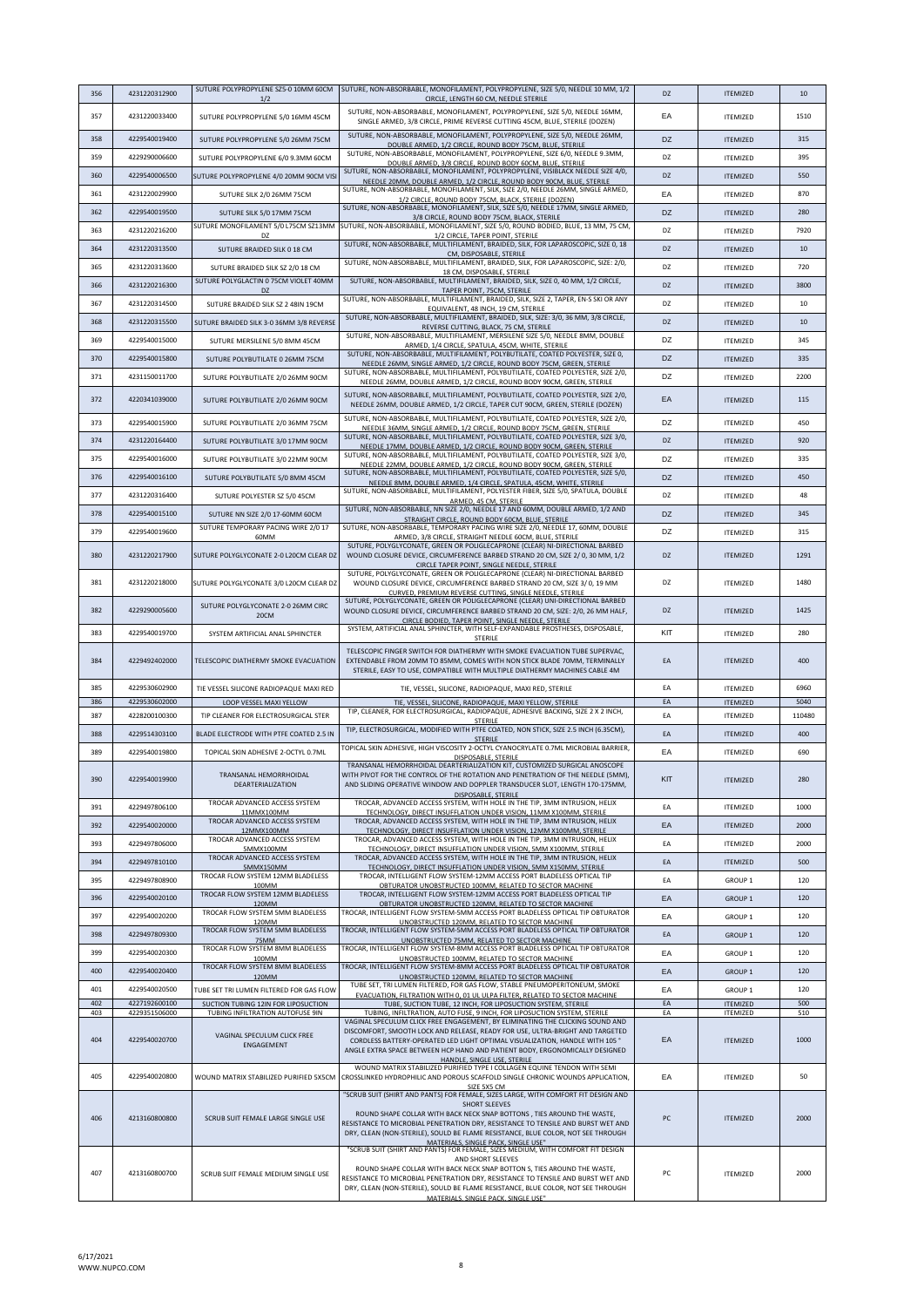| 356        | 4231220312900                  | 1/2                                                                             | SUTURE POLYPROPYLENE SZ5-0 10MM 60CM SUTURE, NON-ABSORBABLE, MONOFILAMENT, POLYPROPYLENE, SIZE 5/0, NEEDLE 10 MM, 1/2<br>CIRCLE, LENGTH 60 CM, NEEDLE STERILE                                                                                                                                                                                                                                   | DZ        | <b>ITEMIZED</b>            | 10         |
|------------|--------------------------------|---------------------------------------------------------------------------------|-------------------------------------------------------------------------------------------------------------------------------------------------------------------------------------------------------------------------------------------------------------------------------------------------------------------------------------------------------------------------------------------------|-----------|----------------------------|------------|
| 357        | 4231220033400                  | SUTURE POLYPROPYLENE 5/0 16MM 45CM                                              | SUTURE, NON-ABSORBABLE, MONOFILAMENT, POLYPROPYLENE, SIZE 5/0, NEEDLE 16MM,<br>SINGLE ARMED, 3/8 CIRCLE, PRIME REVERSE CUTTING 45CM, BLUE, STERILE (DOZEN)                                                                                                                                                                                                                                      | EA        | <b>ITEMIZED</b>            | 1510       |
| 358        | 4229540019400                  | SUTURE POLYPROPYLENE 5/0 26MM 75CM                                              | SUTURE, NON-ABSORBABLE, MONOFILAMENT, POLYPROPYLENE, SIZE 5/0, NEEDLE 26MM,<br>DOUBLE ARMED, 1/2 CIRCLE, ROUND BODY 75CM, BLUE, STERILE                                                                                                                                                                                                                                                         | DZ        | <b>ITEMIZED</b>            | 315        |
| 359        | 4229290006600                  | SUTURE POLYPROPYLENE 6/0 9.3MM 60CM                                             | SUTURE, NON-ABSORBABLE, MONOFILAMENT, POLYPROPYLENE, SIZE 6/0, NEEDLE 9.3MM,                                                                                                                                                                                                                                                                                                                    | DZ        | <b>ITEMIZED</b>            | 395        |
| 360        | 4229540006500                  | SUTURE POLYPROPYLENE 4/0 20MM 90CM VISI                                         | DOUBLE ARMED, 3/8 CIRCLE, ROUND BODY 60CM, BLUE, STERILE<br>SUTURE, NON-ABSORBABLE, MONOFILAMENT, POLYPROPYLENE, VISIBLACK NEEDLE SIZE 4/0,                                                                                                                                                                                                                                                     | <b>DZ</b> | <b>ITEMIZED</b>            | 550        |
| 361        | 4231220029900                  | SUTURE SILK 2/0 26MM 75CM                                                       | NEEDLE 20MM, DOUBLE ARMED, 1/2 CIRCLE, ROUND BODY 90CM, BLUE, STERILE<br>SUTURE, NON-ABSORBABLE, MONOFILAMENT, SILK, SIZE 2/0, NEEDLE 26MM, SINGLE ARMED,                                                                                                                                                                                                                                       | EA        | <b>ITEMIZED</b>            | 870        |
| 362        | 4229540019500                  | SUTURE SILK 5/0 17MM 75CM                                                       | 1/2 CIRCLE, ROUND BODY 75CM, BLACK, STERILE (DOZEN)<br>SUTURE, NON-ABSORBABLE, MONOFILAMENT, SILK, SIZE 5/0, NEEDLE 17MM, SINGLE ARMED,                                                                                                                                                                                                                                                         | DZ        | <b>ITEMIZED</b>            | 280        |
|            |                                | SUTURE MONOFILAMENT 5/0 L75CM SZ13MM                                            | 3/8 CIRCLE, ROUND BODY 75CM, BLACK, STERILE<br>SUTURE, NON-ABSORBABLE, MONOFILAMENT, SIZE 5/0, ROUND BODIED, BLUE, 13 MM, 75 CM,                                                                                                                                                                                                                                                                |           |                            |            |
| 363        | 4231220216200                  | DZ                                                                              | 1/2 CIRCLE, TAPER POINT, STERILE<br>SUTURE, NON-ABSORBABLE, MULTIFILAMENT, BRAIDED, SILK, FOR LAPAROSCOPIC, SIZE 0, 18                                                                                                                                                                                                                                                                          | DZ        | <b>ITEMIZED</b>            | 7920       |
| 364        | 4231220313500                  | SUTURE BRAIDED SILK 0 18 CM                                                     | CM, DISPOSABLE, STERILE<br>SUTURE, NON-ABSORBABLE, MULTIFILAMENT, BRAIDED, SILK, FOR LAPAROSCOPIC, SIZE: 2/0,                                                                                                                                                                                                                                                                                   | <b>DZ</b> | <b>ITEMIZED</b>            | 10         |
| 365        | 4231220313600                  | SUTURE BRAIDED SILK SZ 2/0 18 CM                                                | 18 CM, DISPOSABLE, STERILE                                                                                                                                                                                                                                                                                                                                                                      | DZ        | <b>ITEMIZED</b>            | 720        |
| 366        | 4231220216300                  | SUTURE POLYGLACTIN 0 75CM VIOLET 40MM<br>DZ                                     | SUTURE, NON-ABSORBABLE, MULTIFILAMENT, BRAIDED, SILK, SIZE 0, 40 MM, 1/2 CIRCLE,<br>TAPER POINT, 75CM, STERILE                                                                                                                                                                                                                                                                                  | DZ        | <b>ITEMIZED</b>            | 3800       |
| 367        | 4231220314500                  | SUTURE BRAIDED SILK SZ 2 48IN 19CM                                              | SUTURE, NON-ABSORBABLE, MULTIFILAMENT, BRAIDED, SILK, SIZE 2, TAPER, EN-S SKI OR ANY<br>EQUIVALENT, 48 INCH, 19 CM, STERILE                                                                                                                                                                                                                                                                     | DZ        | <b>ITEMIZED</b>            | 10         |
| 368        | 4231220315500                  | SUTURE BRAIDED SILK 3-0 36MM 3/8 REVERSE                                        | SUTURE, NON-ABSORBABLE, MULTIFILAMENT, BRAIDED, SILK, SIZE: 3/0, 36 MM, 3/8 CIRCLE,<br>REVERSE CUTTING, BLACK, 75 CM, STERILE                                                                                                                                                                                                                                                                   | DZ        | <b>ITEMIZED</b>            | 10         |
| 369        | 4229540015000                  | SUTURE MERSILENE 5/0 8MM 45CM                                                   | SUTURE, NON-ABSORBABLE, MULTIFILAMENT, MERSILENE SIZE 5/0, NEEDLE 8MM, DOUBLE<br>ARMED, 1/4 CIRCLE, SPATULA, 45CM, WHITE, STERILE                                                                                                                                                                                                                                                               | DZ        | <b>ITEMIZED</b>            | 345        |
| 370        | 4229540015800                  | SUTURE POLYBUTILATE 0 26MM 75CM                                                 | SUTURE, NON-ABSORBABLE, MULTIFILAMENT, POLYBUTILATE, COATED POLYESTER, SIZE 0,                                                                                                                                                                                                                                                                                                                  | DZ        | <b>ITEMIZED</b>            | 335        |
| 371        | 4231150011700                  | SUTURE POLYBUTILATE 2/0 26MM 90CM                                               | NEEDLE 26MM, SINGLE ARMED, 1/2 CIRCLE, ROUND BODY 75CM, GREEN, STERILE<br>SUTURE, NON-ABSORBABLE, MULTIFILAMENT, POLYBUTILATE, COATED POLYESTER, SIZE 2/0,                                                                                                                                                                                                                                      | DZ        | <b>ITEMIZED</b>            | 2200       |
|            |                                |                                                                                 | NEEDLE 26MM, DOUBLE ARMED, 1/2 CIRCLE, ROUND BODY 90CM, GREEN, STERILE<br>SUTURE, NON-ABSORBABLE, MULTIFILAMENT, POLYBUTILATE, COATED POLYESTER, SIZE 2/0,                                                                                                                                                                                                                                      |           |                            |            |
| 372        | 4220341039000                  | SUTURE POLYBUTILATE 2/0 26MM 90CM                                               | NEEDLE 26MM, DOUBLE ARMED, 1/2 CIRCLE, TAPER CUT 90CM, GREEN, STERILE (DOZEN)                                                                                                                                                                                                                                                                                                                   | EA        | <b>ITEMIZED</b>            | 115        |
| 373        | 4229540015900                  | SUTURE POLYBUTILATE 2/0 36MM 75CM                                               | SUTURE, NON-ABSORBABLE, MULTIFILAMENT, POLYBUTILATE, COATED POLYESTER, SIZE 2/0,<br>NEEDLE 36MM, SINGLE ARMED, 1/2 CIRCLE, ROUND BODY 75CM, GREEN, STERILE                                                                                                                                                                                                                                      | DZ        | <b>ITEMIZED</b>            | 450        |
| 374        | 4231220164400                  | SUTURE POLYBUTILATE 3/0 17MM 90CM                                               | SUTURE, NON-ABSORBABLE, MULTIFILAMENT, POLYBUTILATE, COATED POLYESTER, SIZE 3/0,<br>NEEDLE 17MM, DOUBLE ARMED, 1/2 CIRCLE, ROUND BODY 90CM, GREEN, STERILE                                                                                                                                                                                                                                      | DZ        | <b>ITEMIZED</b>            | 920        |
| 375        | 4229540016000                  | SUTURE POLYBUTILATE 3/0 22MM 90CM                                               | SUTURE, NON-ABSORBABLE, MULTIFILAMENT, POLYBUTILATE, COATED POLYESTER, SIZE 3/0,<br>NEEDLE 22MM, DOUBLE ARMED, 1/2 CIRCLE, ROUND BODY 90CM, GREEN, STERILE                                                                                                                                                                                                                                      | DZ        | <b>ITEMIZED</b>            | 335        |
| 376        | 4229540016100                  | SUTURE POLYBUTILATE 5/0 8MM 45CM                                                | SUTURE, NON-ABSORBABLE, MULTIFILAMENT, POLYBUTILATE, COATED POLYESTER, SIZE 5/0,<br>NEEDLE 8MM, DOUBLE ARMED, 1/4 CIRCLE, SPATULA, 45CM, WHITE, STERILE                                                                                                                                                                                                                                         | DZ        | <b>ITEMIZED</b>            | 450        |
| 377        | 4231220316400                  | SUTURE POLYESTER SZ 5/0 45CM                                                    | SUTURE, NON-ABSORBABLE, MULTIFILAMENT, POLYESTER FIBER, SIZE 5/0, SPATULA, DOUBLE<br>ARMED, 45 CM, STERILE                                                                                                                                                                                                                                                                                      | DZ        | <b>ITEMIZED</b>            | 48         |
| 378        | 4229540015100                  | SUTURE NN SIZE 2/0 17-60MM 60CM                                                 | SUTURE, NON-ABSORBABLE, NN SIZE 2/0, NEEDLE 17 AND 60MM, DOUBLE ARMED, 1/2 AND                                                                                                                                                                                                                                                                                                                  | DZ        | <b>ITEMIZED</b>            | 345        |
| 379        | 4229540019600                  | SUTURE TEMPORARY PACING WIRE 2/0 17                                             | STRAIGHT CIRCLE, ROUND BODY 60CM, BLUE, STERILE<br>SUTURE, NON-ABSORBABLE, TEMPORARY PACING WIRE SIZE 2/0, NEEDLE 17, 60MM, DOUBLE                                                                                                                                                                                                                                                              | DZ        | <b>ITEMIZED</b>            | 315        |
|            |                                | 60MM                                                                            | ARMED, 3/8 CIRCLE, STRAIGHT NEEDLE 60CM, BLUE, STERILE<br>SUTURE, POLYGLYCONATE, GREEN OR POLIGLECAPRONE (CLEAR) NI-DIRECTIONAL BARBED                                                                                                                                                                                                                                                          |           |                            |            |
| 380        | 4231220217900                  | SUTURE POLYGLYCONATE 2-0 L20CM CLEAR DZ                                         | WOUND CLOSURE DEVICE, CIRCUMFERENCE BARBED STRAND 20 CM, SIZE 2/ 0, 30 MM, 1/2<br>CIRCLE TAPER POINT, SINGLE NEEDLE, STERILE<br>SUTURE, POLYGLYCONATE, GREEN OR POLIGLECAPRONE (CLEAR) NI-DIRECTIONAL BARBED                                                                                                                                                                                    | DZ        | <b>ITEMIZED</b>            | 1291       |
| 381        | 4231220218000                  | SUTURE POLYGLYCONATE 3/0 L20CM CLEAR DZ                                         | WOUND CLOSURE DEVICE, CIRCUMFERENCE BARBED STRAND 20 CM, SIZE 3/ 0, 19 MM<br>CURVED, PREMIUM REVERSE CUTTING, SINGLE NEEDLE, STERILE<br>SUTURE, POLYGLYCONATE, GREEN OR POLIGLECAPRONE (CLEAR) UNI-DIRECTIONAL BARBED                                                                                                                                                                           | DZ        | <b>ITEMIZED</b>            | 1480       |
| 382        | 4229290005600                  | SUTURE POLYGLYCONATE 2-0 26MM CIRC<br>20CM                                      | WOUND CLOSURE DEVICE, CIRCUMFERENCE BARBED STRAND 20 CM, SIZE: 2/0, 26 MM HALF,<br>CIRCLE BODIED, TAPER POINT, SINGLE NEEDLE, STERILE                                                                                                                                                                                                                                                           | DZ        | <b>ITEMIZED</b>            | 1425       |
| 383        | 4229540019700                  | SYSTEM ARTIFICIAL ANAL SPHINCTER                                                | SYSTEM, ARTIFICIAL ANAL SPHINCTER, WITH SELF-EXPANDABLE PROSTHESES, DISPOSABLE,<br><b>STERILE</b>                                                                                                                                                                                                                                                                                               | KIT       | <b>ITEMIZED</b>            | 280        |
| 384        | 4229492402000                  | TELESCOPIC DIATHERMY SMOKE EVACUATION                                           | TELESCOPIC FINGER SWITCH FOR DIATHERMY WITH SMOKE EVACUATION TUBE SUPERVAC,<br>EXTENDABLE FROM 20MM TO 85MM, COMES WITH NON STICK BLADE 70MM, TERMINALLY<br>STERILE, EASY TO USE, COMPATIBLE WITH MULTIPLE DIATHERMY MACHINES CABLE 4M                                                                                                                                                          | EA        | <b>ITEMIZED</b>            | 400        |
| 385        | 4229530602900                  | TIE VESSEL SILICONE RADIOPAQUE MAXI RED                                         | TIE, VESSEL, SILICONE, RADIOPAQUE, MAXI RED, STERILE                                                                                                                                                                                                                                                                                                                                            | EA        | <b>ITEMIZED</b>            | 6960       |
| 386        | 4229530602000                  | LOOP VESSEL MAXI YELLOW                                                         | TIE, VESSEL, SILICONE, RADIOPAQUE, MAXI YELLOW, STERILE<br>TIP, CLEANER, FOR ELECTROSURGICAL, RADIOPAQUE, ADHESIVE BACKING, SIZE 2 X 2 INCH,                                                                                                                                                                                                                                                    | EA        | <b>ITEMIZED</b>            | 5040       |
| 387        | 4228200100300                  | TIP CLEANER FOR ELECTROSURGICAL STER                                            | <b>STERILE</b><br>TIP, ELECTROSURGICAL, MODIFIED WITH PTFE COATED, NON STICK, SIZE 2.5 INCH (6.35CM),                                                                                                                                                                                                                                                                                           | EA        | <b>ITEMIZED</b>            | 110480     |
| 388        | 4229514303100                  | BLADE ELECTRODE WITH PTFE COATED 2.5 IN                                         | <b>STERILE</b>                                                                                                                                                                                                                                                                                                                                                                                  | EA        | <b>ITEMIZED</b>            | 400        |
| 389        | 4229540019800                  | TOPICAL SKIN ADHESIVE 2-OCTYL 0.7ML                                             | TOPICAL SKIN ADHESIVE, HIGH VISCOSITY 2-OCTYL CYANOCRYLATE 0.7ML MICROBIAL BARRIER,<br>DISPOSABLE, STERILE                                                                                                                                                                                                                                                                                      | EA        | <b>ITEMIZED</b>            | 690        |
| <b>390</b> | 4229540019900                  | TRANSANAL HEMORRHOIDAL<br><b>DEARTERIALIZATION</b>                              | TRANSANAL HEMORRHOIDAL DEARTERIALIZATION KIT, CUSTOMIZED SURGICAL ANOSCOPE<br>WITH PIVOT FOR THE CONTROL OF THE ROTATION AND PENETRATION OF THE NEEDLE (5MM),<br>AND SLIDING OPERATIVE WINDOW AND DOPPLER TRANSDUCER SLOT, LENGTH 170-175MM,<br>DISPOSABLE, STERILE                                                                                                                             | KIT       | <b>ILEMILED</b>            | <b>280</b> |
| 391        | 4229497806100                  | TROCAR ADVANCED ACCESS SYSTEM<br>11MMX100MM                                     | TROCAR, ADVANCED ACCESS SYSTEM, WITH HOLE IN THE TIP, 3MM INTRUSION, HELIX<br>TECHNOLOGY, DIRECT INSUFFLATION UNDER VISION, 11MM X100MM, STERILE                                                                                                                                                                                                                                                | EA        | <b>ITEMIZED</b>            | 1000       |
| 392        | 4229540020000                  | TROCAR ADVANCED ACCESS SYSTEM<br>12MMX100MM                                     | TROCAR, ADVANCED ACCESS SYSTEM, WITH HOLE IN THE TIP, 3MM INTRUSION, HELIX<br>TECHNOLOGY, DIRECT INSUFFLATION UNDER VISION, 12MM X100MM, STERILE                                                                                                                                                                                                                                                | EA        | <b>ITEMIZED</b>            | 2000       |
| 393        | 4229497806000                  | TROCAR ADVANCED ACCESS SYSTEM<br>5MMX100MM                                      | TROCAR, ADVANCED ACCESS SYSTEM, WITH HOLE IN THE TIP, 3MM INTRUSION, HELIX<br>TECHNOLOGY, DIRECT INSUFFLATION UNDER VISION, 5MM X100MM, STERILE                                                                                                                                                                                                                                                 | EA        | <b>ITEMIZED</b>            | 2000       |
| 394        | 4229497810100                  | TROCAR ADVANCED ACCESS SYSTEM<br>5MMX150MM                                      | TROCAR, ADVANCED ACCESS SYSTEM, WITH HOLE IN THE TIP, 3MM INTRUSION, HELIX<br>TECHNOLOGY, DIRECT INSUFFLATION UNDER VISION, 5MM X150MM, STERILE                                                                                                                                                                                                                                                 | EA        | <b>ITFMIZED</b>            | 500        |
| 395        | 4229497808900                  | TROCAR FLOW SYSTEM 12MM BLADELESS                                               | TROCAR, INTELLIGENT FLOW SYSTEM-12MM ACCESS PORT BLADELESS OPTICAL TIP                                                                                                                                                                                                                                                                                                                          | EA        | GROUP <sub>1</sub>         | 120        |
| 396        | 4229540020100                  | 100MM<br>TROCAR FLOW SYSTEM 12MM BLADELESS                                      | OBTURATOR UNOBSTRUCTED 100MM, RELATED TO SECTOR MACHINE<br>TROCAR, INTELLIGENT FLOW SYSTEM-12MM ACCESS PORT BLADELESS OPTICAL TIP                                                                                                                                                                                                                                                               | EA        | GROUP <sub>1</sub>         | 120        |
| 397        | 4229540020200                  | 120MM<br>TROCAR FLOW SYSTEM 5MM BLADELESS                                       | OBTURATOR UNOBSTRUCTED 120MM, RELATED TO SECTOR MACHINE<br>TROCAR, INTELLIGENT FLOW SYSTEM-5MM ACCESS PORT BLADELESS OPTICAL TIP OBTURATOR                                                                                                                                                                                                                                                      | EA        | GROUP <sub>1</sub>         | 120        |
| 398        | 4229497809300                  | 120MM<br>TROCAR FLOW SYSTEM 5MM BLADELESS                                       | UNOBSTRUCTED 120MM, RELATED TO SECTOR MACHINE<br>TROCAR, INTELLIGENT FLOW SYSTEM-5MM ACCESS PORT BLADELESS OPTICAL TIP OBTURATOR                                                                                                                                                                                                                                                                | EA        |                            | 120        |
|            |                                | 75MM<br>TROCAR FLOW SYSTEM 8MM BLADELESS                                        | UNOBSTRUCTED 75MM, RELATED TO SECTOR MACHINE<br>TROCAR, INTELLIGENT FLOW SYSTEM-8MM ACCESS PORT BLADELESS OPTICAL TIP OBTURATOR                                                                                                                                                                                                                                                                 |           | GROUP <sub>1</sub>         |            |
| 399        | 4229540020300                  | 100MM<br>TROCAR FLOW SYSTEM 8MM BLADELESS                                       | UNOBSTRUCTED 100MM, RELATED TO SECTOR MACHINE<br>TROCAR, INTELLIGENT FLOW SYSTEM-8MM ACCESS PORT BLADELESS OPTICAL TIP OBTURATOR                                                                                                                                                                                                                                                                | EA        | GROUP <sub>1</sub>         | 120        |
| 400        | 4229540020400                  | 120MM                                                                           | UNOBSTRUCTED 120MM, RELATED TO SECTOR MACHINE<br>TUBE SET, TRI LUMEN FILTERED, FOR GAS FLOW, STABLE PNEUMOPERITONEUM, SMOKE                                                                                                                                                                                                                                                                     | EA        | <b>GROUP 1</b>             | 120        |
| 401<br>402 | 4229540020500<br>4227192600100 | TUBE SET TRI LUMEN FILTERED FOR GAS FLOW<br>SUCTION TUBING 12IN FOR LIPOSUCTION | EVACUATION, FILTRATION WITH 0, 01 UL ULPA FILTER, RELATED TO SECTOR MACHINE<br>TUBE, SUCTION TUBE, 12 INCH, FOR LIPOSUCTION SYSTEM, STERILE                                                                                                                                                                                                                                                     | EA<br>EA  | GROUP 1<br><b>ITEMIZED</b> | 120<br>500 |
| 403        | 4229351506000                  | TUBING INFILTRATION AUTOFUSE 9IN                                                | TUBING, INFILTRATION, AUTO FUSE, 9 INCH, FOR LIPOSUCTION SYSTEM, STERILE                                                                                                                                                                                                                                                                                                                        | EA        | <b>ITEMIZED</b>            | 510        |
| 404        | 4229540020700                  | VAGINAL SPECULUM CLICK FREE<br>ENGAGEMENT                                       | VAGINAL SPECULUM CLICK FREE ENGAGEMENT, BY ELIMINATING THE CLICKING SOUND AND<br>DISCOMFORT, SMOOTH LOCK AND RELEASE, READY FOR USE, ULTRA-BRIGHT AND TARGETED<br>CORDLESS BATTERY-OPERATED LED LIGHT OPTIMAL VISUALIZATION, HANDLE WITH 105 *<br>ANGLE EXTRA SPACE BETWEEN HCP HAND AND PATIENT BODY, ERGONOMICALLY DESIGNED<br>HANDLE, SINGLE USE, STERILE                                    | EA        | <b>ITEMIZED</b>            | 1000       |
| 405        | 4229540020800                  | WOUND MATRIX STABILIZED PURIFIED 5X5CM                                          | WOUND MATRIX STABILIZED PURIFIED TYPE I COLLAGEN EQUINE TENDON WITH SEMI<br>CROSSLINKED HYDROPHILIC AND POROUS SCAFFOLD SINGLE CHRONIC WOUNDS APPLICATION,<br>SIZE 5X5 CM                                                                                                                                                                                                                       | EA        | <b>ITEMIZED</b>            | 50         |
| 406        | 4213160800800                  | SCRUB SUIT FEMALE LARGE SINGLE USE                                              | "SCRUB SUIT (SHIRT AND PANTS) FOR FEMALE, SIZES LARGE, WITH COMFORT FIT DESIGN AND<br>SHORT SLEEVES<br>ROUND SHAPE COLLAR WITH BACK NECK SNAP BOTTONS, TIES AROUND THE WASTE,<br>RESISTANCE TO MICROBIAL PENETRATION DRY, RESISTANCE TO TENSILE AND BURST WET AND<br>DRY, CLEAN (NON-STERILE), SOULD BE FLAME RESISTANCE, BLUE COLOR, NOT SEE THROUGH<br>MATERIALS, SINGLE PACK, SINGLE LISE"   | PC        | <b>ITEMIZED</b>            | 2000       |
| 407        | 4213160800700                  | SCRUB SUIT FEMALE MEDIUM SINGLE USE                                             | "SCRUB SUIT (SHIRT AND PANTS) FOR FEMALE, SIZES MEDIUM, WITH COMFORT FIT DESIGN<br>AND SHORT SLEEVES<br>ROUND SHAPE COLLAR WITH BACK NECK SNAP BOTTON S, TIES AROUND THE WASTE,<br>RESISTANCE TO MICROBIAL PENETRATION DRY, RESISTANCE TO TENSILE AND BURST WET AND<br>DRY, CLEAN (NON-STERILE), SOULD BE FLAME RESISTANCE, BLUE COLOR, NOT SEE THROUGH<br>MATERIALS. SINGLE PACK. SINGLE LISE" | PC        | <b>ITEMIZED</b>            | 2000       |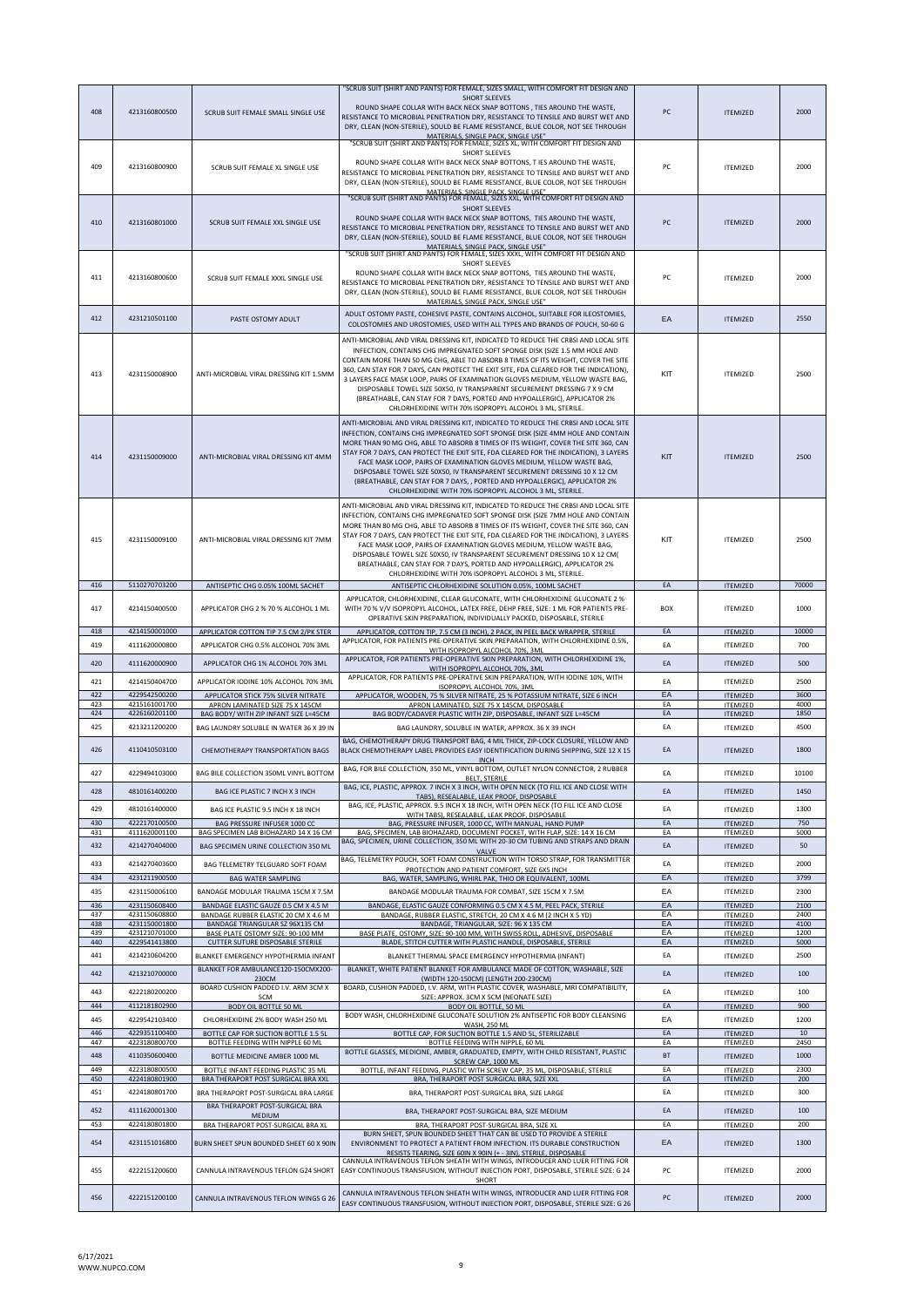| 408        | 4213160800500                  | SCRUB SUIT FEMALE SMALL SINGLE USE                                               | "SCRUB SUIT (SHIRT AND PANTS) FOR FEMALE, SIZES SMALL, WITH COMFORT FIT DESIGN AND<br><b>SHORT SLEEVES</b><br>ROUND SHAPE COLLAR WITH BACK NECK SNAP BOTTONS, TIES AROUND THE WASTE,<br>RESISTANCE TO MICROBIAL PENETRATION DRY, RESISTANCE TO TENSILE AND BURST WET AND<br>DRY, CLEAN (NON-STERILE), SOULD BE FLAME RESISTANCE, BLUE COLOR, NOT SEE THROUGH<br>MATERIALS. SINGLE PACK. SINGLE USE"                                                                                                                                                                                                                                                    | PC              | <b>ITEMIZED</b>                    | 2000         |
|------------|--------------------------------|----------------------------------------------------------------------------------|--------------------------------------------------------------------------------------------------------------------------------------------------------------------------------------------------------------------------------------------------------------------------------------------------------------------------------------------------------------------------------------------------------------------------------------------------------------------------------------------------------------------------------------------------------------------------------------------------------------------------------------------------------|-----------------|------------------------------------|--------------|
| 409        | 4213160800900                  | SCRUB SUIT FEMALE XL SINGLE USE                                                  | "SCRUB SUIT (SHIRT AND PANTS) FOR FEMALE, SIZES XL, WITH COMFORT FIT DESIGN AND<br>SHORT SLEEVES<br>ROUND SHAPE COLLAR WITH BACK NECK SNAP BOTTONS, T IES AROUND THE WASTE,<br>RESISTANCE TO MICROBIAL PENETRATION DRY, RESISTANCE TO TENSILE AND BURST WET AND<br>DRY, CLEAN (NON-STERILE), SOULD BE FLAME RESISTANCE, BLUE COLOR, NOT SEE THROUGH<br>MATERIALS. SINGLE PACK. SINGLE USE"                                                                                                                                                                                                                                                             | PC              | <b>ITEMIZED</b>                    | 2000         |
| 410        | 4213160801000                  | SCRUB SUIT FEMALE XXL SINGLE USE                                                 | "SCRUB SUIT (SHIRT AND PANTS) FOR FEMALE, SIZES XXL, WITH COMFORT FIT DESIGN AND<br><b>SHORT SLEEVES</b><br>ROUND SHAPE COLLAR WITH BACK NECK SNAP BOTTONS, TIES AROUND THE WASTE,<br>RESISTANCE TO MICROBIAL PENETRATION DRY, RESISTANCE TO TENSILE AND BURST WET AND<br>DRY, CLEAN (NON-STERILE), SOULD BE FLAME RESISTANCE, BLUE COLOR, NOT SEE THROUGH<br>MATERIALS, SINGLE PACK, SINGLE USE"<br>"SCRUB SUIT (SHIRT AND PANTS) FOR FEMALE, SIZES XXXL, WITH COMFORT FIT DESIGN AND                                                                                                                                                                 | PC              | <b>ITEMIZED</b>                    | 2000         |
| 411        | 4213160800600                  | SCRUB SUIT FEMALE XXXL SINGLE USE                                                | SHORT SLEEVES<br>ROUND SHAPE COLLAR WITH BACK NECK SNAP BOTTONS, TIES AROUND THE WASTE,<br>RESISTANCE TO MICROBIAL PENETRATION DRY, RESISTANCE TO TENSILE AND BURST WET AND<br>DRY, CLEAN (NON-STERILE), SOULD BE FLAME RESISTANCE, BLUE COLOR, NOT SEE THROUGH<br>MATERIALS, SINGLE PACK, SINGLE LISE"                                                                                                                                                                                                                                                                                                                                                | PC              | <b>ITEMIZED</b>                    | 2000         |
| 412        | 4231210501100                  | PASTE OSTOMY ADULT                                                               | ADULT OSTOMY PASTE, COHESIVE PASTE, CONTAINS ALCOHOL, SUITABLE FOR ILEOSTOMIES,<br>COLOSTOMIES AND UROSTOMIES, USED WITH ALL TYPES AND BRANDS OF POUCH, 50-60 G                                                                                                                                                                                                                                                                                                                                                                                                                                                                                        | EA              | <b>ITEMIZED</b>                    | 2550         |
| 413        | 4231150008900                  | ANTI-MICROBIAL VIRAL DRESSING KIT 1.5MM                                          | ANTI-MICROBIAL AND VIRAL DRESSING KIT, INDICATED TO REDUCE THE CRBSI AND LOCAL SITE<br>INFECTION, CONTAINS CHG IMPREGNATED SOFT SPONGE DISK (SIZE 1.5 MM HOLE AND<br>CONTAIN MORE THAN 50 MG CHG, ABLE TO ABSORB 8 TIMES OF ITS WEIGHT, COVER THE SITE<br>360, CAN STAY FOR 7 DAYS, CAN PROTECT THE EXIT SITE, FDA CLEARED FOR THE INDICATION)<br>3 LAYERS FACE MASK LOOP, PAIRS OF EXAMINATION GLOVES MEDIUM, YELLOW WASTE BAG,<br>DISPOSABLE TOWEL SIZE 50X50, IV TRANSPARENT SECUREMENT DRESSING 7 X 9 CM<br>(BREATHABLE, CAN STAY FOR 7 DAYS, PORTED AND HYPOALLERGIC), APPLICATOR 2%<br>CHLORHEXIDINE WITH 70% ISOPROPYL ALCOHOL 3 ML, STERILE.   | KIT             | <b>ITEMIZED</b>                    | 2500         |
| 414        | 4231150009000                  | ANTI-MICROBIAL VIRAL DRESSING KIT 4MM                                            | ANTI-MICROBIAL AND VIRAL DRESSING KIT, INDICATED TO REDUCE THE CRBSI AND LOCAL SITE<br>INFECTION, CONTAINS CHG IMPREGNATED SOFT SPONGE DISK (SIZE 4MM HOLE AND CONTAIN<br>MORE THAN 90 MG CHG, ABLE TO ABSORB 8 TIMES OF ITS WEIGHT, COVER THE SITE 360, CAN<br>STAY FOR 7 DAYS, CAN PROTECT THE EXIT SITE, FDA CLEARED FOR THE INDICATION), 3 LAYERS<br>FACE MASK LOOP, PAIRS OF EXAMINATION GLOVES MEDIUM, YELLOW WASTE BAG,<br>DISPOSABLE TOWEL SIZE 50X50, IV TRANSPARENT SECUREMENT DRESSING 10 X 12 CM<br>(BREATHABLE, CAN STAY FOR 7 DAYS, , PORTED AND HYPOALLERGIC), APPLICATOR 2%<br>CHLORHEXIDINE WITH 70% ISOPROPYL ALCOHOL 3 ML, STERILE. | KIT             | <b>ITEMIZED</b>                    | 2500         |
| 415        | 4231150009100                  | ANTI-MICROBIAL VIRAL DRESSING KIT 7MM                                            | ANTI-MICROBIAL AND VIRAL DRESSING KIT, INDICATED TO REDUCE THE CRBSI AND LOCAL SITE<br>INFECTION, CONTAINS CHG IMPREGNATED SOFT SPONGE DISK (SIZE 7MM HOLE AND CONTAIN<br>MORE THAN 80 MG CHG, ABLE TO ABSORB 8 TIMES OF ITS WEIGHT, COVER THE SITE 360, CAN<br>STAY FOR 7 DAYS, CAN PROTECT THE EXIT SITE, FDA CLEARED FOR THE INDICATION), 3 LAYERS<br>FACE MASK LOOP, PAIRS OF EXAMINATION GLOVES MEDIUM, YELLOW WASTE BAG,<br>DISPOSABLE TOWEL SIZE 50X50, IV TRANSPARENT SECUREMENT DRESSING 10 X 12 CM(<br>BREATHABLE, CAN STAY FOR 7 DAYS, PORTED AND HYPOALLERGIC), APPLICATOR 2%<br>CHLORHEXIDINE WITH 70% ISOPROPYL ALCOHOL 3 ML, STERILE.   | KIT             | <b>ITEMIZED</b>                    | 2500         |
| 416        | 5110270703200                  | ANTISEPTIC CHG 0.05% 100ML SACHET                                                | ANTISEPTIC CHLORHEXIDINE SOLUTION 0.05%, 100ML SACHET<br>APPLICATOR, CHLORHEXIDINE, CLEAR GLUCONATE, WITH CHLORHEXIDINE GLUCONATE 2 %                                                                                                                                                                                                                                                                                                                                                                                                                                                                                                                  | EA              | <b>ITEMIZED</b>                    | 70000        |
| 417        | 4214150400500                  | APPLICATOR CHG 2 % 70 % ALCOHOL 1 ML                                             | WITH 70 % V/V ISOPROPYL ALCOHOL, LATEX FREE, DEHP FREE, SIZE: 1 ML FOR PATIENTS PRE-<br>OPERATIVE SKIN PREPARATION, INDIVIDUALLY PACKED, DISPOSABLE, STERILE                                                                                                                                                                                                                                                                                                                                                                                                                                                                                           | BOX             | <b>ITEMIZED</b>                    | 1000         |
| 418<br>419 | 4214150001000<br>4111620000800 | APPLICATOR COTTON TIP 7.5 CM 2/PK STER<br>APPLICATOR CHG 0.5% ALCOHOL 70% 3ML    | APPLICATOR, COTTON TIP, 7.5 CM (3 INCH), 2 PACK, IN PEEL BACK WRAPPER, STERILE<br>APPLICATOR, FOR PATIENTS PRE-OPERATIVE SKIN PREPARATION, WITH CHLORHEXIDINE 0.5%                                                                                                                                                                                                                                                                                                                                                                                                                                                                                     | EA<br>EA        | <b>ITEMIZED</b><br><b>ITEMIZED</b> | 10000<br>700 |
| 420        | 4111620000900                  | APPLICATOR CHG 1% ALCOHOL 70% 3ML                                                | WITH ISOPROPYL ALCOHOL 70%, 3ML<br>APPLICATOR, FOR PATIENTS PRE-OPERATIVE SKIN PREPARATION, WITH CHLORHEXIDINE 1%,                                                                                                                                                                                                                                                                                                                                                                                                                                                                                                                                     | EA              | <b>ITEMIZED</b>                    | 500          |
| 421        | 4214150404700                  | APPLICATOR IODINE 10% ALCOHOL 70% 3ML                                            | WITH ISOPROPYL ALCOHOL 70%, 3MI<br>APPLICATOR, FOR PATIENTS PRE-OPERATIVE SKIN PREPARATION, WITH IODINE 10%, WITH                                                                                                                                                                                                                                                                                                                                                                                                                                                                                                                                      | EA              | <b>ITEMIZED</b>                    | 2500         |
| 422        | 4229542500200                  |                                                                                  | ISOPROPYL ALCOHOL 70%, 3ML<br>APPLICATOR, WOODEN, 75 % SILVER NITRATE, 25 % POTASSIUM NITRATE, SIZE 6 INCH                                                                                                                                                                                                                                                                                                                                                                                                                                                                                                                                             | EA              | <b>ITEMIZED</b>                    | 3600         |
|            |                                | APPLICATOR STICK 75% SILVER NITRATE                                              |                                                                                                                                                                                                                                                                                                                                                                                                                                                                                                                                                                                                                                                        |                 |                                    |              |
| 423<br>424 | 4215161001700<br>4226160201100 | APRON LAMINATED SIZE 75 X 145CM                                                  | APRON LAMINATED, SIZE 75 X 145CM, DISPOSABLE                                                                                                                                                                                                                                                                                                                                                                                                                                                                                                                                                                                                           | EA<br>EA        | <b>ITEMIZED</b>                    | 4000<br>1850 |
| 425        | 4213211200200                  | BAG BODY/ WITH ZIP INFANT SIZE L=45CM<br>BAG LAUNDRY SOLUBLE IN WATER 36 X 39 IN | BAG BODY/CADAVER PLASTIC WITH ZIP, DISPOSABLE, INFANT SIZE L=45CM<br>BAG LAUNDRY, SOLUBLE IN WATER, APPROX. 36 X 39 INCH                                                                                                                                                                                                                                                                                                                                                                                                                                                                                                                               | EA              | <b>ITEMIZED</b><br><b>ITEMIZED</b> | 4500         |
| 426        | 4110410503100                  | CHEMOTHERAPY TRANSPORTATION BAGS                                                 | BAG, CHEMOTHERAPY DRUG TRANSPORT BAG, 4 MIL THICK, ZIP-LOCK CLOSURE, YELLOW AND<br>BLACK CHEMOTHERAPY LABEL PROVIDES EASY IDENTIFICATION DURING SHIPPING, SIZE 12 X 15                                                                                                                                                                                                                                                                                                                                                                                                                                                                                 | EA              | <b>ITEMIZED</b>                    | 1800         |
| 427        | 4229494103000                  | BAG BILE COLLECTION 350ML VINYL BOTTOM                                           | <b>INCH</b><br>BAG, FOR BILE COLLECTION, 350 ML, VINYL BOTTOM, OUTLET NYLON CONNECTOR, 2 RUBBER<br>BELT, STERILE                                                                                                                                                                                                                                                                                                                                                                                                                                                                                                                                       | EA              | <b>ITEMIZED</b>                    | 10100        |
| 428        | 4810161400200                  | BAG ICE PLASTIC 7 INCH X 3 INCH                                                  | BAG, ICE, PLASTIC, APPROX. 7 INCH X 3 INCH, WITH OPEN NECK (TO FILL ICE AND CLOSE WITH                                                                                                                                                                                                                                                                                                                                                                                                                                                                                                                                                                 | EA              | <b>ITEMIZED</b>                    | 1450         |
| 429        | 4810161400000                  | BAG ICE PLASTIC 9.5 INCH X 18 INCH                                               | TABS), RESEALABLE, LEAK PROOF, DISPOSABLE<br>BAG, ICE, PLASTIC, APPROX. 9.5 INCH X 18 INCH, WITH OPEN NECK (TO FILL ICE AND CLOSE                                                                                                                                                                                                                                                                                                                                                                                                                                                                                                                      | EA              | <b>ITEMIZED</b>                    | 1300         |
| 430<br>431 | 4222170100500<br>4111620001100 | <b>BAG PRESSURE INFUSER 1000 CC</b><br>BAG SPECIMEN LAB BIOHAZARD 14 X 16 CM     | WITH TABS), RESEALABLE, LEAK PROOF, DISPOSABLE<br>BAG, PRESSURE INFUSER, 1000 CC, WITH MANUAL, HAND PUMP<br>BAG, SPECIMEN, LAB BIOHAZARD, DOCUMENT POCKET, WITH FLAP, SIZE: 14 X 16 CM                                                                                                                                                                                                                                                                                                                                                                                                                                                                 | EA<br>EA        | <b>ITEMIZED</b><br><b>ITEMIZED</b> | 750<br>5000  |
| 432        | 4214270404000                  | BAG SPECIMEN URINE COLLECTION 350 ML                                             | BAG, SPECIMEN, URINE COLLECTION, 350 ML WITH 20-30 CM TUBING AND STRAPS AND DRAIN<br>VALVE                                                                                                                                                                                                                                                                                                                                                                                                                                                                                                                                                             | EA              | <b>ITEMIZED</b>                    | 50           |
| 433        | 4214270403600                  | BAG TELEMETRY TELGUARD SOFT FOAM                                                 | BAG, TELEMETRY POUCH, SOFT FOAM CONSTRUCTION WITH TORSO STRAP, FOR TRANSMITTER<br>PROTECTION AND PATIENT COMFORT, SIZE 6X5 INCH                                                                                                                                                                                                                                                                                                                                                                                                                                                                                                                        | EA              | <b>ITEMIZED</b>                    | 2000         |
| 434        | 4231211900500                  | <b>BAG WATER SAMPLING</b>                                                        | BAG, WATER, SAMPLING, WHIRL PAK, THIO OR EQUIVALENT, 100ML                                                                                                                                                                                                                                                                                                                                                                                                                                                                                                                                                                                             | EA              | <b>ITEMIZED</b>                    | 3799         |
| 435<br>436 | 4231150006100<br>4231150608400 | BANDAGE MODULAR TRAUMA 15CM X 7.5M<br>BANDAGE ELASTIC GAUZE 0.5 CM X 4.5 M       | BANDAGE MODULAR TRAUMA FOR COMBAT, SIZE 15CM X 7.5M<br>BANDAGE, ELASTIC GAUZE CONFORMING 0.5 CM X 4.5 M, PEEL PACK, STERILE                                                                                                                                                                                                                                                                                                                                                                                                                                                                                                                            | EA<br>EA        | <b>ITEMIZED</b><br><b>ITEMIZED</b> | 2300<br>2100 |
| 437<br>438 | 4231150608800<br>4231150001800 | BANDAGE RUBBER ELASTIC 20 CM X 4.6 M<br>BANDAGE TRIANGULAR SZ 96X135 CM          | BANDAGE, RUBBER ELASTIC, STRETCH, 20 CM X 4.6 M (2 INCH X 5 YD)<br>BANDAGE, TRIANGULAR, SIZE: 96 X 135 CM                                                                                                                                                                                                                                                                                                                                                                                                                                                                                                                                              | EA<br>EA        | <b>ITEMIZED</b><br><b>ITEMIZED</b> | 2400<br>4100 |
| 439<br>440 | 4231210701000<br>4229541413800 | BASE PLATE OSTOMY SIZE: 90-100 MM<br>CUTTER SUTURE DISPOSABLE STERILE            | BASE PLATE, OSTOMY, SIZE: 90-100 MM, WITH SWISS ROLL, ADHESIVE, DISPOSABLE<br>BLADE, STITCH CUTTER WITH PLASTIC HANDLE, DISPOSABLE, STERILE                                                                                                                                                                                                                                                                                                                                                                                                                                                                                                            | EA<br>EA        | <b>ITEMIZED</b><br><b>ITEMIZED</b> | 1200<br>5000 |
| 441        | 4214210604200                  | BLANKET EMERGENCY HYPOTHERMIA INFANT                                             | BLANKET THERMAL SPACE EMERGENCY HYPOTHERMIA (INFANT)                                                                                                                                                                                                                                                                                                                                                                                                                                                                                                                                                                                                   | EA              | <b>ITEMIZED</b>                    | 2500         |
| 442        | 4213210700000                  | BLANKET FOR AMBULANCE120-150CMX200-<br>230CM                                     | BLANKET, WHITE PATIENT BLANKET FOR AMBULANCE MADE OF COTTON, WASHABLE, SIZE<br>(WIDTH 120-150CM) (LENGTH 200-230CM)                                                                                                                                                                                                                                                                                                                                                                                                                                                                                                                                    | EA              | <b>ITEMIZED</b>                    | 100          |
| 443        | 4222180200200                  | BOARD CUSHION PADDED I.V. ARM 3CM X<br>5CM                                       | BOARD, CUSHION PADDED, I.V. ARM, WITH PLASTIC COVER, WASHABLE, MRI COMPATIBILITY,<br>SIZE: APPROX. 3CM X 5CM (NEONATE SIZE)                                                                                                                                                                                                                                                                                                                                                                                                                                                                                                                            | EA              | <b>ITEMIZED</b>                    | 100          |
| 444        | 4112181802900                  | BODY OIL BOTTLE 50 ML                                                            | BODY OIL BOTTLE, 50 ML<br>BODY WASH, CHLORHEXIDINE GLUCONATE SOLUTION 2% ANTISEPTIC FOR BODY CLEANSING                                                                                                                                                                                                                                                                                                                                                                                                                                                                                                                                                 | EA              | <b>ITEMIZED</b>                    | 900          |
| 445<br>446 | 4229542103400<br>4229351100400 | CHLORHEXIDINE 2% BODY WASH 250 ML<br>BOTTLE CAP FOR SUCTION BOTTLE 1.5 5L        | <b>WASH, 250 ML</b><br>BOTTLE CAP, FOR SUCTION BOTTLE 1.5 AND 5L, STERILIZABLE                                                                                                                                                                                                                                                                                                                                                                                                                                                                                                                                                                         | EA<br>EA        | <b>ITEMIZED</b><br><b>ITEMIZED</b> | 1200<br>10   |
| 447<br>448 | 4223180800700<br>4110350600400 | BOTTLE FEEDING WITH NIPPLE 60 ML                                                 | BOTTLE FEEDING WITH NIPPLE, 60 ML<br>BOTTLE GLASSES, MEDICINE, AMBER, GRADUATED, EMPTY, WITH CHILD RESISTANT, PLASTIC                                                                                                                                                                                                                                                                                                                                                                                                                                                                                                                                  | EA<br><b>BT</b> | <b>ITEMIZED</b>                    | 2450<br>1000 |
| 449        | 4223180800500                  | BOTTLE MEDICINE AMBER 1000 ML<br>BOTTLE INFANT FEEDING PLASTIC 35 ML             | SCREW CAP, 1000 ML<br>BOTTLE, INFANT FEEDING, PLASTIC WITH SCREW CAP, 35 ML, DISPOSABLE, STERILE                                                                                                                                                                                                                                                                                                                                                                                                                                                                                                                                                       | EA              | <b>ITEMIZED</b><br><b>ITEMIZED</b> | 2300         |
| 450<br>451 | 4224180801900                  | BRA THERAPORT POST SURGICAL BRA XXL                                              | BRA, THERAPORT POST SURGICAL BRA, SIZE XXL                                                                                                                                                                                                                                                                                                                                                                                                                                                                                                                                                                                                             | EA<br>EA        | <b>ITEMIZED</b>                    | 200<br>300   |
| 452        | 4224180801700<br>4111620001300 | BRA THERAPORT POST-SURGICAL BRA LARGE<br>BRA THERAPORT POST-SURGICAL BRA         | BRA, THERAPORT POST-SURGICAL BRA, SIZE LARGE                                                                                                                                                                                                                                                                                                                                                                                                                                                                                                                                                                                                           |                 | <b>ITEMIZED</b>                    |              |
| 453        | 4224180801800                  | <b>MEDIUM</b><br>BRA THERAPORT POST-SURGICAL BRA XL                              | BRA, THERAPORT POST-SURGICAL BRA, SIZE MEDIUM<br>BRA, THERAPORT POST-SURGICAL BRA, SIZE XL                                                                                                                                                                                                                                                                                                                                                                                                                                                                                                                                                             | EA<br>EA        | <b>ITEMIZED</b><br><b>ITEMIZED</b> | 100<br>200   |
| 454        | 4231151016800                  | BURN SHEET SPUN BOUNDED SHEET 60 X 90IN                                          | BURN SHEET, SPUN BOUNDED SHEET THAT CAN BE USED TO PROVIDE A STERILE<br>ENVIRONMENT TO PROTECT A PATIENT FROM INFECTION. ITS DURABLE CONSTRUCTION<br>RESISTS TEARING, SIZE 60IN X 90IN (+ - 3IN), STERILE, DISPOSABLE                                                                                                                                                                                                                                                                                                                                                                                                                                  | EA              | <b>ITEMIZED</b>                    | 1300         |
| 455        | 4222151200600                  | CANNULA INTRAVENOUS TEFLON G24 SHORT                                             | CANNULA INTRAVENOUS TEFLON SHEATH WITH WINGS, INTRODUCER AND LUER FITTING FOR<br>EASY CONTINUOUS TRANSFUSION, WITHOUT INJECTION PORT, DISPOSABLE, STERILE SIZE: G 24<br>SHORT                                                                                                                                                                                                                                                                                                                                                                                                                                                                          | PC              | <b>ITEMIZED</b>                    | 2000         |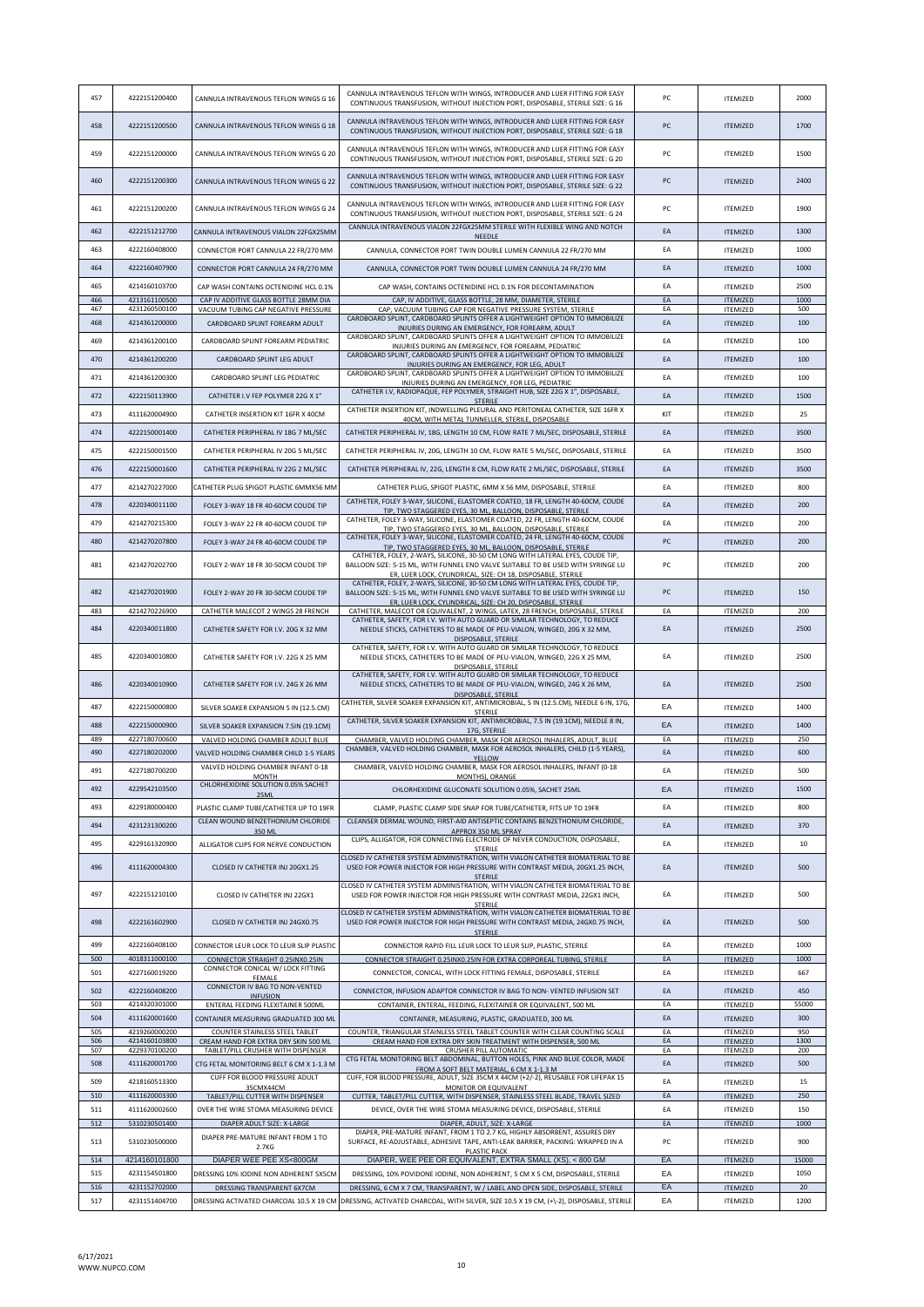|            |                                |                                                                                | CANNULA INTRAVENOUS TEFLON WITH WINGS, INTRODUCER AND LUER FITTING FOR EASY                                                                                        |          |                                    |              |
|------------|--------------------------------|--------------------------------------------------------------------------------|--------------------------------------------------------------------------------------------------------------------------------------------------------------------|----------|------------------------------------|--------------|
| 457        | 4222151200400                  | CANNULA INTRAVENOUS TEFLON WINGS G 16                                          | CONTINUOUS TRANSFUSION, WITHOUT INJECTION PORT, DISPOSABLE, STERILE SIZE: G 16                                                                                     | PC       | <b>ITEMIZED</b>                    | 2000         |
| 458        | 4222151200500                  | CANNULA INTRAVENOUS TEFLON WINGS G 18                                          | CANNULA INTRAVENOUS TEFLON WITH WINGS, INTRODUCER AND LUER FITTING FOR EASY                                                                                        | PC       | <b>ITEMIZED</b>                    | 1700         |
|            |                                |                                                                                | CONTINUOUS TRANSFUSION, WITHOUT INJECTION PORT, DISPOSABLE, STERILE SIZE: G 18                                                                                     |          |                                    |              |
| 459        | 4222151200000                  | CANNULA INTRAVENOUS TEFLON WINGS G 20                                          | CANNULA INTRAVENOUS TEFLON WITH WINGS, INTRODUCER AND LUER FITTING FOR EASY                                                                                        | PC       | <b>ITEMIZED</b>                    | 1500         |
|            |                                |                                                                                | CONTINUOUS TRANSFUSION, WITHOUT INJECTION PORT, DISPOSABLE, STERILE SIZE: G 20                                                                                     |          |                                    |              |
| 460        | 4222151200300                  | CANNULA INTRAVENOUS TEFLON WINGS G 22                                          | CANNULA INTRAVENOUS TEFLON WITH WINGS, INTRODUCER AND LUER FITTING FOR EASY<br>CONTINUOUS TRANSFUSION, WITHOUT INJECTION PORT, DISPOSABLE, STERILE SIZE: G 22      | PC       | <b>ITEMIZED</b>                    | 2400         |
|            |                                |                                                                                | CANNULA INTRAVENOUS TEFLON WITH WINGS, INTRODUCER AND LUER FITTING FOR EASY                                                                                        |          |                                    |              |
| 461        | 4222151200200                  | CANNULA INTRAVENOUS TEFLON WINGS G 24                                          | CONTINUOUS TRANSFUSION, WITHOUT INJECTION PORT, DISPOSABLE, STERILE SIZE: G 24                                                                                     | PC       | <b>ITEMIZED</b>                    | 1900         |
| 462        | 4222151212700                  | CANNULA INTRAVENOUS VIALON 22FGX25MM                                           | CANNULA INTRAVENOUS VIALON 22FGX25MM STERILE WITH FLEXIBLE WING AND NOTCH<br>NEEDLE                                                                                | EA       | <b>ITEMIZED</b>                    | 1300         |
| 463        | 4222160408000                  | CONNECTOR PORT CANNULA 22 FR/270 MM                                            | CANNULA, CONNECTOR PORT TWIN DOUBLE LUMEN CANNULA 22 FR/270 MM                                                                                                     | EA       | <b>ITEMIZED</b>                    | 1000         |
| 464        | 4222160407900                  | CONNECTOR PORT CANNULA 24 FR/270 MM                                            | CANNULA, CONNECTOR PORT TWIN DOUBLE LUMEN CANNULA 24 FR/270 MM                                                                                                     | EA       | <b>ITEMIZED</b>                    | 1000         |
| 465        | 4214160103700                  |                                                                                |                                                                                                                                                                    | EA       |                                    | 2500         |
| 466        | 4213161100500                  | CAP WASH CONTAINS OCTENIDINE HCL 0.1%<br>CAP IV ADDITIVE GLASS BOTTLE 28MM DIA | CAP WASH, CONTAINS OCTENIDINE HCL 0.1% FOR DECONTAMINATION<br>CAP, IV ADDITIVE, GLASS BOTTLE, 28 MM, DIAMETER, STERILE                                             | FA       | <b>ITEMIZED</b><br><b>ITEMIZED</b> | 1000         |
| 467        | 4231260500100                  | VACUUM TUBING CAP NEGATIVE PRESSURE                                            | CAP, VACUUM TUBING CAP FOR NEGATIVE PRESSURE SYSTEM, STERILE                                                                                                       | EA       | ITEMIZED                           | 500          |
| 468        | 4214361200000                  | CARDBOARD SPLINT FOREARM ADULT                                                 | CARDBOARD SPLINT, CARDBOARD SPLINTS OFFER A LIGHTWEIGHT OPTION TO IMMOBILIZE<br>INJURIES DURING AN EMERGENCY, FOR FOREARM, ADULT                                   | EA       | <b>ITEMIZED</b>                    | 100          |
| 469        | 4214361200100                  | CARDBOARD SPLINT FOREARM PEDIATRIC                                             | CARDBOARD SPLINT, CARDBOARD SPLINTS OFFER A LIGHTWEIGHT OPTION TO IMMOBILIZE<br>INJURIES DURING AN EMERGENCY, FOR FOREARM, PEDIATRIC                               | EA       | <b>ITEMIZED</b>                    | 100          |
| 470        | 4214361200200                  | CARDBOARD SPLINT LEG ADULT                                                     | CARDBOARD SPLINT, CARDBOARD SPLINTS OFFER A LIGHTWEIGHT OPTION TO IMMOBILIZE<br>INJURIES DURING AN EMERGENCY, FOR LEG, ADULT                                       | EA       | <b>ITEMIZED</b>                    | 100          |
| 471        | 4214361200300                  | CARDBOARD SPLINT LEG PEDIATRIC                                                 | CARDBOARD SPLINT, CARDBOARD SPLINTS OFFER A LIGHTWEIGHT OPTION TO IMMOBILIZE                                                                                       | EA       | <b>ITEMIZED</b>                    | 100          |
| 472        | 4222150113900                  | CATHETER I.V FEP POLYMER 22G X 1"                                              | INJURIES DURING AN EMERGENCY, FOR LEG, PEDIATRIC<br>CATHETER I.V, RADIOPAQUE, FEP POLYMER, STRAIGHT HUB, SIZE 22G X 1", DISPOSABLE,                                | EA       | <b>ITEMIZED</b>                    | 1500         |
|            |                                |                                                                                | <b>STERILE</b><br>CATHETER INSERTION KIT, INDWELLING PLEURAL AND PERITONEAL CATHETER, SIZE 16FR X                                                                  |          |                                    |              |
| 473        | 4111620004900                  | CATHETER INSERTION KIT 16FR X 40CM                                             | 40CM, WITH METAL TUNNELLER, STERILE, DISPOSABLE                                                                                                                    | KIT      | <b>ITEMIZED</b>                    | 25           |
| 474        | 4222150001400                  | CATHETER PERIPHERAL IV 18G 7 ML/SEC                                            | CATHETER PERIPHERAL IV, 18G, LENGTH 10 CM, FLOW RATE 7 ML/SEC, DISPOSABLE, STERILE                                                                                 | EA       | <b>ITEMIZED</b>                    | 3500         |
| 475        | 4222150001500                  | CATHETER PERIPHERAL IV 20G 5 ML/SEC                                            | CATHETER PERIPHERAL IV, 20G, LENGTH 10 CM, FLOW RATE 5 ML/SEC, DISPOSABLE, STERILE                                                                                 | EA       | <b>ITEMIZED</b>                    | 3500         |
| 476        | 4222150001600                  | CATHETER PERIPHERAL IV 22G 2 ML/SEC                                            | CATHETER PERIPHERAL IV, 22G, LENGTH 8 CM, FLOW RATE 2 ML/SEC, DISPOSABLE, STERILE                                                                                  | EA       | <b>ITEMIZED</b>                    | 3500         |
| 477        | 4214270227000                  | CATHETER PLUG SPIGOT PLASTIC 6MMX56 MM                                         | CATHETER PLUG, SPIGOT PLASTIC, 6MM X 56 MM, DISPOSABLE, STERILE                                                                                                    | EA       | <b>ITEMIZED</b>                    | 800          |
| 478        | 4220340011100                  | FOLEY 3-WAY 18 FR 40-60CM COUDE TIP                                            | CATHETER, FOLEY 3-WAY, SILICONE, ELASTOMER COATED, 18 FR, LENGTH 40-60CM, COUDE                                                                                    | EA       | <b>ITEMIZED</b>                    | 200          |
| 479        | 4214270215300                  |                                                                                | TIP, TWO STAGGERED EYES, 30 ML, BALLOON, DISPOSABLE, STERILE<br>CATHETER, FOLEY 3-WAY, SILICONE, ELASTOMER COATED, 22 FR, LENGTH 40-60CM, COUDE                    |          |                                    | 200          |
|            |                                | FOLEY 3-WAY 22 FR 40-60CM COUDE TIP                                            | TIP, TWO STAGGERED EYES, 30 ML, BALLOON, DISPOSABLE, STERILE<br>CATHETER, FOLEY 3-WAY, SILICONE, ELASTOMER COATED, 24 FR, LENGTH 40-60CM, COUDE                    | EA       | <b>ITEMIZED</b>                    |              |
| 480        | 4214270207800                  | FOLEY 3-WAY 24 FR 40-60CM COUDE TIP                                            | TIP, TWO STAGGERED EYES, 30 ML, BALLOON, DISPOSABLE, STERILE                                                                                                       | PC       | <b>ITEMIZED</b>                    | 200          |
| 481        | 4214270202700                  | FOLEY 2-WAY 18 FR 30-50CM COUDE TIP                                            | CATHETER, FOLEY, 2-WAYS, SILICONE, 30-50 CM LONG WITH LATERAL EYES, COUDE TIP,<br>BALLOON SIZE: 5-15 ML, WITH FUNNEL END VALVE SUITABLE TO BE USED WITH SYRINGE LU | PC       | <b>ITEMIZED</b>                    | 200          |
|            |                                |                                                                                | ER, LUER LOCK, CYLINDRICAL, SIZE: CH 18, DISPOSABLE, STERILE<br>CATHETER, FOLEY, 2-WAYS, SILICONE, 30-50 CM LONG WITH LATERAL EYES, COUDE TIP,                     |          |                                    |              |
| 482        | 4214270201900                  | FOLEY 2-WAY 20 FR 30-50CM COUDE TIP                                            | BALLOON SIZE: 5-15 ML, WITH FUNNEL END VALVE SUITABLE TO BE USED WITH SYRINGE LU<br>ER, LUER LOCK, CYLINDRICAL, SIZE: CH 20, DISPOSABLE, STERILE                   | PC       | <b>ITEMIZED</b>                    | 150          |
| 483        | 4214270226900                  | CATHETER MALECOT 2 WINGS 28 FRENCH                                             | CATHETER, MALECOT OR EQUIVALENT, 2 WINGS, LATEX, 28 FRENCH, DISPOSABLE, STERILE                                                                                    | EA       | <b>ITEMIZED</b>                    | 200          |
| 484        | 4220340011800                  | CATHETER SAFETY FOR I.V. 20G X 32 MM                                           | CATHETER, SAFETY, FOR I.V. WITH AUTO GUARD OR SIMILAR TECHNOLOGY, TO REDUCE<br>NEEDLE STICKS, CATHETERS TO BE MADE OF PEU-VIALON, WINGED, 20G X 32 MM,             | EA       | <b>ITEMIZED</b>                    | 2500         |
|            |                                |                                                                                | DISPOSABLE, STERILE<br>CATHETER, SAFETY, FOR I.V. WITH AUTO GUARD OR SIMILAR TECHNOLOGY, TO REDUCE                                                                 |          |                                    |              |
| 485        | 4220340010800                  | CATHETER SAFETY FOR I.V. 22G X 25 MM                                           | NEEDLE STICKS, CATHETERS TO BE MADE OF PEU-VIALON, WINGED, 22G X 25 MM,                                                                                            | EA       | <b>ITEMIZED</b>                    | 2500         |
|            |                                |                                                                                | DISPOSABLE, STERILE<br>CATHETER, SAFETY, FOR I.V. WITH AUTO GUARD OR SIMILAR TECHNOLOGY, TO REDUCE                                                                 |          |                                    |              |
| 486        | 4220340010900                  | CATHETER SAFETY FOR I.V. 24G X 26 MM                                           | NEEDLE STICKS, CATHETERS TO BE MADE OF PEU-VIALON, WINGED, 24G X 26 MM,<br>DISPOSABLE, STERILE                                                                     | EA       | <b>ITEMIZED</b>                    | 2500         |
| 487        | 4222150000800                  | SILVER SOAKER EXPANSION 5 IN (12.5.CM)                                         | CATHETER, SILVER SOAKER EXPANSION KIT, ANTIMICROBIAL, 5 IN (12.5.CM), NEEDLE 6 IN, 17G,<br>STERILE                                                                 | EA       | <b>ITEMIZED</b>                    | 1400         |
| 488        | 4222150000900                  | SILVER SOAKER EXPANSION 7.5IN (19.1CM)                                         | CATHETER, SILVER SOAKER EXPANSION KIT, ANTIMICROBIAL, 7.5 IN (19.1CM), NEEDLE 8 IN,                                                                                | EA       | <b>ITEMIZED</b>                    | 1400         |
| 489        | 4227180700600                  | VALVED HOLDING CHAMBER ADULT BLUE                                              | 17G, STERILE<br>CHAMBER, VALVED HOLDING CHAMBER, MASK FOR AEROSOL INHALERS, ADULT, BLUE                                                                            | EA       | <b>ITEMIZED</b>                    | 250          |
| 490        | 4227180202000                  | VALVED HOLDING CHAMBER CHILD 1-5 YEARS                                         | CHAMBER, VALVED HOLDING CHAMBER, MASK FOR AEROSOL INHALERS, CHILD (1-5 YEARS),<br>YELLOW                                                                           | EA       | <b>ITEMIZED</b>                    | 600          |
| 491        | 4227180700200                  | VALVED HOLDING CHAMBER INFANT 0-18<br><b>MONTH</b>                             | CHAMBER, VALVED HOLDING CHAMBER, MASK FOR AEROSOL INHALERS, INFANT (0-18<br>MONTHS), ORANGE                                                                        | EA       | <b>ITEMIZED</b>                    | 500          |
| 492        | 4229542103500                  | CHLORHEXIDINE SOLUTION 0.05% SACHET                                            | CHLORHEXIDINE GLUCONATE SOLUTION 0.05%, SACHET 25ML                                                                                                                | EA       | <b>ITEMIZED</b>                    | 1500         |
| 493        | 4229180000400                  | 25ML<br>PLASTIC CLAMP TUBE/CATHETER UP TO 19FR                                 | CLAMP, PLASTIC CLAMP SIDE SNAP FOR TUBE/CATHETER, FITS UP TO 19FR                                                                                                  | EA       | <b>ITEMIZED</b>                    | 800          |
| 494        | 4231231300200                  | CLEAN WOUND BENZETHONIUM CHLORIDE                                              | CLEANSER DERMAL WOUND, FIRST-AID ANTISEPTIC CONTAINS BENZETHONIUM CHLORIDE,                                                                                        | EA       |                                    | 370          |
|            |                                | 350 ML                                                                         | APPROX 350 ML SPRAY<br>CLIPS, ALLIGATOR, FOR CONNECTING ELECTRODE OF NEVER CONDUCTION, DISPOSABLE,                                                                 |          | <b>ITEMIZED</b>                    |              |
| 495        | 4229161320900                  | ALLIGATOR CLIPS FOR NERVE CONDUCTION                                           | STERILE<br>CLOSED IV CATHETER SYSTEM ADMINISTRATION, WITH VIALON CATHETER BIOMATERIAL TO BE                                                                        | EA       | <b>ITEMIZED</b>                    | 10           |
| 496        | 4111620004300                  | CLOSED IV CATHETER INJ 20GX1.25                                                | USED FOR POWER INJECTOR FOR HIGH PRESSURE WITH CONTRAST MEDIA, 20GX1.25 INCH,                                                                                      | EA       | <b>ITEMIZED</b>                    | 500          |
|            |                                |                                                                                | <b>STERILE</b><br>CLOSED IV CATHETER SYSTEM ADMINISTRATION, WITH VIALON CATHETER BIOMATERIAL TO BE                                                                 |          |                                    |              |
| 497        | 4222151210100                  | CLOSED IV CATHETER INJ 22GX1                                                   | USED FOR POWER INJECTOR FOR HIGH PRESSURE WITH CONTRAST MEDIA, 22GX1 INCH,<br>STERILE                                                                              | EA       | <b>ITEMIZED</b>                    | 500          |
| 498        | 4222161602900                  | CLOSED IV CATHETER INJ 24GX0.75                                                | CLOSED IV CATHETER SYSTEM ADMINISTRATION, WITH VIALON CATHETER BIOMATERIAL TO BE<br>USED FOR POWER INJECTOR FOR HIGH PRESSURE WITH CONTRAST MEDIA, 24GX0.75 INCH,  | EA       | <b>ITEMIZED</b>                    | 500          |
|            |                                |                                                                                | <b>STERILE</b>                                                                                                                                                     |          |                                    |              |
| 499        | 4222160408100                  | CONNECTOR LEUR LOCK TO LEUR SLIP PLASTIC                                       | CONNECTOR RAPID FILL LEUR LOCK TO LEUR SLIP, PLASTIC, STERILE                                                                                                      | EA       | <b>ITEMIZED</b>                    | 1000         |
| 500        | 4018311000100                  | CONNECTOR STRAIGHT 0.25INX0.25IN<br>CONNECTOR CONICAL W/ LOCK FITTING          | CONNECTOR STRAIGHT 0.25INX0.25IN FOR EXTRA CORPOREAL TUBING, STERILE                                                                                               | EA       | <b>ITEMIZED</b>                    | 1000         |
| 501        | 4227160019200                  | FEMALE<br>CONNECTOR IV BAG TO NON-VENTED                                       | CONNECTOR, CONICAL, WITH LOCK FITTING FEMALE, DISPOSABLE, STERILE                                                                                                  | EA       | <b>ITEMIZED</b>                    | 667          |
| 502        | 4222160408200                  | <b>INFUSION</b>                                                                | CONNECTOR, INFUSION ADAPTOR CONNECTOR IV BAG TO NON-VENTED INFUSION SET                                                                                            | EA       | <b>ITEMIZED</b>                    | 450          |
| 503<br>504 | 4214320301000<br>4111620001600 | ENTERAL FEEDING FLEXITAINER 500ML                                              | CONTAINER, ENTERAL, FEEDING, FLEXITAINER OR EQUIVALENT, 500 ML                                                                                                     | EA       | <b>ITEMIZED</b>                    | 55000<br>300 |
| 505        | 4219260000200                  | CONTAINER MEASURING GRADUATED 300 ML<br>COUNTER STAINLESS STEEL TABLET         | CONTAINER, MEASURING, PLASTIC, GRADUATED, 300 ML<br>COUNTER, TRIANGULAR STAINLESS STEEL TABLET COUNTER WITH CLEAR COUNTING SCALE                                   | EA<br>EA | <b>ITEMIZED</b><br><b>ITEMIZED</b> | 950          |
| 506<br>507 | 4214160103800<br>4229370100200 | CREAM HAND FOR EXTRA DRY SKIN 500 ML                                           | CREAM HAND FOR EXTRA DRY SKIN TREATMENT WITH DISPENSER, 500 ML                                                                                                     | EA<br>EA | <b>ITEMIZED</b>                    | 1300<br>200  |
| 508        | 4111620001700                  | TABLET/PILL CRUSHER WITH DISPENSER<br>CTG FETAL MONITORING BELT 6 CM X 1-1.3 M | CRUSHER PILL AUTOMATIC<br>CTG FETAL MONITORING BELT ABDOMINAL, BUTTON HOLES, PINK AND BLUE COLOR, MADE                                                             | EA       | <b>ITEMIZED</b><br><b>ITEMIZED</b> | 500          |
| 509        | 4218160513300                  | CUFF FOR BLOOD PRESSURE ADULT                                                  | FROM A SOFT BELT MATERIAL, 6 CM X 1-1.3 M<br>CUFF, FOR BLOOD PRESSURE, ADULT, SIZE 35CM X 44CM (+2/-2), REUSABLE FOR LIFEPAK 15                                    | EA       |                                    | 15           |
| 510        | 4111620003300                  | 35CMX44CM<br>TABLET/PILL CUTTER WITH DISPENSER                                 | MONITOR OR EQUIVALENT<br>CUTTER, TABLET/PILL CUTTER, WITH DISPENSER, STAINLESS STEEL BLADE, TRAVEL SIZED                                                           | EA       | <b>ITEMIZED</b><br><b>ITEMIZED</b> | 250          |
| 511        | 4111620002600                  | OVER THE WIRE STOMA MEASURING DEVICE                                           | DEVICE, OVER THE WIRE STOMA MEASURING DEVICE, DISPOSABLE, STERILE                                                                                                  | EA       | <b>ITEMIZED</b>                    | 150          |
| 512        | 5310230501400                  | DIAPER ADULT SIZE: X-LARGE                                                     | DIAPER, ADULT, SIZE: X-LARGE                                                                                                                                       | EA       | <b>ITEMIZED</b>                    | 1000         |
| 513        | 5310230500000                  | DIAPER PRE-MATURE INFANT FROM 1 TO                                             | DIAPER, PRE-MATURE INFANT, FROM 1 TO 2.7 KG, HIGHLY ABSORBENT, ASSURES DRY<br>SURFACE, RE-ADJUSTABLE, ADHESIVE TAPE, ANTI-LEAK BARRIER, PACKING: WRAPPED IN A      | PC       | <b>ITEMIZED</b>                    | 900          |
| 514        | 4214160101800                  | 2.7KG<br>DIAPER WEE PEE XS<800GM                                               | PLASTIC PACK<br>DIAPER, WEE PEE OR EQUIVALENT, EXTRA SMALL (XS), < 800 GM.                                                                                         | EA       | <b>ITEMIZED</b>                    | 15000        |
| 515        | 4231154501800                  | DRESSING 10% IODINE NON ADHERENT 5X5CM                                         | DRESSING, 10% POVIDONE IODINE, NON ADHERENT, 5 CM X 5 CM, DISPOSABLE, STERILE                                                                                      | EA       | <b>ITEMIZED</b>                    | 1050         |
| 516        | 4231152702000                  | DRESSING TRANSPARENT 6X7CM                                                     | DRESSING, 6 CM X 7 CM, TRANSPARENT, W / LABEL AND OPEN SIDE, DISPOSABLE, STERILE                                                                                   | EA       | <b>ITEMIZED</b>                    | 20           |
|            |                                |                                                                                |                                                                                                                                                                    |          |                                    |              |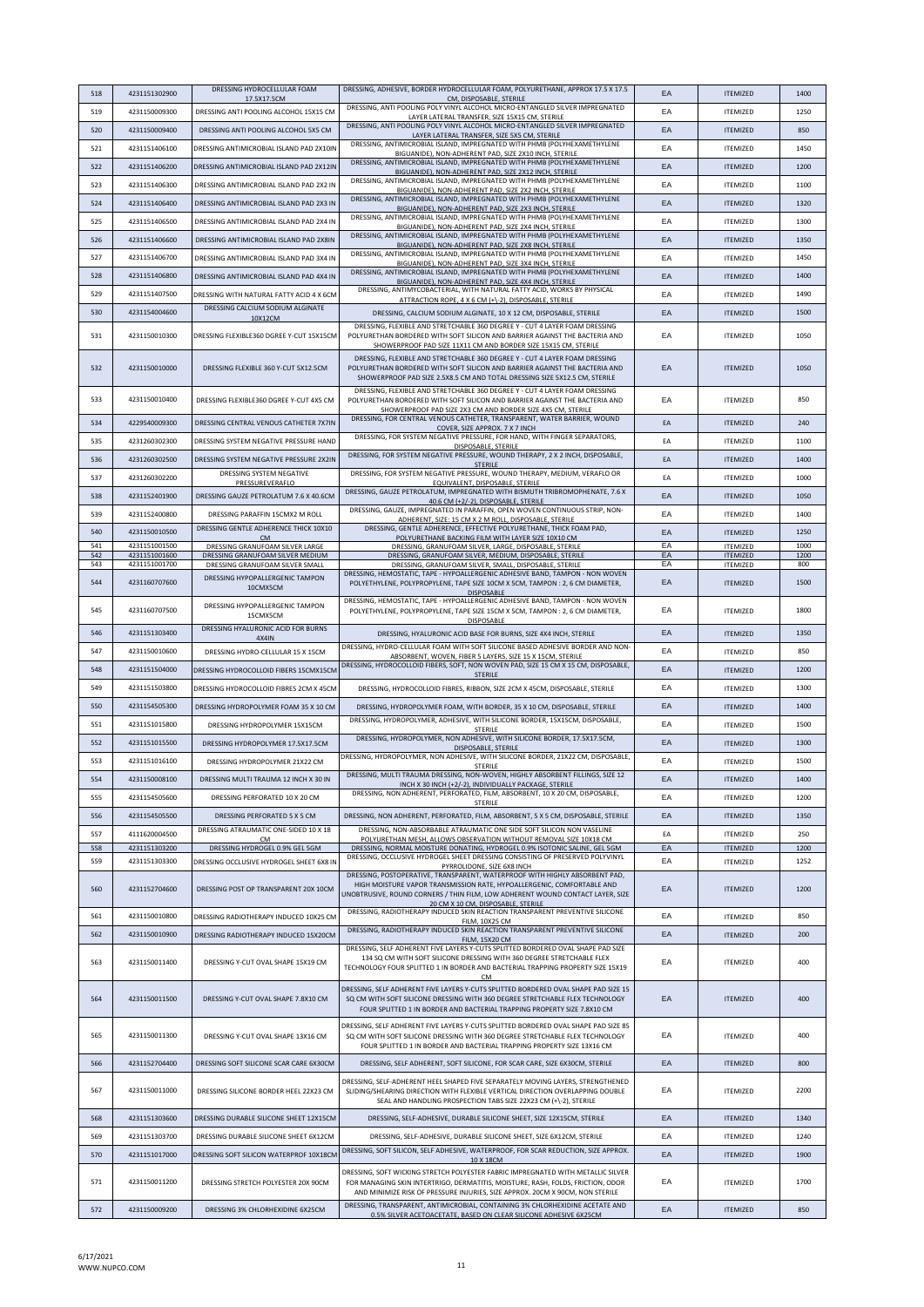| 518        | 4231151302900                  | DRESSING HYDROCELLULAR FOAM                                                    | DRESSING, ADHESIVE, BORDER HYDROCELLULAR FOAM, POLYURETHANE, APPROX 17.5 X 17.5                                                                                                                                                                                       | EA       | <b>ITEMIZED</b>                    | 1400         |
|------------|--------------------------------|--------------------------------------------------------------------------------|-----------------------------------------------------------------------------------------------------------------------------------------------------------------------------------------------------------------------------------------------------------------------|----------|------------------------------------|--------------|
| 519        | 4231150009300                  | 17.5X17.5CM<br>DRESSING ANTI POOLING ALCOHOL 15X15 CM                          | CM, DISPOSABLE, STERILE<br>DRESSING, ANTI POOLING POLY VINYL ALCOHOL MICRO-ENTANGLED SILVER IMPREGNATED                                                                                                                                                               | EA       | <b>ITEMIZED</b>                    | 1250         |
|            |                                |                                                                                | LAYER LATERAL TRANSFER, SIZE 15X15 CM, STERILE<br>DRESSING, ANTI POOLING POLY VINYL ALCOHOL MICRO-ENTANGLED SILVER IMPREGNATED                                                                                                                                        |          |                                    |              |
| 520        | 4231150009400                  | DRESSING ANTI POOLING ALCOHOL 5X5 CM                                           | LAYER LATERAL TRANSFER, SIZE 5X5 CM, STERILE<br>DRESSING, ANTIMICROBIAL ISLAND, IMPREGNATED WITH PHMB (POLYHEXAMETHYLENE                                                                                                                                              | EA       | <b>ITEMIZED</b>                    | 850          |
| 521        | 4231151406100                  | DRESSING ANTIMICROBIAL ISLAND PAD 2X10IN                                       | BIGUANIDE), NON-ADHERENT PAD, SIZE 2X10 INCH, STERILE                                                                                                                                                                                                                 | EA       | <b>ITEMIZED</b>                    | 1450         |
| 522        | 4231151406200                  | DRESSING ANTIMICROBIAL ISLAND PAD 2X12IN                                       | DRESSING, ANTIMICROBIAL ISLAND, IMPREGNATED WITH PHMB (POLYHEXAMETHYLENE<br>BIGUANIDE), NON-ADHERENT PAD, SIZE 2X12 INCH, STERILE                                                                                                                                     | EA       | <b>ITEMIZED</b>                    | 1200         |
| 523        | 4231151406300                  | DRESSING ANTIMICROBIAL ISLAND PAD 2X2 IN                                       | DRESSING, ANTIMICROBIAL ISLAND, IMPREGNATED WITH PHMB (POLYHEXAMETHYLENE<br>BIGUANIDE), NON-ADHERENT PAD, SIZE 2X2 INCH, STERILE                                                                                                                                      | EA       | <b>ITEMIZED</b>                    | 1100         |
| 524        | 4231151406400                  | DRESSING ANTIMICROBIAL ISLAND PAD 2X3 IN                                       | DRESSING, ANTIMICROBIAL ISLAND, IMPREGNATED WITH PHMB (POLYHEXAMETHYLENE<br>BIGUANIDE), NON-ADHERENT PAD, SIZE 2X3 INCH, STERILE                                                                                                                                      | EA       | <b>ITEMIZED</b>                    | 1320         |
| 525        | 4231151406500                  | DRESSING ANTIMICROBIAL ISLAND PAD 2X4 IN                                       | DRESSING, ANTIMICROBIAL ISLAND, IMPREGNATED WITH PHMB (POLYHEXAMETHYLENE                                                                                                                                                                                              | EA       | <b>ITEMIZED</b>                    | 1300         |
| 526        | 4231151406600                  | DRESSING ANTIMICROBIAL ISLAND PAD 2X8IN                                        | BIGUANIDE), NON-ADHERENT PAD, SIZE 2X4 INCH, STERILE<br>DRESSING, ANTIMICROBIAL ISLAND, IMPREGNATED WITH PHMB (POLYHEXAMETHYLENE                                                                                                                                      | EA       | <b>ITEMIZED</b>                    | 1350         |
|            |                                |                                                                                | BIGUANIDE), NON-ADHERENT PAD, SIZE 2X8 INCH, STERILE<br>DRESSING, ANTIMICROBIAL ISLAND, IMPREGNATED WITH PHMB (POLYHEXAMETHYLENE                                                                                                                                      |          |                                    |              |
| 527        | 4231151406700                  | DRESSING ANTIMICROBIAL ISLAND PAD 3X4 IN                                       | BIGUANIDE), NON-ADHERENT PAD, SIZE 3X4 INCH, STERILE<br>DRESSING, ANTIMICROBIAL ISLAND, IMPREGNATED WITH PHMB (POLYHEXAMETHYLENE                                                                                                                                      | EA       | <b>ITEMIZED</b>                    | 1450         |
| 528        | 4231151406800                  | DRESSING ANTIMICROBIAL ISLAND PAD 4X4 IN                                       | BIGUANIDE), NON-ADHERENT PAD, SIZE 4X4 INCH, STERILE                                                                                                                                                                                                                  | EA       | <b>ITEMIZED</b>                    | 1400         |
| 529        | 4231151407500                  | DRESSING WITH NATURAL FATTY ACID 4 X 6CM                                       | DRESSING, ANTIMYCOBACTERIAL, WITH NATURAL FATTY ACID, WORKS BY PHYSICAL<br>ATTRACTION ROPE, 4 X 6 CM (+\-2), DISPOSABLE, STERILE                                                                                                                                      | EA       | <b>ITEMIZED</b>                    | 1490         |
| 530        | 4231154004600                  | DRESSING CALCIUM SODIUM ALGINATE<br>10X12CM                                    | DRESSING, CALCIUM SODIUM ALGINATE, 10 X 12 CM, DISPOSABLE, STERILE                                                                                                                                                                                                    | EA       | <b>ITEMIZED</b>                    | 1500         |
|            |                                |                                                                                | DRESSING, FLEXIBLE AND STRETCHABLE 360 DEGREE Y - CUT 4 LAYER FOAM DRESSING                                                                                                                                                                                           |          |                                    |              |
| 531        | 4231150010300                  | DRESSING FLEXIBLE360 DGREE Y-CUT 15X15CM                                       | POLYURETHAN BORDERED WITH SOFT SILICON AND BARRIER AGAINST THE BACTERIA AND<br>SHOWERPROOF PAD SIZE 11X11 CM AND BORDER SIZE 15X15 CM. STERILE                                                                                                                        | EA       | <b>ITEMIZED</b>                    | 1050         |
| 532        | 4231150010000                  | DRESSING FLEXIBLE 360 Y-CUT 5X12.5CM                                           | DRESSING, FLEXIBLE AND STRETCHABLE 360 DEGREE Y - CUT 4 LAYER FOAM DRESSING<br>POLYURETHAN BORDERED WITH SOFT SILICON AND BARRIER AGAINST THE BACTERIA AND<br>SHOWERPROOF PAD SIZE 2.5X8.5 CM AND TOTAL DRESSING SIZE 5X12.5 CM, STERILE                              | EA       | <b>ITEMIZED</b>                    | 1050         |
| 533        | 4231150010400                  | DRESSING FLEXIBLE360 DGREE Y-CUT 4X5 CM                                        | DRESSING, FLEXIBLE AND STRETCHABLE 360 DEGREE Y - CUT 4 LAYER FOAM DRESSING<br>POLYURETHAN BORDERED WITH SOFT SILICON AND BARRIER AGAINST THE BACTERIA AND<br>SHOWERPROOF PAD SIZE 2X3 CM AND BORDER SIZE 4X5 CM, STERILE                                             | EA       | <b>ITEMIZED</b>                    | 850          |
| 534        | 4229540009300                  | DRESSING CENTRAL VENOUS CATHETER 7X7IN                                         | DRESSING, FOR CENTRAL VENOUS CATHETER, TRANSPARENT, WATER BARRIER, WOUND<br>COVER, SIZE APPROX. 7 X 7 INCH                                                                                                                                                            | EA       | <b>ITEMIZED</b>                    | 240          |
| 535        | 4231260302300                  | DRESSING SYSTEM NEGATIVE PRESSURE HAND                                         | DRESSING, FOR SYSTEM NEGATIVE PRESSURE, FOR HAND, WITH FINGER SEPARATORS,                                                                                                                                                                                             | EA       | <b>ITEMIZED</b>                    | 1100         |
| 536        | 4231260302500                  | DRESSING SYSTEM NEGATIVE PRESSURE 2X2IN                                        | DISPOSABLE, STERILE<br>DRESSING, FOR SYSTEM NEGATIVE PRESSURE, WOUND THERAPY, 2 X 2 INCH, DISPOSABLE,                                                                                                                                                                 | EA       | <b>ITEMIZED</b>                    | 1400         |
|            | 4231260302200                  | DRESSING SYSTEM NEGATIVE                                                       | <b>STERILE</b><br>DRESSING, FOR SYSTEM NEGATIVE PRESSURE, WOUND THERAPY, MEDIUM, VERAFLO OR                                                                                                                                                                           |          |                                    |              |
| 537        |                                | PRESSUREVERAFLO                                                                | EQUIVALENT, DISPOSABLE, STERILE<br>DRESSING, GAUZE PETROLATUM, IMPREGNATED WITH BISMUTH TRIBROMOPHENATE, 7.6 X                                                                                                                                                        | EA       | <b>ITEMIZED</b>                    | 1000         |
| 538        | 4231152401900                  | DRESSING GAUZE PETROLATUM 7.6 X 40.6CM                                         | 40.6 CM (+2/-2), DISPOSABLE, STERILE                                                                                                                                                                                                                                  | EA       | <b>ITEMIZED</b>                    | 1050         |
| 539        | 4231152400800                  | DRESSING PARAFFIN 15CMX2 M ROLL                                                | DRESSING, GAUZE, IMPREGNATED IN PARAFFIN, OPEN WOVEN CONTINUOUS STRIP, NON-<br>ADHERENT, SIZE: 15 CM X 2 M ROLL, DISPOSABLE, STERILE                                                                                                                                  | EA       | <b>ITEMIZED</b>                    | 1400         |
| 540        | 4231150010500                  | DRESSING GENTLE ADHERENCE THICK 10X10<br><b>CM</b>                             | DRESSING, GENTLE ADHERENCE, EFFECTIVE POLYURETHANE, THICK FOAM PAD,<br>POLYURETHANE BACKING FILM WITH LAYER SIZE 10X10 CM                                                                                                                                             | EA       | <b>ITEMIZED</b>                    | 1250         |
| 541        | 4231151001500                  | DRESSING GRANUFOAM SILVER LARGE                                                | DRESSING, GRANUFOAM SILVER, LARGE, DISPOSABLE, STERILE                                                                                                                                                                                                                | EA       | <b>ITEMIZED</b>                    | 1000         |
| 542<br>543 | 4231151001600<br>4231151001700 | DRESSING GRANUFOAM SILVER MEDIUM<br>DRESSING GRANUFOAM SILVER SMALL            | DRESSING, GRANUFOAM SILVER, MEDIUM, DISPOSABLE, STERILE<br>DRESSING, GRANUFOAM SILVER, SMALL, DISPOSABLE, STERILE                                                                                                                                                     | EA<br>EA | <b>ITEMIZED</b><br><b>ITEMIZED</b> | 1200<br>800  |
| 544        | 4231160707600                  | DRESSING HYPOPALLERGENIC TAMPON<br>10CMX5CM                                    | DRESSING, HEMOSTATIC, TAPE - HYPOALLERGENIC ADHESIVE BAND, TAMPON - NON WOVEN<br>POLYETHYLENE, POLYPROPYLENE, TAPE SIZE 10CM X 5CM, TAMPON : 2, 6 CM DIAMETER,<br><b>DISPOSABLE</b>                                                                                   | EA       | <b>ITEMIZED</b>                    | 1500         |
| 545        | 4231160707500                  | DRESSING HYPOPALLERGENIC TAMPON<br>15CMX5CM                                    | DRESSING, HEMOSTATIC, TAPE - HYPOALLERGENIC ADHESIVE BAND, TAMPON - NON WOVEN<br>POLYETHYLENE, POLYPROPYLENE, TAPE SIZE 15CM X 5CM, TAMPON : 2, 6 CM DIAMETER,<br>DISPOSABLE                                                                                          | EA       | <b>ITEMIZED</b>                    | 1800         |
| 546        | 4231151303400                  | DRESSING HYALURONIC ACID FOR BURNS<br><b>4X4IN</b>                             | DRESSING, HYALURONIC ACID BASE FOR BURNS, SIZE 4X4 INCH, STERILE                                                                                                                                                                                                      | EA       | <b>ITEMIZED</b>                    | 1350         |
| 547        | 4231150010600                  | DRESSING HYDRO-CELLULAR 15 X 15CM                                              | DRESSING, HYDRO-CELLULAR FOAM WITH SOFT SILICONE BASED ADHESIVE BORDER AND NON-<br>ABSORBENT, WOVEN, FIBER 5 LAYERS, SIZE 15 X 15CM, STERILE                                                                                                                          | EA       | <b>ITEMIZED</b>                    | 850          |
| 548        | 4231151504000                  | DRESSING HYDROCOLLOID FIBERS 15CMX15CM                                         | DRESSING, HYDROCOLLOID FIBERS, SOFT, NON WOVEN PAD, SIZE 15 CM X 15 CM, DISPOSABLE,<br><b>STERILE</b>                                                                                                                                                                 | EA       | <b>ITEMIZED</b>                    | 1200         |
| 549        | 4231151503800                  | DRESSING HYDROCOLLOID FIBRES 2CM X 45CM                                        | DRESSING, HYDROCOLLOID FIBRES, RIBBON, SIZE 2CM X 45CM, DISPOSABLE, STERILE                                                                                                                                                                                           | EA       | <b>ITEMIZED</b>                    | 1300         |
| 550        | 4231154505300                  | DRESSING HYDROPOLYMER FOAM 35 X 10 CM                                          | DRESSING, HYDROPOLYMER FOAM, WITH BORDER, 35 X 10 CM, DISPOSABLE, STERILE                                                                                                                                                                                             | EA       | <b>ITEMIZED</b>                    | 1400         |
|            |                                |                                                                                | DRESSING, HYDROPOLYMER, ADHESIVE, WITH SILICONE BORDER, 15X15CM, DISPOSABLE,                                                                                                                                                                                          |          |                                    |              |
| 551        | 4231151015800                  | DRESSING HYDROPOLYMER 15X15CM                                                  | <b>STERILE</b><br>DRESSING, HYDROPOLYMER, NON ADHESIVE, WITH SILICONE BORDER, 17.5X17.5CM,                                                                                                                                                                            | EA       | <b>ITEMIZED</b>                    | 1500         |
| 552        | 4231151015500                  | DRESSING HYDROPOLYMER 17.5X17.5CM                                              | DISPOSABLE, STERILE                                                                                                                                                                                                                                                   | EA       | <b>ITEMIZED</b>                    | 1300         |
| 553        | 4231151016100                  | DRESSING HYDROPOLYMER 21X22 CM                                                 | DRESSING, HYDROPOLYMER, NON ADHESIVE, WITH SILICONE BORDER, 21X22 CM, DISPOSABLE,<br>STERILE                                                                                                                                                                          | EA       | <b>ITEMIZED</b>                    | 1500         |
| 554        | 4231150008100                  | DRESSING MULTI TRAUMA 12 INCH X 30 IN                                          | DRESSING, MULTI TRAUMA DRESSING, NON-WOVEN, HIGHLY ABSORBENT FILLINGS, SIZE 12<br>INCH X 30 INCH (+2/-2), INDIVIDUALLY PACKAGE, STERILE                                                                                                                               | EA       | <b>ITEMIZED</b>                    | 1400         |
| 555        | 4231154505600                  | DRESSING PERFORATED 10 X 20 CM                                                 | DRESSING, NON ADHERENT, PERFORATED, FILM, ABSORBENT, 10 X 20 CM, DISPOSABLE,                                                                                                                                                                                          | EA       | <b>ITEMIZED</b>                    | 1200         |
| 556        | 4231154505500                  | DRESSING PERFORATED 5 X 5 CM                                                   | STERILE<br>DRESSING, NON ADHERENT, PERFORATED, FILM, ABSORBENT, 5 X 5 CM, DISPOSABLE, STERILE                                                                                                                                                                         | EA       | <b>ITEMIZED</b>                    | 1350         |
|            |                                | DRESSING ATRAUMATIC ONE-SIDED 10 X 18                                          | DRESSING, NON-ABSORBABLE ATRAUMATIC ONE SIDE SOFT SILICON NON VASELINE                                                                                                                                                                                                |          |                                    |              |
| 557<br>558 | 4111620004500<br>4231151303200 | CM<br>DRESSING HYDROGEL 0.9% GEL 5GM                                           | POLYURETHAN MESH, ALLOWS OBSERVATION WITHOUT REMOVAL SIZE 10X18 CM<br>DRESSING, NORMAL MOISTURE DONATING, HYDROGEL 0.9% ISOTONIC SALINE, GEL 5GM                                                                                                                      | EA<br>EA | <b>ITEMIZED</b>                    | 250<br>1200  |
| 559        | 4231151303300                  | DRESSING OCCLUSIVE HYDROGEL SHEET 6X8 IN                                       | DRESSING, OCCLUSIVE HYDROGEL SHEET DRESSING CONSISTING OF PRESERVED POLYVINYL                                                                                                                                                                                         | EA       | <b>ITEMIZED</b><br><b>ITEMIZED</b> | 1252         |
| 560        | 4231152704600                  | DRESSING POST OP TRANSPARENT 20X 10CM                                          | PYRROLIDONE, SIZE 6X8 INCH<br>DRESSING, POSTOPERATIVE, TRANSPARENT, WATERPROOF WITH HIGHLY ABSORBENT PAD,<br>HIGH MOISTURE VAPOR TRANSMISSION RATE, HYPOALLERGENIC, COMFORTABLE AND<br>UNOBTRUSIVE, ROUND CORNERS / THIN FILM, LOW ADHERENT WOUND CONTACT LAYER, SIZE | EA       | <b>ITEMIZED</b>                    | 1200         |
| 561        | 4231150010800                  | DRESSING RADIOTHERAPY INDUCED 10X25 CM                                         | 20 CM X 10 CM, DISPOSABLE, STERILE<br>DRESSING, RADIOTHERAPY INDUCED SKIN REACTION TRANSPARENT PREVENTIVE SILICONE                                                                                                                                                    | EA       | <b>ITEMIZED</b>                    | 850          |
|            |                                |                                                                                | <b>FILM. 10X25 CM</b><br>DRESSING, RADIOTHERAPY INDUCED SKIN REACTION TRANSPARENT PREVENTIVE SILICONE                                                                                                                                                                 |          |                                    |              |
| 562        | 4231150010900                  | DRESSING RADIOTHERAPY INDUCED 15X20CM                                          | <b>FILM, 15X20 CM</b><br>DRESSING, SELF ADHERENT FIVE LAYERS Y-CUTS SPLITTED BORDERED OVAL SHAPE PAD SIZE                                                                                                                                                             | EA       | <b>ITEMIZED</b>                    | 200          |
| 563        | 4231150011400                  | DRESSING Y-CUT OVAL SHAPE 15X19 CM                                             | 134 SQ CM WITH SOFT SILICONE DRESSING WITH 360 DEGREE STRETCHABLE FLEX<br>TECHNOLOGY FOUR SPLITTED 1 IN BORDER AND BACTERIAL TRAPPING PROPERTY SIZE 15X19<br><b>CM</b>                                                                                                | EA       | <b>ITEMIZED</b>                    | 400          |
| 564        | 4231150011500                  | DRESSING Y-CUT OVAL SHAPE 7.8X10 CM                                            | DRESSING, SELF ADHERENT FIVE LAYERS Y-CUTS SPLITTED BORDERED OVAL SHAPE PAD SIZE 15<br>SQ CM WITH SOFT SILICONE DRESSING WITH 360 DEGREE STRETCHABLE FLEX TECHNOLOGY<br>FOUR SPLITTED 1 IN BORDER AND BACTERIAL TRAPPING PROPERTY SIZE 7.8X10 CM                      | EA       | <b>ITEMIZED</b>                    | 400          |
| 565        | 4231150011300                  | DRESSING Y-CUT OVAL SHAPE 13X16 CM                                             | DRESSING, SELF ADHERENT FIVE LAYERS Y-CUTS SPLITTED BORDERED OVAL SHAPE PAD SIZE 85<br>SQ CM WITH SOFT SILICONE DRESSING WITH 360 DEGREE STRETCHABLE FLEX TECHNOLOGY<br>FOUR SPLITTED 1 IN BORDER AND BACTERIAL TRAPPING PROPERTY SIZE 13X16 CM                       | EA       | <b>ITEMIZED</b>                    | 400          |
| 566        | 4231152704400                  | DRESSING SOFT SILICONE SCAR CARE 6X30CM                                        | DRESSING, SELF ADHERENT, SOFT SILICONE, FOR SCAR CARE, SIZE 6X30CM, STERILE                                                                                                                                                                                           | EA       | <b>ITEMIZED</b>                    | 800          |
| 567        | 4231150011000                  | DRESSING SILICONE BORDER HEEL 22X23 CM                                         | DRESSING, SELF-ADHERENT HEEL SHAPED FIVE SEPARATELY MOVING LAYERS, STRENGTHENED<br>SLIDING/SHEARING DIRECTION WITH FLEXIBLE VERTICAL DIRECTION OVERLAPPING DOUBLE<br>SEAL AND HANDLING PROSPECTION TABS SIZE 22X23 CM (+\-2), STERILE                                 | EA       | <b>ITEMIZED</b>                    | 2200         |
| 568        | 4231151303600                  | DRESSING DURABLE SILICONE SHEET 12X15CM                                        | DRESSING, SELF-ADHESIVE, DURABLE SILICONE SHEET, SIZE 12X15CM, STERILE                                                                                                                                                                                                | EA       | <b>ITEMIZED</b>                    | 1340         |
|            |                                |                                                                                |                                                                                                                                                                                                                                                                       |          |                                    |              |
| 569        | 4231151303700                  | DRESSING DURABLE SILICONE SHEET 6X12CM                                         | DRESSING, SELF-ADHESIVE, DURABLE SILICONE SHEET, SIZE 6X12CM, STERILE<br>DRESSING, SOFT SILICON, SELF ADHESIVE, WATERPROOF, FOR SCAR REDUCTION, SIZE APPROX.                                                                                                          | EA       | <b>ITEMIZED</b>                    | 1240         |
| 570<br>571 | 4231151017000<br>4231150011200 | DRESSING SOFT SILICON WATERPROF 10X18CM<br>DRESSING STRETCH POLYESTER 20X 90CM | 10 X 18CM<br>DRESSING, SOFT WICKING STRETCH POLYESTER FABRIC IMPREGNATED WITH METALLIC SILVER<br>FOR MANAGING SKIN INTERTRIGO, DERMATITIS, MOISTURE, RASH, FOLDS, FRICTION, ODOR                                                                                      | EA<br>EA | <b>ITEMIZED</b><br><b>ITEMIZED</b> | 1900<br>1700 |
| 572        | 4231150009200                  | DRESSING 3% CHLORHEXIDINE 6X25CM                                               | AND MINIMIZE RISK OF PRESSURE INJURIES, SIZE APPROX. 20CM X 90CM, NON STERILE<br>DRESSING, TRANSPARENT, ANTIMICROBIAL, CONTAINING 3% CHLORHEXIDINE ACETATE AND                                                                                                        | EA       | <b>ITEMIZED</b>                    | 850          |
|            |                                |                                                                                | 0.5% SILVER ACETOACETATE, BASED ON CLEAR SILICONE ADHESIVE 6X25CM                                                                                                                                                                                                     |          |                                    |              |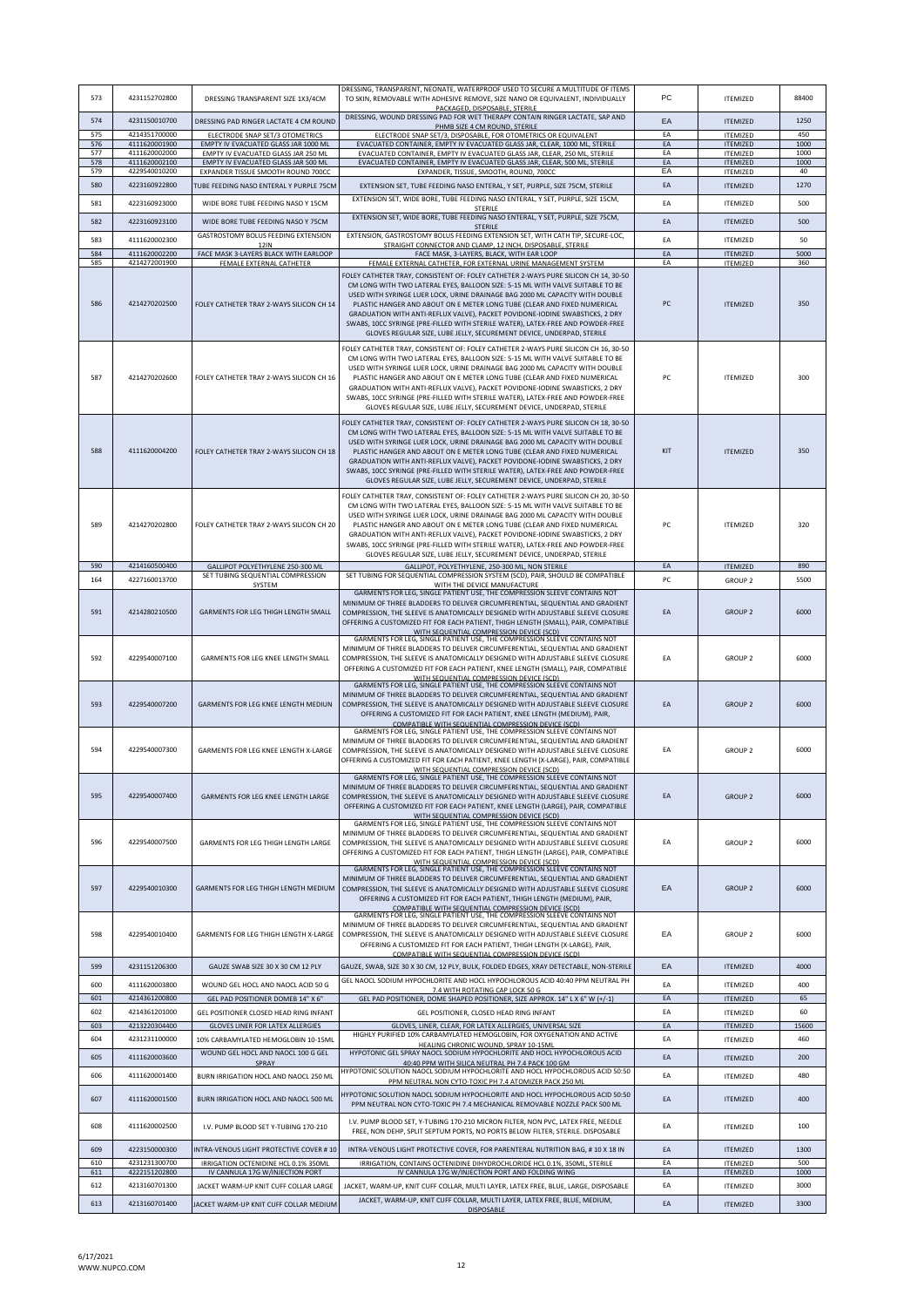| 573        | 4231152702800                  | DRESSING TRANSPARENT SIZE 1X3/4CM                                             | DRESSING, TRANSPARENT, NEONATE, WATERPROOF USED TO SECURE A MULTITUDE OF ITEMS<br>TO SKIN, REMOVABLE WITH ADHESIVE REMOVE, SIZE NANO OR EQUIVALENT, INDIVIDUALLY<br>PACKAGED, DISPOSABLE, STERILE                                                                                                                                                                                                                                                                                                                                                                             | PC       | <b>ITEMIZED</b>                    | 88400       |
|------------|--------------------------------|-------------------------------------------------------------------------------|-------------------------------------------------------------------------------------------------------------------------------------------------------------------------------------------------------------------------------------------------------------------------------------------------------------------------------------------------------------------------------------------------------------------------------------------------------------------------------------------------------------------------------------------------------------------------------|----------|------------------------------------|-------------|
| 574        | 4231150010700                  | DRESSING PAD RINGER LACTATE 4 CM ROUND                                        | DRESSING, WOUND DRESSING PAD FOR WET THERAPY CONTAIN RINGER LACTATE, SAP AND<br>PHMB SIZE 4 CM ROUND. STERILE                                                                                                                                                                                                                                                                                                                                                                                                                                                                 | EA       | <b>ITEMIZED</b>                    | 1250        |
| 575<br>576 | 4214351700000                  | ELECTRODE SNAP SET/3 OTOMETRICS                                               | ELECTRODE SNAP SET/3, DISPOSABLE, FOR OTOMETRICS OR EQUIVALENT                                                                                                                                                                                                                                                                                                                                                                                                                                                                                                                | EA<br>EA | <b>ITEMIZED</b>                    | 450<br>1000 |
| 577        | 4111620001900<br>4111620002000 | EMPTY IV EVACUATED GLASS JAR 1000 MI<br>EMPTY IV EVACUATED GLASS JAR 250 ML   | EVACUATED CONTAINER, EMPTY IV EVACUATED GLASS JAR, CLEAR, 1000 ML, STERILE<br>EVACUATED CONTAINER, EMPTY IV EVACUATED GLASS JAR, CLEAR, 250 ML, STERILE                                                                                                                                                                                                                                                                                                                                                                                                                       | EA       | <b>ITEMIZED</b><br><b>ITEMIZED</b> | 1000        |
| 578        | 4111620002100                  | EMPTY IV EVACUATED GLASS JAR 500 ML                                           | EVACUATED CONTAINER, EMPTY IV EVACUATED GLASS JAR, CLEAR, 500 ML, STERILE                                                                                                                                                                                                                                                                                                                                                                                                                                                                                                     | EA       | <b>ITEMIZED</b>                    | 1000        |
| 579        | 4229540010200                  | EXPANDER TISSUE SMOOTH ROUND 700CC                                            | EXPANDER, TISSUE, SMOOTH, ROUND, 700CC                                                                                                                                                                                                                                                                                                                                                                                                                                                                                                                                        | EA       | <b>ITEMIZED</b>                    | 40          |
| 580<br>581 | 4223160922800<br>4223160923000 | TUBE FEEDING NASO ENTERAL Y PURPLE 75CM<br>WIDE BORE TUBE FEEDING NASO Y 15CM | EXTENSION SET, TUBE FEEDING NASO ENTERAL, Y SET, PURPLE, SIZE 75CM, STERILE<br>EXTENSION SET, WIDE BORE, TUBE FEEDING NASO ENTERAL, Y SET, PURPLE, SIZE 15CM,                                                                                                                                                                                                                                                                                                                                                                                                                 | EA<br>EA | <b>ITEMIZED</b><br><b>ITEMIZED</b> | 1270<br>500 |
| 582        | 4223160923100                  | WIDE BORE TUBE FEEDING NASO Y 75CM                                            | <b>STERILE</b><br>EXTENSION SET, WIDE BORE, TUBE FEEDING NASO ENTERAL, Y SET, PURPLE, SIZE 75CM,                                                                                                                                                                                                                                                                                                                                                                                                                                                                              | EA       | <b>ITEMIZED</b>                    | 500         |
|            |                                | GASTROSTOMY BOLUS FEEDING EXTENSION                                           | <b>STERILE</b><br>EXTENSION, GASTROSTOMY BOLUS FEEDING EXTENSION SET, WITH CATH TIP, SECURE-LOC,                                                                                                                                                                                                                                                                                                                                                                                                                                                                              |          |                                    |             |
| 583        | 4111620002300                  | <b>12IN</b>                                                                   | STRAIGHT CONNECTOR AND CLAMP, 12 INCH, DISPOSABLE, STERILE                                                                                                                                                                                                                                                                                                                                                                                                                                                                                                                    | EA       | <b>ITEMIZED</b>                    | 50          |
| 584<br>585 | 4111620002200<br>4214272001900 | FACE MASK 3-LAYERS BLACK WITH EARLOOP<br>FEMALE EXTERNAL CATHETER             | FACE MASK, 3-LAYERS, BLACK, WITH EAR LOOP<br>FEMALE EXTERNAL CATHETER, FOR EXTERNAL URINE MANAGEMENT SYSTEM                                                                                                                                                                                                                                                                                                                                                                                                                                                                   | EA<br>EA | <b>ITEMIZED</b><br><b>ITEMIZED</b> | 5000<br>360 |
|            |                                |                                                                               | FOLEY CATHETER TRAY, CONSISTENT OF: FOLEY CATHETER 2-WAYS PURE SILICON CH 14, 30-50                                                                                                                                                                                                                                                                                                                                                                                                                                                                                           |          |                                    |             |
| 586        | 4214270202500                  | FOLEY CATHETER TRAY 2-WAYS SILICON CH 14                                      | CM LONG WITH TWO LATERAL EYES, BALLOON SIZE: 5-15 ML WITH VALVE SUITABLE TO BE<br>USED WITH SYRINGE LUER LOCK, URINE DRAINAGE BAG 2000 ML CAPACITY WITH DOUBLE<br>PLASTIC HANGER AND ABOUT ON E METER LONG TUBE (CLEAR AND FIXED NUMERICAL<br>GRADUATION WITH ANTI-REFLUX VALVE), PACKET POVIDONE-IODINE SWABSTICKS, 2 DRY<br>SWABS, 10CC SYRINGE (PRE-FILLED WITH STERILE WATER), LATEX-FREE AND POWDER-FREE<br>GLOVES REGULAR SIZE, LUBE JELLY, SECUREMENT DEVICE, UNDERPAD, STERILE                                                                                        | PC       | <b>ITEMIZED</b>                    | 350         |
| 587        | 4214270202600                  | FOLEY CATHETER TRAY 2-WAYS SILICON CH 16                                      | FOLEY CATHETER TRAY, CONSISTENT OF: FOLEY CATHETER 2-WAYS PURE SILICON CH 16, 30-50<br>CM LONG WITH TWO LATERAL EYES, BALLOON SIZE: 5-15 ML WITH VALVE SUITABLE TO BE<br>USED WITH SYRINGE LUER LOCK, URINE DRAINAGE BAG 2000 ML CAPACITY WITH DOUBLE<br>PLASTIC HANGER AND ABOUT ON E METER LONG TUBE (CLEAR AND FIXED NUMERICAL<br>GRADUATION WITH ANTI-REFLUX VALVE), PACKET POVIDONE-IODINE SWABSTICKS, 2 DRY<br>SWABS, 10CC SYRINGE (PRE-FILLED WITH STERILE WATER), LATEX-FREE AND POWDER-FREE<br>GLOVES REGULAR SIZE, LUBE JELLY, SECUREMENT DEVICE, UNDERPAD, STERILE | PC       | <b>ITEMIZED</b>                    | 300         |
| 588        | 4111620004200                  | FOLEY CATHETER TRAY 2-WAYS SILICON CH 18                                      | FOLEY CATHETER TRAY, CONSISTENT OF: FOLEY CATHETER 2-WAYS PURE SILICON CH 18, 30-50<br>CM LONG WITH TWO LATERAL EYES, BALLOON SIZE: 5-15 ML WITH VALVE SUITABLE TO BE<br>USED WITH SYRINGE LUER LOCK, URINE DRAINAGE BAG 2000 ML CAPACITY WITH DOUBLE<br>PLASTIC HANGER AND ABOUT ON E METER LONG TUBE (CLEAR AND FIXED NUMERICAL<br>GRADUATION WITH ANTI-REFLUX VALVE), PACKET POVIDONE-IODINE SWABSTICKS, 2 DRY<br>SWABS, 10CC SYRINGE (PRE-FILLED WITH STERILE WATER), LATEX-FREE AND POWDER-FREE<br>GLOVES REGULAR SIZE, LUBE JELLY, SECUREMENT DEVICE, UNDERPAD, STERILE | KIT      | <b>ITEMIZED</b>                    | 350         |
| 589        | 4214270202800                  | FOLEY CATHETER TRAY 2-WAYS SILICON CH 20                                      | FOLEY CATHETER TRAY, CONSISTENT OF: FOLEY CATHETER 2-WAYS PURE SILICON CH 20, 30-50<br>CM LONG WITH TWO LATERAL EYES, BALLOON SIZE: 5-15 ML WITH VALVE SUITABLE TO BE<br>USED WITH SYRINGE LUER LOCK, URINE DRAINAGE BAG 2000 ML CAPACITY WITH DOUBLE<br>PLASTIC HANGER AND ABOUT ON E METER LONG TUBE (CLEAR AND FIXED NUMERICAL<br>GRADUATION WITH ANTI-REFLUX VALVE), PACKET POVIDONE-IODINE SWABSTICKS, 2 DRY<br>SWABS, 10CC SYRINGE (PRE-FILLED WITH STERILE WATER), LATEX-FREE AND POWDER-FREE<br>GLOVES REGULAR SIZE, LUBE JELLY, SECUREMENT DEVICE, UNDERPAD, STERILE | PC       | <b>ITEMIZED</b>                    | 320         |
| 590        | 4214160500400                  | GALLIPOT POLYETHYLENE 250-300 ML                                              | GALLIPOT, POLYETHYLENE, 250-300 ML, NON STERILE                                                                                                                                                                                                                                                                                                                                                                                                                                                                                                                               | EA       | <b>ITEMIZED</b>                    | 890         |
| 164        | 4227160013700                  | SET TUBING SEQUENTIAL COMPRESSION<br>SYSTEM                                   | SET TUBING FOR SEQUENTIAL COMPRESSION SYSTEM (SCD), PAIR, SHOULD BE COMPATIBLE<br>WITH THE DEVICE MANUFACTURE                                                                                                                                                                                                                                                                                                                                                                                                                                                                 | PC       | GROUP <sub>2</sub>                 | 5500        |
| 591        | 4214280210500                  | GARMENTS FOR LEG THIGH LENGTH SMALL                                           | GARMENTS FOR LEG, SINGLE PATIENT USE, THE COMPRESSION SLEEVE CONTAINS NOT<br>MINIMUM OF THREE BLADDERS TO DELIVER CIRCUMFERENTIAL, SEQUENTIAL AND GRADIENT<br>COMPRESSION, THE SLEEVE IS ANATOMICALLY DESIGNED WITH ADJUSTABLE SLEEVE CLOSURE<br>OFFERING A CUSTOMIZED FIT FOR EACH PATIENT, THIGH LENGTH (SMALL), PAIR, COMPATIBLE                                                                                                                                                                                                                                           | EA       | <b>GROUP 2</b>                     | 6000        |
| 592        | 4229540007100                  | GARMENTS FOR LEG KNEE LENGTH SMALL                                            | WITH SEQUENTIAL COMPRESSION DEVICE (SCD)<br>GARMENTS FOR LEG, SINGLE PATIENT USE, THE COMPRESSION SLEEVE CONTAINS NOT<br>MINIMUM OF THREE BLADDERS TO DELIVER CIRCUMFERENTIAL, SEQUENTIAL AND GRADIENT<br>COMPRESSION, THE SLEEVE IS ANATOMICALLY DESIGNED WITH ADJUSTABLE SLEEVE CLOSURE<br>OFFERING A CUSTOMIZED FIT FOR EACH PATIENT, KNEE LENGTH (SMALL), PAIR, COMPATIBLE<br>WITH SEQUENTIAL COMPRESSION DEVICE (SCD)                                                                                                                                                    | EA       | GROUP <sub>2</sub>                 | 6000        |
| 593        | 4229540007200                  | GARMENTS FOR LEG KNEE LENGTH MEDIUN                                           | GARMENTS FOR LEG, SINGLE PATIENT USE, THE COMPRESSION SLEEVE CONTAINS NOT<br>MINIMUM OF THREE BLADDERS TO DELIVER CIRCUMFERENTIAL, SEQUENTIAL AND GRADIENT<br>COMPRESSION, THE SLEEVE IS ANATOMICALLY DESIGNED WITH ADJUSTABLE SLEEVE CLOSURE<br>OFFERING A CUSTOMIZED FIT FOR EACH PATIENT, KNEE LENGTH (MEDIUM), PAIR,<br>COMPATIBLE WITH SEQUENTIAL COMPRESSION DEVICE (SCD)                                                                                                                                                                                               | EA       | <b>GROUP 2</b>                     | 6000        |
| 594        | 4229540007300                  | GARMENTS FOR LEG KNEE LENGTH X-LARGE                                          | GARMENTS FOR LEG, SINGLE PATIENT USE, THE COMPRESSION SLEEVE CONTAINS NOT<br>MINIMUM OF THREE BLADDERS TO DELIVER CIRCUMFERENTIAL, SEQUENTIAL AND GRADIENT<br>COMPRESSION, THE SLEEVE IS ANATOMICALLY DESIGNED WITH ADJUSTABLE SLEEVE CLOSURE<br>OFFERING A CUSTOMIZED FIT FOR EACH PATIENT, KNEE LENGTH (X-LARGE), PAIR, COMPATIBLE<br>WITH SEQUENTIAL COMPRESSION DEVICE (SCD)                                                                                                                                                                                              | EA       | GROUP <sub>2</sub>                 | 6000        |
| 595        | 4229540007400                  | GARMENTS FOR LEG KNEE LENGTH LARGE                                            | GARMENTS FOR LEG. SINGLE PATIENT USE, THE COMPRESSION SLEEVE CONTAINS NOT<br>MINIMUM OF THREE BLADDERS TO DELIVER CIRCUMFERENTIAL, SEQUENTIAL AND GRADIENT<br>COMPRESSION, THE SLEEVE IS ANATOMICALLY DESIGNED WITH ADJUSTABLE SLEEVE CLOSURE<br>OFFERING A CUSTOMIZED FIT FOR EACH PATIENT, KNEE LENGTH (LARGE), PAIR, COMPATIBLE<br>WITH SEQUENTIAL COMPRESSION DEVICE (SCD)                                                                                                                                                                                                | EA       | <b>GROUP 2</b>                     | 6000        |
| 596        | 4229540007500                  | GARMENTS FOR LEG THIGH LENGTH LARGE                                           | GARMENTS FOR LEG, SINGLE PATIENT USE, THE COMPRESSION SLEEVE CONTAINS NOT<br>MINIMUM OF THREE BLADDERS TO DELIVER CIRCUMFERENTIAL, SEQUENTIAL AND GRADIENT<br>COMPRESSION, THE SLEEVE IS ANATOMICALLY DESIGNED WITH ADJUSTABLE SLEEVE CLOSURE<br>OFFERING A CUSTOMIZED FIT FOR EACH PATIENT. THIGH LENGTH (LARGE), PAIR, COMPATIBLE<br>WITH SEQUENTIAL COMPRESSION DEVICE (SCD)                                                                                                                                                                                               | EA       | <b>GROUP 2</b>                     | 6000        |
| 597        | 4229540010300                  | GARMENTS FOR LEG THIGH LENGTH MEDIUM                                          | GARMENTS FOR LEG, SINGLE PATIENT USE, THE COMPRESSION SLEEVE CONTAINS NOT<br>MINIMUM OF THREE BLADDERS TO DELIVER CIRCUMFERENTIAL, SEQUENTIAL AND GRADIENT<br>COMPRESSION, THE SLEEVE IS ANATOMICALLY DESIGNED WITH ADJUSTABLE SLEEVE CLOSURE<br>OFFERING A CUSTOMIZED FIT FOR EACH PATIENT, THIGH LENGTH (MEDIUM), PAIR,<br>COMPATIBLE WITH SEQUENTIAL COMPRESSION DEVICE (SCD)                                                                                                                                                                                              | EA       | <b>GROUP 2</b>                     | 6000        |
| 598        | 4229540010400                  | GARMENTS FOR LEG THIGH LENGTH X-LARGE                                         | GARMENTS FOR LEG, SINGLE PATIENT USE, THE COMPRESSION SLEEVE CONTAINS NOT<br>MINIMUM OF THREE BLADDERS TO DELIVER CIRCUMFERENTIAL, SEQUENTIAL AND GRADIENT<br>COMPRESSION, THE SLEEVE IS ANATOMICALLY DESIGNED WITH ADJUSTABLE SLEEVE CLOSURE<br>OFFERING A CUSTOMIZED FIT FOR EACH PATIENT, THIGH LENGTH (X-LARGE), PAIR,<br>COMPATIBLE WITH SEQUENTIAL COMPRESSION DEVICE (SCD)                                                                                                                                                                                             | EA       | GROUP <sub>2</sub>                 | 6000        |
| 599        | 4231151206300                  | GAUZE SWAB SIZE 30 X 30 CM 12 PLY                                             | GAUZE, SWAB, SIZE 30 X 30 CM, 12 PLY, BULK, FOLDED EDGES, XRAY DETECTABLE, NON-STERILE                                                                                                                                                                                                                                                                                                                                                                                                                                                                                        | EA       | <b>ITEMIZED</b>                    | 4000        |
| 600        | 4111620003800                  | WOUND GEL HOCL AND NAOCL ACID 50 G                                            | GEL NAOCL SODIUM HYPOCHLORITE AND HOCL HYPOCHLOROUS ACID 40:40 PPM NEUTRAL PH<br>7.4 WITH ROTATING CAP LOCK 50 G                                                                                                                                                                                                                                                                                                                                                                                                                                                              | EA       | <b>ITEMIZED</b>                    | 400         |
| 601        | 4214361200800                  | GEL PAD POSITIONER DOMEB 14" X 6"                                             | GEL PAD POSITIONER, DOME SHAPED POSITIONER, SIZE APPROX. 14" L X 6" W (+/-1)                                                                                                                                                                                                                                                                                                                                                                                                                                                                                                  | EA       | <b>ITEMIZED</b>                    | 65          |
| 602        | 4214361201000                  | GEL POSITIONER CLOSED HEAD RING INFANT                                        | GEL POSITIONER, CLOSED HEAD RING INFANT                                                                                                                                                                                                                                                                                                                                                                                                                                                                                                                                       | EA       | <b>ITEMIZED</b>                    | 60          |
| 603        | 4213220304400                  | GLOVES LINER FOR LATEX ALLERGIES                                              | GLOVES, LINER, CLEAR, FOR LATEX ALLERGIES, UNIVERSAL SIZE                                                                                                                                                                                                                                                                                                                                                                                                                                                                                                                     | FA       | <b>ITEMIZED</b>                    | 15600       |
| 604        | 4231231100000                  | 10% CARBAMYLATED HEMOGLOBIN 10-15ML                                           | HIGHLY PURIFIED 10% CARBAMYLATED HEMOGLOBIN, FOR OXYGENATION AND ACTIVE<br>HEALING CHRONIC WOUND, SPRAY 10-15ML                                                                                                                                                                                                                                                                                                                                                                                                                                                               | EA       | <b>ITEMIZED</b>                    | 460         |
| 605        | 4111620003600                  | WOUND GEL HOCL AND NAOCL 100 G GEL                                            | HYPOTONIC GEL SPRAY NAOCL SODIUM HYPOCHLORITE AND HOCL HYPOCHLOROUS ACID                                                                                                                                                                                                                                                                                                                                                                                                                                                                                                      | EA       | <b>ITEMIZED</b>                    | 200         |
| 606        | 4111620001400                  | SPRAY<br>BURN IRRIGATION HOCL AND NAOCL 250 ML                                | 40:40 PPM WITH SILICA NEUTRAL PH 7.4 PACK 100 GM<br>HYPOTONIC SOLUTION NAOCL SODIUM HYPOCHLORITE AND HOCL HYPOCHLOROUS ACID 50:50                                                                                                                                                                                                                                                                                                                                                                                                                                             | EA       | <b>ITEMIZED</b>                    | 480         |
|            |                                |                                                                               | PPM NEUTRAL NON CYTO-TOXIC PH 7.4 ATOMIZER PACK 250 ML<br>HYPOTONIC SOLUTION NAOCL SODIUM HYPOCHLORITE AND HOCL HYPOCHLOROUS ACID 50:50                                                                                                                                                                                                                                                                                                                                                                                                                                       |          |                                    |             |
| 607<br>608 | 4111620001500<br>4111620002500 | BURN IRRIGATION HOCL AND NAOCL 500 ML<br>I.V. PUMP BLOOD SET Y-TUBING 170-210 | PPM NEUTRAL NON CYTO-TOXIC PH 7.4 MECHANICAL REMOVABLE NOZZLE PACK 500 ML<br>I.V. PUMP BLOOD SET, Y-TUBING 170-210 MICRON FILTER, NON PVC, LATEX FREE, NEEDLE                                                                                                                                                                                                                                                                                                                                                                                                                 | EA<br>EA | <b>ITEMIZED</b><br><b>ITEMIZED</b> | 400<br>100  |
|            |                                |                                                                               | FREE, NON DEHP, SPLIT SEPTUM PORTS, NO PORTS BELOW FILTER, STERILE. DISPOSABLE                                                                                                                                                                                                                                                                                                                                                                                                                                                                                                |          |                                    |             |
| 609        | 4223150000300                  | INTRA-VENOUS LIGHT PROTECTIVE COVER # 10                                      | INTRA-VENOUS LIGHT PROTECTIVE COVER, FOR PARENTERAL NUTRITION BAG, # 10 X 18 IN                                                                                                                                                                                                                                                                                                                                                                                                                                                                                               | EA       | <b>ITEMIZED</b>                    | 1300        |
| 610<br>611 | 4231231300700<br>4222151202800 | IRRIGATION OCTENIDINE HCL 0.1% 350ML<br>IV CANNULA 17G W/INJECTION PORT       | IRRIGATION, CONTAINS OCTENIDINE DIHYDROCHLORIDE HCL 0.1%, 350ML, STERILE<br>IV CANNULA 17G W/INJECTION PORT AND FOLDING WING                                                                                                                                                                                                                                                                                                                                                                                                                                                  | EA<br>EA | <b>ITEMIZED</b><br><b>ITEMIZED</b> | 500<br>1000 |
| 612        | 4213160701300                  | JACKET WARM-UP KNIT CUFF COLLAR LARGE                                         | JACKET, WARM-UP, KNIT CUFF COLLAR, MULTI LAYER, LATEX FREE, BLUE, LARGE, DISPOSABLE                                                                                                                                                                                                                                                                                                                                                                                                                                                                                           | EA       | <b>ITEMIZED</b>                    | 3000        |
|            |                                |                                                                               | JACKET, WARM-UP, KNIT CUFF COLLAR, MULTI LAYER, LATEX FREE, BLUE, MEDIUM,                                                                                                                                                                                                                                                                                                                                                                                                                                                                                                     |          |                                    |             |
| 613        | 4213160701400                  | JACKET WARM-UP KNIT CUFF COLLAR MEDIUM                                        | DISPOSABLE                                                                                                                                                                                                                                                                                                                                                                                                                                                                                                                                                                    | EA       | <b>ITEMIZED</b>                    | 3300        |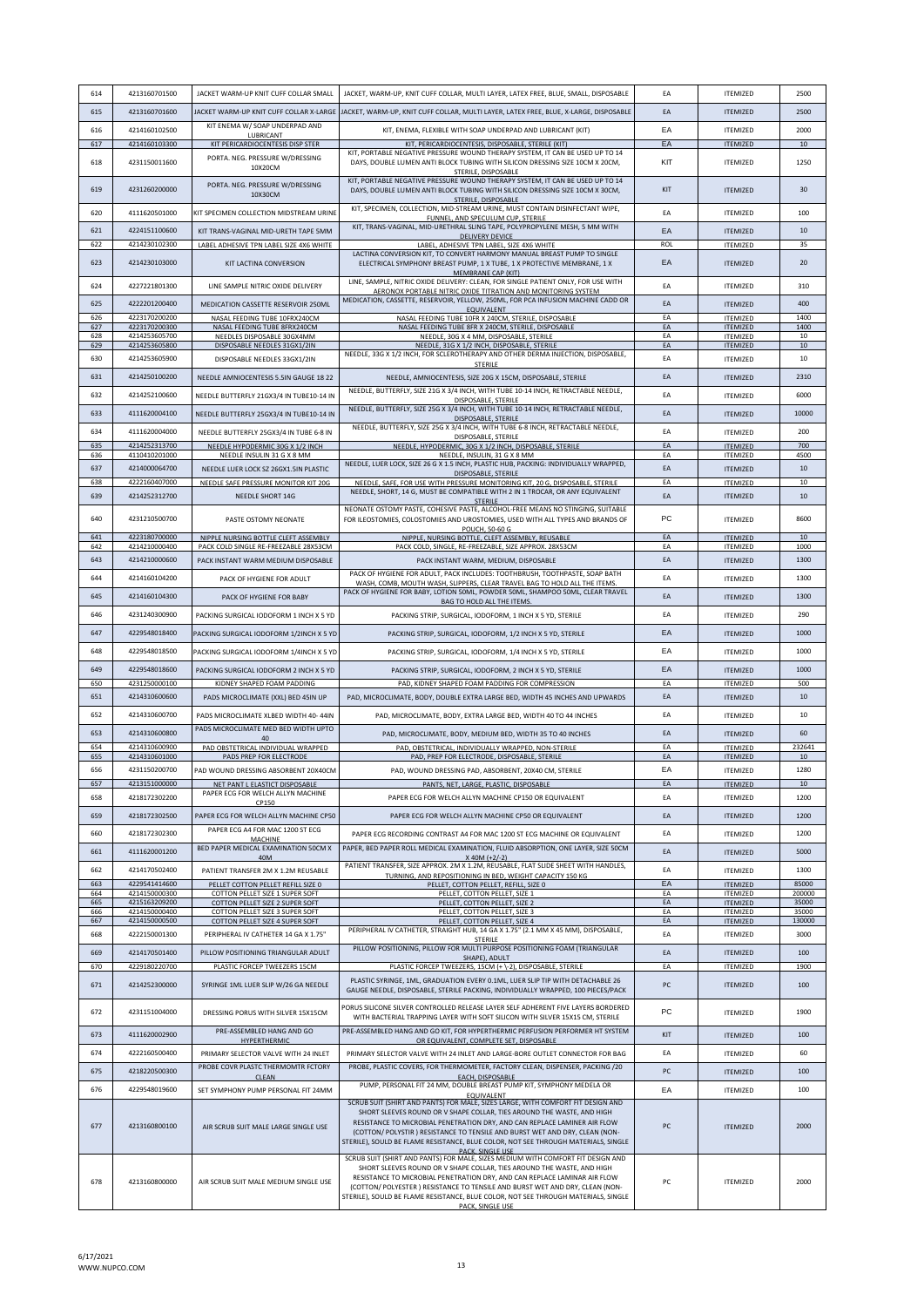| 614        | 4213160701500                  | JACKET WARM-UP KNIT CUFF COLLAR SMALL                                        | JACKET, WARM-UP, KNIT CUFF COLLAR, MULTI LAYER, LATEX FREE, BLUE, SMALL, DISPOSABLE                                                                                                                                                                                                                                                                                                                                               | EA       | <b>ITEMIZED</b>                    | 2500             |
|------------|--------------------------------|------------------------------------------------------------------------------|-----------------------------------------------------------------------------------------------------------------------------------------------------------------------------------------------------------------------------------------------------------------------------------------------------------------------------------------------------------------------------------------------------------------------------------|----------|------------------------------------|------------------|
| 615        | 4213160701600                  |                                                                              | JACKET WARM-UP KNIT CUFF COLLAR X-LARGE  JACKET, WARM-UP, KNIT CUFF COLLAR, MULTI LAYER, LATEX FREE, BLUE, X-LARGE, DISPOSABLE                                                                                                                                                                                                                                                                                                    | EA       | <b>ITEMIZED</b>                    | 2500             |
| 616        | 4214160102500                  | KIT ENEMA W/ SOAP UNDERPAD AND                                               | KIT, ENEMA, FLEXIBLE WITH SOAP UNDERPAD AND LUBRICANT (KIT)                                                                                                                                                                                                                                                                                                                                                                       | EA       | <b>ITEMIZED</b>                    | 2000             |
| 617        | 4214160103300                  | LUBRICANT<br>KIT PERICARDIOCENTESIS DISP STER                                | KIT, PERICARDIOCENTESIS, DISPOSABLE, STERILE (KIT)                                                                                                                                                                                                                                                                                                                                                                                | EA       | <b>ITEMIZED</b>                    | 10 <sub>10</sub> |
| 618        | 4231150011600                  | PORTA. NEG. PRESSURE W/DRESSING<br>10X20CM                                   | KIT, PORTABLE NEGATIVE PRESSURE WOUND THERAPY SYSTEM, IT CAN BE USED UP TO 14<br>DAYS, DOUBLE LUMEN ANTI BLOCK TUBING WITH SILICON DRESSING SIZE 10CM X 20CM,<br>STERILE, DISPOSABLE                                                                                                                                                                                                                                              | KIT      | <b>ITEMIZED</b>                    | 1250             |
| 619        | 4231260200000                  | PORTA. NEG. PRESSURE W/DRESSING<br>10X30CM                                   | KIT, PORTABLE NEGATIVE PRESSURE WOUND THERAPY SYSTEM, IT CAN BE USED UP TO 14<br>DAYS, DOUBLE LUMEN ANTI BLOCK TUBING WITH SILICON DRESSING SIZE 10CM X 30CM,<br><b>STERILE, DISPOSABLE</b>                                                                                                                                                                                                                                       | KIT      | <b>ITEMIZED</b>                    | 30               |
| 620        | 4111620501000                  | KIT SPECIMEN COLLECTION MIDSTREAM URINE                                      | KIT, SPECIMEN, COLLECTION, MID-STREAM URINE, MUST CONTAIN DISINFECTANT WIPE,<br>FUNNEL, AND SPECULUM CUP, STERILE                                                                                                                                                                                                                                                                                                                 | EA       | <b>ITEMIZED</b>                    | 100              |
| 621        | 4224151100600                  | KIT TRANS-VAGINAL MID-URETH TAPE 5MM                                         | KIT, TRANS-VAGINAL, MID-URETHRAL SLING TAPE, POLYPROPYLENE MESH, 5 MM WITH<br>DELIVERY DEVICE                                                                                                                                                                                                                                                                                                                                     | EA       | <b>ITEMIZED</b>                    | 10               |
| 622        | 4214230102300                  | LABEL ADHESIVE TPN LABEL SIZE 4X6 WHITE                                      | LABEL, ADHESIVE TPN LABEL, SIZE 4X6 WHITE<br>LACTINA CONVERSION KIT, TO CONVERT HARMONY MANUAL BREAST PUMP TO SINGLE                                                                                                                                                                                                                                                                                                              | ROL      | <b>ITEMIZED</b>                    | 35               |
| 623        | 4214230103000                  | KIT LACTINA CONVERSION                                                       | ELECTRICAL SYMPHONY BREAST PUMP, 1 X TUBE, 1 X PROTECTIVE MEMBRANE, 1 X<br>MEMBRANE CAP (KIT)<br>LINE, SAMPLE, NITRIC OXIDE DELIVERY: CLEAN, FOR SINGLE PATIENT ONLY, FOR USE WITH                                                                                                                                                                                                                                                | EA       | <b>ITEMIZED</b>                    | 20               |
| 624        | 4227221801300                  | LINE SAMPLE NITRIC OXIDE DELIVERY                                            | AERONOX PORTABLE NITRIC OXIDE TITRATION AND MONITORING SYSTEM                                                                                                                                                                                                                                                                                                                                                                     | EA       | <b>ITEMIZED</b>                    | 310              |
| 625        | 4222201200400                  | MEDICATION CASSETTE RESERVOIR 250ML                                          | MEDICATION, CASSETTE, RESERVOIR, YELLOW, 250ML, FOR PCA INFUSION MACHINE CADD OR<br>EQUIVALENT                                                                                                                                                                                                                                                                                                                                    | EA       | <b>ITEMIZED</b>                    | 400              |
| 626<br>627 | 4223170200200<br>4223170200300 | NASAL FEEDING TUBE 10FRX240CM<br>NASAL FEEDING TUBE 8FRX240CM                | NASAL FEEDING TUBE 10FR X 240CM, STERILE, DISPOSABLE<br>NASAL FEEDING TUBE 8FR X 240CM, STERILE, DISPOSABLE                                                                                                                                                                                                                                                                                                                       | EA<br>EA | <b>ITEMIZED</b><br><b>ITEMIZED</b> | 1400<br>1400     |
| 628<br>629 | 4214253605700<br>4214253605800 | NEEDLES DISPOSABLE 30GX4MM<br>DISPOSABLE NEEDLES 31GX1/2IN                   | NEEDLE, 30G X 4 MM, DISPOSABLE, STERILE<br>NEEDLE, 31G X 1/2 INCH, DISPOSABLE, STERILE                                                                                                                                                                                                                                                                                                                                            | EA<br>EA | <b>ITEMIZED</b><br><b>ITEMIZED</b> | 10<br>10         |
| 630        | 4214253605900                  | DISPOSABLE NEEDLES 33GX1/2IN                                                 | NEEDLE, 33G X 1/2 INCH, FOR SCLEROTHERAPY AND OTHER DERMA INJECTION, DISPOSABLE,<br>STERILE                                                                                                                                                                                                                                                                                                                                       | EA       | <b>ITEMIZED</b>                    | 10               |
| 631        | 4214250100200                  | NEEDLE AMNIOCENTESIS 5.5IN GAUGE 18 22                                       | NEEDLE, AMNIOCENTESIS, SIZE 20G X 15CM, DISPOSABLE, STERILE                                                                                                                                                                                                                                                                                                                                                                       | EA       | <b>ITEMIZED</b>                    | 2310             |
| 632        | 4214252100600                  | NEEDLE BUTTERFLY 21GX3/4 IN TUBE10-14 IN                                     | NEEDLE, BUTTERFLY, SIZE 21G X 3/4 INCH, WITH TUBE 10-14 INCH, RETRACTABLE NEEDLE,                                                                                                                                                                                                                                                                                                                                                 | EA       | <b>ITEMIZED</b>                    | 6000             |
| 633        | 4111620004100                  | NEEDLE BUTTERFLY 25GX3/4 IN TUBE10-14 IN                                     | DISPOSABLE, STERILE<br>NEEDLE, BUTTERFLY, SIZE 25G X 3/4 INCH, WITH TUBE 10-14 INCH, RETRACTABLE NEEDLE,                                                                                                                                                                                                                                                                                                                          | EA       |                                    | 10000            |
|            |                                |                                                                              | DISPOSABLE, STERILE<br>NEEDLE, BUTTERFLY, SIZE 25G X 3/4 INCH, WITH TUBE 6-8 INCH, RETRACTABLE NEEDLE,                                                                                                                                                                                                                                                                                                                            |          | <b>ITEMIZED</b>                    |                  |
| 634<br>635 | 4111620004000<br>4214252313700 | NEEDLE BUTTERFLY 25GX3/4 IN TUBE 6-8 IN<br>NEEDLE HYPODERMIC 30G X 1/2 INCH  | DISPOSABLE, STERILE<br>NEEDLE, HYPODERMIC, 30G X 1/2 INCH, DISPOSABLE, STERILE                                                                                                                                                                                                                                                                                                                                                    | EA<br>EA | <b>ITEMIZED</b><br><b>ITEMIZED</b> | 200<br>700       |
| 636        | 4110410201000                  | NEEDLE INSULIN 31 G X 8 MM                                                   | NEEDLE, INSULIN, 31 G X 8 MM                                                                                                                                                                                                                                                                                                                                                                                                      | EA       | <b>ITEMIZED</b>                    | 4500             |
| 637        | 4214000064700                  | NEEDLE LUER LOCK SZ 26GX1.5IN PLASTIC                                        | NEEDLE, LUER LOCK, SIZE 26 G X 1.5 INCH, PLASTIC HUB, PACKING: INDIVIDUALLY WRAPPED,<br>DISPOSABLE, STERILE                                                                                                                                                                                                                                                                                                                       | EA       | <b>ITEMIZED</b>                    | 10               |
| 638<br>639 | 4222160407000<br>4214252312700 | NEEDLE SAFE PRESSURE MONITOR KIT 20G                                         | NEEDLE, SAFE, FOR USE WITH PRESSURE MONITORING KIT, 20 G, DISPOSABLE, STERILE<br>NEEDLE, SHORT, 14 G, MUST BE COMPATIBLE WITH 2 IN 1 TROCAR, OR ANY EQUIVALENT                                                                                                                                                                                                                                                                    | EA<br>EA | <b>ITEMIZED</b><br><b>ITEMIZED</b> | 10<br>10         |
|            |                                | <b>NEEDLE SHORT 14G</b>                                                      | <b>STERILE</b><br>NEONATE OSTOMY PASTE, COHESIVE PASTE, ALCOHOL-FREE MEANS NO STINGING, SUITABLE                                                                                                                                                                                                                                                                                                                                  |          |                                    |                  |
| 640        | 4231210500700                  | PASTE OSTOMY NEONATE                                                         | FOR ILEOSTOMIES, COLOSTOMIES AND UROSTOMIES, USED WITH ALL TYPES AND BRANDS OF<br><b>POUCH, 50-60 G</b>                                                                                                                                                                                                                                                                                                                           | PC       | <b>ITEMIZED</b>                    | 8600             |
| 641        | 4223180700000                  | NIPPLE NURSING BOTTLE CLEFT ASSEMBLY                                         | NIPPLE, NURSING BOTTLE, CLEFT ASSEMBLY, REUSABLE                                                                                                                                                                                                                                                                                                                                                                                  | EA       | <b>ITEMIZED</b>                    | 10               |
| 642<br>643 | 4214210000400<br>4214210000600 | PACK COLD SINGLE RE-FREEZABLE 28X53CM<br>PACK INSTANT WARM MEDIUM DISPOSABLE | PACK COLD, SINGLE, RE-FREEZABLE, SIZE APPROX. 28X53CM<br>PACK INSTANT WARM, MEDIUM, DISPOSABLE                                                                                                                                                                                                                                                                                                                                    | FA<br>EA | <b>ITEMIZED</b><br><b>ITEMIZED</b> | 1000<br>1300     |
| 644        | 4214160104200                  | PACK OF HYGIENE FOR ADULT                                                    | PACK OF HYGIENE FOR ADULT, PACK INCLUDES: TOOTHBRUSH, TOOTHPASTE, SOAP BATH                                                                                                                                                                                                                                                                                                                                                       | EA       | <b>ITEMIZED</b>                    | 1300             |
|            |                                |                                                                              | WASH, COMB, MOUTH WASH, SLIPPERS, CLEAR TRAVEL BAG TO HOLD ALL THE ITEMS.<br>PACK OF HYGIENE FOR BABY, LOTION 50ML, POWDER 50ML, SHAMPOO 50ML, CLEAR TRAVEL                                                                                                                                                                                                                                                                       |          |                                    |                  |
| 645        | 4214160104300                  | PACK OF HYGIENE FOR BABY                                                     | BAG TO HOLD ALL THE ITEMS.                                                                                                                                                                                                                                                                                                                                                                                                        | EA       | <b>ITEMIZED</b>                    | 1300             |
| 646        | 4231240300900                  | PACKING SURGICAL IODOFORM 1 INCH X 5 YD                                      | PACKING STRIP, SURGICAL, IODOFORM, 1 INCH X 5 YD, STERILE                                                                                                                                                                                                                                                                                                                                                                         | EA       | <b>ITEMIZED</b>                    | 290              |
| 647        | 4229548018400                  | PACKING SURGICAL IODOFORM 1/2INCH X 5 YD                                     | PACKING STRIP, SURGICAL, IODOFORM, 1/2 INCH X 5 YD, STERILE                                                                                                                                                                                                                                                                                                                                                                       | EA       | <b>ITEMIZED</b>                    | 1000             |
| 648        | 4229548018500                  | PACKING SURGICAL IODOFORM 1/4INCH X 5 YD                                     | PACKING STRIP, SURGICAL, IODOFORM, 1/4 INCH X 5 YD, STERILE                                                                                                                                                                                                                                                                                                                                                                       | EA       | <b>ITEMIZED</b>                    | 1000             |
| 649        | 4229548018600                  | PACKING SURGICAL IODOFORM 2 INCH X 5 YD                                      | PACKING STRIP, SURGICAL, IODOFORM, 2 INCH X 5 YD, STERILE                                                                                                                                                                                                                                                                                                                                                                         | EA       | <b>ITEMIZED</b>                    | 1000             |
| 650        | 4231250000100                  | KIDNEY SHAPED FOAM PADDING                                                   | PAD, KIDNEY SHAPED FOAM PADDING FOR COMPRESSION                                                                                                                                                                                                                                                                                                                                                                                   | EA       | <b>ITEMIZED</b>                    | 500              |
| 651        | 4214310600600                  | PADS MICROCLIMATE (XXL) BED 45IN UP                                          | PAD, MICROCLIMATE, BODY, DOUBLE EXTRA LARGE BED, WIDTH 45 INCHES AND UPWARDS                                                                                                                                                                                                                                                                                                                                                      | EA       | <b>ITEMIZED</b>                    | 10               |
| 652        | 4214310600700                  | PADS MICROCLIMATE XLBED WIDTH 40-44IN                                        | PAD, MICROCLIMATE, BODY, EXTRA LARGE BED, WIDTH 40 TO 44 INCHES                                                                                                                                                                                                                                                                                                                                                                   | EA       | <b>ITFMIZED</b>                    | 10               |
| 653        | 4214310600800                  | PADS MICROCLIMATE MED BED WIDTH UPTO<br>40                                   | PAD, MICROCLIMATE, BODY, MEDIUM BED, WIDTH 35 TO 40 INCHES                                                                                                                                                                                                                                                                                                                                                                        | EA       | <b>ITEMIZED</b>                    | 60               |
| 654<br>655 | 4214310600900<br>4214310601000 | PAD OBSTETRICAL INDIVIDUAL WRAPPED<br>PADS PREP FOR ELECTRODE                | PAD, OBSTETRICAL, INDIVIDUALLY WRAPPED, NON-STERILE<br>PAD, PREP FOR ELECTRODE, DISPOSABLE, STERILE                                                                                                                                                                                                                                                                                                                               | EA<br>EA | <b>ITEMIZED</b><br><b>ITEMIZED</b> | 232641<br>10     |
| 656        | 4231150200700                  | PAD WOUND DRESSING ABSORBENT 20X40CM                                         | PAD, WOUND DRESSING PAD, ABSORBENT, 20X40 CM, STERILE                                                                                                                                                                                                                                                                                                                                                                             | EA       | <b>ITEMIZED</b>                    | 1280             |
| 657        | 4213151000000                  | NET PANT L ELASTICT DISPOSABLE                                               | PANTS, NET, LARGE, PLASTIC, DISPOSABLE                                                                                                                                                                                                                                                                                                                                                                                            | EA       | <b>ITEMIZED</b>                    | 10               |
| 658        | 4218172302200                  | PAPER ECG FOR WELCH ALLYN MACHINE<br>CP150                                   | PAPER ECG FOR WELCH ALLYN MACHINE CP150 OR EQUIVALENT                                                                                                                                                                                                                                                                                                                                                                             | EA       | <b>ITEMIZED</b>                    | 1200             |
| 659        | 4218172302500                  | PAPER ECG FOR WELCH ALLYN MACHINE CP50                                       | PAPER ECG FOR WELCH ALLYN MACHINE CP50 OR EQUIVALENT                                                                                                                                                                                                                                                                                                                                                                              | EA       | <b>ITEMIZED</b>                    | 1200             |
| 660        | 4218172302300                  | PAPER ECG A4 FOR MAC 1200 ST ECG<br>MACHINE                                  | PAPER ECG RECORDING CONTRAST A4 FOR MAC 1200 ST ECG MACHINE OR EQUIVALENT                                                                                                                                                                                                                                                                                                                                                         | EA       | <b>ITEMIZED</b>                    | 1200             |
| 661        | 4111620001200                  | BED PAPER MEDICAL EXAMINATION 50CM X<br>40M                                  | PAPER, BED PAPER ROLL MEDICAL EXAMINATION, FLUID ABSORPTION, ONE LAYER, SIZE 50CM<br>$X$ 40M (+2/-2)                                                                                                                                                                                                                                                                                                                              | EA       | <b>ITEMIZED</b>                    | 5000             |
| 662        | 4214170502400                  | PATIENT TRANSFER 2M X 1.2M REUSABLE                                          | PATIENT TRANSFER, SIZE APPROX. 2M X 1.2M, REUSABLE, FLAT SLIDE SHEET WITH HANDLES,<br>TURNING, AND REPOSITIONING IN BED, WEIGHT CAPACITY 150 KG                                                                                                                                                                                                                                                                                   | EA       | <b>ITEMIZED</b>                    | 1300             |
| 663        | 4229541414600                  | PELLET COTTON PELLET REFILL SIZE 0                                           | PELLET, COTTON PELLET, REFILL, SIZE 0                                                                                                                                                                                                                                                                                                                                                                                             | EA       | <b>ITEMIZED</b>                    | 85000            |
| 664<br>665 | 4214150000300<br>4215163209200 | COTTON PELLET SIZE 1 SUPER SOFT<br>COTTON PELLET SIZE 2 SUPER SOFT           | PELLET, COTTON PELLET, SIZE 1<br>PELLET, COTTON PELLET, SIZE 2                                                                                                                                                                                                                                                                                                                                                                    | EA<br>EA | <b>ITEMIZED</b><br><b>ITEMIZED</b> | 200000<br>35000  |
| 666<br>667 | 4214150000400<br>4214150000500 | COTTON PELLET SIZE 3 SUPER SOFT<br>COTTON PELLET SIZE 4 SUPER SOFT           | PELLET, COTTON PELLET, SIZE 3<br>PELLET, COTTON PELLET, SIZE 4                                                                                                                                                                                                                                                                                                                                                                    | EA<br>EA | <b>ITEMIZED</b><br><b>ITEMIZED</b> | 35000<br>130000  |
| 668        | 4222150001300                  | PERIPHERAL IV CATHETER 14 GA X 1.75"                                         | PERIPHERAL IV CATHETER, STRAIGHT HUB, 14 GA X 1.75" (2.1 MM X 45 MM), DISPOSABLE,<br>STERILE                                                                                                                                                                                                                                                                                                                                      | EA       | <b>ITEMIZED</b>                    | 3000             |
| 669        | 4214170501400                  | PILLOW POSITIONING TRIANGULAR ADULT                                          | PILLOW POSITIONING, PILLOW FOR MULTI PURPOSE POSITIONING FOAM (TRIANGULAR<br>SHAPE), ADULT                                                                                                                                                                                                                                                                                                                                        | EA       | <b>ITEMIZED</b>                    | 100              |
| 670        | 4229180220700                  | PLASTIC FORCEP TWEEZERS 15CM                                                 | PLASTIC FORCEP TWEEZERS, 15CM (+\-2), DISPOSABLE, STERILE                                                                                                                                                                                                                                                                                                                                                                         | EA       | <b>ITEMIZED</b>                    | 1900             |
| 671        | 4214252300000                  | SYRINGE 1ML LUER SLIP W/26 GA NEEDLE                                         | PLASTIC SYRINGE, 1ML, GRADUATION EVERY 0.1ML, LUER SLIP TIP WITH DETACHABLE 26<br>GAUGE NEEDLE, DISPOSABLE, STERILE PACKING, INDIVIDUALLY WRAPPED, 100 PIECES/PACK                                                                                                                                                                                                                                                                | PC       | <b>ITEMIZED</b>                    | 100              |
| 672        | 4231151004000                  | DRESSING PORUS WITH SILVER 15X15CM                                           | PORUS SILICONE SILVER CONTROLLED RELEASE LAYER SELF ADHERENT FIVE LAYERS BORDERED<br>WITH BACTERIAL TRAPPING LAYER WITH SOFT SILICON WITH SILVER 15X15 CM, STERILE                                                                                                                                                                                                                                                                | PC       | <b>ITEMIZED</b>                    | 1900             |
| 673        | 4111620002900                  | PRE-ASSEMBLED HANG AND GO<br>HYPERTHERMIC                                    | PRE-ASSEMBLED HANG AND GO KIT, FOR HYPERTHERMIC PERFUSION PERFORMER HT SYSTEM<br>OR EQUIVALENT, COMPLETE SET, DISPOSABLE                                                                                                                                                                                                                                                                                                          | KIT      | <b>ITEMIZED</b>                    | 100              |
| 674        | 4222160500400                  | PRIMARY SELECTOR VALVE WITH 24 INLET                                         | PRIMARY SELECTOR VALVE WITH 24 INLET AND LARGE-BORE OUTLET CONNECTOR FOR BAG                                                                                                                                                                                                                                                                                                                                                      | EA       | <b>ITEMIZED</b>                    | 60               |
| 675        | 4218220500300                  | PROBE COVR PLASTC THERMOMTR FCTORY<br>CLEAN                                  | PROBE, PLASTIC COVERS, FOR THERMOMETER, FACTORY CLEAN, DISPENSER, PACKING /20<br>EACH, DISPOSABLE                                                                                                                                                                                                                                                                                                                                 | PC       | <b>ITEMIZED</b>                    | 100              |
| 676        | 4229548019600                  | SET SYMPHONY PUMP PERSONAL FIT 24MM                                          | PUMP, PERSONAL FIT 24 MM, DOUBLE BREAST PUMP KIT, SYMPHONY MEDELA OR<br><b>EQUIVALENT</b>                                                                                                                                                                                                                                                                                                                                         | EA       | <b>ITEMIZED</b>                    | 100              |
| 677        | 4213160800100                  | AIR SCRUB SUIT MALE LARGE SINGLE USE                                         | SCRUB SUIT (SHIRT AND PANTS) FOR MALE, SIZES LARGE, WITH COMFORT FIT DESIGN AND<br>SHORT SLEEVES ROUND OR V SHAPE COLLAR, TIES AROUND THE WASTE, AND HIGH<br>RESISTANCE TO MICROBIAL PENETRATION DRY, AND CAN REPLACE LAMINER AIR FLOW<br>(COTTON/ POLYSTIR ) RESISTANCE TO TENSILE AND BURST WET AND DRY, CLEAN (NON-<br>STERILE), SOULD BE FLAME RESISTANCE, BLUE COLOR, NOT SEE THROUGH MATERIALS, SINGLE<br>PACK. SINGLE USE  | PC       | <b>ITEMIZED</b>                    | 2000             |
| 678        | 4213160800000                  | AIR SCRUB SUIT MALE MEDIUM SINGLE USE                                        | SCRUB SUIT (SHIRT AND PANTS) FOR MALE, SIZES MEDIUM WITH COMFORT FIT DESIGN AND<br>SHORT SLEEVES ROUND OR V SHAPE COLLAR, TIES AROUND THE WASTE, AND HIGH<br>RESISTANCE TO MICROBIAL PENETRATION DRY, AND CAN REPLACE LAMINAR AIR FLOW<br>(COTTON/ POLYESTER ) RESISTANCE TO TENSILE AND BURST WET AND DRY, CLEAN (NON-<br>STERILE), SOULD BE FLAME RESISTANCE, BLUE COLOR, NOT SEE THROUGH MATERIALS, SINGLE<br>PACK, SINGLE USE | PC       | <b>ITEMIZED</b>                    | 2000             |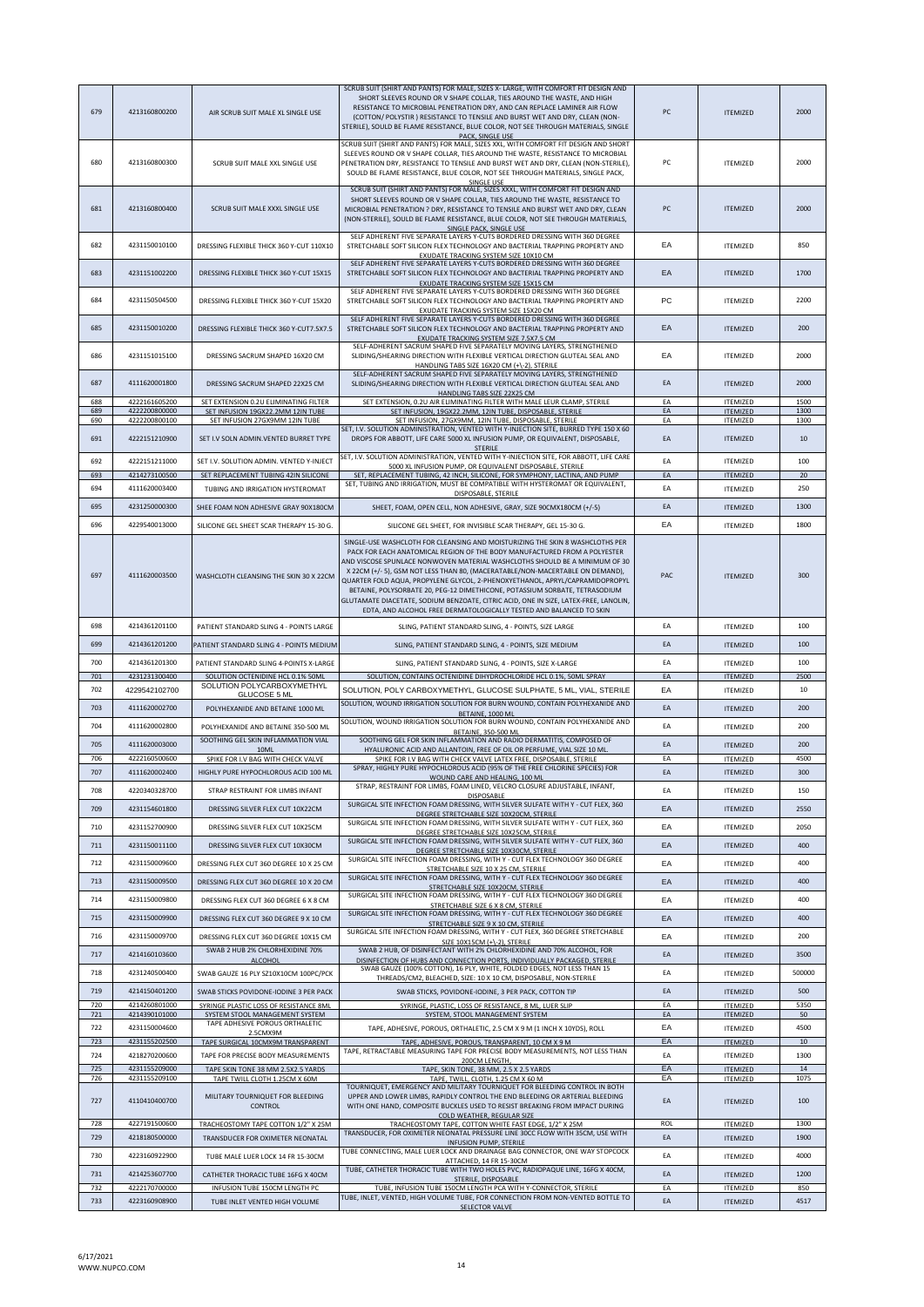| 679        | 4213160800200                  | AIR SCRUB SUIT MALE XL SINGLE USE                                                          | SCRUB SUIT (SHIRT AND PANTS) FOR MALE, SIZES X- LARGE, WITH COMFORT FIT DESIGN AND<br>SHORT SLEEVES ROUND OR V SHAPE COLLAR, TIES AROUND THE WASTE, AND HIGH<br>RESISTANCE TO MICROBIAL PENETRATION DRY, AND CAN REPLACE LAMINER AIR FLOW<br>(COTTON/ POLYSTIR ) RESISTANCE TO TENSILE AND BURST WET AND DRY, CLEAN (NON-<br>STERILE), SOULD BE FLAME RESISTANCE, BLUE COLOR, NOT SEE THROUGH MATERIALS, SINGLE<br>PACK. SINGLE USE                                                                                                                                                                                                                      | PC       | <b>ITEMIZED</b>                    | 2000           |
|------------|--------------------------------|--------------------------------------------------------------------------------------------|----------------------------------------------------------------------------------------------------------------------------------------------------------------------------------------------------------------------------------------------------------------------------------------------------------------------------------------------------------------------------------------------------------------------------------------------------------------------------------------------------------------------------------------------------------------------------------------------------------------------------------------------------------|----------|------------------------------------|----------------|
| 680        | 4213160800300                  | SCRUB SUIT MALE XXL SINGLE USE                                                             | SCRUB SUIT (SHIRT AND PANTS) FOR MALE, SIZES XXL, WITH COMFORT FIT DESIGN AND SHORT<br>SLEEVES ROUND OR V SHAPE COLLAR, TIES AROUND THE WASTE, RESISTANCE TO MICROBIAL<br>PENETRATION DRY, RESISTANCE TO TENSILE AND BURST WET AND DRY, CLEAN (NON-STERILE),<br>SOULD BE FLAME RESISTANCE, BLUE COLOR, NOT SEE THROUGH MATERIALS, SINGLE PACK,<br>SINGLE USE                                                                                                                                                                                                                                                                                             | PC       | <b>ITEMIZED</b>                    | 2000           |
| 681        | 4213160800400                  | SCRUB SUIT MALE XXXL SINGLE USE                                                            | SCRUB SUIT (SHIRT AND PANTS) FOR MALE, SIZES XXXL, WITH COMFORT FIT DESIGN AND<br>SHORT SLEEVES ROUND OR V SHAPE COLLAR, TIES AROUND THE WASTE, RESISTANCE TO<br>MICROBIAL PENETRATION ? DRY, RESISTANCE TO TENSILE AND BURST WET AND DRY, CLEAN<br>(NON-STERILE), SOULD BE FLAME RESISTANCE, BLUE COLOR, NOT SEE THROUGH MATERIALS,<br>SINGLE PACK, SINGLE USE                                                                                                                                                                                                                                                                                          | PC       | <b>ITEMIZED</b>                    | 2000           |
| 682        | 4231150010100                  | DRESSING FLEXIBLE THICK 360 Y-CUT 110X10                                                   | SELF ADHERENT FIVE SEPARATE LAYERS Y-CUTS BORDERED DRESSING WITH 360 DEGREE<br>STRETCHABLE SOFT SILICON FLEX TECHNOLOGY AND BACTERIAL TRAPPING PROPERTY AND<br>EXUDATE TRACKING SYSTEM SIZE 10X10 CM                                                                                                                                                                                                                                                                                                                                                                                                                                                     | EA       | <b>ITEMIZED</b>                    | 850            |
| 683        | 4231151002200                  | DRESSING FLEXIBLE THICK 360 Y-CUT 15X15                                                    | SELF ADHERENT FIVE SEPARATE LAYERS Y-CUTS BORDERED DRESSING WITH 360 DEGREE<br>STRETCHABLE SOFT SILICON FLEX TECHNOLOGY AND BACTERIAL TRAPPING PROPERTY AND<br>EXUDATE TRACKING SYSTEM SIZE 15X15 CM                                                                                                                                                                                                                                                                                                                                                                                                                                                     | EA       | <b>ITEMIZED</b>                    | 1700           |
| 684        | 4231150504500                  | DRESSING FLEXIBLE THICK 360 Y-CUT 15X20                                                    | SELF ADHERENT FIVE SEPARATE LAYERS Y-CUTS BORDERED DRESSING WITH 360 DEGREE<br>STRETCHABLE SOFT SILICON FLEX TECHNOLOGY AND BACTERIAL TRAPPING PROPERTY AND<br>EXUDATE TRACKING SYSTEM SIZE 15X20 CM                                                                                                                                                                                                                                                                                                                                                                                                                                                     | PC       | <b>ITEMIZED</b>                    | 2200           |
| 685        | 4231150010200                  | DRESSING FLEXIBLE THICK 360 Y-CUT7.5X7.5                                                   | SELF ADHERENT FIVE SEPARATE LAYERS Y-CUTS BORDERED DRESSING WITH 360 DEGREE<br>STRETCHABLE SOFT SILICON FLEX TECHNOLOGY AND BACTERIAL TRAPPING PROPERTY AND<br>EXUDATE TRACKING SYSTEM SIZE 7.5X7.5 CM                                                                                                                                                                                                                                                                                                                                                                                                                                                   | EA       | <b>ITEMIZED</b>                    | 200            |
| 686        | 4231151015100                  | DRESSING SACRUM SHAPED 16X20 CM                                                            | SELF-ADHERENT SACRUM SHAPED FIVE SEPARATELY MOVING LAYERS, STRENGTHENED<br>SLIDING/SHEARING DIRECTION WITH FLEXIBLE VERTICAL DIRECTION GLUTEAL SEAL AND<br>HANDLING TABS SIZE 16X20 CM (+\-2), STERILE                                                                                                                                                                                                                                                                                                                                                                                                                                                   | EA       | <b>ITEMIZED</b>                    | 2000           |
| 687        | 4111620001800                  | DRESSING SACRUM SHAPED 22X25 CM                                                            | SELF-ADHERENT SACRUM SHAPED FIVE SEPARATELY MOVING LAYERS, STRENGTHENED<br>SLIDING/SHEARING DIRECTION WITH FLEXIBLE VERTICAL DIRECTION GLUTEAL SEAL AND<br>HANDLING TABS SIZE 22X25 CM                                                                                                                                                                                                                                                                                                                                                                                                                                                                   | EA       | <b>ITEMIZED</b>                    | 2000           |
| 688        | 4222161605200                  | SET EXTENSION 0.2U ELIMINATING FILTER                                                      | SET EXTENSION, 0.2U AIR ELIMINATING FILTER WITH MALE LEUR CLAMP, STERILE                                                                                                                                                                                                                                                                                                                                                                                                                                                                                                                                                                                 | EA       | <b>ITEMIZED</b>                    | 1500           |
| 689<br>690 | 4222200800000<br>4222200800100 | SET INFUSION 19GX22.2MM 12IN TUBE<br>SET INFUSION 27GX9MM 12IN TUBE                        | SET INFUSION, 19GX22.2MM, 12IN TUBE, DISPOSABLE, STERILE<br>SET INFUSION, 27GX9MM, 12IN TUBE, DISPOSABLE, STERILE                                                                                                                                                                                                                                                                                                                                                                                                                                                                                                                                        | EA<br>EA | <b>ITEMIZED</b><br><b>ITEMIZED</b> | 1300<br>1300   |
| 691        | 4222151210900                  | SET I.V SOLN ADMIN.VENTED BURRET TYPE                                                      | SET, I.V. SOLUTION ADMINISTRATION, VENTED WITH Y-INJECTION SITE, BURRED TYPE 150 X 60<br>DROPS FOR ABBOTT, LIFE CARE 5000 XL INFUSION PUMP, OR EQUIVALENT, DISPOSABLE,<br><b>STERILE</b>                                                                                                                                                                                                                                                                                                                                                                                                                                                                 | EA       | <b>ITEMIZED</b>                    | 10             |
| 692        | 4222151211000                  | SET I.V. SOLUTION ADMIN. VENTED Y-INJECT                                                   | SET, I.V. SOLUTION ADMINISTRATION, VENTED WITH Y-INJECTION SITE, FOR ABBOTT, LIFE CARE<br>5000 XL INFUSION PUMP, OR EQUIVALENT DISPOSABLE, STERILE                                                                                                                                                                                                                                                                                                                                                                                                                                                                                                       | EA       | <b>ITEMIZED</b>                    | 100            |
| 693        | 4214273100500                  | SET REPLACEMENT TUBING 42IN SILICONE                                                       | SET, REPLACEMENT TUBING, 42 INCH, SILICONE, FOR SYMPHONY, LACTINA, AND PUMP<br>SET, TUBING AND IRRIGATION, MUST BE COMPATIBLE WITH HYSTEROMAT OR EQUIVALENT,                                                                                                                                                                                                                                                                                                                                                                                                                                                                                             | EA       | <b>ITEMIZED</b>                    | 20             |
| 694        | 4111620003400                  | TUBING AND IRRIGATION HYSTEROMAT                                                           | DISPOSABLE, STERILE                                                                                                                                                                                                                                                                                                                                                                                                                                                                                                                                                                                                                                      | EA       | <b>ITEMIZED</b>                    | 250            |
| 695        | 4231250000300                  | SHEE FOAM NON ADHESIVE GRAY 90X180CM                                                       | SHEET, FOAM, OPEN CELL, NON ADHESIVE, GRAY, SIZE 90CMX180CM (+/-5)                                                                                                                                                                                                                                                                                                                                                                                                                                                                                                                                                                                       | EA       | <b>ITEMIZED</b>                    | 1300           |
| 696        | 4229540013000                  | SILICONE GEL SHEET SCAR THERAPY 15-30 G                                                    | SILICONE GEL SHEET, FOR INVISIBLE SCAR THERAPY, GEL 15-30 G.                                                                                                                                                                                                                                                                                                                                                                                                                                                                                                                                                                                             | EA       | <b>ITEMIZED</b>                    | 1800           |
| 697        | 4111620003500                  | WASHCLOTH CLEANSING THE SKIN 30 X 22CM                                                     | SINGLE-USE WASHCLOTH FOR CLEANSING AND MOISTURIZING THE SKIN 8 WASHCLOTHS PER<br>PACK FOR EACH ANATOMICAL REGION OF THE BODY MANUFACTURED FROM A POLYESTER<br>AND VISCOSE SPUNLACE NONWOVEN MATERIAL WASHCLOTHS SHOULD BE A MINIMUM OF 30<br>X 22CM (+/- 5), GSM NOT LESS THAN 80, (MACERATABLE/NON-MACERTABLE ON DEMAND),<br>QUARTER FOLD AQUA, PROPYLENE GLYCOL, 2-PHENOXYETHANOL, APRYL/CAPRAMIDOPROPYL<br>BETAINE, POLYSORBATE 20, PEG-12 DIMETHICONE, POTASSIUM SORBATE, TETRASODIUM<br>GLUTAMATE DIACETATE, SODIUM BENZOATE, CITRIC ACID, ONE IN SIZE, LATEX-FREE, LANOLIN,<br>EDTA, AND ALCOHOL FREE DERMATOLOGICALLY TESTED AND BALANCED TO SKIN | PAC      | <b>ITEMIZED</b>                    | 300            |
| 698        | 4214361201100                  | PATIENT STANDARD SLING 4 - POINTS LARGE                                                    | SLING, PATIENT STANDARD SLING, 4 - POINTS, SIZE LARGE                                                                                                                                                                                                                                                                                                                                                                                                                                                                                                                                                                                                    | EA       | <b>ITEMIZED</b>                    | 100            |
| 699        | 4214361201200                  | PATIENT STANDARD SLING 4 - POINTS MEDIUM                                                   | SLING, PATIENT STANDARD SLING, 4 - POINTS, SIZE MEDIUM                                                                                                                                                                                                                                                                                                                                                                                                                                                                                                                                                                                                   | EA       | <b>ITEMIZED</b>                    | 100            |
| 700        | 4214361201300                  | PATIENT STANDARD SLING 4-POINTS X-LARGE                                                    | SLING, PATIENT STANDARD SLING, 4 - POINTS, SIZE X-LARGE                                                                                                                                                                                                                                                                                                                                                                                                                                                                                                                                                                                                  | EA       | <b>ITEMIZED</b>                    | 100            |
|            |                                |                                                                                            |                                                                                                                                                                                                                                                                                                                                                                                                                                                                                                                                                                                                                                                          |          |                                    |                |
| 701        | 4231231300400                  | SOLUTION OCTENIDINE HCL 0.1% 50ML                                                          | SOLUTION, CONTAINS OCTENIDINE DIHYDROCHLORIDE HCL 0.1%, 50ML SPRAY                                                                                                                                                                                                                                                                                                                                                                                                                                                                                                                                                                                       | EA       | <b>ITEMIZED</b>                    | 2500           |
| 702        | 4229542102700                  | SOLUTION POLYCARBOXYMETHYL<br>GLUCOSE 5 ML                                                 | SOLUTION, POLY CARBOXYMETHYL, GLUCOSE SULPHATE, 5 ML, VIAL, STERILE                                                                                                                                                                                                                                                                                                                                                                                                                                                                                                                                                                                      | EA       | <b>ITEMIZED</b>                    | 10             |
| 703        | 4111620002700                  | POLYHEXANIDE AND BETAINE 1000 ML                                                           | SOLUTION, WOUND IRRIGATION SOLUTION FOR BURN WOUND, CONTAIN POLYHEXANIDE AND                                                                                                                                                                                                                                                                                                                                                                                                                                                                                                                                                                             | EA       | <b>ITEMIZED</b>                    | 200            |
| 704        | 4111620002800                  | POLYHEXANIDE AND BETAINE 350-500 ML                                                        | BETAINE, 1000 ML<br>SOLUTION, WOUND IRRIGATION SOLUTION FOR BURN WOUND, CONTAIN POLYHEXANIDE AND                                                                                                                                                                                                                                                                                                                                                                                                                                                                                                                                                         | EA       | <b>ITEMIZED</b>                    | 200            |
| 705        | 4111620003000                  | SOOTHING GEL SKIN INFLAMMATION VIAL                                                        | <b>BETAINE, 350-500 ML</b><br>SOOTHING GEL FOR SKIN INFLAMMATION AND RADIO DERMATITIS, COMPOSED OF                                                                                                                                                                                                                                                                                                                                                                                                                                                                                                                                                       | EA       | <b>ITEMIZED</b>                    | 200            |
| 706        | 4222160500600                  | SPIKE FOR I.V BAG WITH CHECK VALVE                                                         | HYALURONIC ACID AND ALLANTOIN, FREE OF OIL OR PERFUME, VIAL SIZE 10 M<br>SPIKE FOR I.V BAG WITH CHECK VALVE LATEX FREE, DISPOSABLE, STERILE                                                                                                                                                                                                                                                                                                                                                                                                                                                                                                              | EA       | <b>ITEMIZED</b>                    | 4500           |
| 707        | 4111620002400                  | HIGHLY PURE HYPOCHLOROUS ACID 100 ML                                                       | SPRAY, HIGHLY PURE HYPOCHLOROUS ACID (95% OF THE FREE CHLORINE SPECIES) FOR<br>WOUND CARE AND HEALING, 100 ML                                                                                                                                                                                                                                                                                                                                                                                                                                                                                                                                            | EA       | <b>ITEMIZED</b>                    | 300            |
| 708        | 4220340328700                  | STRAP RESTRAINT FOR LIMBS INFANT                                                           | STRAP, RESTRAINT FOR LIMBS, FOAM LINED, VELCRO CLOSURE ADJUSTABLE, INFANT,<br>DISPOSABLE                                                                                                                                                                                                                                                                                                                                                                                                                                                                                                                                                                 | EA       | <b>ITEMIZED</b>                    | 150            |
| 709        | 4231154601800                  | DRESSING SILVER FLEX CUT 10X22CM                                                           | SURGICAL SITE INFECTION FOAM DRESSING, WITH SILVER SULFATE WITH Y - CUT FLEX, 360<br>DEGREE STRETCHABLE SIZE 10X20CM, STERILE                                                                                                                                                                                                                                                                                                                                                                                                                                                                                                                            | EA       | <b>ITEMIZED</b>                    | 2550           |
| 710        | 4231152700900                  | DRESSING SILVER FLEX CUT 10X25CM                                                           | SURGICAL SITE INFECTION FOAM DRESSING, WITH SILVER SULFATE WITH Y - CUT FLEX, 360                                                                                                                                                                                                                                                                                                                                                                                                                                                                                                                                                                        | EA       | <b>ITEMIZED</b>                    | 2050           |
| 711        | 4231150011100                  | DRESSING SILVER FLEX CUT 10X30CM                                                           | DEGREE STRETCHABLE SIZE 10X25CM, STERILE<br>SURGICAL SITE INFECTION FOAM DRESSING, WITH SILVER SULFATE WITH Y - CUT FLEX, 360                                                                                                                                                                                                                                                                                                                                                                                                                                                                                                                            | EA       | <b>ITEMIZED</b>                    | 400            |
| 712        | 4231150009600                  | DRESSING FLEX CUT 360 DEGREE 10 X 25 CM                                                    | DEGREE STRETCHABLE SIZE 10X30CM, STERILE<br>SURGICAL SITE INFECTION FOAM DRESSING, WITH Y - CUT FLEX TECHNOLOGY 360 DEGREE                                                                                                                                                                                                                                                                                                                                                                                                                                                                                                                               | EA       | <b>ITEMIZED</b>                    | 400            |
| 713        | 4231150009500                  | DRESSING FLEX CUT 360 DEGREE 10 X 20 CM                                                    | STRETCHABLE SIZE 10 X 25 CM, STERILE<br>SURGICAL SITE INFECTION FOAM DRESSING, WITH Y - CUT FLEX TECHNOLOGY 360 DEGREE                                                                                                                                                                                                                                                                                                                                                                                                                                                                                                                                   | EA       | <b>ITEMIZED</b>                    | 400            |
|            |                                |                                                                                            | STRETCHABLE SIZE 10X20CM, STERILE<br>SURGICAL SITE INFECTION FOAM DRESSING, WITH Y - CUT FLEX TECHNOLOGY 360 DEGREE                                                                                                                                                                                                                                                                                                                                                                                                                                                                                                                                      |          |                                    |                |
| 714        | 4231150009800                  | DRESSING FLEX CUT 360 DEGREE 6 X 8 CM                                                      | STRETCHABLE SIZE 6 X 8 CM, STERILE<br>SURGICAL SITE INFECTION FOAM DRESSING, WITH Y - CUT FLEX TECHNOLOGY 360 DEGREE                                                                                                                                                                                                                                                                                                                                                                                                                                                                                                                                     | EA       | <b>ITEMIZED</b>                    | 400            |
| 715        | 4231150009900                  | DRESSING FLEX CUT 360 DEGREE 9 X 10 CM                                                     | STRETCHABLE SIZE 9 X 10 CM, STERILE                                                                                                                                                                                                                                                                                                                                                                                                                                                                                                                                                                                                                      | EA       | <b>ITEMIZED</b>                    | 400            |
| 716        | 4231150009700                  | DRESSING FLEX CUT 360 DEGREE 10X15 CM                                                      | SURGICAL SITE INFECTION FOAM DRESSING, WITH Y - CUT FLEX, 360 DEGREE STRETCHABLE<br>SIZE 10X15CM (+\-2), STERILE                                                                                                                                                                                                                                                                                                                                                                                                                                                                                                                                         | EA       | <b>ITEMIZED</b>                    | 200            |
| 717<br>718 | 4214160103600<br>4231240500400 | SWAB 2 HUB 2% CHLORHEXIDINE 70%<br><b>ALCOHOL</b><br>SWAB GAUZE 16 PLY SZ10X10CM 100PC/PCK | SWAB 2 HUB, OF DISINFECTANT WITH 2% CHLORHEXIDINE AND 70% ALCOHOL, FOR<br>DISINFECTION OF HUBS AND CONNECTION PORTS, INDIVIDUALLY PACKAGED, STERILE<br>SWAB GAUZE (100% COTTON), 16 PLY, WHITE, FOLDED EDGES, NOT LESS THAN 15                                                                                                                                                                                                                                                                                                                                                                                                                           | EA<br>EA | <b>ITEMIZED</b><br><b>ITEMIZED</b> | 3500<br>500000 |
| 719        | 4214150401200                  | SWAB STICKS POVIDONE-IODINE 3 PER PACK                                                     | THREADS/CM2, BLEACHED, SIZE: 10 X 10 CM, DISPOSABLE, NON-STERILE<br>SWAB STICKS, POVIDONE-IODINE, 3 PER PACK, COTTON TIP                                                                                                                                                                                                                                                                                                                                                                                                                                                                                                                                 | EA       | <b>ITEMIZED</b>                    | 500            |
| 720        | 4214260801000                  | SYRINGE PLASTIC LOSS OF RESISTANCE 8ML                                                     | SYRINGE, PLASTIC, LOSS OF RESISTANCE, 8 ML, LUER SLIP                                                                                                                                                                                                                                                                                                                                                                                                                                                                                                                                                                                                    | EA       | <b>ITEMIZED</b>                    | 5350           |
| 721        | 4214390101000                  | SYSTEM STOOL MANAGEMENT SYSTEM<br>TAPE ADHESIVE POROUS ORTHALETIC                          | SYSTEM, STOOL MANAGEMENT SYSTEM                                                                                                                                                                                                                                                                                                                                                                                                                                                                                                                                                                                                                          | EA       | <b>ITEMIZED</b>                    | 50             |
| 722<br>723 | 4231150004600<br>4231155202500 | 2.5CMX9M<br>TAPE SURGICAL 10CMX9M TRANSPARENT                                              | TAPE, ADHESIVE, POROUS, ORTHALETIC, 2.5 CM X 9 M (1 INCH X 10YDS), ROLL<br>TAPE, ADHESIVE, POROUS, TRANSPARENT, 10 CM X 9 M                                                                                                                                                                                                                                                                                                                                                                                                                                                                                                                              | EA<br>EA | <b>ITEMIZED</b><br><b>ITEMIZED</b> | 4500<br>10     |
| 724        | 4218270200600                  | TAPE FOR PRECISE BODY MEASUREMENTS                                                         | TAPE, RETRACTABLE MEASURING TAPE FOR PRECISE BODY MEASUREMENTS, NOT LESS THAN<br>200CM LENGTH,                                                                                                                                                                                                                                                                                                                                                                                                                                                                                                                                                           | EA       | <b>ITEMIZED</b>                    | 1300           |
| 725<br>726 | 4231155209000<br>4231155209100 | TAPE SKIN TONE 38 MM 2.5X2.5 YARDS                                                         | TAPE, SKIN TONE, 38 MM, 2.5 X 2.5 YARDS                                                                                                                                                                                                                                                                                                                                                                                                                                                                                                                                                                                                                  | EA<br>EA | <b>ITEMIZED</b><br><b>ITEMIZED</b> | 14<br>1075     |
| 727        | 4110410400700                  | TAPE TWILL CLOTH 1.25CM X 60M<br>MILITARY TOURNIQUET FOR BLEEDING<br>CONTROL               | TAPE, TWILL, CLOTH, 1.25 CM X 60 M<br>TOURNIQUET, EMERGENCY AND MILITARY TOURNIQUET FOR BLEEDING CONTROL IN BOTH<br>UPPER AND LOWER LIMBS, RAPIDLY CONTROL THE END BLEEDING OR ARTERIAL BLEEDING<br>WITH ONE HAND, COMPOSITE BUCKLES USED TO RESIST BREAKING FROM IMPACT DURING                                                                                                                                                                                                                                                                                                                                                                          | EA       | <b>ITEMIZED</b>                    | 100            |
| 728        | 4227191500600                  | TRACHEOSTOMY TAPE COTTON 1/2" X 25M                                                        | COLD WEATHER, REGULAR SIZE<br>TRACHEOSTOMY TAPE, COTTON WHITE FAST EDGE, 1/2" X 25M                                                                                                                                                                                                                                                                                                                                                                                                                                                                                                                                                                      | ROL      | <b>ITEMIZED</b>                    | 1300           |
| 729        | 4218180500000                  | TRANSDUCER FOR OXIMETER NEONATAL                                                           | TRANSDUCER, FOR OXIMETER NEONATAL PRESSURE LINE 30CC FLOW WITH 35CM, USE WITH<br><b>INFUSION PUMP, STERILE</b>                                                                                                                                                                                                                                                                                                                                                                                                                                                                                                                                           | EA       | <b>ITEMIZED</b>                    | 1900           |
| 730        | 4223160922900                  | TUBE MALE LUER LOCK 14 FR 15-30CM                                                          | TUBE CONNECTING, MALE LUER LOCK AND DRAINAGE BAG CONNECTOR, ONE WAY STOPCOCK<br>ATTACHED, 14 FR 15-30CM                                                                                                                                                                                                                                                                                                                                                                                                                                                                                                                                                  | EA       | <b>ITEMIZED</b>                    | 4000           |
| 731        | 4214253607700                  | CATHETER THORACIC TUBE 16FG X 40CM                                                         | TUBE, CATHETER THORACIC TUBE WITH TWO HOLES PVC, RADIOPAQUE LINE, 16FG X 40CM,<br>STERILE, DISPOSABLE                                                                                                                                                                                                                                                                                                                                                                                                                                                                                                                                                    | EA       | <b>ITEMIZED</b>                    | 1200           |
| 732<br>733 | 4222170700000<br>4223160908900 | INFUSION TUBE 150CM LENGTH PC<br>TUBE INLET VENTED HIGH VOLUME                             | TUBE, INFUSION TUBE 150CM LENGTH PCA WITH Y-CONNECTOR, STERILE<br>TUBE, INLET, VENTED, HIGH VOLUME TUBE, FOR CONNECTION FROM NON-VENTED BOTTLE TO<br>SELECTOR VALVE                                                                                                                                                                                                                                                                                                                                                                                                                                                                                      | FA<br>EA | <b>ITEMIZED</b><br><b>ITEMIZED</b> | 850<br>4517    |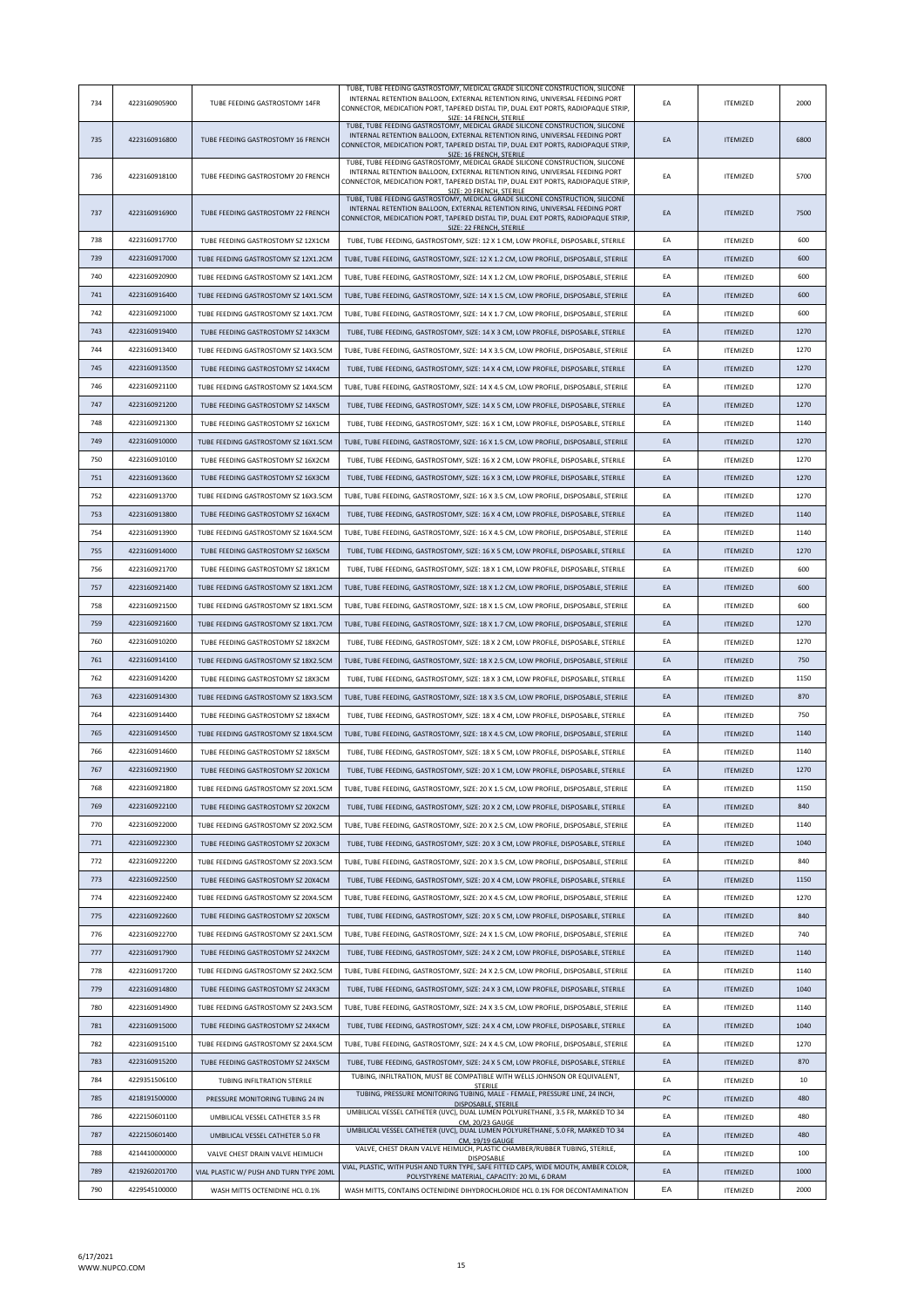| 734 | 4223160905900 | TUBE FEEDING GASTROSTOMY 14FR           | TUBE, TUBE FEEDING GASTROSTOMY, MEDICAL GRADE SILICONE CONSTRUCTION, SILICONE<br>INTERNAL RETENTION BALLOON, EXTERNAL RETENTION RING, UNIVERSAL FEEDING PORT<br>CONNECTOR, MEDICATION PORT, TAPERED DISTAL TIP, DUAL EXIT PORTS, RADIOPAQUE STRIP.<br>SIZE: 14 FRENCH, STERILE | EA | <b>ITEMIZED</b> | 2000 |
|-----|---------------|-----------------------------------------|--------------------------------------------------------------------------------------------------------------------------------------------------------------------------------------------------------------------------------------------------------------------------------|----|-----------------|------|
| 735 | 4223160916800 | TUBE FEEDING GASTROSTOMY 16 FRENCH      | TUBE, TUBE FEEDING GASTROSTOMY, MEDICAL GRADE SILICONE CONSTRUCTION, SILICONE<br>INTERNAL RETENTION BALLOON, EXTERNAL RETENTION RING, UNIVERSAL FEEDING PORT<br>CONNECTOR, MEDICATION PORT, TAPERED DISTAL TIP, DUAL EXIT PORTS, RADIOPAQUE STRIP,<br>SIZE: 16 FRENCH, STERILE | EA | <b>ITEMIZED</b> | 6800 |
| 736 | 4223160918100 | TUBE FEEDING GASTROSTOMY 20 FRENCH      | TUBE, TUBE FEEDING GASTROSTOMY, MEDICAL GRADE SILICONE CONSTRUCTION, SILICONE<br>INTERNAL RETENTION BALLOON, EXTERNAL RETENTION RING, UNIVERSAL FEEDING PORT<br>CONNECTOR, MEDICATION PORT, TAPERED DISTAL TIP, DUAL EXIT PORTS, RADIOPAQUE STRIP,<br>SIZE: 20 FRENCH, STERILE | EA | <b>ITEMIZED</b> | 5700 |
| 737 | 4223160916900 | TUBE FEEDING GASTROSTOMY 22 FRENCH      | TUBE, TUBE FEEDING GASTROSTOMY, MEDICAL GRADE SILICONE CONSTRUCTION, SILICONE<br>INTERNAL RETENTION BALLOON, EXTERNAL RETENTION RING, UNIVERSAL FEEDING PORT<br>CONNECTOR, MEDICATION PORT, TAPERED DISTAL TIP, DUAL EXIT PORTS, RADIOPAQUE STRIP,<br>SIZE: 22 FRENCH, STERILE | EA | <b>ITEMIZED</b> | 7500 |
| 738 | 4223160917700 | TUBE FEEDING GASTROSTOMY SZ 12X1CM      | TUBE, TUBE FEEDING, GASTROSTOMY, SIZE: 12 X 1 CM, LOW PROFILE, DISPOSABLE, STERILE                                                                                                                                                                                             | EA | <b>ITEMIZED</b> | 600  |
| 739 | 4223160917000 | TUBE FEEDING GASTROSTOMY SZ 12X1.2CM    | TUBE, TUBE FEEDING, GASTROSTOMY, SIZE: 12 X 1.2 CM, LOW PROFILE, DISPOSABLE, STERILE                                                                                                                                                                                           | EA | <b>ITEMIZED</b> | 600  |
| 740 | 4223160920900 | TUBE FEEDING GASTROSTOMY SZ 14X1.2CM    | TUBE, TUBE FEEDING, GASTROSTOMY, SIZE: 14 X 1.2 CM, LOW PROFILE, DISPOSABLE, STERILE                                                                                                                                                                                           | EA | <b>ITEMIZED</b> | 600  |
| 741 | 4223160916400 | TUBE FEEDING GASTROSTOMY SZ 14X1.5CM    | TUBE, TUBE FEEDING, GASTROSTOMY, SIZE: 14 X 1.5 CM, LOW PROFILE, DISPOSABLE, STERILE                                                                                                                                                                                           | EA | <b>ITEMIZED</b> | 600  |
| 742 | 4223160921000 | TUBE FEEDING GASTROSTOMY SZ 14X1.7CM    | TUBE, TUBE FEEDING, GASTROSTOMY, SIZE: 14 X 1.7 CM, LOW PROFILE, DISPOSABLE, STERILE                                                                                                                                                                                           | EA | <b>ITEMIZED</b> | 600  |
| 743 | 4223160919400 | TUBE FEEDING GASTROSTOMY SZ 14X3CM      | TUBE, TUBE FEEDING, GASTROSTOMY, SIZE: 14 X 3 CM, LOW PROFILE, DISPOSABLE, STERILE                                                                                                                                                                                             | EA | <b>ITEMIZED</b> | 1270 |
| 744 | 4223160913400 | TUBE FEEDING GASTROSTOMY SZ 14X3.5CM    | TUBE, TUBE FEEDING, GASTROSTOMY, SIZE: 14 X 3.5 CM, LOW PROFILE, DISPOSABLE, STERILE                                                                                                                                                                                           | EA | <b>ITEMIZED</b> | 1270 |
| 745 | 4223160913500 | TUBE FEEDING GASTROSTOMY SZ 14X4CM      | TUBE, TUBE FEEDING, GASTROSTOMY, SIZE: 14 X 4 CM, LOW PROFILE, DISPOSABLE, STERILE                                                                                                                                                                                             | EA | <b>ITEMIZED</b> | 1270 |
| 746 | 4223160921100 | TUBE FEEDING GASTROSTOMY SZ 14X4.5CM    | TUBE, TUBE FEEDING, GASTROSTOMY, SIZE: 14 X 4.5 CM, LOW PROFILE, DISPOSABLE, STERILE                                                                                                                                                                                           | EA | <b>ITEMIZED</b> | 1270 |
| 747 | 4223160921200 | TUBE FEEDING GASTROSTOMY SZ 14X5CM      | TUBE, TUBE FEEDING, GASTROSTOMY, SIZE: 14 X 5 CM, LOW PROFILE, DISPOSABLE, STERILE                                                                                                                                                                                             | EA | <b>ITEMIZED</b> | 1270 |
| 748 | 4223160921300 | TUBE FEEDING GASTROSTOMY SZ 16X1CM      | TUBE, TUBE FEEDING, GASTROSTOMY, SIZE: 16 X 1 CM, LOW PROFILE, DISPOSABLE, STERILE                                                                                                                                                                                             | EA | <b>ITEMIZED</b> | 1140 |
| 749 | 4223160910000 | TUBE FEEDING GASTROSTOMY SZ 16X1.5CM    | TUBE, TUBE FEEDING, GASTROSTOMY, SIZE: 16 X 1.5 CM, LOW PROFILE, DISPOSABLE, STERILE                                                                                                                                                                                           | EA | <b>ITEMIZED</b> | 1270 |
| 750 | 4223160910100 | TUBE FEEDING GASTROSTOMY SZ 16X2CM      | TUBE, TUBE FEEDING, GASTROSTOMY, SIZE: 16 X 2 CM, LOW PROFILE, DISPOSABLE, STERILE                                                                                                                                                                                             | EA | <b>ITEMIZED</b> | 1270 |
| 751 | 4223160913600 | TUBE FEEDING GASTROSTOMY SZ 16X3CM      | TUBE, TUBE FEEDING, GASTROSTOMY, SIZE: 16 X 3 CM, LOW PROFILE, DISPOSABLE, STERILE                                                                                                                                                                                             | EA | <b>ITEMIZED</b> | 1270 |
| 752 | 4223160913700 |                                         |                                                                                                                                                                                                                                                                                | EA | <b>ITEMIZED</b> | 1270 |
|     |               | TUBE FEEDING GASTROSTOMY SZ 16X3.5CM    | TUBE, TUBE FEEDING, GASTROSTOMY, SIZE: 16 X 3.5 CM, LOW PROFILE, DISPOSABLE, STERILE                                                                                                                                                                                           |    |                 |      |
| 753 | 4223160913800 | TUBE FEEDING GASTROSTOMY SZ 16X4CM      | TUBE, TUBE FEEDING, GASTROSTOMY, SIZE: 16 X 4 CM, LOW PROFILE, DISPOSABLE, STERILE                                                                                                                                                                                             | EA | <b>ITEMIZED</b> | 1140 |
| 754 | 4223160913900 | TUBE FEEDING GASTROSTOMY SZ 16X4.5CM    | TUBE, TUBE FEEDING, GASTROSTOMY, SIZE: 16 X 4.5 CM, LOW PROFILE, DISPOSABLE, STERILE                                                                                                                                                                                           | EA | <b>ITEMIZED</b> | 1140 |
| 755 | 4223160914000 | TUBE FEEDING GASTROSTOMY SZ 16X5CM      | TUBE, TUBE FEEDING, GASTROSTOMY, SIZE: 16 X 5 CM, LOW PROFILE, DISPOSABLE, STERILE                                                                                                                                                                                             | EA | <b>ITEMIZED</b> | 1270 |
| 756 | 4223160921700 | TUBE FEEDING GASTROSTOMY SZ 18X1CM      | TUBE, TUBE FEEDING, GASTROSTOMY, SIZE: 18 X 1 CM, LOW PROFILE, DISPOSABLE, STERILE                                                                                                                                                                                             | EA | <b>ITEMIZED</b> | 600  |
| 757 | 4223160921400 | TUBE FEEDING GASTROSTOMY SZ 18X1.2CM    | TUBE, TUBE FEEDING, GASTROSTOMY, SIZE: 18 X 1.2 CM, LOW PROFILE, DISPOSABLE, STERILE                                                                                                                                                                                           | EA | <b>ITEMIZED</b> | 600  |
| 758 | 4223160921500 | TUBE FEEDING GASTROSTOMY SZ 18X1.5CM    | TUBE, TUBE FEEDING, GASTROSTOMY, SIZE: 18 X 1.5 CM, LOW PROFILE, DISPOSABLE, STERILE                                                                                                                                                                                           | EA | <b>ITEMIZED</b> | 600  |
| 759 | 4223160921600 | TUBE FEEDING GASTROSTOMY SZ 18X1.7CM    | TUBE, TUBE FEEDING, GASTROSTOMY, SIZE: 18 X 1.7 CM, LOW PROFILE, DISPOSABLE, STERILE                                                                                                                                                                                           | EA | <b>ITEMIZED</b> | 1270 |
| 760 | 4223160910200 | TUBE FEEDING GASTROSTOMY SZ 18X2CM      | TUBE, TUBE FEEDING, GASTROSTOMY, SIZE: 18 X 2 CM, LOW PROFILE, DISPOSABLE, STERILE                                                                                                                                                                                             | EA | <b>ITEMIZED</b> | 1270 |
| 761 | 4223160914100 | TUBE FEEDING GASTROSTOMY SZ 18X2.5CM    | TUBE, TUBE FEEDING, GASTROSTOMY, SIZE: 18 X 2.5 CM, LOW PROFILE, DISPOSABLE, STERILE                                                                                                                                                                                           | EA | <b>ITEMIZED</b> | 750  |
| 762 | 4223160914200 | TUBE FEEDING GASTROSTOMY SZ 18X3CM      | TUBE, TUBE FEEDING, GASTROSTOMY, SIZE: 18 X 3 CM, LOW PROFILE, DISPOSABLE, STERILE                                                                                                                                                                                             | EA | <b>ITEMIZED</b> | 1150 |
| 763 | 4223160914300 | TUBE FEEDING GASTROSTOMY S7 18X3.5CM    | TUBE, TUBE FEEDING, GASTROSTOMY, SIZE: 18 X 3.5 CM, LOW PROFILE, DISPOSABLE, STERILE                                                                                                                                                                                           | EA | <b>ITEMIZED</b> | 870  |
| 764 | 4223160914400 | TUBE FEEDING GASTROSTOMY SZ 18X4CM      | TUBE, TUBE FEEDING, GASTROSTOMY, SIZE: 18 X 4 CM, LOW PROFILE, DISPOSABLE, STERILE                                                                                                                                                                                             | EA | <b>ITEMIZED</b> | 750  |
| 765 | 4223160914500 | TUBE FEEDING GASTROSTOMY SZ 18X4.5CM    | TUBE, TUBE FEEDING, GASTROSTOMY, SIZE: 18 X 4.5 CM, LOW PROFILE, DISPOSABLE, STERILE                                                                                                                                                                                           | EA | <b>ITEMIZED</b> | 1140 |
| 766 | 4223160914600 | TUBE FEEDING GASTROSTOMY SZ 18X5CM      | TUBE, TUBE FEEDING, GASTROSTOMY, SIZE: 18 X 5 CM, LOW PROFILE, DISPOSABLE, STERILE                                                                                                                                                                                             | EA | <b>ITEMIZED</b> | 1140 |
| 767 | 4223160921900 | TUBE FEEDING GASTROSTOMY SZ 20X1CM      | TUBE, TUBE FEEDING, GASTROSTOMY, SIZE: 20 X 1 CM, LOW PROFILE, DISPOSABLE, STERILE                                                                                                                                                                                             | EA | <b>ITEMIZED</b> | 1270 |
| 768 | 4223160921800 | TUBE FEEDING GASTROSTOMY SZ 20X1.5CM    | TUBE, TUBE FEEDING, GASTROSTOMY, SIZE: 20 X 1.5 CM, LOW PROFILE, DISPOSABLE, STERILE                                                                                                                                                                                           | EA | <b>ITEMIZED</b> | 1150 |
| 769 | 4223160922100 | TUBE FEEDING GASTROSTOMY SZ 20X2CM      | TUBE, TUBE FEEDING, GASTROSTOMY, SIZE: 20 X 2 CM, LOW PROFILE, DISPOSABLE, STERILE                                                                                                                                                                                             | EA | <b>ITFMIZED</b> | 840  |
| 770 | 4223160922000 | TUBE FEEDING GASTROSTOMY SZ 20X2.5CM    | TUBE, TUBE FEEDING, GASTROSTOMY, SIZE: 20 X 2.5 CM, LOW PROFILE, DISPOSABLE, STERILE                                                                                                                                                                                           | EA | <b>ITEMIZED</b> | 1140 |
| 771 | 4223160922300 | TUBE FEEDING GASTROSTOMY SZ 20X3CM      | TUBE, TUBE FEEDING, GASTROSTOMY, SIZE: 20 X 3 CM, LOW PROFILE, DISPOSABLE, STERILE                                                                                                                                                                                             | EA | <b>ITEMIZED</b> | 1040 |
| 772 | 4223160922200 | TUBE FEEDING GASTROSTOMY SZ 20X3.5CM    | TUBE, TUBE FEEDING, GASTROSTOMY, SIZE: 20 X 3.5 CM, LOW PROFILE, DISPOSABLE, STERILE                                                                                                                                                                                           | EA | <b>ITEMIZED</b> | 840  |
| 773 | 4223160922500 | TUBE FEEDING GASTROSTOMY SZ 20X4CM      | TUBE, TUBE FEEDING, GASTROSTOMY, SIZE: 20 X 4 CM, LOW PROFILE, DISPOSABLE, STERILE                                                                                                                                                                                             | EA | <b>ITEMIZED</b> | 1150 |
| 774 | 4223160922400 | TUBE FEEDING GASTROSTOMY SZ 20X4.5CM    | TUBE, TUBE FEEDING, GASTROSTOMY, SIZE: 20 X 4.5 CM, LOW PROFILE, DISPOSABLE, STERILE                                                                                                                                                                                           | EA | <b>ITEMIZED</b> | 1270 |
| 775 | 4223160922600 | TUBE FEEDING GASTROSTOMY SZ 20X5CM      | TUBE, TUBE FEEDING, GASTROSTOMY, SIZE: 20 X 5 CM, LOW PROFILE, DISPOSABLE, STERILE                                                                                                                                                                                             | EA | <b>ITEMIZED</b> | 840  |
| 776 | 4223160922700 | TUBE FEEDING GASTROSTOMY SZ 24X1.5CM    | TUBE, TUBE FEEDING, GASTROSTOMY, SIZE: 24 X 1.5 CM, LOW PROFILE, DISPOSABLE, STERILE                                                                                                                                                                                           | EA | <b>ITEMIZED</b> | 740  |
| 777 | 4223160917900 | TUBE FEEDING GASTROSTOMY SZ 24X2CM      | TUBE, TUBE FEEDING, GASTROSTOMY, SIZE: 24 X 2 CM, LOW PROFILE, DISPOSABLE, STERILE                                                                                                                                                                                             | EA | <b>ITEMIZED</b> | 1140 |
| 778 | 4223160917200 | TUBE FEEDING GASTROSTOMY SZ 24X2.5CM    | TUBE, TUBE FEEDING, GASTROSTOMY, SIZE: 24 X 2.5 CM, LOW PROFILE, DISPOSABLE, STERILE                                                                                                                                                                                           | EA | <b>ITEMIZED</b> | 1140 |
| 779 | 4223160914800 | TUBE FEEDING GASTROSTOMY SZ 24X3CM      | TUBE, TUBE FEEDING, GASTROSTOMY, SIZE: 24 X 3 CM, LOW PROFILE, DISPOSABLE, STERILE                                                                                                                                                                                             | EA | <b>ITEMIZED</b> | 1040 |
| 780 |               |                                         |                                                                                                                                                                                                                                                                                |    |                 | 1140 |
|     | 4223160914900 | TUBE FEEDING GASTROSTOMY SZ 24X3.5CM    | TUBE, TUBE FEEDING, GASTROSTOMY, SIZE: 24 X 3.5 CM, LOW PROFILE, DISPOSABLE, STERILE                                                                                                                                                                                           | EA | <b>ITEMIZED</b> |      |
| 781 | 4223160915000 | TUBE FEEDING GASTROSTOMY SZ 24X4CM      | TUBE, TUBE FEEDING, GASTROSTOMY, SIZE: 24 X 4 CM, LOW PROFILE, DISPOSABLE, STERILE                                                                                                                                                                                             | EA | <b>ITEMIZED</b> | 1040 |
| 782 | 4223160915100 | TUBE FEEDING GASTROSTOMY SZ 24X4.5CM    | TUBE, TUBE FEEDING, GASTROSTOMY, SIZE: 24 X 4.5 CM, LOW PROFILE, DISPOSABLE, STERILE                                                                                                                                                                                           | EA | <b>ITEMIZED</b> | 1270 |
| 783 | 4223160915200 | TUBE FEEDING GASTROSTOMY SZ 24X5CM      | TUBE, TUBE FEEDING, GASTROSTOMY, SIZE: 24 X 5 CM, LOW PROFILE, DISPOSABLE, STERILE<br>TUBING, INFILTRATION, MUST BE COMPATIBLE WITH WELLS JOHNSON OR EQUIVALENT,                                                                                                               | EA | <b>ITEMIZED</b> | 870  |
| 784 | 4229351506100 | TUBING INFILTRATION STERILE             | <b>STERILE</b><br>TUBING, PRESSURE MONITORING TUBING, MALE - FEMALE, PRESSURE LINE, 24 INCH,                                                                                                                                                                                   | EA | ITEMIZED        | 10   |
| 785 | 4218191500000 | PRESSURE MONITORING TUBING 24 IN        | DISPOSABLE, STERILE<br>UMBILICAL VESSEL CATHETER (UVC), DUAL LUMEN POLYURETHANE, 3.5 FR, MARKED TO 34                                                                                                                                                                          | PC | <b>ITEMIZED</b> | 480  |
| 786 | 4222150601100 | UMBILICAL VESSEL CATHETER 3.5 FR        | CM, 20/23 GAUGE                                                                                                                                                                                                                                                                | EA | <b>ITEMIZED</b> | 480  |
| 787 | 4222150601400 | UMBILICAL VESSEL CATHETER 5.0 FR        | UMBILICAL VESSEL CATHETER (UVC), DUAL LUMEN POLYURETHANE, 5.0 FR, MARKED TO 34<br>CM, 19/19 GAUGE                                                                                                                                                                              | EA | <b>ITEMIZED</b> | 480  |
| 788 | 4214410000000 | VALVE CHEST DRAIN VALVE HEIMLICH        | VALVE, CHEST DRAIN VALVE HEIMLICH, PLASTIC CHAMBER/RUBBER TUBING, STERILE,<br>DISPOSABLE                                                                                                                                                                                       | EA | <b>ITEMIZED</b> | 100  |
| 789 | 4219260201700 | VIAL PLASTIC W/ PUSH AND TURN TYPE 20ML | VIAL, PLASTIC, WITH PUSH AND TURN TYPE, SAFE FITTED CAPS, WIDE MOUTH, AMBER COLOR,<br>POLYSTYRENE MATERIAL, CAPACITY: 20 ML, 6 DRAM                                                                                                                                            | EA | <b>ITEMIZED</b> | 1000 |
| 790 | 4229545100000 | WASH MITTS OCTENIDINE HCL 0.1%          | WASH MITTS, CONTAINS OCTENIDINE DIHYDROCHLORIDE HCL 0.1% FOR DECONTAMINATION                                                                                                                                                                                                   | EA | <b>ITEMIZED</b> | 2000 |